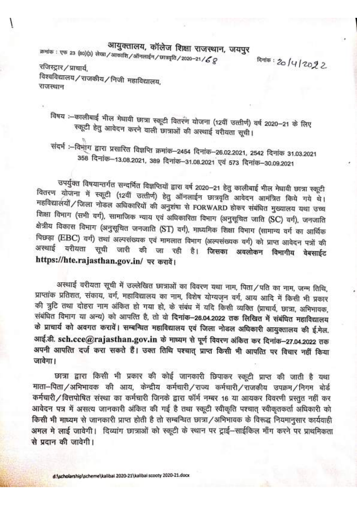## आयुक्तालय, कॉलेज शिक्षा राजस्थान, जयपुर

क्रमांक : एफ 23 (80)(3) लेखा / आकाशि / ऑनलाईन / छात्रवृति / 2020–21 /  ${\cal L}$   ${\cal Q}$ 

क्षितंक: 20/4/2022

रजिस्ट्रार / प्राचार्य.

विश्वविद्यालय / राजकीय / निजी महाविद्यालय, राजस्थान

विषय :- कालीबाई भील मेघावी छात्रा स्कूटी वितरण योजना (12वीं उत्तीर्ण) वर्ष 2020-21 के लिए स्कूटी हेतु आवेदन करने वाली छात्राओं की अस्थाई वरीयता सूची।

संदर्भ :--विभाग द्वारा प्रसारित विज्ञप्ति क्रमांक-2454 दिनांक-26.02.2021, 2542 दिनांक 31.03.2021 358 दिनांक-13.08.2021, 389 दिनांक-31.08.2021 एवं 573 दिनांक-30.09.2021

उपर्युक्त विषयान्तर्गत सन्दर्भित विज्ञप्तियों द्वारा वर्ष 2020–21 हेतु कालीबाई भील मेघावी छात्रा स्कूटी वितरण योजना में स्कूटी (12वीं उत्तीर्ण) हेतु ऑनलाईन छात्रवृति आवेदन आमंत्रित किये गये थे। महविद्यालयों / जिला नोडल अधिकारियों की अनुशंषा से FORWARD होकर संबंधित मुख्यालय यथा उच्च शिक्षा विमाग (सभी वर्ग), सामाजिक न्याय एवं अधिकारिता विमाग (अनुसूचित जाति (SC) वर्ग), जनजाति क्षेत्रीय विकास विभाग (अनुसूचित जनजाति (ST) वर्ग), माध्यमिक शिक्षा विभाग (सामान्य वर्ग का आर्थिक पिछड़ा (EBC) वर्ग) तथां अल्पसंख्यक एवं मामलात विभाग (अल्पसंख्यक वर्ग) को प्राप्त आवेदन पत्रों की अस्थाई वरीयता सूची जारी की जा रही है। जिसका अवलोकन विमागीय वेबसाईट https://hte.rajasthan.gov.in/ पर करावें।

अस्थाई वरीयता सूची में उल्लेखित छात्राओं का विवरण यथा नाम, पिता/पति का नाम, जन्म तिथि, प्राप्तांक प्रतिशत, संकाय, वर्ग, महाविद्यालय का नाम, विशेष योग्यजन वर्ग, आय आदि में किसी भी प्रकार की त्रुटि तथा दोहरा नाम अंकित हो गया हो, के संबंध में यदि किसी व्यक्ति (प्राचार्य, छात्रा, अभिभावक, संबंधित विभाग या अन्य) को आपत्ति है, तो वो दिनांक-26.04.2022 तक लिखित में संबंधित महाविद्यालय के प्राचार्य को अवगत करावें। सम्बन्धित महाविद्यालय एवं जिला नोडल अधिकारी आयुक्तालय की ई.मेल. आई.डी. sch.cce@rajasthan.gov.in के माध्यम से पूर्ण विवरण अंकित कर दिनांक-27.04.2022 तक अपनी आपत्ति दर्ज करा सकते हैं। उक्त तिथि पश्चात् प्राप्त किसी भी आपत्ति पर विचार नहीं किया जावेगा।

छात्रा द्वारा किसी भी प्रकार की कोई जानकारी छिपाकर स्कूटी प्राप्त की जाती है यथा माता-पिता / अभिभावक की आय, केन्द्रीय कर्मचारी / राज्य कर्मचारी / राजकीय उपक्रम / निगम बोर्ड कर्मचारी/वित्तपोषित संस्था का कर्मचारी जिनके द्वारा फॉर्म नम्बर 16 या आयकर विवरणी प्रस्तुत नहीं कर आवेदन पत्र में असत्य जानकारी अंकित की गई है तथा स्कूटी स्वीकृति पश्चात स्वीकतकर्ता अधिकारी को किसी भी माध्यम से जानकारी प्राप्त होती है तो सम्बन्धित छात्रा/अभिभावक के विरूद्ध नियमानुसार कार्यवाही अमल मे लाई जावेगी। दिव्यांग छात्राओं को स्कटी के स्थान पर टाई-साईकिल माँग करने पर प्राथमिकता से पदान की जावेगी।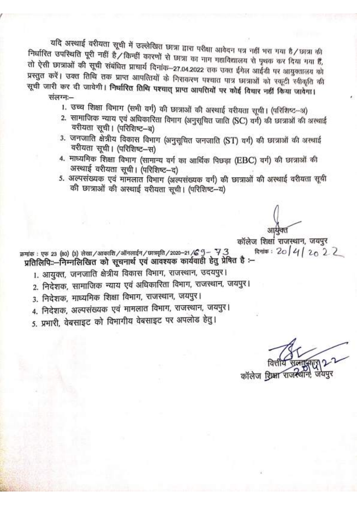यदि अस्थाई वरीयता सूची में उल्लेखित छात्रा द्वारा परीक्षा आवेदन पत्र नहीं भरा गया है/छात्रा की निर्धारित उपस्थिति पूरी नहीं है/किन्हीं कारणों से छात्रा का नाम महाविद्यालय से पृथक कर दिया गया हैं, तो ऐसी छात्राओं की सूची संबंधित प्राचार्य दिनांक-27.04.2022 तक उक्त ईमेल आईडी पर आयुक्तालय को प्रस्तुत करें। उक्त तिथि तक प्राप्त आपत्तियों के निराकरण पश्चात पात्र छात्राओं को स्कूटी स्वीकृति की सूची जारी कर दी जावेगी। निर्धारित तिथि पश्चात् प्राप्त आपत्तियों पर कोई विचार नहीं किया जावेगा।

संलग्न:-

- 1. उच्च शिक्षा विभाग (सभी वर्ग) की छात्राओं की अस्थाई वरीयता सूची। (परिशिष्ट-अ)
- 2. सामाजिक न्याय एवं अधिकारिता विभाग (अनुसूचित जाति (SC) वर्ग) की छात्राओं की अस्थाई वरीयता सूची। (परिशिष्ट-ब)
- 3. जनजाति क्षेत्रीय विकास विभाग (अनुसूचित जनजाति (ST) वर्ग) की छात्राओं की अस्थाई वरीयता सूची। (परिशिष्ट–स)
- 4. माध्यमिक शिक्षा विभाग (सामान्य वर्ग का आर्थिक पिछड़ा (EBC) वर्ग) की छात्राओं की अस्थाई वरीयता सूची। (परिशिष्ट-द)
- 5. अल्पसंख्यक एवं मामलात विभाग (अल्पसंख्यक वर्ग) की छात्राओं की अस्थाई वरीयता सूची की छात्राओं की अस्थाई वरीयता सची। (परिशिष्ट-य)

कॉलेज शिक्षा राजस्थान, जयपुर दिनांक: 20 | 4 | 20 2 2 क्रमांक : एफ 23 (80) (3) लेखा / आकाशि / ऑनलाईन / छात्रवृति / 2020-21 /  $G - 73$ प्रतिलिपि::--निम्नलिखित को सूचनार्थ एवं आवश्यक कार्यवाही हेतु प्रेषित है :--

- 1. आयुक्त, जनजाति क्षेत्रीय विकास विभाग, राजस्थान, उदयपुर।
- 2. निदेशक, सामाजिक न्याय एवं अधिकारिता विभाग, राजस्थान, जयपुर।
- 3. निदेशक, माध्यमिक शिक्षा विभाग, राजस्थान, जयपुर।
- 4. निदेशक, अल्पसंख्यक एवं मामलात विभाग, राजस्थान, जयपुर।

5. प्रभारी, वेबसाइट को विभागीय वेबसाइट पर अपलोड हेत्।

कॉलेज शिक्षा राजस्थ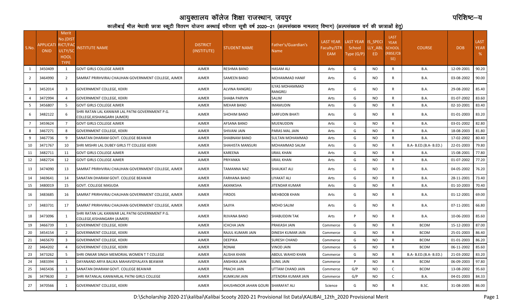## आयुक्तालय कॉलेज शिक्षा राजस्थान, जयपुर काटकाली काटकाली काट्यालय करते हैं। संस्थापित काट्यालय कॉलेज शिक्षान्ट—य

कालीबाई भील मेधावी छात्रा स्कूटी वितरण योजना अस्थाई वरीयता सूची वर्ष 2020—21 (अल्पसंख्यक मामलात् विभाग) (अल्पसंख्यक वर्ग की छात्राओं हेतु)

| S.No.          | APPLICATI<br><b>ONID</b> | Merit<br>No.(DIST<br>RICT/FAC<br>ULTY/SC<br><b>HOOL</b><br><b>TYPE</b> | NSTITUTE NAME                                                                  | <b>DISTRICT</b><br>(INSTITUTE) | <b>STUDENT NAME</b>                | Father's/Guardian's<br>Name      | <b>LAST YEAR</b><br><b>Faculty/STR</b><br>EAM | LAST YEAR IS SPECI<br>School<br>Type (G/P) | LLY ABL<br>ED. | <b>LAST</b><br><b>YEAR</b><br><b>SCHOOL</b><br><b>RBSE/CB</b><br>SE) | <b>COURSE</b>          | <b>DOB</b> | <b>LAST</b><br><b>YEAR</b><br>$\%$ |
|----------------|--------------------------|------------------------------------------------------------------------|--------------------------------------------------------------------------------|--------------------------------|------------------------------------|----------------------------------|-----------------------------------------------|--------------------------------------------|----------------|----------------------------------------------------------------------|------------------------|------------|------------------------------------|
| 1              | 3450409                  | 1                                                                      | <b>GOVT GIRLS COLLEGE AJMER</b>                                                | <b>AJMER</b>                   | RESHMA BANO                        | HASAM ALI                        | Arts                                          | G                                          | <b>NO</b>      | $\mathsf{R}$                                                         | <b>B.A.</b>            | 12-09-2001 | 90.20                              |
| $\overline{2}$ | 3464990                  | 2                                                                      | SAMRAT PRIRHVIRAJ CHAUHAN GOVERNMENT COLLEGE, AJMER                            | <b>AJMER</b>                   | <b>SAMEEN BANO</b>                 | MOHAMMAD HANIF                   | Arts                                          | G                                          | NO             | R                                                                    | <b>B.A.</b>            | 03-08-2002 | 90.00                              |
| 3              | 3452014                  | 3                                                                      | GOVERNMENT COLLEGE, KEKRI                                                      | <b>AJMER</b>                   | ALVINA RANGREJ                     | ILYAS MOHAMMAD<br><b>RANGREJ</b> | Arts                                          | G                                          | NO             | R                                                                    | <b>B.A.</b>            | 29-08-2002 | 85.40                              |
| $\overline{4}$ | 3472994                  | $\overline{4}$                                                         | GOVERNMENT COLLEGE, KEKRI                                                      | <b>AJMER</b>                   | <b>SHABA PARVIN</b>                | SALIM                            | Arts                                          | G                                          | <b>NO</b>      | $\mathsf{R}$                                                         | B.A.                   | 01-07-2002 | 83.60                              |
| 5              | 3456807                  | -5                                                                     | <b>GOVT GIRLS COLLEGE AJMER</b>                                                | <b>AJMER</b>                   | MEHAR BANO                         | <b>MAMUDIN</b>                   | Arts                                          | G                                          | NO.            | R                                                                    | <b>B.A.</b>            | 02-10-2001 | 83.40                              |
| 6              | 3482122                  |                                                                        | SHRI RATAN LAL KANWAR LAL PATNI GOVERNMENT P.G.<br>COLLEGE,KISHANGARH (AJMER)  | AJMER                          | <b>SHOHIM BANO</b>                 | <b>SARFUDIN BHATI</b>            | Arts                                          | G                                          | <b>NO</b>      | R                                                                    | <b>B.A.</b>            | 01-01-2003 | 83.20                              |
| $\overline{7}$ | 3459624                  | $\overline{7}$                                                         | <b>GOVT GIRLS COLLEGE AJMER</b>                                                | <b>AJMER</b>                   | AFSANA BANO                        | MUENUDDIN                        | Arts                                          | G                                          | NO             | R                                                                    | B.A.                   | 03-01-2002 | 82.80                              |
| 8              | 3467271                  | 8                                                                      | <b>GOVERNMENT COLLEGE, KEKRI</b>                                               | <b>AJMER</b>                   | SHIVANI JAIN                       | PARAS MAL JAIN                   | Arts                                          | G                                          | <b>NO</b>      | $\mathsf{R}$                                                         | B.A.                   | 18-08-2003 | 81.80                              |
| 9              | 3467736                  | 9                                                                      | SANATAN DHARAM GOVT. COLLEGE BEAWAR                                            | <b>AJMER</b>                   | <b>SHABNAM BANO</b>                | <b>SULTAN MOHAMMAD</b>           | Arts                                          | G                                          | <b>NO</b>      | $\mathsf{R}$                                                         | B.A.                   | 17-02-2002 | 80.40                              |
| 10             | 3471767                  | 10                                                                     | SHRI MISHRI LAL DUBEY GIRLS TT COLLEGE KEKRI                                   | <b>AJMER</b>                   | SHAHISTA MANSURI                   | MOHAMMAD SALIM                   | Arts                                          | G                                          | NO             | R                                                                    | B.A- B.ED.(B.A- B.ED.) | 22-01-2003 | 79.80                              |
| 11             | 3482711                  | 11                                                                     | <b>GOVT GIRLS COLLEGE AJMER</b>                                                | <b>AJMER</b>                   | KAREENA                            | IJRAIL KHAN                      | Arts                                          | G                                          | NO             | $\mathsf{R}$                                                         | <b>B.A.</b>            | 15-08-2001 | 77.80                              |
| 12             | 3482724                  | 12                                                                     | <b>GOVT GIRLS COLLEGE AJMER</b>                                                | <b>AJMER</b>                   | PRIYANKA                           | <b>JRAIL KHAN</b>                | Arts                                          | G                                          | NO             | R                                                                    | <b>B.A.</b>            | 01-07-2002 | 77.20                              |
| 13             | 3474090                  | 13                                                                     | SAMRAT PRIRHVIRAJ CHAUHAN GOVERNMENT COLLEGE, AJMER                            | <b>AJMER</b>                   | TAMANNA NAZ                        | <b>SHAUKAT ALI</b>               | Arts                                          | G                                          | NO             | R                                                                    | <b>B.A.</b>            | 04-05-2002 | 76.20                              |
| 14             | 3469641                  | 14                                                                     | SANATAN DHARAM GOVT. COLLEGE BEAWAR                                            | AJMER                          | <b>FARHANA BANO</b>                | LIYAKAT ALI                      | Arts                                          | G                                          | <b>NO</b>      | $\mathsf{R}$                                                         | <b>B.A.</b>            | 28-11-2001 | 73.40                              |
| 15             | 3480019                  | 15                                                                     | GOVT. COLLEGE MASUDA                                                           | <b>AJMER</b>                   | AKANKSHA                           | JITENDAR KUMAR                   | Arts                                          | G                                          | NO.            | R                                                                    | <b>B.A.</b>            | 01-10-2003 | 70.40                              |
| 16             | 3483685                  | 16                                                                     | SAMRAT PRIRHVIRAJ CHAUHAN GOVERNMENT COLLEGE, AJMER                            | AJMER                          | <b>FIRDOS</b>                      | <b>MEHBOOB KHAN</b>              | Arts                                          | G                                          | NO.            | R                                                                    | <b>B.A.</b>            | 01-12-2001 | 69.00                              |
| 17             | 3483731                  | 17                                                                     | SAMRAT PRIRHVIRAJ CHAUHAN GOVERNMENT COLLEGE, AJMER                            | <b>AJMER</b>                   | SAJIYA                             | MOHD SALIM                       | Arts                                          | G                                          | <b>NO</b>      | R                                                                    | <b>B.A.</b>            | 07-11-2001 | 66.80                              |
| 18             | 3473096                  | 1                                                                      | SHRI RATAN LAL KANWAR LAL PATNI GOVERNMENT P.G.<br>COLLEGE, KISHANGARH (AJMER) | <b>AJMER</b>                   | RIJVANA BANO                       | <b>SHABUDDIN TAK</b>             | Arts                                          | P                                          | NO             | R                                                                    | B.A.                   | 10-06-2003 | 85.60                              |
| 19             | 3466739                  | 1                                                                      | <b>GOVERNMENT COLLEGE, KEKRI</b>                                               | <b>AJMER</b>                   | ICHCHA JAIN                        | PRAKASH JAIN                     | Commerce                                      | G                                          | NO             | R                                                                    | <b>BCOM</b>            | 15-12-2003 | 87.00                              |
| 20             | 3454154                  | 2                                                                      | GOVERNMENT COLLEGE, KEKRI                                                      | <b>AJMER</b>                   | RAJUL KUMARI JAIN                  | DINESH KUMAR JAIN                | Commerce                                      | G                                          | NO             | R                                                                    | <b>BCOM</b>            | 25-01-2003 | 86.40                              |
| 21             | 3465670                  | $\overline{3}$                                                         | <b>GOVERNMENT COLLEGE, KEKRI</b>                                               | <b>AJMER</b>                   | <b>DEEPIKA</b>                     | <b>SURESH CHAND</b>              | Commerce                                      | G                                          | <b>NO</b>      | R                                                                    | <b>BCOM</b>            | 01-01-2003 | 86.20                              |
| 22             | 3464202                  |                                                                        | <b>GOVERNMENT COLLEGE, KEKRI</b>                                               | <b>AJMER</b>                   | RONAK                              | <b>VINOD JAIN</b>                | Commerce                                      | G                                          | NO.            | R                                                                    | <b>BCOM</b>            | 06-11-2002 | 85.60                              |
| 23             | 3473262                  | -5                                                                     | SHRI ONKAR SINGH MEMORIAL WOMEN T T COLLEGE                                    | <b>AJMER</b>                   | ALISHA KHAN                        | ABDUL WAHID KHAN                 | Commerce                                      | G                                          | NO.            | R                                                                    | B.A- B.ED.(B.A- B.ED.) | 21-03-2002 | 83.20                              |
| 24             | 3483394                  | -1                                                                     | DAYANAND ARYA BALIKA MAHAVIDYALAYA BEAWAR                                      | <b>AJMER</b>                   | ANSHIKA JAIN                       | <b>SUNIL JAIN</b>                | Commerce                                      | P                                          | NO.            | R                                                                    | <b>BCOM</b>            | 06-09-2003 | 97.80                              |
| 25             | 3465436                  | 1                                                                      | SANATAN DHARAM GOVT. COLLEGE BEAWAR                                            | <b>AJMER</b>                   | PRACHI JAIN                        | UTTAM CHAND JAIN                 | Commerce                                      | G/P                                        | NO.            | C                                                                    | <b>BCOM</b>            | 13-08-2002 | 95.60                              |
| 26             | 3479630                  | $\overline{2}$                                                         | SHRI RATANLAL KANWARLAL PATNI GIRLS COLLEGE                                    | <b>AJMER</b>                   | KUMKUM JAIN                        | IITENDRA KUMAR JAIN              | Commerce                                      | G/P                                        | <b>NO</b>      | C                                                                    | <b>B.A.</b>            | 04-01-2003 | 84.33                              |
| 27             | 3470566                  | $\mathbf{1}$                                                           | GOVERNMENT COLLEGE, KEKRI                                                      | AJMER                          | KHUSHNOOR JAHAN GOURI SHARAFAT ALI |                                  | Science                                       | G                                          | NO.            | R                                                                    | B.SC.                  | 31-08-2005 | 86.00                              |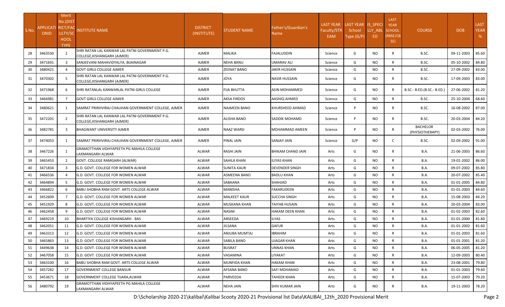| S.No. | <b>APPLICATI RICT/FAC</b><br><b>ONID</b> | Merit<br>No.(DIST<br>ULTY/SC<br><b>HOOL</b><br><b>TYPE</b> | <b>NSTITUTE NAME</b>                                                           | <b>DISTRICT</b><br>(INSTITUTE) | <b>STUDENT NAME</b> | Father's/Guardian's<br>Name | <b>LAST YEAR</b><br>Faculty/STR<br>EAM | LAST YEAR IS SPECI<br>School<br>Type (G/P) | LLY ABL<br>ED. | <b>LAST</b><br><b>YEAR</b><br><b>SCHOOL</b><br>(RBSE/CB<br>SE) | <b>COURSE</b>                      | <b>DOB</b> | <b>LAST</b><br><b>YEAR</b><br>% |
|-------|------------------------------------------|------------------------------------------------------------|--------------------------------------------------------------------------------|--------------------------------|---------------------|-----------------------------|----------------------------------------|--------------------------------------------|----------------|----------------------------------------------------------------|------------------------------------|------------|---------------------------------|
| 28    | 3463530                                  | $\overline{2}$                                             | SHRI RATAN LAL KANWAR LAL PATNI GOVERNMENT P.G.<br>COLLEGE, KISHANGARH (AJMER) | AJMER                          | MALIKA              | FAJALUDDIN                  | Science                                | G                                          | <b>NO</b>      | $\mathsf{R}$                                                   | B.SC.                              | 09-11-2003 | 85.60                           |
| 29    | 3471691                                  | $\overline{3}$                                             | SANJEEVANI MAHAVIDYALYA, BIJAINAGAR                                            | AJMER                          | NEHA BANU           | UMARAV ALI                  | Science                                | G                                          | <b>NO</b>      | $\mathsf{R}$                                                   | B.SC.                              | 05-10-2002 | 84.80                           |
| 30    | 3480421                                  | $\overline{4}$                                             | <b>GOVT GIRLS COLLEGE AJMER</b>                                                | AJMER                          | ZEENAT BANO         | IAKIR HUSSAIN               | Science                                | G                                          | <b>NO</b>      | R                                                              | B.SC.                              | 27-09-2002 | 83.00                           |
| 31    | 3470302                                  | 5                                                          | SHRI RATAN LAL KANWAR LAL PATNI GOVERNMENT P.G.<br>COLLEGE, KISHANGARH (AJMER) | AJMER                          | JOYA                | NASIR HUSSAIN               | Science                                | G                                          | NO.            | R                                                              | B.SC.                              | 17-09-2003 | 83.00                           |
| 32    | 3471968                                  | 6                                                          | SHRI RATANLAL KANWARLAL PATNI GIRLS COLLEGE                                    | AJMER                          | FIJA BHUTTA         | ASIN MOHAMMED               | Science                                | G                                          | <b>NO</b>      | R                                                              | B.SC.- B.ED.(B.SC.- B.ED.)         | 27-06-2002 | 81.20                           |
| 33    | 3466981                                  | $\overline{7}$                                             | <b>GOVT GIRLS COLLEGE AJMER</b>                                                | AJMER                          | AKSA FIRDOS         | AASHIQ AHMED                | Science                                | G                                          | <b>NO</b>      | $\mathsf{R}$                                                   | B.SC.                              | 25-10-2004 | 68.60                           |
| 34    | 3480621                                  | 1                                                          | SAMRAT PRIRHVIRAJ CHAUHAN GOVERNMENT COLLEGE, AJMER                            | AJMER                          | NAJMEEN BANO        | KHURSHEED AHMAD             | Science                                | P                                          | <b>NO</b>      | $\mathsf{R}$                                                   | B.SC.                              | 16-08-2002 | 87.00                           |
| 35    | 3472201                                  | $\overline{2}$                                             | SHRI RATAN LAL KANWAR LAL PATNI GOVERNMENT P.G.<br>COLLEGE, KISHANGARH (AJMER) | AJMER                          | ALISHA BANO         | SADDIK MOHAMD               | Science                                | P                                          | <b>NO</b>      | R                                                              | B.SC.                              | 20-03-2004 | 84.20                           |
| 36    | 3482781                                  | 3                                                          | BHAGWANT UNIVERSITY AJMER                                                      | AJMER                          | NAAZ WARSI          | MOHAMMAD AMEEN              | Science                                | P                                          | NO             | R                                                              | <b>BACHELOR</b><br>(PHYSIOTHERAPY) | 02-03-2002 | 76.00                           |
| 37    | 3474053                                  | 1                                                          | SAMRAT PRIRHVIRAJ CHAUHAN GOVERNMENT COLLEGE, AJMER                            | AJMER                          | PINAL JAIN          | SANJAY JAIN                 | Science                                | G/P                                        | NO             | C                                                              | B.SC.                              | 02-09-2002 | 91.00                           |
| 38    | 3467226                                  |                                                            | GRAMOTTHAN VIDHYAPEETH PG MAHILA COLLEGE<br>LAXMANGARH ALWAR                   | ALWAR                          | RASHI JAIN          | BHIKAM CHAND JAIN           | Arts                                   | G                                          | NO             | R                                                              | <b>B.A.</b>                        | 21-06-2003 | 86.60                           |
| 39    | 3465453                                  | $\overline{2}$                                             | GOVT. COLLEGE RAMGARH (ALWAR)                                                  | ALWAR                          | SAHILA KHAN         | ILIYAS KHAN                 | Arts                                   | G                                          | <b>NO</b>      | $\mathsf{R}$                                                   | <b>B.A.</b>                        | 19-01-2002 | 86.00                           |
| 40    | 3471834                                  | $\overline{\mathbf{3}}$                                    | <b>G.D. GOVT. COLLEGE FOR WOMEN ALWAR</b>                                      | ALWAR                          | SUNITA KAUR         | DEVENDER SINGH              | Arts                                   | G                                          | <b>NO</b>      | R                                                              | B.A.                               | 09-07-2002 | 85.80                           |
| 41    | 3466536                                  |                                                            | <b>G.D. GOVT. COLLEGE FOR WOMEN ALWAR</b>                                      | ALWAR                          | ASMEENA BANO        | BADLU KHAN                  | Arts                                   | G                                          | <b>NO</b>      | $\mathsf{R}$                                                   | <b>B.A.</b>                        | 20-07-2002 | 85.40                           |
| 42    | 3464894                                  | 5                                                          | G.D. GOVT. COLLEGE FOR WOMEN ALWAR                                             | ALWAR                          | SABAANA             | SHAHJAD                     | Arts                                   | G                                          | <b>NO</b>      | $\mathsf{R}$                                                   | <b>B.A.</b>                        | 01-01-2005 | 84.80                           |
| 43    | 3466822                                  | 6                                                          | BABU SHOBHA RAM GOVT. ARTS COLLEGE ALWAR                                       | ALWAR                          | MANISHA             | FAKARUDEEN                  | Arts                                   | G                                          | <b>NO</b>      | $\mathsf{R}$                                                   | B.A.                               | 01-01-2003 | 84.60                           |
| 44    | 3452609                                  | 7                                                          | G.D. GOVT. COLLEGE FOR WOMEN ALWAR                                             | ALWAR                          | MALKEET KAUR        | SUCCHA SINGH                | Arts                                   | G                                          | <b>NO</b>      | $\mathsf{R}$                                                   | <b>B.A.</b>                        | 15-08-2003 | 84.20                           |
| 45    | 3451929                                  | 8                                                          | G.D. GOVT. COLLEGE FOR WOMEN ALWAR                                             | ALWAR                          | MUSKANA KHAN        | TAIYAB HUSAIN               | Arts                                   | G                                          | <b>NO</b>      | $\mathsf{R}$                                                   | B.A.                               | 20-03-2004 | 83.00                           |
| 46    | 3462458                                  | 9                                                          | <b>G.D. GOVT. COLLEGE FOR WOMEN ALWAR</b>                                      | ALWAR                          | NASIM               | HAKAM DEEN KHAN             | Arts                                   | G                                          | <b>NO</b>      | $\mathsf{R}$                                                   | <b>B.A.</b>                        | 01-02-2003 | 82.60                           |
| 47    | 3469219                                  | 10                                                         | BHARTIYA COLLEGE KISHANGARH - BAS                                              | ALWAR                          | ARSEEDA             | <b>ILYAS</b>                | Arts                                   | G                                          | <b>NO</b>      | $\mathsf{R}$                                                   | <b>B.A.</b>                        | 01-01-2000 | 81.80                           |
| 48    | 3462051                                  | 11                                                         | G.D. GOVT. COLLEGE FOR WOMEN ALWAR                                             | ALWAR                          | ILSANA              | GAFUR                       | Arts                                   | G                                          | <b>NO</b>      | $\mathsf{R}$                                                   | <b>B.A.</b>                        | 01-01-2002 | 81.60                           |
| 49    | 3463313                                  | 12                                                         | G.D. GOVT. COLLEGE FOR WOMEN ALWAR                                             | ALWAR                          | ANJUBA MUMTAJ       | IBRAHIM                     | Arts                                   | G                                          | <b>NO</b>      | R                                                              | <b>B.A.</b>                        | 01-01-2003 | 81.60                           |
| 50    | 3465863                                  | 13                                                         | <b>G.D. GOVT. COLLEGE FOR WOMEN ALWAR</b>                                      | ALWAR                          | SABILA BANO         | UJAGAR KHAN                 | Arts                                   | G                                          | <b>NO</b>      | $\mathsf{R}$                                                   | B.A.                               | 01-01-2001 | 81.20                           |
| 51    | 3449638                                  | 14                                                         | <b>G.D. GOVT. COLLEGE FOR WOMEN ALWAR</b>                                      | ALWAR                          | BUSRAT              | UNNAS KHAN                  | Arts                                   | G                                          | <b>NO</b>      | R                                                              | B.A.                               | 06-05-2005 | 81.20                           |
| 52    | 3467058                                  | 15                                                         | G.D. GOVT. COLLEGE FOR WOMEN ALWAR                                             | ALWAR                          | VASAMINA            | LIYAKAT                     | Arts                                   | G                                          | <b>NO</b>      | R                                                              | <b>B.A.</b>                        | 12-09-2003 | 80.40                           |
| 53    | 3463100                                  | 16                                                         | BABU SHOBHA RAM GOVT. ARTS COLLEGE ALWAR                                       | ALWAR                          | MUNFIDA KHAN        | HAKAM KHAN                  | Arts                                   | G                                          | <b>NO</b>      | $\mathsf{R}$                                                   | <b>B.A.</b>                        | 23-08-2001 | 79.80                           |
| 54    | 3457282                                  | 17                                                         | <b>GOVERNMENT COLLEGE BANSUR</b>                                               | ALWAR                          | AFSANA BANO         | SAFI MOHAMAD                | Arts                                   | G                                          | <b>NO</b>      | $\mathsf{R}$                                                   | <b>B.A.</b>                        | 01-01-2003 | 79.60                           |
| 55    | 3453671                                  | 18                                                         | <b>GOVERNMENT COLLEGE TIJARA, ALWAR</b>                                        | ALWAR                          | PARVEEDA            | TAHEER KHAN                 | Arts                                   | G                                          | <b>NO</b>      | $\mathsf{R}$                                                   | <b>B.A.</b>                        | 15-07-2003 | 79.20                           |
| 56    | 3480792                                  | 19                                                         | GRAMOTTHAN VIDHYAPEETH PG MAHILA COLLEGE<br>LAXMANGARH ALWAR                   | ALWAR                          | NEHA JAIN           | SHIV KUMAR JAIN             | Arts                                   | G                                          | NO.            | R                                                              | B.A.                               | 19-11-2003 | 78.20                           |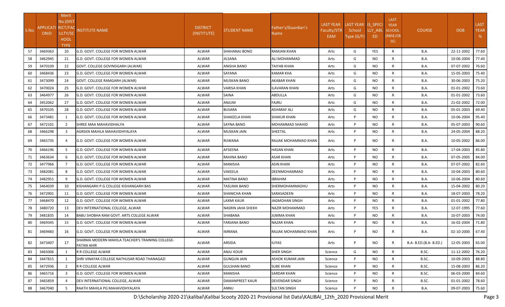|       |                                   | Merit          |                                                                |                                |                     |                             |                  |                    |            |                            |                        |            |             |
|-------|-----------------------------------|----------------|----------------------------------------------------------------|--------------------------------|---------------------|-----------------------------|------------------|--------------------|------------|----------------------------|------------------------|------------|-------------|
|       |                                   | No.(DIST       |                                                                |                                |                     |                             | <b>LAST YEAR</b> | LAST YEAR IS SPECI |            | <b>LAST</b><br><b>YEAR</b> |                        |            | <b>LAST</b> |
| S.No. | APPLICATI RICT/FAC<br><b>ONID</b> | ULTY/SC        | <b>NSTITUTE NAME</b>                                           | <b>DISTRICT</b><br>(INSTITUTE) | STUDENT NAME        | Father's/Guardian's<br>Name | Faculty/STR      | School             | LLY ABL    | <b>SCHOOL</b>              | <b>COURSE</b>          | <b>DOB</b> | <b>YEAR</b> |
|       |                                   | HOOL           |                                                                |                                |                     |                             | EAM              | Type (G/P)         | ED         | (RBSE/CB                   |                        |            | %           |
|       |                                   | <b>TYPE</b>    |                                                                |                                |                     |                             |                  |                    |            | SE)                        |                        |            |             |
| 57    | 3469363                           | 20             | G.D. GOVT. COLLEGE FOR WOMEN ALWAR                             | ALWAR                          | SHAHANAJ BONO       | <b>RAMJAN KHAN</b>          | Arts             | G                  | <b>YES</b> | R                          | B.A.                   | 22-11-2002 | 77.60       |
| 58    | 3462945                           | 21             | G.D. GOVT. COLLEGE FOR WOMEN ALWAR                             | ALWAR                          | JILSANA             | ALI MOHAMMAD                | Arts             | G                  | NO.        | R                          | B.A.                   | 10-06-2004 | 77.40       |
| 59    | 3470109                           | 22             | GOVT. COLLEGE GOVINDGARH (ALWAR)                               | ALWAR                          | ANISHA BANO         | <b>TAIYAB KHAN</b>          | Arts             | G                  | NO.        | R                          | <b>B.A.</b>            | 07-07-2002 | 76.60       |
| 60    | 3468436                           | 23             | G.D. GOVT. COLLEGE FOR WOMEN ALWAR                             | ALWAR                          | SAYANA              | KAMAR KHA                   | Arts             | G                  | NO.        | R                          | <b>B.A.</b>            | 15-05-2003 | 75.40       |
| 61    | 3473099                           | 24             | <b>GOVT. COLLEGE RAMGARH (ALWAR)</b>                           | ALWAR                          | <b>MUSKAN BANO</b>  | AKABAR KHAN                 | Arts             | G                  | NO.        | R                          | <b>B.A.</b>            | 30-06-2003 | 75.20       |
| 62    | 3470024                           | 25             | G.D. GOVT. COLLEGE FOR WOMEN ALWAR                             | ALWAR                          | VARISA KHAN         | LAVARAN KHAN                | Arts             | G                  | NO.        | R                          | <b>B.A.</b>            | 01-01-2002 | 73.60       |
| 63    | 3464977                           | 26             | G.D. GOVT. COLLEGE FOR WOMEN ALWAR                             | ALWAR                          | SAINA               | ABDULLA                     | Arts             | G                  | NO.        | R                          | B.A.                   | 01-01-2002 | 73.60       |
| 64    | 3452062                           | 27             | G.D. GOVT. COLLEGE FOR WOMEN ALWAR                             | ALWAR                          | <b>ANJUM</b>        | <b>FAJRU</b>                | Arts             | G                  | NO.        | R                          | <b>B.A.</b>            | 21-02-2002 | 72.00       |
| 65    | 3470105                           | 28             | G.D. GOVT. COLLEGE FOR WOMEN ALWAR                             | ALWAR                          | <b>BUSARA</b>       | <b>ASHARAF ALI</b>          | Arts             | G                  | <b>NO</b>  | R                          | <b>B.A.</b>            | 05-01-2003 | 69.40       |
| 66    | 3473481                           | 1              | <b>IG.D. GOVT. COLLEGE FOR WOMEN ALWAR</b>                     | ALWAR                          | SHAKEELA KHAN       | <b>SHAKUR KHAN</b>          | Arts             | P                  | NO.        | R                          | <b>B.A.</b>            | 10-06-2004 | 95.40       |
| 67    | 3472101                           | 2              | SHREE MAA MAHAVIDHALYA                                         | ALWAR                          | SAYNA BANO          | MOHAMMAD SHAHID             | Arts             | P                  | NO.        | R                          | <b>B.A.</b>            | 05-07-2003 | 90.60       |
| 68    | 3466298                           | 3              | AGRSEN MAHILA MAHAVIDHYALAYA                                   | ALWAR                          | <b>MUSKAN JAIN</b>  | SHEETAL                     | Arts             | P                  | NO         | $\mathsf{R}$               | <b>B.A.</b>            | 24-05-2004 | 88.20       |
| 69    | 3465735                           | 4              | G.D. GOVT. COLLEGE FOR WOMEN ALWAR                             | ALWAR                          | RIJWANA             | RAJJAK MOHAMMAD KHAN        | Arts             | P                  | NO.        | R                          | <b>B.A.</b>            | 10-05-2002 | 86.00       |
| 70    | 3466196                           | -5             | G.D. GOVT. COLLEGE FOR WOMEN ALWAR                             | <b>ALWAR</b>                   | AFSEENA             | <b>HASAN KHAN</b>           | Arts             | P                  | NO         | R                          | <b>B.A.</b>            | 17-04-2003 | 85.80       |
| 71    | 3463634                           | -6             | G.D. GOVT. COLLEGE FOR WOMEN ALWAR                             | ALWAR                          | RAHINA BANO         | ASAR KHAN                   | Arts             | P                  | NO.        | R                          | <b>B.A.</b>            | 07-05-2005 | 84.00       |
| 72    | 3477966                           | $\overline{7}$ | G.D. GOVT. COLLEGE FOR WOMEN ALWAR                             | ALWAR                          | MANISHA             | <b>ASIN KHAN</b>            | Arts             | P                  | NO         | R                          | B.A.                   | 07-07-2002 | 82.60       |
| 73    | 3482081                           | 8              | G.D. GOVT. COLLEGE FOR WOMEN ALWAR                             | ALWAR                          | VAKEELA             | <b>DEENMOHAMMAD</b>         | Arts             | P                  | <b>NO</b>  | $\mathsf{R}$               | <b>B.A.</b>            | 10-04-2003 | 80.60       |
| 74    | 3482951                           | $\mathsf{q}$   | G.D. GOVT. COLLEGE FOR WOMEN ALWAR                             | ALWAR                          | <b>MATINA BANO</b>  | <b>IBRAHIM</b>              | Arts             | P                  | NO.        | R                          | B.A.                   | 10-06-2004 | 80.60       |
| 75    | 3464039                           | 10             | KISHANGARH P.G COLLEGE KISHANGARH BAS                          | ALWAR                          | TASLIMA BANO        | SHERMOHAMMADHU              | Arts             | P                  | NO.        | R                          | <b>B.A.</b>            | 15-04-2002 | 80.20       |
| 76    | 3472901                           | 11             | G.D. GOVT. COLLEGE FOR WOMEN ALWAR                             | ALWAR                          | SHANICHA KHAN       | SARASADEEN                  | Arts             | P                  | NO         | R                          | <b>B.A.</b>            | 18-07-2003 | 78.20       |
| 77    | 3468470                           | 12             | G.D. GOVT. COLLEGE FOR WOMEN ALWAR                             | <b>ALWAR</b>                   | LAXMI KAUR          | <b>JAGMOHAN SINGH</b>       | Arts             | P                  | NO         | R                          | B.A.                   | 01-01-2002 | 77.80       |
| 78    | 3480720                           | 13             | DEV INTERNATIONAL COLLEGE. ALWAR                               | ALWAR                          | NASRIN JAHA SHEKH   | NAZIR MOHAMMAD              | Arts             | P                  | <b>YES</b> | R                          | B.A.                   | 12-07-1995 | 77.60       |
| 79    | 3481835                           | 14             | BABU SHOBHA RAM GOVT. ARTS COLLEGE ALWAR                       | ALWAR                          | SHABANA             | <b>JUMMA KHAN</b>           | Arts             | P                  | <b>NO</b>  | R                          | <b>B.A.</b>            | 10-07-2003 | 74.00       |
| 80    | 3469345                           | 15             | G.D. GOVT. COLLEGE FOR WOMEN ALWAR                             | ALWAR                          | <b>FARJANA BANO</b> | <b>NAZAR KHAN</b>           | Arts             | P                  | NO         | R                          | <b>B.A.</b>            | 16-02-2004 | 71.80       |
| 81    | 3469483                           | 16             | G.D. GOVT. COLLEGE FOR WOMEN ALWAR                             | ALWAR                          | IMRANA              | RAJJAK MOHAMMAD KHAN        | Arts             | P                  | NO.        | R                          | <b>B.A.</b>            | 02-10-2000 | 67.40       |
| 82    | 3473407                           | 17             | SHARMA MODERN MAHILA TEACHER'S TRAINING COLLEGE-<br>PATAN AHIR | ALWAR                          | ARSIDA              | <b>ILIYAS</b>               | Arts             | P                  | NO.        | R                          | B.A- B.ED.(B.A- B.ED.) | 12-05-2003 | 65.00       |
| 83    | 3465006                           | 1              | R R COLLEGE ALWAR                                              | ALWAR                          | ANJU KOUR           | <b>SHER SINGH</b>           | Science          | G                  | <b>NO</b>  | R                          | B.SC.                  | 11-12-2002 | 76.20       |
| 84    | 3447815                           |                | SHRI VINAYAK COLLEGE NATHUSAR ROAD THANAGAZI                   | ALWAR                          | <b>GUNGUN JAIN</b>  | <b>ASHOK KUMAR JAIN</b>     | Science          | P                  | NO.        | $\mathsf{R}$               | B.SC.                  | 10-09-2003 | 88.80       |
| 85    | 3472936                           | $\overline{2}$ | R R COLLEGE ALWAR                                              | ALWAR                          | <b>GULSHAN BANO</b> | <b>SUBE KHAN</b>            | Science          | P                  | NO         | R                          | B.SC.                  | 15-08-2003 | 86.20       |
| 86    | 3465716                           | 3              | G.D. GOVT. COLLEGE FOR WOMEN ALWAR                             | ALWAR                          | MANISHA             | <b>SARDAR KHAN</b>          | Science          | P                  | NO         | $\mathsf{R}$               | B.SC.                  | 06-03-2000 | 84.60       |
| 87    | 3465859                           |                | DEV INTERNATIONAL COLLEGE, ALWAR                               | ALWAR                          | DAMANPREET KAUR     | <b>DEVENDAR SINGH</b>       | Science          | P                  | NO         | $\mathsf{R}$               | B.SC.                  | 01-01-2002 | 78.60       |
| 88    | 3467040                           | -5             | RAATH MAHILA PG MAHAVIDHYALAYA                                 | ALWAR                          | ANNU                | <b>SULTAN SINGH</b>         | Science          | P                  | NO.        | R                          | <b>B.A.</b>            | 09-07-2003 | 75.60       |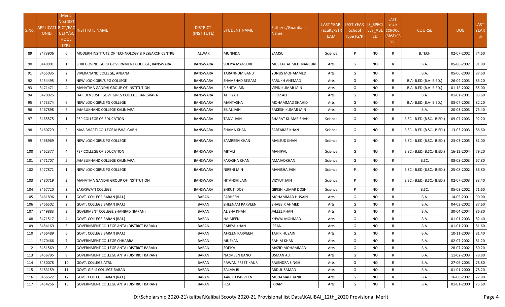| S.No. | <b>APPLICATI RICT/FAC</b><br><b>ONID</b> | Merit<br>No.(DIST<br>ULTY/SC<br><b>HOOL</b><br><b>TYPE</b> | <b>NSTITUTE NAME</b>                             | <b>DISTRICT</b><br>(INSTITUTE) | <b>STUDENT NAME</b> | Father's/Guardian's<br>Name | <b>LAST YEAR</b><br>Faculty/STR<br>EAM | LAST YEAR IS_SPECI<br>School<br>Type (G/P) | LLY ABL<br>ED. | <b>LAST</b><br><b>YEAR</b><br><b>SCHOOL</b><br>(RBSE/CB<br>SE) | <b>COURSE</b>              | <b>DOB</b> | <b>LAST</b><br><b>YEAR</b><br>% |
|-------|------------------------------------------|------------------------------------------------------------|--------------------------------------------------|--------------------------------|---------------------|-----------------------------|----------------------------------------|--------------------------------------------|----------------|----------------------------------------------------------------|----------------------------|------------|---------------------------------|
| 89    | 3473906                                  | 6                                                          | MODERN INSTITUTE OF TECHNOLOGY & RESEARCH CENTRE | ALWAR                          | <b>MUNFIDA</b>      | SAMSU                       | Science                                | P                                          | NO.            | R                                                              | <b>B.TECH</b>              | 02-07-2002 | 74.60                           |
| 90    | 3449901                                  | 1                                                          | SHRI GOVIND GURU GOVERNMENT COLLEGE, BANSWARA    | BANSWARA                       | SOFIYA MANSURI      | MUSTAK AHMED MANSURI        | Arts                                   | G                                          | NO.            | R                                                              | <b>B.A.</b>                | 05-06-2002 | 91.80                           |
| 91    | 3465035                                  | $\overline{2}$                                             | VIVEKANAND COLLEGE, ANJANA                       | <b>BANSWARA</b>                | TARANNUM BANU       | YUNUS MOHAMMED              | Arts                                   | G                                          | <b>NO</b>      | R                                                              | B.A.                       | 05-06-2003 | 87.60                           |
| 92    | 3454495                                  | $\overline{3}$                                             | NEW LOOK GIRL'S PG COLLEGE                       | <b>BANSWARA</b>                | SHAMSHAD BEGAM      | FARUKH AHEMAD               | Arts                                   | G                                          | <b>NO</b>      | $\mathsf{R}$                                                   | B.A- B.ED.(B.A- B.ED.)     | 26-04-2003 | 85.20                           |
| 93    | 3471471                                  | Δ                                                          | MAHATMA GANDHI GROUP OF INSTITUTION              | <b>BANSWARA</b>                | RISHITA JAIN        | VIPIN KUMAR JAIN            | Arts                                   | G                                          | NO.            | $\mathsf{R}$                                                   | B.A- B.ED.(B.A- B.ED.)     | 01-12-2002 | 85.00                           |
| 94    | 3470925                                  | 5                                                          | HARIDEV JOSHI GOVT GIRLS COLLEGE BANSWARA        | BANSWARA                       | ALIFIYAH            | FIROZ ALI                   | Arts                                   | G                                          | <b>NO</b>      | $\mathsf{R}$                                                   | B.A.                       | 01-01-2001 | 83.60                           |
| 95    | 3473374                                  | 6                                                          | NEW LOOK GIRLS PG COLLEGE                        | BANSWARA                       | MANTASHA            | MOHAMMAD SHAHID             | Arts                                   | G                                          | <b>NO</b>      | $\mathsf{R}$                                                   | B.A- B.ED.(B.A- B.ED.)     | 03-07-2003 | 82.20                           |
| 96    | 3467898                                  | $\overline{7}$                                             | JAMBUKHAND COLLEGE KALINJARA                     | <b>BANSWARA</b>                | SEJAL JAIN          | RAKESH KUMAR JAIN           | Arts                                   | G                                          | <b>NO</b>      | $\mathsf{R}$                                                   | <b>B.A.</b>                | 20-03-2003 | 75.40                           |
| 97    | 3465575                                  | 1                                                          | PSP COLLEGE OF EDUCATION                         | BANSWARA                       | TANVI JAIN          | BHARAT KUMAR SHAH           | Science                                | G                                          | <b>NO</b>      | R                                                              | B.SC.- B.ED.(B.SC.- B.ED.) | 09-07-2003 | 92.20                           |
| 98    | 3460729                                  | $\overline{2}$                                             | MAA BHARTI COLLEGE KUSHALGARH                    | BANSWARA                       | SHAMA KHAN          | SARFARAZ KHAN               | Science                                | G                                          | NO.            | R                                                              | B.SC.- B.ED.(B.SC.- B.ED.) | 13-03-2003 | 86.60                           |
| 99    | 3468969                                  | 3                                                          | NEW LOOK GIRLS PG COLLEGE                        | BANSWARA                       | SAMREEN KHAN        | MAKSUD KHAN                 | Science                                | G                                          | NO.            | R                                                              | B.SC.- B.ED.(B.SC.- B.ED.) | 23-03-2005 | 81.00                           |
| 100   | 3462377                                  | 4                                                          | <b>PSP COLLEGE OF EDUCATION</b>                  | BANSWARA                       | MITALI              | MAHIPAL                     | Science                                | G                                          | NO.            | R                                                              | B.SC.- B.ED.(B.SC.- B.ED.) | 16-12-2004 | 79.20                           |
| 101   | 3471707                                  | 5                                                          | JAMBUKHAND COLLEGE KALINJARA                     | <b>BANSWARA</b>                | FARASHA KHAN        | AMAJADKHAN                  | Science                                | G                                          | NO.            | R                                                              | B.SC.                      | 08-08-2003 | 67.80                           |
| 102   | 3477871                                  | 1                                                          | NEW LOOK GIRLS PG COLLEGE                        | BANSWARA                       | NIRBHI JAIN         | MANISHA JAIN                | Science                                | P                                          | <b>NO</b>      | R                                                              | B.SC.- B.ED.(B.SC.- B.ED.) | 25-08-2002 | 86.80                           |
| 103   | 3480719                                  | $\overline{2}$                                             | MAHATMA GANDHI GROUP OF INSTITUTION              | BANSWARA                       | HITANSHI JAIN       | VIDYUT JAIN                 | Science                                | P                                          | <b>NO</b>      | R                                                              | B.SC.- B.ED.(B.SC.- B.ED.) | 02-07-2003 | 83.40                           |
| 104   | 3467720                                  | $\overline{3}$                                             | SARASWATI COLLEGE                                | BANSWARA                       | <b>SHRUTI DOSI</b>  | GIRISH KUMAR DOSHI          | Science                                | P                                          | <b>NO</b>      | $\mathsf{R}$                                                   | B.SC.                      | 05-08-2002 | 71.60                           |
| 105   | 3461896                                  | 1                                                          | GOVT. COLLEGE BARAN (RAJ.)                       | BARAN                          | FARHEEN             | MOHAMMAD HUSAIN             | Arts                                   | G                                          | <b>NO</b>      | $\mathsf{R}$                                                   | <b>B.A.</b>                | 14-05-2001 | 90.00                           |
| 106   | 3466502                                  | $\overline{2}$                                             | GOVT. COLLEGE BARAN (RAJ.)                       | <b>BARAN</b>                   | SHEENAM PARVEEN     | SHABBIR AHMED               | Arts                                   | G                                          | <b>NO</b>      | R                                                              | B.A.                       | 04-03-2002 | 87.60                           |
| 107   | 3449883                                  | 3                                                          | GOVERMENT COLLEGE SHAHBAD (BARAN)                | <b>BARAN</b>                   | ALISHA KHAN         | JALEEL KHAN                 | Arts                                   | G                                          | <b>NO</b>      | R                                                              | B.A.                       | 30-04-2004 | 86.80                           |
| 108   | 3471517                                  | 4                                                          | GOVT. COLLEGE BARAN (RAJ.)                       | <b>BARAN</b>                   | NAJMEEN             | KHWAJ MOHMAD                | Arts                                   | G                                          | <b>NO</b>      | $\mathsf{R}$                                                   | <b>B.A.</b>                | 01-01-2003 | 82.40                           |
| 109   | 3454169                                  | 5                                                          | GOVERNMENT COLLEGE ANTA (DISTRICT BARAN)         | <b>BARAN</b>                   | RABIYA KHAN         | <b>IRFAN</b>                | Arts                                   | G                                          | <b>NO</b>      | $\mathsf{R}$                                                   | <b>B.A.</b>                | 01-01-2001 | 81.60                           |
| 110   | 3466489                                  | 6                                                          | GOVT. COLLEGE BARAN (RAJ.)                       | <b>BARAN</b>                   | AFREEN PARVEEN      | TAHIR HUSAIN                | Arts                                   | G                                          | <b>NO</b>      | $\mathsf{R}$                                                   | <b>B.A.</b>                | 10-11-2003 | 81.40                           |
| 111   | 3470466                                  |                                                            | <b>GOVERNMENT COLLEGE CHHABRA</b>                | <b>BARAN</b>                   | <b>MUSKAN</b>       | <b>RAHIM KHAN</b>           | Arts                                   | G                                          | <b>NO</b>      | $\mathsf{R}$                                                   | B.A.                       | 02-07-2002 | 81.20                           |
| 112   | 3451569                                  | 8                                                          | <b>GOVERNMENT COLLEGE ANTA (DISTRICT BARAN)</b>  | <b>BARAN</b>                   | SOFIYA              | MAZID MOHAMMAD              | Arts                                   | G                                          | NO.            | R                                                              | <b>B.A.</b>                | 28-07-2002 | 80.20                           |
| 113   | 3456795                                  | 9                                                          | <b>GOVERNMENT COLLEGE ANTA (DISTRICT BARAN)</b>  | BARAN                          | NAZMEEN BANO        | USMAN ALI                   | Arts                                   | G                                          | <b>NO</b>      | $\mathsf{R}$                                                   | <b>B.A.</b>                | 11-02-2003 | 78.80                           |
| 114   | 3450078                                  | 10                                                         | <b>GOVT. COLLEGE ATRU</b>                        | BARAN                          | PAWAN PREET KAUR    | RAJENDRA SINGH              | Arts                                   | G                                          | <b>NO</b>      | $\mathsf{R}$                                                   | <b>B.A.</b>                | 27-06-2003 | 78.80                           |
| 115   | 3483159                                  | 11                                                         | GOVT. GIRLS COLLEGE BARAN                        | BARAN                          | <b>SALMA BI</b>     | ABDUL SAMAD                 | Arts                                   | G                                          | <b>NO</b>      | $\mathsf{R}$                                                   | <b>B.A.</b>                | 01-01-2000 | 78.20                           |
| 116   | 3466522                                  | 12                                                         | GOVT. COLLEGE BARAN (RAJ.)                       | BARAN                          | AARJZU PARVEEN      | MOHAMAD HANIF               | Arts                                   | G                                          | <b>NO</b>      | $\mathsf{R}$                                                   | <b>B.A.</b>                | 16-08-2002 | 77.80                           |
| 117   | 3454256                                  | 13                                                         | <b>GOVERNMENT COLLEGE ANTA (DISTRICT BARAN)</b>  | BARAN                          | FIZA                | IKRAM                       | Arts                                   | G                                          | <b>NO</b>      | $\mathsf{R}$                                                   | <b>B.A.</b>                | 01-01-2000 | 75.60                           |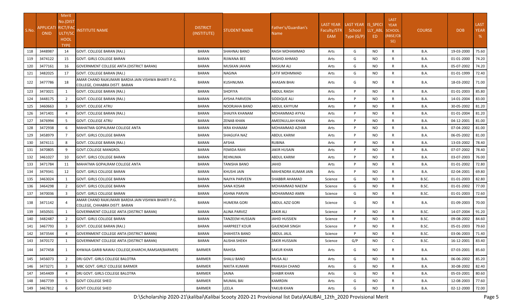|       |                                   | Merit          |                                                                                      |                 |                       |                        |                  |                    |           |                            |               |            |             |
|-------|-----------------------------------|----------------|--------------------------------------------------------------------------------------|-----------------|-----------------------|------------------------|------------------|--------------------|-----------|----------------------------|---------------|------------|-------------|
|       |                                   | No.(DIST       |                                                                                      |                 |                       |                        | <b>LAST YEAR</b> | LAST YEAR IS SPECI |           | <b>LAST</b><br><b>YEAR</b> |               |            | <b>LAST</b> |
| S.No. | APPLICATI RICT/FAC<br><b>ONID</b> | ULTY/SC        | <b>NSTITUTE NAME</b>                                                                 | <b>DISTRICT</b> | <b>STUDENT NAME</b>   | Father's/Guardian's    | Faculty/STR      | School             | LLY_ABL   | <b>SCHOOL</b>              | <b>COURSE</b> | <b>DOB</b> | <b>YEAR</b> |
|       |                                   | HOOL           |                                                                                      | (INSTITUTE)     |                       | Name                   | EAM              | Type (G/P)         | ED.       | (RBSE/CB                   |               |            | %           |
|       |                                   | <b>TYPE</b>    |                                                                                      |                 |                       |                        |                  |                    |           | SE)                        |               |            |             |
| 118   | 3448987                           | 14             | GOVT. COLLEGE BARAN (RAJ.)                                                           | <b>BARAN</b>    | SHAHNAJ BANO          | RAISH MOHAMMAD         | Arts             | G                  | NO        | R                          | B.A.          | 19-03-2000 | 75.60       |
| 119   | 3474122                           | 15             | GOVT. GIRLS COLLEGE BARAN                                                            | BARAN           | RIJWANA BEE           | RASHID AHMAD           | Arts             | G                  | NO        | R                          | B.A.          | 01-01-2000 | 74.20       |
| 120   | 3477161                           | 16             | <b>GOVERNMENT COLLEGE ANTA (DISTRICT BARAN)</b>                                      | <b>BARAN</b>    | MUSKAN JAHAN          | <b>MASUM ALI</b>       | Arts             | G                  | NO        | R                          | B.A.          | 05-07-2002 | 74.20       |
| 121   | 3482025                           | 17             | GOVT. COLLEGE BARAN (RAJ.)                                                           | BARAN           | NAGINA                | LATIF MOHMMAD          | Arts             | G                  | NO.       | R                          | <b>B.A.</b>   | 01-01-1999 | 72.40       |
| 122   | 3477786                           | 18             | AMAR CHAND RAJKUMARI BARDIA JAIN VISHWA BHARTI P.G.<br>COLLEGE, CHHABRA DISTT. BARAN | <b>BARAN</b>    | KUSHNUMA              | <b>AHASAN BHAI</b>     | Arts             | G                  | NO.       | R                          | <b>B.A.</b>   | 18-03-2002 | 71.00       |
| 123   | 3473021                           | -1             | GOVT. COLLEGE BARAN (RAJ.)                                                           | BARAN           | SHOFIYA               | <b>ABDUL RAISH</b>     | Arts             | P                  | <b>NO</b> | R                          | <b>B.A.</b>   | 01-01-2003 | 85.80       |
| 124   | 3448175                           | 2              | GOVT. COLLEGE BARAN (RAJ.)                                                           | <b>BARAN</b>    | <b>AYSHA PARVEEN</b>  | SIDDIQUE ALI           | Arts             | P                  | NO.       | R                          | <b>B.A.</b>   | 14-01-2004 | 83.00       |
| 125   | 3460663                           | 3              | <b>GOVT. COLLEGE ATRU</b>                                                            | <b>BARAN</b>    | NOORJAHA BANO         | ABDUL KAYYUM           | Arts             | P                  | NO.       | R                          | B.A.          | 30-05-2002 | 81.20       |
| 126   | 3471401                           | $\overline{4}$ | GOVT. COLLEGE BARAN (RAJ.)                                                           | <b>BARAN</b>    | SHAJIYA KHANAM        | MOHAMMAD AYYAJ         | Arts             | P                  | <b>NO</b> | $\mathsf{R}$               | <b>B.A.</b>   | 01-01-2004 | 81.20       |
| 127   | 3476994                           | -5             | <b>GOVT. COLLEGE ATRU</b>                                                            | BARAN           | ZENAB KHAN            | AMEENULLAH KHAN        | Arts             | P                  | NO.       | R                          | <b>B.A.</b>   | 04-12-2001 | 81.00       |
| 128   | 3472938                           | 6              | MAHATMA GOPALRAM COLLEGE ANTA                                                        | BARAN           | IKRA KHANAM           | MOHAMMAD AZHAR         | Arts             | P                  | <b>NO</b> | R                          | <b>B.A.</b>   | 07-04-2002 | 81.00       |
| 129   | 3458979                           | 7              | <b>GOVT. GIRLS COLLEGE BARAN</b>                                                     | <b>BARAN</b>    | SHAGUFA NAZ           | ABDUL KARIM            | Arts             | P                  | NO.       | R                          | <b>B.A.</b>   | 06-05-2002 | 81.00       |
| 130   | 3474111                           | 8              | GOVT. COLLEGE BARAN (RAJ.)                                                           | <b>BARAN</b>    | AFSHA                 | <b>RUBINA</b>          | Arts             | P                  | NO.       | R                          | <b>B.A.</b>   | 13-03-2002 | 78.40       |
| 131   | 3470805                           | 9              | <b>GOVT.COLLEGE MANGROL</b>                                                          | <b>BARAN</b>    | <b>FEMIDA RAHI</b>    | <b>JAKIR HUSAIN</b>    | Arts             | P                  | <b>NO</b> | R                          | <b>B.A.</b>   | 07-07-2002 | 78.40       |
| 132   | 3461027                           | 10             | <b>GOVT. GIRLS COLLEGE BARAN</b>                                                     | BARAN           | REHNUMA               | ABDUL KARIM            | Arts             | P                  | NO.       | $\mathsf{R}$               | <b>B.A.</b>   | 03-07-2003 | 76.00       |
| 133   | 3471784                           | 11             | MAHATMA GOPALRAM COLLEGE ANTA                                                        | BARAN           | TANISHA BANO          | <b>JAHID</b>           | Arts             | P                  | <b>NO</b> | R                          | B.A.          | 01-01-2002 | 72.80       |
| 134   | 3479341                           | 12             | <b>GOVT. GIRLS COLLEGE BARAN</b>                                                     | <b>BARAN</b>    | KHUSHI JAIN           | MAHENDRA KUMAR JAIN    | Arts             | P                  | <b>NO</b> | $\mathsf{R}$               | B.A.          | 02-04-2001 | 69.80       |
| 135   | 3463024                           | $\mathbf{1}$   | GOVT. GIRLS COLLEGE BARAN                                                            | <b>BARAN</b>    | <b>NAJIYA PARVEEN</b> | <b>SHABBIR AHAMAD</b>  | Science          | G                  | <b>NO</b> | R                          | B.SC.         | 01-01-2003 | 82.80       |
| 136   | 3464298                           | $\overline{2}$ | <b>GOVT. GIRLS COLLEGE BARAN</b>                                                     | <b>BARAN</b>    | <b>SANA KOSAR</b>     | MOHAMMAD NAEEM         | Science          | G                  | NO.       | R                          | B.SC.         | 01-01-2002 | 77.00       |
| 137   | 3470036                           | 3              | GOVT. GIRLS COLLEGE BARAN                                                            | BARAN           | ASHNA PARVIN          | MOHAMMAD AMIN          | Science          | G                  | NO.       | R                          | B.SC.         | 01-01-2003 | 72.60       |
| 138   | 3471142                           |                | AMAR CHAND RAJKUMARI BARDIA JAIN VISHWA BHARTI P.G.<br>COLLEGE, CHHABRA DISTT. BARAN | BARAN           | HUMERA GORI           | <b>ABDUL AZIZ GORI</b> | Science          | G                  | NO.       | R                          | B.A.          | 01-09-2003 | 70.00       |
| 139   | 3450501                           |                | GOVERNMENT COLLEGE ANTA (DISTRICT BARAN)                                             | BARAN           | ALINA PARVEZ          | <b>ZAKIR ALI</b>       | Science          | P                  | NO.       | R                          | B.SC.         | 14-07-2004 | 91.20       |
| 140   | 3482487                           | 2              | GOVT. GIRLS COLLEGE BARAN                                                            | <b>BARAN</b>    | TANZEEM HUSSAIN       | JAHID HUSSIEN          | Science          | P                  | NO.       | R                          | B.SC.         | 09-08-2002 | 84.60       |
| 141   | 3467793                           | 3              | GOVT. COLLEGE BARAN (RAJ.)                                                           | <b>BARAN</b>    | HARPREET KOUR         | GAJENDAR SINGH         | Science          | P                  | NO.       | $\mathsf{R}$               | B.SC.         | 05-01-2003 | 79.60       |
| 142   | 3473544                           | $\overline{a}$ | GOVERNMENT COLLEGE ANTA (DISTRICT BARAN)                                             | BARAN           | SHAHISTA BANO         | <b>ABDUL JALIL</b>     | Science          | P                  | NO.       | R                          | B.SC.         | 03-06-2003 | 71.40       |
| 143   | 3470172                           |                | GOVERNMENT COLLEGE ANTA (DISTRICT BARAN)                                             | <b>BARAN</b>    | <b>ALISHA SHEKH</b>   | <b>ZAKIR HUSSAIN</b>   | Science          | G/P                | <b>NO</b> | C                          | B.SC.         | 16-12-2001 | 83.40       |
| 144   | 3477458                           | 1              | KHWAJA GARIB NAWAJ COLLEGE, KHARCHI, RAMSAR (BARMER)                                 | BARMER          | RAHISA                | <b>SAKUR KHAN</b>      | Arts             | G                  | NO.       | R                          | <b>B.A.</b>   | 07-03-2001 | 85.60       |
| 145   | 3456073                           | 2              | DRJ GOVT. GIRLS COLLEGE BALOTRA                                                      | <b>BARMER</b>   | SHALU BANO            | MUSA ALI               | Arts             | G                  | NO.       | $\mathsf{R}$               | <b>B.A.</b>   | 06-06-2002 | 85.20       |
| 146   | 3473271                           | $\overline{3}$ | MBC GOVT. GIRLS' COLLEGE BARMER                                                      | BARMER          | NIKITA KUMARI         | PRAKASH CHAND          | Arts             | G                  | NO.       | R                          | <b>B.A.</b>   | 30-08-2002 | 82.40       |
| 147   | 3454409                           | $\overline{4}$ | DRJ GOVT. GIRLS COLLEGE BALOTRA                                                      | <b>BARMER</b>   | SAINA                 | <b>SHABIR KHAN</b>     | Arts             | G                  | NO.       | $\mathsf{R}$               | B.A.          | 05-03-2001 | 80.60       |
| 148   | 3467739                           | 5              | <b>GOVT COLLEGE SHEO</b>                                                             | BARMER          | MUMAL BAI             | <b>KAMRDIN</b>         | Arts             | G                  | NO.       | R                          | <b>B.A.</b>   | 12-08-2003 | 77.60       |
| 149   | 3467812                           | 6              | <b>GOVT COLLEGE SHEO</b>                                                             | BARMER          | LEELA                 | YAKUB KHAN             | Arts             | G                  | NO        | R                          | <b>B.A.</b>   | 02-12-2000 | 72.00       |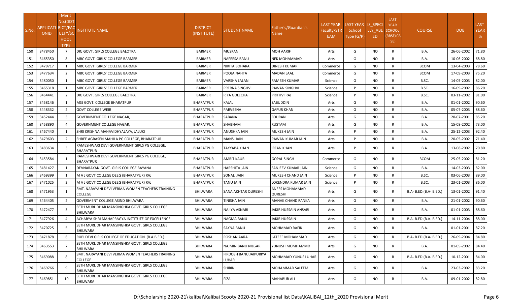| S.No. | APPLICATI RICT/FAC<br><b>ONID</b> | Merit<br>No.(DIST<br>ULTY/SC<br><b>HOOL</b><br><b>TYPE</b> | <b>NSTITUTE NAME</b>                                               | <b>DISTRICT</b><br>(INSTITUTE) | <b>STUDENT NAME</b>             | Father's/Guardian's<br>Name      | <b>LAST YEAR</b><br>Faculty/STR<br>EAM | LAST YEAR IS_SPECI<br>School<br>Type (G/P) | LLY ABL<br>ED. | <b>LAST</b><br><b>YEAR</b><br><b>SCHOOL</b><br>(RBSE/CB<br>SE) | <b>COURSE</b>          | <b>DOB</b> | <b>LAST</b><br><b>YEAR</b><br>% |
|-------|-----------------------------------|------------------------------------------------------------|--------------------------------------------------------------------|--------------------------------|---------------------------------|----------------------------------|----------------------------------------|--------------------------------------------|----------------|----------------------------------------------------------------|------------------------|------------|---------------------------------|
| 150   | 3478450                           | $\overline{7}$                                             | DRJ GOVT. GIRLS COLLEGE BALOTRA                                    | BARMER                         | MUSKAN                          | MOH AARIF                        | Arts                                   | G                                          | <b>NO</b>      | $\mathsf{R}$                                                   | <b>B.A.</b>            | 26-06-2002 | 71.80                           |
| 151   | 3465350                           | 8                                                          | MBC GOVT. GIRLS' COLLEGE BARMER                                    | BARMER                         | NAFEESA BANU                    | NEK MOHAMMAD                     | Arts                                   | G                                          | <b>NO</b>      | $\mathsf{R}$                                                   | <b>B.A.</b>            | 10-06-2002 | 68.80                           |
| 152   | 3479717                           | 1                                                          | MBC GOVT. GIRLS' COLLEGE BARMER                                    | BARMER                         | NIKITA BOHARA                   | <b>DINESH KUMAR</b>              | Commerce                               | G                                          | <b>NO</b>      | $\mathsf{R}$                                                   | <b>BCOM</b>            | 13-04-2003 | 78.60                           |
| 153   | 3477634                           | $\overline{2}$                                             | MBC GOVT. GIRLS' COLLEGE BARMER                                    | BARMER                         | POOJA NAHTA                     | MADAN LAAL                       | Commerce                               | G                                          | <b>NO</b>      | R                                                              | <b>BCOM</b>            | 17-09-2003 | 75.20                           |
| 154   | 3480050                           | 1                                                          | MBC GOVT. GIRLS' COLLEGE BARMER                                    | BARMER                         | VARSHA LALAN                    | RAMESH KUMAR                     | Science                                | G                                          | <b>NO</b>      | R                                                              | B.SC.                  | 14-05-2003 | 82.00                           |
| 155   | 3465318                           | 1                                                          | MBC GOVT. GIRLS' COLLEGE BARMER                                    | BARMER                         | PRERNA SINGHVI                  | PAWAN SINGHVI                    | Science                                | P                                          | <b>NO</b>      | $\mathsf{R}$                                                   | B.SC.                  | 16-09-2002 | 86.20                           |
| 156   | 3464441                           | $\overline{2}$                                             | DRJ GOVT. GIRLS COLLEGE BALOTRA                                    | BARMER                         | RIYA GOLECHA                    | PRITHVI RAJ                      | Science                                | P                                          | <b>NO</b>      | $\mathsf{R}$                                                   | B.SC.                  | 03-11-2002 | 81.00                           |
| 157   | 3458146                           |                                                            | MSJ GOVT. COLLEGE BHARATPUR                                        | <b>BHARATPUR</b>               | KAJAL                           | SABUDDIN                         | Arts                                   | G                                          | <b>NO</b>      | $\mathsf{R}$                                                   | <b>B.A.</b>            | 01-01-2002 | 90.60                           |
| 158   | 3448332                           | $\overline{2}$                                             | <b>GOVT COLLEGE WEIR</b>                                           | <b>BHARATPUR</b>               | PARVEENA                        | GAFUR KHAN                       | Arts                                   | G                                          | <b>NO</b>      | $\mathsf{R}$                                                   | <b>B.A.</b>            | 05-07-2003 | 88.60                           |
| 159   | 3452444                           | 3                                                          | <b>GOVERNMENT COLLEGE NAGAR,</b>                                   | <b>BHARATPUR</b>               | SABANA                          | FOURAN                           | Arts                                   | G                                          | <b>NO</b>      | $\mathsf{R}$                                                   | B.A.                   | 20-07-2001 | 85.20                           |
| 160   | 3458890                           |                                                            | <b>GOVERNMENT COLLEGE NAGAR.</b>                                   | <b>BHARATPUR</b>               | SHABNAM                         | RUSTAM                           | Arts                                   | G                                          | <b>NO</b>      | R                                                              | <b>B.A.</b>            | 15-08-2002 | 73.00                           |
| 161   | 3467440                           | 1                                                          | SHRI KRISHNA MAHAVIDHYALAYA, JALUKI                                | <b>BHARATPUR</b>               | ANUSHKA JAIN                    | MUKESH JAIN                      | Arts                                   | P                                          | <b>NO</b>      | $\mathsf{R}$                                                   | B.A.                   | 25-12-2003 | 92.40                           |
| 162   | 3479603                           | 2                                                          | <b>I</b> SHREE AGRASEN MAHILA PG COLLEGE. BHARATPUR                | <b>BHARATPUR</b>               | MANSI JAIN                      | PAWAN KUMAR JAIN                 | Arts                                   | P                                          | NO.            | $\mathsf{R}$                                                   | <b>B.A.</b>            | 20-05-2002 | 71.40                           |
| 163   | 3483634                           | 3                                                          | RAMESHWARI DEVI GOVERNMENT GIRLS PG COLLEGE,<br><b>BHARATPUR</b>   | BHARATPUR                      | TAYYABA KHAN                    | IRFAN KHAN                       | Arts                                   | P                                          | NO.            | R                                                              | <b>B.A.</b>            | 13-08-2002 | 70.80                           |
| 164   | 3453584                           | 1                                                          | RAMESHWARI DEVI GOVERNMENT GIRLS PG COLLEGE,<br><b>BHARATPUR</b>   | BHARATPUR                      | AMRIT KAUR                      | GOPAL SINGH                      | Commerce                               | G                                          | NO.            | R                                                              | <b>BCOM</b>            | 25-05-2002 | 81.20                           |
| 165   | 3481427                           | 1                                                          | DEVNARAYAN GOVT. GIRLS COLLEGE BAYANA                              | <b>BHARATPUR</b>               | HARSHITA JAIN                   | SANJEEV KUMAR JAIN               | Science                                | G                                          | <b>NO</b>      | R                                                              | <b>B.A.</b>            | 14-03-2003 | 82.00                           |
| 166   | 3469399                           | 1                                                          | M A J GOVT COLLEGE DEEG (BHARATPUR) RAJ                            | <b>BHARATPUR</b>               | SONALI JAIN                     | MUKESH CHAND JAIN                | Science                                | P                                          | <b>NO</b>      | R                                                              | B.SC.                  | 03-06-2003 | 89.00                           |
| 167   | 3471025                           | 2                                                          | M A J GOVT COLLEGE DEEG (BHARATPUR) RAJ                            | <b>BHARATPUR</b>               | TANU JAIN                       | LOKENDRA KUMAR JAIN              | Science                                | P                                          | <b>NO</b>      | R                                                              | B.SC.                  | 23-01-2003 | 86.00                           |
| 168   | 3471953                           | 1                                                          | SMT. NARAYANI DEVI VERMA WOMEN TEACHERS TRAINING<br><b>COLLEGE</b> | <b>BHILWARA</b>                | SANA AKHTAR QURESHI             | ANEES MOHAMMAD<br><b>QURESHI</b> | Arts                                   | G                                          | <b>NO</b>      | R                                                              | B.A- B.ED.(B.A- B.ED.) | 13-01-2002 | 91.40                           |
| 169   | 3464405                           | 2                                                          | <b>GOVERMENT COLLEGE ASIND BHILWARA</b>                            | <b>BHILWARA</b>                | TINISHA JAIN                    | MANAK CHAND RANKA                | Arts                                   | G                                          | <b>NO</b>      | R                                                              | <b>B.A.</b>            | 21-01-2002 | 90.60                           |
| 170   | 3472477                           | 3                                                          | SETH MURLIDHAR MANSINGHKA GOVT. GIRLS COLLEGE<br><b>BHILWARA</b>   | BHILWARA                       | NAJIYA ASNARI                   | JAKIR HUSSAIN ANSARI             | Arts                                   | G                                          | NO.            | R                                                              | <b>B.A.</b>            | 01-01-2003 | 88.60                           |
| 171   | 3477926                           | $\overline{4}$                                             | ACHARYA SHRI MAHAPRAGYA INSTITUTE OF EXCELLENCE                    | <b>BHILWARA</b>                | NAGMA BANU                      | IAKIR HUSSAIN                    | Arts                                   | G                                          | <b>NO</b>      | $\mathsf{R}$                                                   | B.A- B.ED.(B.A- B.ED.) | 14-11-2004 | 88.00                           |
| 172   | 3470725                           | 5                                                          | SETH MURLIDHAR MANSINGHKA GOVT. GIRLS COLLEGE<br>BHILWARA          | BHILWARA                       | SAYNA BANU                      | MOHMMAD RAFIK                    | Arts                                   | G                                          | NO.            | R                                                              | <b>B.A.</b>            | 01-01-2001 | 87.20                           |
| 173   | 3471878                           | 6                                                          | RUPI DEVI GIRLS COLLEGE OF EDUCATION (B.A.B.ED.)                   | BHILWARA                       | ROSHAN AARA                     | LATEEF MOHAMMAD                  | Arts                                   | G                                          | <b>NO</b>      | R                                                              | B.A- B.ED.(B.A- B.ED.) | 26-09-2004 | 84.80                           |
| 174   | 3463553                           | $\overline{7}$                                             | ISETH MURLIDHAR MANSINGHKA GOVT. GIRLS COLLEGE<br>BHILWARA         | BHILWARA                       | NAJMIN BANU NILGAR              | YUNUSH MOMHAMMD                  | Arts                                   | G                                          | <b>NO</b>      | R                                                              | <b>B.A.</b>            | 01-05-2002 | 84.40                           |
| 175   | 3469088                           | 8                                                          | SMT. NARAYANI DEVI VERMA WOMEN TEACHERS TRAINING<br><b>COLLEGE</b> | BHILWARA                       | FIRDOSH BANU JAIPURIYA<br>LUHAR | MOHMMAD YUNUS LUHAR              | Arts                                   | G                                          | <b>NO</b>      | R                                                              | B.A- B.ED.(B.A- B.ED.) | 10-12-2001 | 84.00                           |
| 176   | 3469766                           | 9                                                          | SETH MURLIDHAR MANSINGHKA GOVT. GIRLS COLLEGE<br>BHILWARA          | BHILWARA                       | SHIRIN                          | MOHAMMAD SALEEM                  | Arts                                   | G                                          | <b>NO</b>      | R                                                              | B.A.                   | 23-03-2002 | 83.20                           |
| 177   | 3469851                           | 10                                                         | SETH MURLIDHAR MANSINGHKA GOVT. GIRLS COLLEGE<br>BHILWARA          | BHILWARA                       | FIZA                            | <b>MAHABUB ALI</b>               | Arts                                   | G                                          | <b>NO</b>      | R                                                              | B.A.                   | 09-01-2002 | 82.80                           |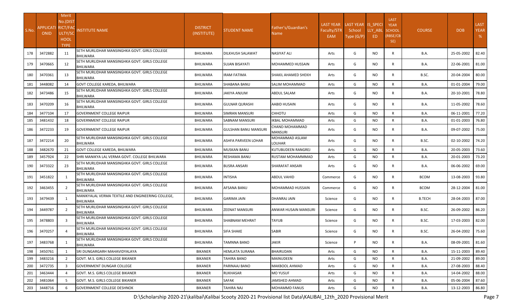| S.No. | APPLICATI RICT/FAC<br><b>ONID</b> | Merit<br>No.(DIST<br>ULTY/SC<br><b>HOOL</b><br><b>TYPE</b> | <b>INSTITUTE NAME</b>                                                | <b>DISTRICT</b><br>(INSTITUTE) | <b>STUDENT NAME</b> | Father's/Guardian's<br>Name | <b>LAST YEAR</b><br>Faculty/STR<br><b>EAM</b> | LAST YEAR IS SPECI<br>School<br>Type (G/P) | LLY ABL<br>ED. | <b>LAST</b><br><b>YEAR</b><br>SCHOOL<br>RBSE/CB<br>SE) | <b>COURSE</b> | <b>DOB</b> | <b>LAST</b><br><b>YEAR</b><br>% |
|-------|-----------------------------------|------------------------------------------------------------|----------------------------------------------------------------------|--------------------------------|---------------------|-----------------------------|-----------------------------------------------|--------------------------------------------|----------------|--------------------------------------------------------|---------------|------------|---------------------------------|
| 178   | 3472882                           | 11                                                         | SETH MURLIDHAR MANSINGHKA GOVT. GIRLS COLLEGE<br><b>BHILWARA</b>     | BHILWARA                       | DILKHUSH SALAWAT    | NASIYAT ALI                 | Arts                                          | G                                          | NO.            | R                                                      | <b>B.A.</b>   | 25-05-2002 | 82.40                           |
| 179   | 3470665                           | 12                                                         | SETH MURLIDHAR MANSINGHKA GOVT. GIRLS COLLEGE<br><b>BHILWARA</b>     | BHILWARA                       | SUJAN BISAYATI      | MOHAMMED HUSSAIN            | Arts                                          | G                                          | NO.            | R                                                      | <b>B.A.</b>   | 22-06-2001 | 81.00                           |
| 180   | 3470361                           | 13                                                         | SETH MURLIDHAR MANSINGHKA GOVT. GIRLS COLLEGE<br><b>BHILWARA</b>     | BHILWARA                       | IRAM FATIMA         | SHAKIL AHAMED SHEKH         | Arts                                          | G                                          | NO.            | R                                                      | B.SC.         | 20-04-2004 | 80.00                           |
| 181   | 3448082                           | 14                                                         | <b>GOVT COLLEGE KAREDA, BHILWARA</b>                                 | <b>BHILWARA</b>                | SHABANA BANU        | SALIM MOHAMMAD              | Arts                                          | G                                          | <b>NO</b>      | $\mathsf{R}$                                           | <b>B.A.</b>   | 01-01-2004 | 79.00                           |
| 182   | 3473486                           | 15                                                         | SETH MURLIDHAR MANSINGHKA GOVT. GIRLS COLLEGE<br>BHILWARA            | BHILWARA                       | JAKIYA ANJUM        | ABDUL SALAM                 | Arts                                          | G                                          | NO.            | R                                                      | <b>B.A.</b>   | 20-10-2001 | 78.80                           |
| 183   | 3470209                           | 16                                                         | SETH MURLIDHAR MANSINGHKA GOVT. GIRLS COLLEGE<br><b>BHILWARA</b>     | <b>BHILWARA</b>                | GULNAR QURASHI      | AABID HUSAIN                | Arts                                          | G                                          | <b>NO</b>      | R                                                      | <b>B.A.</b>   | 11-05-2002 | 78.60                           |
| 184   | 3477104                           | 17                                                         | <b>GOVERNMENT COLLEGE RAIPUR</b>                                     | <b>BHILWARA</b>                | SIMRAN MANSURI      | СННОТИ                      | Arts                                          | G                                          | <b>NO</b>      | $\mathsf{R}$                                           | <b>B.A.</b>   | 06-11-2001 | 77.20                           |
| 185   | 3481432                           | 18                                                         | <b>GOVERNMENT COLLEGE RAIPUR</b>                                     | <b>BHILWARA</b>                | SABNAM MANSURI      | KBAL MOHAMMAD               | Arts                                          | G                                          | <b>NO</b>      | $\mathsf{R}$                                           | <b>B.A.</b>   | 01-01-2003 | 76.80                           |
| 186   | 3472233                           | 19                                                         | <b>GOVERNMENT COLLEGE RAIPUR</b>                                     | <b>BHILWARA</b>                | GULSHAN BANU MANSUR | CHAND MOHAMMAD<br>MANSURI   | Arts                                          | G                                          | NO.            | R                                                      | <b>B.A.</b>   | 09-07-2002 | 75.00                           |
| 187   | 3472214                           | 20                                                         | SETH MURLIDHAR MANSINGHKA GOVT. GIRLS COLLEGE<br><b>BHILWARA</b>     | BHILWARA                       | ASHFA PARVEEN LOHAR | MOHAMMAD ASLAM<br>LOUHAR    | Arts                                          | G                                          | NO.            | R                                                      | B.SC.         | 02-10-2002 | 74.20                           |
| 188   | 3482670                           | 21                                                         | <b>GOVT COLLEGE KAREDA, BHILWARA</b>                                 | <b>BHILWARA</b>                | MUSKAN BANU         | KUTUBUDEEN RANGREJ          | Arts                                          | G                                          | <b>NO</b>      | $\mathsf{R}$                                           | <b>B.A.</b>   | 20-05-2003 | 73.60                           |
| 189   | 3457924                           | 22                                                         | SHRI MANIKYA LAL VERMA GOVT. COLLEGE BHILWARA                        | <b>BHILWARA</b>                | RESHAMA BANU        | RUSTAM MOHAMMMAD            | Arts                                          | G                                          | <b>NO</b>      | $\mathsf{R}$                                           | <b>B.A.</b>   | 20-01-2003 | 73.20                           |
| 190   | 3473322                           | 23                                                         | SETH MURLIDHAR MANSINGHKA GOVT. GIRLS COLLEGE<br><b>BHILWARA</b>     | BHILWARA                       | BUSRA ANSARI        | SHARAFAT ANSARI             | Arts                                          | G                                          | NO.            | R                                                      | <b>B.A.</b>   | 06-06-2002 | 69.00                           |
| 191   | 3451822                           | 1                                                          | SETH MURLIDHAR MANSINGHKA GOVT. GIRLS COLLEGE<br><b>BHILWARA</b>     | BHILWARA                       | INTISHA             | ABDUL VAHID                 | Commerce                                      | G                                          | NO.            | R                                                      | <b>BCOM</b>   | 13-08-2003 | 93.80                           |
| 192   | 3463455                           | 2                                                          | SETH MURLIDHAR MANSINGHKA GOVT. GIRLS COLLEGE<br>BHILWARA            | BHILWARA                       | AFSANA BANU         | MOHAMMAD HUSSAIN            | Commerce                                      | G                                          | NO.            | R                                                      | <b>BCOM</b>   | 28-12-2004 | 81.00                           |
| 193   | 3479439                           | 1                                                          | MANIKYALAL VERMA TEXTILE AND ENGINEERING COLLEGE,<br><b>BHILWARA</b> | BHILWARA                       | GARIMA JAIN         | DHANRAJ JAIN                | Science                                       | G                                          | NO.            | R                                                      | <b>B.TECH</b> | 28-04-2003 | 87.00                           |
| 194   | 3449787                           | 2                                                          | SETH MURLIDHAR MANSINGHKA GOVT. GIRLS COLLEGE<br><b>BHILWARA</b>     | BHILWARA                       | ZEENAT MANSURI      | ANWAR HUSAIN MANSURI        | Science                                       | G                                          | <b>NO</b>      | R                                                      | B.SC.         | 26-09-2002 | 86.20                           |
| 195   | 3478803                           | $\overline{3}$                                             | SETH MURLIDHAR MANSINGHKA GOVT. GIRLS COLLEGE<br><b>BHILWARA</b>     | <b>BHILWARA</b>                | SHABNAM MEHRAT      | TAYUB                       | Science                                       | G                                          | NO.            | R                                                      | B.SC.         | 17-03-2003 | 82.00                           |
| 196   | 3470257                           |                                                            | SETH MURLIDHAR MANSINGHKA GOVT. GIRLS COLLEGE<br>BHILWARA            | BHILWARA                       | SIFA SHAKE          | SABIR                       | Science                                       | G                                          | NO.            | R                                                      | B.SC.         | 26-04-2002 | 75.60                           |
| 197   | 3483768                           | 1                                                          | <b>ISETH MURLIDHAR MANSINGHKA GOVT. GIRLS COLLEGE</b><br>BHILWARA    | <b>BHILWARA</b>                | TAMNNA BANO         | JAKIR                       | Science                                       | P                                          | <b>NO</b>      | R                                                      | <b>B.A.</b>   | 08-09-2001 | 81.60                           |
| 198   | 3450761                           | 1                                                          | <b>SRI DUNGARGARH MAHAVIDYALAYA</b>                                  | BIKANER                        | HEMLATA SURANA      | BHAIRUDAN                   | Arts                                          | G                                          | <b>NO</b>      | $\mathsf{R}$                                           | <b>B.A.</b>   | 15-11-2003 | 89.40                           |
| 199   | 3483216                           | 2                                                          | GOVT. M.S. GIRLS COLLEGE BIKANER                                     | BIKANER                        | TAHIRA BANO         | MAINUDEEN                   | Arts                                          | G                                          | <b>NO</b>      | $\mathsf{R}$                                           | B.A.          | 21-09-2002 | 89.00                           |
| 200   | 3472735                           | $\overline{\mathbf{3}}$                                    | <b>GOVERNMENT DUNGAR COLLEGE</b>                                     | BIKANER                        | PARINAAJ BANO       | MAKBOOL AHMAD               | Arts                                          | G                                          | <b>NO</b>      | R                                                      | <b>B.A.</b>   | 27-08-2003 | 88.40                           |
| 201   | 3463444                           | $\overline{4}$                                             | GOVT. M.S. GIRLS COLLEGE BIKANER                                     | BIKANER                        | RUKHASAR            | MO YUSUF                    | Arts                                          | G                                          | <b>NO</b>      | R                                                      | <b>B.A.</b>   | 14-04-2002 | 88.00                           |
| 202   | 3481064                           | 5                                                          | GOVT. M.S. GIRLS COLLEGE BIKANER                                     | BIKANER                        | SAFAK               | IAMSHED AHMAD               | Arts                                          | G                                          | <b>NO</b>      | R                                                      | <b>B.A.</b>   | 05-06-2004 | 87.60                           |
| 203   | 3448716                           | 6                                                          | <b>GOVERNMENT COLLEGE DESHNOK</b>                                    | BIKANER                        | TAHIRA NAJ          | MOHAMMD FANUS               | Arts                                          | G                                          | <b>NO</b>      | $\mathsf{R}$                                           | <b>B.A.</b>   | 13-12-2003 | 86.80                           |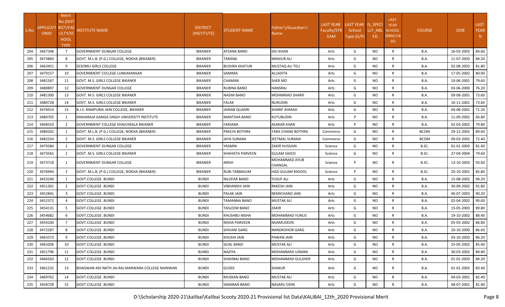| S.No.      | APPLICATI RICT/FAC<br>ONID | Merit<br>No.(DIST<br>ULTY/SC<br><b>HOOL</b><br><b>TYPE</b> | <b>NSTITUTE NAME</b>                                                        | <b>DISTRICT</b><br>(INSTITUTE)   | STUDENT NAME                   | Father's/Guardian's<br>Name | <b>LAST YEAR</b><br>Faculty/STR<br>EAM | LAST YEAR IS SPECI<br>School<br>Type (G/P) | LLY_ABL<br>ED.   | <b>LAST</b><br><b>YEAR</b><br><b>SCHOOL</b><br>(RBSE/CB<br>SE) | <b>COURSE</b>       | <b>DOB</b>               | <b>LAST</b><br><b>YEAR</b><br>% |
|------------|----------------------------|------------------------------------------------------------|-----------------------------------------------------------------------------|----------------------------------|--------------------------------|-----------------------------|----------------------------------------|--------------------------------------------|------------------|----------------------------------------------------------------|---------------------|--------------------------|---------------------------------|
| 204        | 3467348                    | $\overline{7}$                                             | <b>GOVERNMENT DUNGAR COLLEGE</b>                                            | <b>BIKANER</b>                   | AFSANA BANO                    | IDU KHAN                    | Arts                                   | G                                          | <b>NO</b>        | $\mathsf{R}$                                                   | B.A.                | 16-03-2003               | 84.60                           |
| 205<br>206 | 3473883<br>3463451         | 8<br>9                                                     | GOVT. M.L.B. (P.G.) COLLEGE, NOKHA (BIKANER)<br><b>SESOMU GIRLS COLLEGE</b> | <b>BIKANER</b><br><b>BIKANER</b> | TARANA<br><b>BUSHRA KHATUN</b> | MANJUR ALI                  | Arts                                   | G<br>G                                     | NO.<br><b>NO</b> | $\mathsf{R}$<br>$\mathsf{R}$                                   | B.A.<br><b>B.A.</b> | 11-07-2003<br>02-08-2003 | 84.20                           |
| 207        | 3479157                    | 10                                                         | GOVERNMENT COLLEGE LUNKARANSAR                                              | <b>BIKANER</b>                   | SAMIMA                         | MUSTAQ ALI TELI<br>ALLADITA | Arts<br>Arts                           | G                                          | <b>NO</b>        | R                                                              | <b>B.A.</b>         | 17-05-2002               | 81.80<br>80.00                  |
| 208        | 3481567                    | 11                                                         | GOVT. M.S. GIRLS COLLEGE BIKANER                                            | <b>BIKANER</b>                   | CHAMAN                         | SHER MO                     | Arts                                   | G                                          | <b>NO</b>        | R                                                              | B.A.                | 10-06-2001               | 79.60                           |
| 209        | 3480897                    | 12                                                         | <b>GOVERNMENT DUNGAR COLLEGE</b>                                            | <b>BIKANER</b>                   | RUBINA BANO                    | HANSRAJ                     | Arts                                   | G                                          | NO.              | $\mathsf{R}$                                                   | B.A.                | 03-06-2000               | 76.20                           |
| 210        | 3481300                    | 13                                                         | <b>GOVT. M.S. GIRLS COLLEGE BIKANER</b>                                     | <b>BIKANER</b>                   | NASIM BANO                     | MOHMMAD SHARIF              | Arts                                   | G                                          | NO.              | $\mathsf{R}$                                                   | <b>B.A.</b>         | 09-08-2001               | 73.60                           |
| 211        | 3480728                    | 14                                                         | GOVT. M.S. GIRLS COLLEGE BIKANER                                            | <b>BIKANER</b>                   | <b>FALAK</b>                   | <b>NURUDIN</b>              | Arts                                   | G                                          | <b>NO</b>        | $\mathsf{R}$                                                   | B.A.                | 16-11-2001               | 73.60                           |
| 212        | 3476914                    | 15                                                         | <b>B.J.S. RAMPURIA JAIN COLLEGE, BIKANER</b>                                | <b>BIKANER</b>                   | JAINAB QUADRI                  | SHARIF AHMAD                | Arts                                   | G                                          | <b>NO</b>        | $\mathsf{R}$                                                   | <b>B.A.</b>         | 04-08-2001               | 71.20                           |
| 213        | 3480705                    | 1                                                          | MAHARAJA GANGA SINGH UNIVERSITY INSTITUTE                                   | <b>BIKANER</b>                   | <b>MANTSHA BANO</b>            | <b>KUTUBUDIN</b>            | Arts                                   | P                                          | <b>NO</b>        | R                                                              | B.A.                | 11-09-2002               | 83.80                           |
| 214        | 3468310                    | $\overline{2}$                                             | <b>GOVERNMENT COLLEGE KHAJUWALA BIKANER</b>                                 | <b>BIKANER</b>                   | FARJANA                        | ASAKAR KHAN                 | Arts                                   | P                                          | NO.              | R                                                              | <b>B.A.</b>         | 02-03-2002               | 79.80                           |
| 215        | 3480202                    | 1                                                          | GOVT. M.L.B. (P.G.) COLLEGE, NOKHA (BIKANER)                                | <b>BIKANER</b>                   | PRACHI BOTHRA                  | TARA CHAND BOTHRA           | Commerce                               | G                                          | NO               | $\mathsf{R}$                                                   | <b>BCOM</b>         | 29-12-2002               | 89.60                           |
| 216        | 3482254                    | 2                                                          | <b>GOVT. M.S. GIRLS COLLEGE BIKANER</b>                                     | <b>BIKANER</b>                   | JAYA SURANA                    | <b>JEETMAL SURANA</b>       | Commerce                               | G                                          | NO               | $\mathsf{R}$                                                   | <b>BCOM</b>         | 09-03-2002               | 72.40                           |
| 217        | 3479384                    | 1                                                          | <b>GOVERNMENT DUNGAR COLLEGE</b>                                            | <b>BIKANER</b>                   | YASMIN                         | ZAKIR HUSSAIN               | Science                                | G                                          | <b>NO</b>        | R                                                              | B.SC.               | 01-01-2003               | 81.40                           |
| 218        | 3473565                    | $\overline{2}$                                             | GOVT. M.S. GIRLS COLLEGE BIKANER                                            | <b>BIKANER</b>                   | SHAHISTA PARVEEN               | <b>GULAM SAEED</b>          | Science                                | G                                          | NO               | R                                                              | B.SC.               | 27-04-2004               | 79.60                           |
| 219        | 3473718                    | 1                                                          | <b>GOVERNMENT DUNGAR COLLEGE</b>                                            | BIKANER                          | ARSHI                          | MOHAMMAD AYUB<br>CHANGAL    | Science                                | P                                          | NO.              | R                                                              | B.SC.               | 13-10-2003               | 93.60                           |
| 220        | 3476944                    | $\overline{2}$                                             | GOVT. M.L.B. (P.G.) COLLEGE, NOKHA (BIKANER)                                | <b>BIKANER</b>                   | RUBI TABBASUM                  | HAZI GULAM RASOOL           | Science                                | P                                          | <b>NO</b>        | R                                                              | B.SC.               | 20-10-2001               | 85.80                           |
| 221        | 3453240                    | 1                                                          | <b>GOVT.COLLEGE .BUNDI</b>                                                  | <b>BUNDI</b>                     | NILOFAR BANO                   | YUSUF ALI                   | Arts                                   | G                                          | <b>NO</b>        | $\mathsf{R}$                                                   | B.A.                | 15-08-2002               | 94.20                           |
| 222        | 3451301                    | 2                                                          | <b>GOVT.COLLEGE .BUNDI</b>                                                  | <b>BUNDI</b>                     | VIBHANSHI JAIN                 | <b>RAKESH JAIN</b>          | Arts                                   | G                                          | <b>NO</b>        | $\mathsf{R}$                                                   | <b>B.A.</b>         | 30-09-2002               | 91.80                           |
| 223        | 3452841                    | $\overline{\mathbf{3}}$                                    | <b>GOVT.COLLEGE .BUNDI</b>                                                  | <b>BUNDI</b>                     | PALAK JAIN                     | NEMICHAND JAIN              | Arts                                   | G                                          | NO               | R                                                              | <b>B.A.</b>         | 06-07-2003               | 90.20                           |
| 224        | 3452372                    | $\overline{4}$                                             | <b>GOVT.COLLEGE .BUNDI</b>                                                  | <b>BUNDI</b>                     | TAMANNA BANO                   | MUSTAK ALI                  | Arts                                   | G                                          | NO               | R                                                              | B.A.                | 02-04-2002               | 90.00                           |
| 225        | 3454131                    | -5                                                         | <b>GOVT.COLLEGE .BUNDI</b>                                                  | <b>BUNDI</b>                     | <b>TASLEEM BANO</b>            | ZAKIR                       | Arts                                   | G                                          | NO               | $\mathsf{R}$                                                   | B.A.                | 15-05-2003               | 89.80                           |
| 226        | 3454682                    | 6                                                          | <b>GOVT.COLLEGE .BUNDI</b>                                                  | <b>BUNDI</b>                     | KHUSHBU NISHA                  | MOHAMMAD YUNUS              | Arts                                   | G                                          | <b>NO</b>        | $\mathsf{R}$                                                   | <b>B.A.</b>         | 19-10-2002               | 88.40                           |
| 227        | 3454100                    | $\overline{7}$                                             | GOVT.COLLEGE .BUNDI                                                         | <b>BUNDI</b>                     | NISHA PARVEEN                  | NIJAMUDEEN                  | Arts                                   | G                                          | <b>NO</b>        | $\mathsf{R}$                                                   | <b>B.A.</b>         | 05-03-2002               | 86.80                           |
| 228        | 3472287                    | 8                                                          | <b>GOVT.COLLEGE .BUNDI</b>                                                  | <b>BUNDI</b>                     | SHIVANI GARG                   | NANDKISHOR GARG             | Arts                                   | G                                          | NO               | R                                                              | B.A.                | 20-10-2000               | 86.60                           |
| 229        | 3463373                    | 9                                                          | GOVT.COLLEGE .BUNDI                                                         | <b>BUNDI</b>                     | <b>KHUSHI JAIN</b>             | PAWAN JAIN                  | Arts                                   | G                                          | <b>NO</b>        | $\mathsf{R}$                                                   | <b>B.A.</b>         | 03-10-2003               | 86.20                           |
| 230        | 3463206                    | 10                                                         | GOVT.COLLEGE .BUNDI                                                         | <b>BUNDI</b>                     | SEJAL BANO                     | MUSTAK ALI                  | Arts                                   | G                                          | NO               | R                                                              | <b>B.A.</b>         | 25-05-2002               | 85.40                           |
| 231        | 3451796                    | 11                                                         | <b>GOVT.COLLEGE .BUNDI</b>                                                  | <b>BUNDI</b>                     | NAZIYA                         | MOHAMMAD USMAN              | Arts                                   | G                                          | NO.              | R                                                              | <b>B.A.</b>         | 30-03-2002               | 84.80                           |
| 232        | 3466563                    | 12                                                         | GOVT.COLLEGE .BUNDI                                                         | <b>BUNDI</b>                     | SHAHNAJ BANO                   | MOHAMMAD GULSHER            | Arts                                   | G                                          | NO.              | R                                                              | <b>B.A.</b>         | 01-01-2003               | 84.20                           |
| 233        | 3461232                    | 13                                                         | BHAGWAN ADI NATH JAI-RAJ MARWARA COLLEGE NAINWAN                            | <b>BUNDI</b>                     | GUDDI                          | SHAKUR                      | Arts                                   | G                                          | NO.              | R                                                              | <b>B.A.</b>         | 01-01-2005               | 83.40                           |
| 234        | 3469762                    | 14                                                         | <b>GOVT.COLLEGE .BUNDI</b>                                                  | <b>BUNDI</b>                     | MUSKAN BANO                    | MUSTAK ALI                  | Arts                                   | G                                          | NO.              | R                                                              | <b>B.A.</b>         | 04-03-2001               | 82.40                           |
| 235        | 3458728                    | 15                                                         | GOVT.COLLEGE .BUNDI                                                         | <b>BUNDI</b>                     | SIMARAN BANO                   | NASARU DDIN                 | Arts                                   | G                                          | <b>NO</b>        | $\mathsf{R}$                                                   | <b>B.A.</b>         | 08-07-2001               | 81.40                           |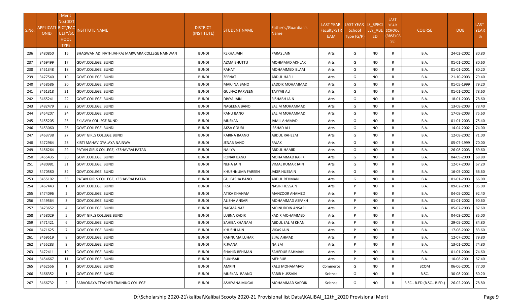| S.No. | <b>APPLICATI</b><br><b>ONID</b> | Merit<br>No.(DIST<br><b>RICT/FAC</b><br>ULTY/SC<br>HOOL<br><b>TYPE</b> | <b>INSTITUTE NAME</b>                            | <b>DISTRICT</b><br>(INSTITUTE) | STUDENT NAME          | Father's/Guardian's<br>Name I | <b>LAST YEAR</b><br>Faculty/STR<br>EAM | LAST YEAR IS SPECI<br>School<br>Type (G/P) | LLY_ABL<br>ED. | <b>LAST</b><br><b>YEAR</b><br><b>SCHOOL</b><br>(RBSE/CB<br>SE) | <b>COURSE</b>              | <b>DOB</b>       | <b>LAST</b><br><b>YEAR</b><br>% |
|-------|---------------------------------|------------------------------------------------------------------------|--------------------------------------------------|--------------------------------|-----------------------|-------------------------------|----------------------------------------|--------------------------------------------|----------------|----------------------------------------------------------------|----------------------------|------------------|---------------------------------|
| 236   | 3480850                         | 16                                                                     | BHAGWAN ADI NATH JAI-RAJ MARWARA COLLEGE NAINWAN | <b>BUNDI</b>                   | <b>REKHA JAIN</b>     | PARAS JAIN                    | Arts                                   | G                                          | NO.            | R                                                              | B.A.                       | 24-02-2002       | 80.80                           |
| 237   | 3469499                         | 17                                                                     | <b>GOVT.COLLEGE .BUNDI</b>                       | <b>BUNDI</b>                   | <b>AZMA BHUTTU</b>    | MOHMMAD AKHLAK                | Arts                                   | G                                          | NO             | $\mathsf{R}$                                                   | B.A.                       | 01-01-2002       | 80.60                           |
| 238   | 3451348                         | 18                                                                     | <b>GOVT.COLLEGE .BUNDI</b>                       | <b>BUNDI</b>                   | RAHAT                 | MOHAMMED ISLAM                | Arts                                   | G                                          | NO             | R                                                              | B.A.                       | 01-01-2001       | 80.20                           |
| 239   | 3477540                         | 19                                                                     | <b>GOVT.COLLEGE .BUNDI</b>                       | <b>BUNDI</b>                   | ZEENAT                | <b>ABDUL HAFIJ</b>            | Arts                                   | G                                          | NO             | R                                                              | <b>B.A.</b>                | 21-10-2003       | 79.40                           |
| 240   | 3458586                         | 20                                                                     | <b>GOVT.COLLEGE .BUNDI</b>                       | <b>BUNDI</b>                   | MARJINA BANO          | SADDIK MOHAMMAD               | Arts                                   | G                                          | NO             | R                                                              | <b>B.A.</b>                | 01-05-1999       | 79.20                           |
| 241   | 3461318                         | 21                                                                     | <b>GOVT.COLLEGE .BUNDI</b>                       | <b>BUNDI</b>                   | <b>GULNAZ PARVEEN</b> | TAYYAB ALI                    | Arts                                   | G                                          | <b>NO</b>      | R                                                              | <b>B.A.</b>                | 01-01-2002       | 78.60                           |
| 242   | 3465241                         | 22                                                                     | <b>GOVT.COLLEGE .BUNDI</b>                       | <b>BUNDI</b>                   | DIVYA JAIN            | <b>RISHABH JAIN</b>           | Arts                                   | G                                          | NO             | R                                                              | <b>B.A.</b>                | 18-01-2003       | 78.60                           |
| 243   | 3482479                         | 23                                                                     | <b>GOVT.COLLEGE .BUNDI</b>                       | <b>BUNDI</b>                   | NAGEENA BANO          | SALIM MOHAMMAD                | Arts                                   | G                                          | NO             | R                                                              | B.A.                       | 13-08-2003       | 78.40                           |
| 244   | 3454207                         | 24                                                                     | <b>GOVT.COLLEGE .BUNDI</b>                       | <b>BUNDI</b>                   | RANU BANO             | SALIM MOHAMMAD                | Arts                                   | G                                          | <b>NO</b>      | $\mathsf{R}$                                                   | <b>B.A.</b>                | 17-08-2003       | 75.60                           |
| 245   | 3455205                         | 25                                                                     | EKLAVYA COLLEGE BUNDI                            | <b>BUNDI</b>                   | MUSKAN                | JAMIL AHAMAD                  | Arts                                   | G                                          | NO             | $\mathsf{R}$                                                   | <b>B.A.</b>                | 01-01-2003       | 75.40                           |
| 246   | 3453060                         | 26                                                                     | <b>GOVT.COLLEGE .BUNDI</b>                       | <b>BUNDI</b>                   | AKSA GOURI            | IRSHAD ALI                    | Arts                                   | G                                          | <b>NO</b>      | R                                                              | <b>B.A.</b>                | 14-04-2002       | 74.00                           |
| 247   | 3463738                         | 27                                                                     | <b>GOVT GIRLS COLLEGE BUNDI</b>                  | <b>BUNDI</b>                   | KARINA BAANO          | ABDUL RAHEEM                  | Arts                                   | G                                          | NO             | R                                                              | <b>B.A.</b>                | 12-08-2002       | 71.00                           |
| 248   | 3472964                         | 28                                                                     | KIRTI MAHAVIDYALAYA NAINWA                       | <b>BUNDI</b>                   | JENAB BANO            | RAJAK                         | Arts                                   | G                                          | <b>NO</b>      | R                                                              | <b>B.A.</b>                | 05-07-1999       | 70.00                           |
| 249   | 3456264                         | 29                                                                     | PATAN GIRLS COLLEGE, KESHAVRAI PATAN             | <b>BUNDI</b>                   | <b>NAJIYA</b>         | ABDUL HAMID                   | Arts                                   | G                                          | NO             | R                                                              | <b>B.A.</b>                | 26-08-2003       | 69.60                           |
| 250   | 3455435                         | 30                                                                     | <b>GOVT.COLLEGE .BUNDI</b>                       | <b>BUNDI</b>                   | RONAK BANO            | MOHAMMAD RAFIK                | Arts                                   | G                                          | NO             | $\mathsf{R}$                                                   | <b>B.A.</b>                | 04-09-2000       | 68.80                           |
| 251   | 3480981                         | 31                                                                     | <b>GOVT.COLLEGE .BUNDI</b>                       | <b>BUNDI</b>                   | NEHA JAIN             | VIMAL KUMAR JAIN              | Arts                                   | G                                          | <b>NO</b>      | R                                                              | B.A.                       | 12-07-2003       | 67.20                           |
| 252   | 3470580                         | 32                                                                     | <b>GOVT.COLLEGE .BUNDI</b>                       | <b>BUNDI</b>                   | KHUSHNUMA FAREEN      | <b>JAKIR HUSSAIN</b>          | Arts                                   | G                                          | <b>NO</b>      | $\mathsf{R}$                                                   | B.A.                       | 16-05-2002       | 66.60                           |
| 253   | 3455102                         | 33                                                                     | PATAN GIRLS COLLEGE, KESHAVRAI PATAN             | <b>BUNDI</b>                   | <b>GULFASHA BANO</b>  | ABDUL REHMAN                  | Arts                                   | G                                          | <b>NO</b>      | R                                                              | B.A.                       | 01-01-2003       | 66.00                           |
| 254   | 3467443                         | 1                                                                      | <b>GOVT.COLLEGE .BUNDI</b>                       | <b>BUNDI</b>                   | <b>FIZA</b>           | <b>NASIR HUSSAIN</b>          | Arts                                   | P                                          | <b>NO</b>      | R                                                              | B.A.                       | 09-02-2002       | 95.00                           |
| 255   | 3474096                         | 2                                                                      | <b>GOVT.COLLEGE .BUNDI</b>                       | <b>BUNDI</b>                   | ATIKA KHANAM          | MANZOOR AHAMED                | Arts                                   | P                                          | NO             | R                                                              | <b>B.A.</b>                | 04-05-2002       | 92.40                           |
| 256   | 3449564                         | 3                                                                      | <b>GOVT.COLLEGE .BUNDI</b>                       | <b>BUNDI</b>                   | ALISHA ANSARI         | MOHAMMAD ASFAKH               | Arts                                   | P                                          | NO             | $\mathsf{R}$                                                   | B.A.                       | 01-01-2002       | 90.60                           |
| 257   | 3473652                         | $\overline{a}$                                                         | GOVT.COLLEGE .BUNDI                              | <b>BUNDI</b>                   | NAGMA NAZ             | MOINUDDIN ANSARI              | Arts                                   | P                                          | NO             | R                                                              | B.A.                       | 05-07-2003       | 87.60                           |
| 258   | 3458029                         | $\overline{5}$                                                         | <b>GOVT GIRLS COLLEGE BUNDI</b>                  | <b>BUNDI</b>                   | LUBNA KADIR           | KADIR MOHAMMED                | Arts                                   | P                                          | <b>NO</b>      | R                                                              | B.A.                       | 04-03-2002       | 85.00                           |
| 259   | 3471421                         | -6                                                                     | <b>GOVT.COLLEGE .BUNDI</b>                       | <b>BUNDI</b>                   | SAHIBA KHANAM         | <b>ABDUL SALIM KHAN</b>       | Arts                                   | P                                          | <b>NO</b>      | R                                                              | <b>B.A.</b>                | 29-05-2002       | 84.80                           |
| 260   | 3471625                         |                                                                        | <b>GOVT.COLLEGE .BUNDI</b>                       | <b>BUNDI</b>                   | KHUSHI JAIN           | VIKAS JAIN                    | Arts                                   | P                                          | NO             | R                                                              | B.A.                       | 17-08-2002       | 83.60                           |
|       | 261 3469519                     | 8                                                                      | GOVT.COLLEGE .BUNDI                              | <b>BUNDI</b>                   | RAHNUMA LUHAR         | EIJAJ AHMAD                   | Arts                                   | P                                          | <b>NO</b>      | R                                                              | <b>B.A.</b>                | 12-07-2002 79.80 |                                 |
| 262   | 3455283                         | 9                                                                      | <b>GOVT.COLLEGE .BUNDI</b>                       | <b>BUNDI</b>                   | RIJVANA               | <b>NAIEM</b>                  | Arts                                   | P                                          | NO             | R                                                              | <b>B.A.</b>                | 13-01-2002       | 74.80                           |
| 263   | 3472411                         | 10                                                                     | <b>GOVT.COLLEGE .BUNDI</b>                       | <b>BUNDI</b>                   | SHAHID REHMAN         | ZAHEDUR RAHMAN                | Arts                                   | P                                          | NO.            | $\mathsf{R}$                                                   | <b>B.A.</b>                | 01-01-2004       | 74.60                           |
| 264   | 3454667                         | 11                                                                     | <b>GOVT.COLLEGE .BUNDI</b>                       | <b>BUNDI</b>                   | <b>RUKHSAR</b>        | <b>MEHBUB</b>                 | Arts                                   | P                                          | NO.            | R                                                              | <b>B.A.</b>                | 10-08-2001       | 67.40                           |
| 265   | 3462556                         | -1                                                                     | GOVT.COLLEGE .BUNDI                              | <b>BUNDI</b>                   | AMRIN                 | KALU MOHAMMAD                 | Commerce                               | G                                          | NO.            | R                                                              | <b>BCOM</b>                | 06-06-2001       | 77.00                           |
| 266   | 3466352                         | 1                                                                      | GOVT.COLLEGE .BUNDI                              | <b>BUNDI</b>                   | MUSKAN BAANO          | <b>SABIR HUSSAIN</b>          | Science                                | G                                          | NO.            | $\mathsf{R}$                                                   | B.SC.                      | 30-08-2001       | 80.20                           |
| 267   | 3466732                         | $\overline{2}$                                                         | SARVODAYA TEACHER TRAINING COLLEGE               | <b>BUNDI</b>                   | ASHIYANA MUGAL        | MOHAMMAD SADDIK               | Science                                | G                                          | NO.            | R                                                              | B.SC.- B.ED.(B.SC.- B.ED.) | 26-02-2003       | 78.80                           |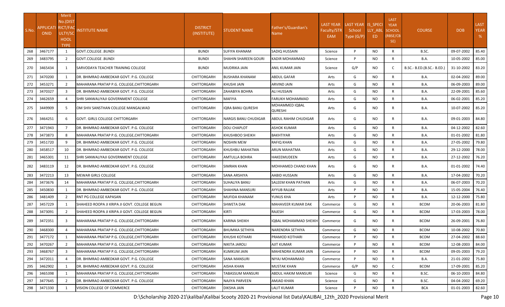| S.No. | APPLICATI RICT/FAC<br><b>ONID</b> | Merit<br>No.(DIST<br>ULTY/SC<br><b>HOOL</b><br><b>TYPE</b> | <b>NSTITUTE NAME</b>                          | <b>DISTRICT</b><br>(INSTITUTE) | STUDENT NAME          | Father's/Guardian's<br>Name | <b>LAST YEAR</b><br>Faculty/STR<br>EAM | LAST YEAR IS_SPECI<br>School<br>Type (G/P) | LLY ABL<br>ED | <b>LAST</b><br><b>YEAR</b><br><b>SCHOOL</b><br>(RBSE/CB<br>SE) | <b>COURSE</b>              | <b>DOB</b> | <b>LAST</b><br><b>YEAR</b><br>% |
|-------|-----------------------------------|------------------------------------------------------------|-----------------------------------------------|--------------------------------|-----------------------|-----------------------------|----------------------------------------|--------------------------------------------|---------------|----------------------------------------------------------------|----------------------------|------------|---------------------------------|
| 268   | 3467177                           | 1                                                          | <b>GOVT.COLLEGE .BUNDI</b>                    | <b>BUNDI</b>                   | SUFIYA KHANAM         | SADIQ HUSSAIN               | Science                                | Þ                                          | NO.           | $\mathsf{R}$                                                   | B.SC.                      | 09-07-2002 | 85.40                           |
| 269   | 3483795                           | $\overline{2}$                                             | <b>GOVT.COLLEGE .BUNDI</b>                    | <b>BUNDI</b>                   | SHAHIN SHAREEN GOURI  | KADIR MOHAMMAD              | Science                                | Þ                                          | <b>NO</b>     | R                                                              | B.A.                       | 10-05-2002 | 85.00                           |
| 270   | 3465434                           | 1                                                          | SARVODAYA TEACHER TRAINING COLLEGE            | <b>BUNDI</b>                   | MUDRIKA JAIN          | ANIL KUMAR JAIN             | Science                                | G/P                                        | NO.           |                                                                | B.SC.- B.ED.(B.SC.- B.ED.) | 31-10-2002 | 83.20                           |
| 271   | 3470200                           | 1                                                          | DR. BHIMRAO AMBEDKAR GOVT. P.G. COLLEGE       | CHITTORGARH                    | <b>BUSHARA KHANAM</b> | ABDUL GAFAR                 | Arts                                   | G                                          | NO.           | $\mathsf{R}$                                                   | B.A.                       | 02-04-2002 | 89.00                           |
| 272   | 3453271                           | 2                                                          | MAHARANA PRATAP P.G. COLLEGE, CHITTORGARH     | CHITTORGARH                    | KHUSHI JAIN           | ARVIND JAIN                 | Arts                                   | G                                          | NO.           | R                                                              | <b>B.A.</b>                | 06-09-2003 | 89.00                           |
| 273   | 3470327                           | 3                                                          | DR. BHIMRAO AMBEDKAR GOVT. P.G. COLLEGE       | <b>CHITTORGARH</b>             | ZAHABIYA BOHRA        | ALI HUSSAIN                 | Arts                                   | G                                          | NO.           | R                                                              | <b>B.A.</b>                | 22-09-2001 | 85.60                           |
| 274   | 3462659                           | $\overline{4}$                                             | <b>SHRI SANWALIYAJI GOVERNMENT COLLEGE</b>    | CHITTORGARH                    | <b>MAFIYA</b>         | FARUKH MOHAMMAD             | Arts                                   | G                                          | NO.           | R                                                              | <b>B.A.</b>                | 06-02-2001 | 85.20                           |
| 275   | 3449909                           | 5                                                          | OM SHIV SANSTHAN COLLEGE MANGALWAD            | CHITTORGARH                    | IQRA BANU QURESHI     | MOHAMMED IQBAL<br>QURESHI   | Arts                                   | G                                          | NO.           | R                                                              | <b>B.A.</b>                | 10-07-2002 | 85.20                           |
| 276   | 3464251                           | 6                                                          | <b>GOVT. GIRLS COLLEGE CHITTORGARH</b>        | CHITTORGARH                    | NARGIS BANU CHUDIGAR  | ABDUL RAHIM CHUDIGAR        | Arts                                   | G                                          | NO.           | R                                                              | <b>B.A.</b>                | 09-01-2003 | 84.80                           |
| 277   | 3471943                           |                                                            | IDR. BHIMRAO AMBEDKAR GOVT. P.G. COLLEGE      | CHITTORGARH                    | DOLI CHAPLOT          | <b>ASHOK KUMAR</b>          | Arts                                   | G                                          | <b>NO</b>     | $\mathsf{R}$                                                   | B.A.                       | 04-12-2002 | 82.60                           |
| 278   | 3473873                           | 8                                                          | MAHARANA PRATAP P.G. COLLEGE.CHITTORGARH      | CHITTORGARH                    | KHUSHBOO SHEIKH       | <b>BAKHTIYAR</b>            | Arts                                   | G                                          | NO.           | $\mathsf{R}$                                                   | B.A.                       | 01-01-2002 | 81.80                           |
| 279   | 3451720                           | 9                                                          | DR. BHIMRAO AMBEDKAR GOVT. P.G. COLLEGE       | CHITTORGARH                    | NOSHIN MEW            | RAFIQ KHAN                  | Arts                                   | G                                          | NO.           | R                                                              | <b>B.A.</b>                | 27-05-2002 | 79.80                           |
| 280   | 3458517                           | 10                                                         | DR. BHIMRAO AMBEDKAR GOVT. P.G. COLLEGE       | CHITTORGARH                    | KHUSHBU MAHATMA       | ARUN MAHATMA                | Arts                                   | G                                          | NO.           | R                                                              | <b>B.A.</b>                | 29-12-2000 | 78.00                           |
| 281   | 3465301                           | 11                                                         | SHRI SANWALIYAJI GOVERNMENT COLLEGE           | CHITTORGARH                    | AMTULLA BOHRA         | HAKEEMUDEEN                 | Arts                                   | G                                          | NO.           | $\mathsf{R}$                                                   | B.A.                       | 27-12-2002 | 76.20                           |
| 282   | 3483119                           | 12                                                         | DR. BHIMRAO AMBEDKAR GOVT. P.G. COLLEGE       | CHITTORGARH                    | SIMRAN KHAN           | MOHHAMED CHAND KHAN         | Arts                                   | G                                          | NO.           | R                                                              | <b>B.A.</b>                | 01-01-2002 | 74.40                           |
| 283   | 3472213                           | 13                                                         | <b>MEWAR GIRLS COLLEGE</b>                    | CHITTORGARH                    | SANA ARSHIYA          | AABID HUSSAIN               | Arts                                   | G                                          | NO.           | R                                                              | <b>B.A.</b>                | 17-04-2002 | 70.20                           |
| 284   | 3473676                           | 14                                                         | MAHARANA PRATAP P.G. COLLEGE, CHITTORGARH     | CHITTORGARH                    | SUHALIYA BANU         | SALEEM KHAN PATHAN          | Arts                                   | G                                          | NO.           | R                                                              | <b>B.A.</b>                | 06-07-2003 | 70.20                           |
| 285   | 3450830                           |                                                            | DR. BHIMRAO AMBEDKAR GOVT. P.G. COLLEGE       | CHITTORGARH                    | SHAHINA MANSURI       | AYYUB RAJJAK                | Arts                                   | P                                          | <b>NO</b>     | $\mathsf{R}$                                                   | B.A.                       | 15-05-2004 | 76.40                           |
| 286   | 3481409                           | 2                                                          | RNT PG COLLEGE KAPASAN                        | CHITTORGARH                    | MUFIDA KHANAM         | YUNUS KHA                   | Arts                                   | P                                          | NO.           | R                                                              | <b>B.A.</b>                | 12-12-2000 | 75.80                           |
| 287   | 3457229                           |                                                            | SHAHEED ROOPA JI KRIPA JI GOVT. COLLEGE BEGUN | CHITTORGARH                    | <b>SHWETA DAK</b>     | MAHAVEER KUMAR DAK          | Commerce                               | G                                          | NO.           | R                                                              | <b>BCOM</b>                | 20-06-2003 | 81.80                           |
| 288   | 3473091                           | $\overline{2}$                                             | SHAHEED ROOPA JI KRIPA JI GOVT. COLLEGE BEGUN | CHITTORGARH                    | KIRTI                 | RAJESH                      | Commerce                               | G                                          | NO.           | R                                                              | <b>BCOM</b>                | 17-03-2003 | 78.00                           |
| 289   | 3472351                           | 3                                                          | MAHARANA PRATAP P.G. COLLEGE, CHITTORGARH     | CHITTORGARH                    | KARINA SHEIKH         | IQBAL MOHAMMAD SHEIKH       | Commerce                               | G                                          | NO.           | R                                                              | <b>BCOM</b>                | 26-09-2001 | 76.80                           |
| 290   | 3468300                           |                                                            | MAHARANA PRATAP P.G. COLLEGE.CHITTORGARH      | CHITTORGARH                    | BHUMIKA SETHIYA       | NARENDRA SETHIYA            | Commerce                               | G                                          | NO.           | R                                                              | <b>BCOM</b>                | 10-08-2002 | 70.80                           |
| 291   | 3477172                           |                                                            | MAHARANA PRATAP P.G. COLLEGE, CHITTORGARH     | CHITTORGARH                    | <b>KHUSHI KOTHARI</b> | PRAMOD KOTHARI              | Commerce                               | P                                          | <b>NO</b>     | R                                                              | <b>BCOM</b>                | 27-04-2002 | 88.60                           |
| 292   | 3470267                           | $\overline{2}$                                             | MAHARANA PRATAP P.G. COLLEGE.CHITTORGARH      | CHITTORGARH                    | NIKITA JAROLI         | AJIT KUMAR                  | Commerce                               | P                                          | NO.           | R                                                              | <b>BCOM</b>                | 12-08-2003 | 84.00                           |
| 293   | 3468767                           | $\overline{3}$                                             | MAHARANA PRATAP P.G. COLLEGE, CHITTORGARH     | CHITTORGARH                    | KUMKUM JAIN           | MAHENDRA KUMAR JAIN         | Commerce                               | Þ                                          | NO.           | R                                                              | <b>BCOM</b>                | 09-05-2003 | 79.20                           |
| 294   | 3472011                           |                                                            | DR. BHIMRAO AMBEDKAR GOVT. P.G. COLLEGE       | CHITTORGARH                    | SANA MANSURI          | NIYAJ MOHAMMAD              | Commerce                               | <b>D</b>                                   | <b>NO</b>     | $\mathsf{R}$                                                   | <b>B.A.</b>                | 21-01-2002 | 75.80                           |
| 295   | 3462902                           |                                                            | DR. BHIMRAO AMBEDKAR GOVT. P.G. COLLEGE       | CHITTORGARH                    | AISHA KHAN            | <b>MUSTAK KHAN</b>          | Commerce                               | G/P                                        | NO.           | $\mathsf{C}$                                                   | <b>BCOM</b>                | 17-09-2001 | 85.20                           |
| 296   | 3465398                           |                                                            | MAHARANA PRATAP P.G. COLLEGE, CHITTORGARH     | CHITTORGARH                    | TABASSUM MANSURI      | ABDUL HAKIM MANSURI         | Science                                | G                                          | NO.           | R                                                              | B.SC.                      | 06-10-2003 | 84.80                           |
| 297   | 3477645                           | $\overline{2}$                                             | DR. BHIMRAO AMBEDKAR GOVT. P.G. COLLEGE       | CHITTORGARH                    | NAJIYA PARVEEN        | AMJAD KHAN                  | Science                                | G                                          | NO.           | R                                                              | B.SC.                      | 04-04-2002 | 69.20                           |
| 298   | 3471330                           |                                                            | VISION COLLEGE OF COMMERCE                    | CHITTORGARH                    | DIKSHA JAIN           | <b>LALIT KUMAR</b>          | Science                                | D                                          | NO            | R                                                              | <b>BCA</b>                 | 01-01-2003 | 82.60                           |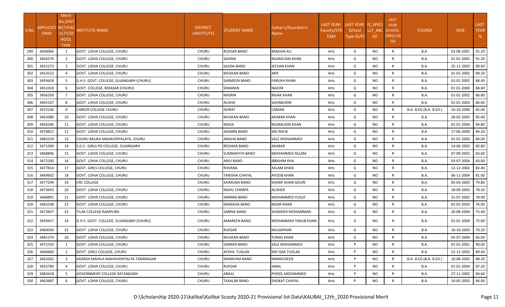| S.No. | APPLICATI RICT/FAC<br><b>ONID</b> | <b>Merit</b><br>No.(DIST<br>ULTY/SC<br><b>HOOL</b><br><b>TYPE</b> | NSTITUTE NAME                           | <b>DISTRICT</b><br>(INSTITUTE) | STUDENT NAME        | Father's/Guardian's<br>Name | <b>LAST YEAR</b><br>Faculty/STR<br>EAM | LAST YEAR IS_SPECI<br>School<br>Type (G/P) | LLY_ABL<br>ED | <b>LAST</b><br><b>YEAR</b><br><b>SCHOOL</b><br>(RBSE/CB<br>SE) | <b>COURSE</b>          | <b>DOB</b>       | <b>LAST</b><br><b>YEAR</b><br>% |
|-------|-----------------------------------|-------------------------------------------------------------------|-----------------------------------------|--------------------------------|---------------------|-----------------------------|----------------------------------------|--------------------------------------------|---------------|----------------------------------------------------------------|------------------------|------------------|---------------------------------|
| 299   | 3456064                           | 1                                                                 | GOVT. LOHIA COLLEGE, CHURU              | <b>CHURU</b>                   | RUKSAR BANO         | RAMJAN ALI                  | Arts                                   | G                                          | <b>NO</b>     | R                                                              | <b>B.A.</b>            | 03-08-2001       | 91.20                           |
| 300   | 3456376                           | $\overline{2}$                                                    | GOVT. LOHIA COLLEGE, CHURU              | <b>CHURU</b>                   | SAHINA              | NIJAMUDIN KHAN              | Arts                                   | G                                          | <b>NO</b>     | R                                                              | <b>B.A.</b>            | 01-01-2005       | 91.20                           |
| 301   | 3452273                           | $\overline{3}$                                                    | GOVT. LOHIA COLLEGE, CHURU              | <b>CHURU</b>                   | SAJIDA BANO         | JEEVAN KHAN                 | Arts                                   | G                                          | <b>NO</b>     | R                                                              | <b>B.A.</b>            | 25-11-2003       | 89.60                           |
| 302   | 3453522                           | 4                                                                 | GOVT. LOHIA COLLEGE, CHURU              | CHURU                          | MUSKAN BANO         | ARIF                        | Arts                                   | G                                          | <b>NO</b>     | R                                                              | <b>B.A.</b>            | 01-01-2002       | 89.20                           |
| 303   | 3459428                           | 5                                                                 | G.H.S. GOVT. COLLEGE, SUJANGARH (CHURU) | <b>CHURU</b>                   | <b>SARMEEN BANO</b> | FARUKH KHAN                 | Arts                                   | G                                          | <b>NO</b>     | R                                                              | <b>B.A.</b>            | 01-01-2005       | 88.40                           |
| 304   | 3451018                           | 6                                                                 | GOVT. COLLEGE, BIDASAR (CHURU)          | <b>CHURU</b>                   | SIMARAN             | NADIM                       | Arts                                   | G                                          | NO.           | R                                                              | <b>B.A.</b>            | 01-01-2000       | 88.00                           |
| 305   | 3456359                           | $\overline{7}$                                                    | GOVT. LOHIA COLLEGE, CHURU              | <b>CHURU</b>                   | NASRIN              | RAJAK KHAN                  | Arts                                   | G                                          | <b>NO</b>     | R                                                              | <b>B.A.</b>            | 01-01-2002       | 86.80                           |
| 306   | 3465167                           | 8                                                                 | GOVT. LOHIA COLLEGE, CHURU              | <b>CHURU</b>                   | <b>ALISHA</b>       | SAHABUDIN                   | Arts                                   | G                                          | <b>NO</b>     | $\mathsf{R}$                                                   | <b>B.A.</b>            | 01-01-2003       | 86.00                           |
| 307   | 3472236                           | 9                                                                 | CAREER COLLEGE CHURU                    | <b>CHURU</b>                   | ISHRAT              | USMAN                       | Arts                                   | G                                          | <b>NO</b>     | R                                                              | B.A- B.ED.(B.A- B.ED.) | 10-10-2000       | 85.00                           |
| 308   | 3462080                           | 10                                                                | GOVT. LOHIA COLLEGE, CHURU              | <b>CHURU</b>                   | MUSKAN BANO         | AKABAR KHAN                 | Arts                                   | G                                          | <b>NO</b>     | R                                                              | <b>B.A.</b>            | 28-02-2003       | 85.00                           |
| 309   | 3456346                           | 11                                                                | GOVT. LOHIA COLLEGE, CHURU              | <b>CHURU</b>                   | NISHA               | NIJAMUDIN KHAN              | Arts                                   | G                                          | <b>NO</b>     | R                                                              | <b>B.A.</b>            | 01-01-2004       | 84.80                           |
| 310   | 3478822                           | 12                                                                | GOVT. LOHIA COLLEGE, CHURU              | <b>CHURU</b>                   | AASMIN BANO         | MO RAFIK                    | Arts                                   | G                                          | <b>NO</b>     | R                                                              | <b>B.A.</b>            | 17-06-2000       | 84.20                           |
| 311   | 3483329                           | 13                                                                | CHURU BALIKA MAHAVIDYALAYA, CHURU       | <b>CHURU</b>                   | ANISHA BANO         | SALE MOHAMMED               | Arts                                   | G                                          | <b>NO</b>     | R                                                              | <b>B.A.</b>            | 01-01-2003       | 84.00                           |
| 312   | 3471309                           | 14                                                                | S.D.S . GIRLS PG COLLEGE, SUJANGARH     | <b>CHURU</b>                   | RESHMA BANO         | AKABAR                      | Arts                                   | G                                          | <b>NO</b>     | R                                                              | <b>B.A.</b>            | 14-06-2003       | 83.80                           |
| 313   | 3468896                           | 15                                                                | GOVT. LOHIA COLLEGE, CHURU              | <b>CHURU</b>                   | SUMMAIYYA BANO      | MOHAMMED ASLAM              | Arts                                   | G                                          | <b>NO</b>     | R                                                              | <b>B.A.</b>            | 07-09-2003       | 83.60                           |
| 314   | 3472330                           | 16                                                                | GOVT. LOHIA COLLEGE, CHURU              | <b>CHURU</b>                   | ARJU BANO           | IBRAHIM KHA                 | Arts                                   | G                                          | <b>NO</b>     | R                                                              | <b>B.A.</b>            | 03-07-2004       | 83.00                           |
| 315   | 3477814                           | 17                                                                | GOVT. GIRLS COLLEGE, CHURU              | <b>CHURU</b>                   | RIJVANA             | ASLAM KHAN                  | Arts                                   | G                                          | <b>NO</b>     | R                                                              | <b>B.A.</b>            | 12-12-2002       | 82.40                           |
| 316   | 3469602                           | 18                                                                | GOVT. LOHIA COLLEGE, CHURU              | <b>CHURU</b>                   | TANISHA CHAYAL      | AYOOB KHAN                  | Arts                                   | G                                          | <b>NO</b>     | R                                                              | <b>B.A.</b>            | 06-11-2004       | 81.00                           |
| 317   | 3477299                           | 19                                                                | CRC COLLEGE                             | <b>CHURU</b>                   | KAIMUNA BANO        | SHARIF KHAN GOURI           | Arts                                   | G                                          | <b>NO</b>     | R                                                              | <b>B.A.</b>            | 05-04-2003       | 79.80                           |
| 318   | 3473643                           | 20                                                                | GOVT. LOHIA COLLEGE, CHURU              | <b>CHURU</b>                   | NISHU CHIMPA        | ALISHER                     | Arts                                   | G                                          | <b>NO</b>     | $\mathsf{R}$                                                   | B.A.                   | 18-09-2003       | 78.20                           |
| 319   | 3468891                           | 21                                                                | GOVT. LOHIA COLLEGE, CHURU              | <b>CHURU</b>                   | SIMRAN BANO         | MOHAMMED YUSUF              | Arts                                   | G                                          | <b>NO</b>     | $\mathsf{R}$                                                   | <b>B.A.</b>            | 31-07-2002       | 78.00                           |
| 320   | 3463248                           | 22                                                                | GOVT. LOHIA COLLEGE, CHURU              | <b>CHURU</b>                   | MANISHA BANO        | NISAR KHAN                  | Arts                                   | G                                          | <b>NO</b>     | R                                                              | <b>B.A.</b>            | 01-01-2003       | 76.00                           |
| 321   | 3473837                           | 23                                                                | TILAK COLLEGE RAMPURA                   | CHURU                          | SABINA BANO         | SHAMSER MOHAMMAD            | Arts                                   | G                                          | <b>NO</b>     | R                                                              | <b>B.A.</b>            | 20-08-2004       | 75.40                           |
| 322   | 3459457                           | 24                                                                | G.H.S. GOVT. COLLEGE, SUJANGARH (CHURU) | <b>CHURU</b>                   | AMAREEN BANO        | MOHAMMAD YAKUB KHAN         | Arts                                   | G                                          | NO.           | R                                                              | <b>B.A.</b>            | 01-01-2004       | 75.00                           |
| 323   | 3460030                           | 25                                                                | GOVT. LOHIA COLLEGE, CHURU              | <b>CHURU</b>                   | RUKSAR              | MUJJAPHAR                   | Arts                                   | G                                          | <b>NO</b>     | R                                                              | <b>B.A.</b>            | 10-10-2003       | 70.20                           |
| 324   | 3481274                           | 26                                                                | GOVT. LOHIA COLLEGE, CHURU              | CHURU                          | MUSKAN BANO         | YUNAS KHAN                  | Arts                                   | G                                          | <b>NO</b>     | R                                                              | <b>B.A.</b>            | 05-07-2004 66.60 |                                 |
| 325   | 3472333                           | 1                                                                 | GOVT. LOHIA COLLEGE, CHURU              | <b>CHURU</b>                   | SIMRAN BANO         | SALE MOHAMMED               | Arts                                   | P                                          | NO.           | R                                                              | B.A.                   | 01-01-2001       | 90.00                           |
| 326   | 3466600                           | $2^{\circ}$                                                       | GOVT. GIRLS COLLEGE. CHURU              | <b>CHURU</b>                   | AFSHA TUGLAK        | MO ISAK TUGLAK              | Arts                                   | P                                          | <b>NO</b>     | $\mathsf{R}$                                                   | <b>B.A.</b>            | 22-12-2003       | 89.40                           |
| 327   | 3463262                           | $\overline{3}$                                                    | ADARSH MAHILA MAHAVIDHYALYA TARANAGAR   | CHURU                          | MAIMUNA BANO        | IMAMUDEEN                   | Arts                                   | P                                          | <b>NO</b>     | $\mathsf{R}$                                                   | B.A- B.ED.(B.A- B.ED.) | 10-08-2003       | 88.20                           |
| 328   | 3453780                           | Δ                                                                 | GOVT. LOHIA COLLEGE, CHURU              | <b>CHURU</b>                   | RUKSAR              | JAMIL                       | Arts                                   | P                                          | <b>NO</b>     | $\mathsf{R}$                                                   | <b>B.A.</b>            | 01-01-2004       | 87.20                           |
| 329   | 3483418                           | 5                                                                 | GOVERNMENT COLLEGE RATANGARH            | CHURU                          | ARAJU               | PHOOL MOHAMMED              | Arts                                   | P                                          | <b>NO</b>     | R                                                              | <b>B.A.</b>            | 27-11-2002       | 84.60                           |
| 330   | 3463487                           |                                                                   | GOVT. LOHIA COLLEGE, CHURU              | <b>CHURU</b>                   | TASALIM BANO        | SHOKAT CHAYAL               | Arts                                   | P                                          | <b>NO</b>     | R                                                              | B.A.                   | 14-05-2003       | 84.00                           |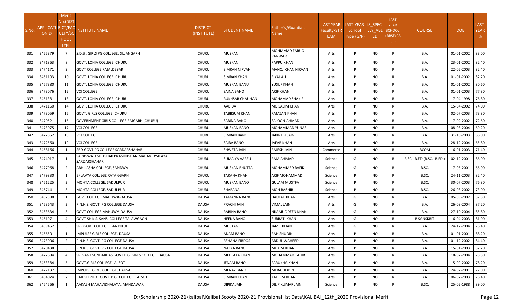| S.No. | <b>APPLICATI RICT/FAC</b><br>ONID | Merit<br>No.(DIST<br>ULTY/SC<br><b>HOOL</b><br><b>TYPE</b> | <b>NSTITUTE NAME</b>                                         | <b>DISTRICT</b><br>(INSTITUTE) | <b>STUDENT NAME</b>    | Father's/Guardian's<br>Name I         | <b>LAST YEAR</b><br><b>Faculty/STR</b><br>EAM | LAST YEAR IS SPECI<br>School<br>Type $(G/P)$ | LLY_ABL<br>ED. | LAST<br><b>YEAR</b><br><b>SCHOOL</b><br>(RBSE/CB<br>SE) | <b>COURSE</b>              | <b>DOB</b> | <b>LAST</b><br><b>YEAR</b><br>% |
|-------|-----------------------------------|------------------------------------------------------------|--------------------------------------------------------------|--------------------------------|------------------------|---------------------------------------|-----------------------------------------------|----------------------------------------------|----------------|---------------------------------------------------------|----------------------------|------------|---------------------------------|
| 331   | 3455379                           | 7                                                          | S.D.S. GIRLS PG COLLEGE, SUJANGARH                           | <b>CHURU</b>                   | <b>MUSKAN</b>          | <b>MOHMMAD FARUQ</b><br><b>PANWAR</b> | Arts                                          | P                                            | NO.            | R                                                       | B.A.                       | 01-01-2002 | 83.00                           |
| 332   | 3471863                           | 8                                                          | GOVT. LOHIA COLLEGE, CHURU                                   | <b>CHURU</b>                   | <b>MUSKAN</b>          | <b>PAPPU KHAN</b>                     | Arts                                          | P                                            | NO             | $\mathsf{R}$                                            | B.A.                       | 23-01-2002 | 82.40                           |
| 333   | 3474171                           | 9                                                          | <b>GOVT COLLEGE RAJALDESAR</b>                               | <b>CHURU</b>                   | SIMRAN NIRVAN          | <b>MANOJ KHAN NIRVAN</b>              | Arts                                          | P                                            | NO             | R                                                       | B.A.                       | 22-05-2003 | 82.40                           |
| 334   | 3451103                           | 10                                                         | GOVT. LOHIA COLLEGE, CHURU                                   | <b>CHURU</b>                   | <b>SIMRAN KHAN</b>     | <b>RIYAJ ALI</b>                      | Arts                                          | P                                            | NO             | R                                                       | <b>B.A.</b>                | 01-01-2002 | 82.20                           |
| 335   | 3467380                           | 11                                                         | GOVT. LOHIA COLLEGE, CHURU                                   | <b>CHURU</b>                   | <b>MUSKAN BANU</b>     | YUSUF KHAN                            | Arts                                          | P                                            | <b>NO</b>      | $\mathsf{R}$                                            | <b>B.A.</b>                | 01-01-2002 | 80.60                           |
| 336   | 3473076                           | 12                                                         | <b>VCI COLLEGE</b>                                           | <b>CHURU</b>                   | SAINA BANO             | <b>ARIF KHAN</b>                      | Arts                                          | P                                            | NO             | R                                                       | B.A.                       | 01-01-2003 | 77.80                           |
| 337   | 3461381                           | 13                                                         | GOVT. LOHIA COLLEGE, CHURU                                   | <b>CHURU</b>                   | <b>RUKHSAR CHAUHAN</b> | <b>MOHAMAD SHAKIR</b>                 | Arts                                          | P                                            | NO             | R                                                       | <b>B.A.</b>                | 17-04-1998 | 76.80                           |
| 338   | 3471160                           | 14                                                         | GOVT. LOHIA COLLEGE, CHURU                                   | <b>CHURU</b>                   | AABIDA                 | MO SALIM KHAN                         | Arts                                          | P                                            | NO             | $\mathsf{R}$                                            | B.A.                       | 15-04-2002 | 74.00                           |
| 339   | 3473059                           | 15                                                         | GOVT. GIRLS COLLEGE, CHURU                                   | <b>CHURU</b>                   | TABBSUM KHAN           | <b>RAMZAN KHAN</b>                    | Arts                                          | P                                            | NO             | R                                                       | <b>B.A.</b>                | 02-07-2003 | 73.80                           |
| 340   | 3470521                           | 16                                                         | GOVERNMENT GIRLS COLLEGE RAJGARH (CHURU)                     | <b>CHURU</b>                   | SABINA BANO            | <b>SALOON AHMAD</b>                   | Arts                                          | P                                            | <b>NO</b>      | $\mathsf{R}$                                            | B.A.                       | 17-02-2002 | 72.60                           |
| 341   | 3473075                           | 17                                                         | <b>VCI COLLEGE</b>                                           | <b>CHURU</b>                   | MUSKAN BANO            | <b>MOHAMMAD YUNAS</b>                 | Arts                                          | P                                            | <b>NO</b>      | R                                                       | B.A.                       | 08-08-2004 | 69.20                           |
| 342   | 3472852                           | 18                                                         | <b>VCI COLLEGE</b>                                           | <b>CHURU</b>                   | <b>SIMRAN BANO</b>     | <b>JAKIR HUSAIN</b>                   | Arts                                          | P                                            | NO.            | R                                                       | B.A.                       | 31-10-2003 | 66.00                           |
| 343   | 3472560                           | 19                                                         | <b>VCI COLLEGE</b>                                           | CHURU                          | SAIBA BANO             | JAFAR KHAN                            | Arts                                          | P                                            | NO             | R                                                       | B.A.                       | 28-12-2004 | 65.80                           |
| 344   | 3468166                           |                                                            | SBD GOVT PG COLLEGE SARDARSHAHAR                             | <b>CHURU</b>                   | SHWETA JAIN            | RAJESH JAIN                           | Commerce                                      | P                                            | NO             | $\mathsf{R}$                                            | <b>BCOM</b>                | 16-01-2003 | 71.40                           |
| 345   | 3474017                           | 1                                                          | SARASWATI SHIKSHAK PRASHIKSHAN MAHAVIDYALAYA<br>SARDARSHAHAR | <b>CHURU</b>                   | SUMAIYA AARZU          | RAJA AHMAD                            | Science                                       | G                                            | NO.            | R                                                       | B.SC.- B.ED.(B.SC.- B.ED.) | 02-12-2001 | 86.00                           |
| 346   | 3477968                           | 2                                                          | ABHILASHA COLLEGE, SANDWA                                    | <b>CHURU</b>                   | MUSKAN BHUTTA          | MOHAMMED RAFIK                        | Science                                       | G                                            | NO             | $\mathsf{R}$                                            | B.SC.                      | 17-05-2001 | 66.00                           |
| 347   | 3479830                           | 1                                                          | EKLAVYA COLLEGE RATANGARH                                    | <b>CHURU</b>                   | TARANA KHAN            | ARIF MOHAMMAD                         | Science                                       | P                                            | NO             | $\mathsf{R}$                                            | B.SC.                      | 24-11-2003 | 82.40                           |
| 348   | 3461225                           | 2                                                          | MOHTA COLLEGE, SADULPUR                                      | <b>CHURU</b>                   | <b>MUSKAN BANO</b>     | <b>GULAM MUSTFA</b>                   | Science                                       | P                                            | NO             | $\mathsf{R}$                                            | B.SC.                      | 30-07-2003 | 76.80                           |
| 349   | 3467441                           | 3                                                          | MOHTA COLLEGE, SADULPUR                                      | <b>CHURU</b>                   | SHABANA                | <b>MOH BASHIR</b>                     | Science                                       | P                                            | <b>NO</b>      | R                                                       | B.SC.                      | 26-08-2002 | 73.00                           |
| 350   | 3452598                           | $\mathbf{1}$                                               | <b>GOVT COLLEGE MAHUWA-DAUSA</b>                             | <b>DAUSA</b>                   | <b>TAMANNA BANO</b>    | <b>DAULAT KHAN</b>                    | Arts                                          | G                                            | NO             | $\mathsf{R}$                                            | B.A.                       | 05-09-2002 | 87.80                           |
| 351   | 3453643                           | 2                                                          | P.N.K.S. GOVT. PG COLLEGE DAUSA                              | <b>DAUSA</b>                   | PRACHI JAIN            | VIMAL JAIN                            | Arts                                          | G                                            | NO             | R                                                       | <b>B.A.</b>                | 26-08-2004 | 87.20                           |
| 352   | 3453634                           | 3                                                          | <b>GOVT COLLEGE MAHUWA-DAUSA</b>                             | <b>DAUSA</b>                   | RABINA BANO            | NIJAMUDDEEN KHAN                      | Arts                                          | G                                            | NO             | R                                                       | B.A.                       | 27-10-2004 | 85.80                           |
| 353   | 3461971                           | $\overline{4}$                                             | GOVT SH K.S. SANS. COLLEGE TALAWGAON                         | <b>DAUSA</b>                   | HEENA BANO             | <b>SUBRATI KHAN</b>                   | Arts                                          | G                                            | NO             | $\mathsf{R}$                                            | <b>B SANSKRIT</b>          | 16-04-2003 | 81.00                           |
| 354   | 3459452                           | 5                                                          | SRP GOVT.COLLEGE, BANDIKUI                                   | <b>DAUSA</b>                   | MUSKAN                 | JAMIL KHAN                            | Arts                                          | G                                            | NO             | $\mathsf{R}$                                            | B.A.                       | 24-12-2004 | 76.40                           |
| 355   | 3466501                           |                                                            | IMPULSE GIRLS COLLEGE, DAUSA                                 | <b>DAUSA</b>                   | <b>ANAM BANO</b>       | RAHISHUDIN                            | Arts                                          | P                                            | NO             | R                                                       | B.A.                       | 01-01-2001 | 88.20                           |
| 356   | 3473006                           | $\overline{2}$                                             | P.N.K.S. GOVT. PG COLLEGE DAUSA                              | <b>DAUSA</b>                   | <b>REHANA FIRDOS</b>   | <b>ABDUL WAHEED</b>                   | Arts                                          | P                                            | <b>NO</b>      | $\mathsf{R}$                                            | B.A.                       | 01-12-2002 | 84.40                           |
| 357   | 3470438                           | 3                                                          | P.N.K.S. GOVT. PG COLLEGE DAUSA                              | <b>DAUSA</b>                   | <b>NAJIYA BANO</b>     | <b>MUKIM KHAN</b>                     | Arts                                          | P                                            | NO             | R                                                       | B.A.                       | 15-01-2003 | 82.20                           |
| 358   | 3472694                           | $\overline{4}$                                             | SRI SANT SUNDARDAS GOVT P.G. GIRLS COLLEGE, DAUSA            | <b>DAUSA</b>                   | MEHLAKA KHAN           | <b>MOHAMMAD TAHIR</b>                 | Arts                                          | P                                            | NO.            | R                                                       | <b>B.A.</b>                | 18-02-2004 | 78.80                           |
| 359   | 3463384                           | 5                                                          | GOVT.GIRLS COLLEGE LALSOT                                    | <b>DAUSA</b>                   | JENAM BANO             | <b>FARUKHA KHAN</b>                   | Arts                                          | P                                            | NO.            | $\mathsf{R}$                                            | <b>B.A.</b>                | 15-09-2002 | 78.20                           |
| 360   | 3477137                           | 6                                                          | IMPULSE GIRLS COLLEGE, DAUSA                                 | <b>DAUSA</b>                   | <b>MENAZ BANO</b>      | MERAJUDDIN                            | Arts                                          | P                                            | <b>NO</b>      | $\mathsf{R}$                                            | <b>B.A.</b>                | 24-02-2001 | 77.00                           |
| 361   | 3464024                           | $\overline{7}$                                             | RAJESH PILOT GOVT. P.G. COLLEGE, LALSOT                      | <b>DAUSA</b>                   | SIMRAN KHAN            | <b>KALEEM KHAN</b>                    | Arts                                          | P                                            | NO.            | $\mathsf{R}$                                            | <b>B.A.</b>                | 06-07-2003 | 76.40                           |
| 362   | 3464566                           |                                                            | AAKASH MAHAVIDHALAYA, MANDAWAR                               | DAUSA                          | DIPIKA JAIN            | <b>DILIP KUMAR JAIN</b>               | Science                                       | P                                            | NO.            | $\mathsf{R}$                                            | B.SC.                      | 25-02-1988 | 89.00                           |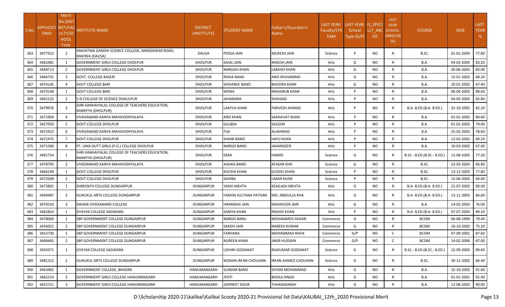|       |                    | Merit          |                                                                      |                  |                       |                             |                  |                    |           | <b>LAST</b>     |                            |            |             |
|-------|--------------------|----------------|----------------------------------------------------------------------|------------------|-----------------------|-----------------------------|------------------|--------------------|-----------|-----------------|----------------------------|------------|-------------|
|       | APPLICATI RICT/FAC | No.(DIST       |                                                                      | <b>DISTRICT</b>  |                       |                             | <b>LAST YEAR</b> | LAST YEAR IS_SPECI |           | <b>YEAR</b>     |                            |            | <b>LAST</b> |
| S.No. | <b>ONID</b>        | ULTY/SC        | <b>NSTITUTE NAME</b>                                                 | (INSTITUTE)      | <b>STUDENT NAME</b>   | Father's/Guardian's<br>Name | Faculty/STR      | School             | LLY ABL   | <b>SCHOOL</b>   | <b>COURSE</b>              | <b>DOB</b> | <b>YEAR</b> |
|       |                    | <b>HOOL</b>    |                                                                      |                  |                       |                             | <b>EAM</b>       | Type (G/P)         | ED        | (RBSE/CB<br>SE) |                            |            | %           |
|       |                    | <b>TYPE</b>    |                                                                      |                  |                       |                             |                  |                    |           |                 |                            |            |             |
| 363   | 3477912            | 2              | MAHATMA GANDHI SCIENCE COLLEGE, MANDAWAR ROAD,<br>MAHWA (DAUSA)      | <b>DAUSA</b>     | POOJA JAIN            | <b>MUKESH JAIN</b>          | Science          | D                  | NO.       | R               | B.SC.                      | 01-01-2004 | 77.80       |
| 364   | 3462481            | 1              | <b>GOVERNMENT GIRLS COLLEGE DHOLPUR</b>                              | <b>DHOLPUR</b>   | KAJAL JAIN            | RAKESH JAIN                 | Arts             | G                  | NO.       | $\mathsf{R}$    | B.A.                       | 04-02-2004 | 83.20       |
| 365   | 3448713            | $\overline{2}$ | <b>GOVERNMENT GIRLS COLLEGE DHOLPUR</b>                              | <b>DHOLPUR</b>   | <b>NARGISH KHAN</b>   | LAKKHO KHAN                 | Arts             | G                  | NO.       | $\mathsf{R}$    | B.A.                       | 20-06-2003 | 83.00       |
| 366   | 3466731            | $\overline{3}$ | <b>GOVT. COLLEGE BASERI</b>                                          | <b>DHOLPUR</b>   | NISHA BANO            | ANIS MUHAMMD                | Arts             | G                  | NO.       | $\mathsf{R}$    | <b>B.A.</b>                | 15-01-2003 | 68.20       |
| 367   | 3474145            | $\overline{4}$ | <b>GOVT COLLEGE BARI</b>                                             | <b>DHOLPUR</b>   | SHIVANEE BANO         | <b>BHOORA KHAN</b>          | Arts             | G                  | NO.       | $\mathsf{R}$    | <b>B.A.</b>                | 10-01-2002 | 67.40       |
| 368   | 3473148            | 1              | <b>GOVT COLLEGE BARI</b>                                             | <b>DHOLPUR</b>   | MONA                  | MAHABUB KHAN                | Arts             | P                  | NO.       | R               | <b>B.A.</b>                | 06-04-2003 | 88.60       |
| 369   | 3462125            | $\overline{2}$ | S.N.COLLEGE OF SCIENCE DHAULPUR                                      | <b>DHOLPUR</b>   | JAHANARA              | SHAHJAD                     | Arts             | Þ                  | NO.       | R               | <b>B.A.</b>                | 04-03-2003 | 82.80       |
| 370   | 3479976            | $\overline{3}$ | SHRI KANHAIYALAL COLLEGE OF TEACHERS EDUCATION,<br>MANIYYA (DHOLPUR) | <b>DHOLPUR</b>   | LAAYVA KHAN           | PARVESH AHMAD               | Arts             | Þ                  | NO.       | R               | B.A- B.ED.(B.A- B.ED.)     | 31-10-2005 | 82.20       |
| 371   | 3471904            | $\overline{4}$ | VIVEKANAND KANYA MAHAVIDHYALAYA                                      | <b>DHOLPUR</b>   | ARSI KHAN             | SAKHAVAT KHAN               | Arts             | D                  | NO.       | $\mathsf{R}$    | <b>B.A.</b>                | 01-01-2005 | 80.60       |
| 372   | 3457950            | 5              | <b>GOVT.COLLEGE DHOLPUR</b>                                          | <b>DHOLPUR</b>   | <b>GULBSA</b>         | SALEEM                      | Arts             | Þ                  | NO.       | R               | B.A.                       | 01-01-2002 | 79.00       |
| 373   | 3471923            | 6              | VIVEKANAND KANYA MAHAVIDHYALAYA                                      | <b>DHOLPUR</b>   | FIJA                  | ALIAHMAD                    | Arts             | D                  | NO.       | $\mathsf{R}$    | <b>B.A.</b>                | 25-02-2003 | 78.60       |
| 374   | 3471475            | $\overline{7}$ | <b>GOVT.COLLEGE DHOLPUR</b>                                          | <b>DHOLPUR</b>   | SHAIBI BANO           | HAFIJ KHAN                  | Arts             | D                  | NO.       | $\mathsf{R}$    | B.A.                       | 12-03-2002 | 69.20       |
| 375   | 3471340            | 8              | PT. UMA DUTT GIRLS (P.G.) COLLEGE DHOLPUR                            | <b>DHOLPUR</b>   | <b>NARGIS BANO</b>    | JAHANGEER                   | Arts             | Þ                  | NO.       | R               | B.A.                       | 10-03-2002 | 67.40       |
| 376   | 3481754            | 1              | SHRI KANHAIYALAL COLLEGE OF TEACHERS EDUCATION,<br>MANIYYA (DHOLPUR) | <b>DHOLPUR</b>   | EKRA                  | HAMID                       | Science          | G                  | NO.       | R               | B.SC.- B.ED.(B.SC.- B.ED.) | 11-08-2005 | 77.20       |
| 377   | 3478795            | $\overline{2}$ | VIVEKANAND KANYA MAHAVIDHYALAYA                                      | <b>DHOLPUR</b>   | AASIKA BANO           | AFASAR KHA                  | Science          | G                  | NO.       | $\mathsf{R}$    | B.SC.                      | 23-03-2003 | 66.80       |
| 378   | 3466149            | $\mathbf{1}$   | <b>GOVT.COLLEGE DHOLPUR</b>                                          | <b>DHOLPUR</b>   | KHUSHI KHAN           | GUDDU KHAN                  | Science          | D                  | NO.       | $\mathsf{R}$    | B.SC.                      | 13-12-2003 | 77.80       |
| 379   | 3472509            | $\overline{2}$ | <b>GOVT.COLLEGE DHOLPUR</b>                                          | <b>DHOLPUR</b>   | SAHIBA                | UMAR KHAN                   | Science          | Þ                  | <b>NO</b> | $\mathsf{R}$    | B.SC.                      | 15-06-2003 | 69.60       |
| 380   | 3473801            | 1              | SHREENTH COLLEGE DUNGARPUR                                           | DUNGARPUR        | YASHI MEHTA           | KEAILASH MEHTA              | Arts             | G                  | NO.       | R               | B.A- B.ED.(B.A- B.ED.)     | 21-07-2002 | 89.00       |
| 381   | 3449487            | $\overline{2}$ | <b>GURUKUL ARTS COLLEGE DUNGARPUR</b>                                | <b>DUNGARPUR</b> | FARHIN SULTANA PATHAN | MO. ABIDULLA KHA            | Arts             | G                  | NO.       | R               | B.A- B.ED.(B.A- B.ED.)     | 13-11-2002 | 86.60       |
| 382   | 3470520            | $\overline{3}$ | SWAMI VIVEKANAND COLLEGE                                             | DUNGARPUR        | HIMANSHI JAIN         | <b>MAHAVEER JAIN</b>        | Arts             | G                  | NO.       | R               | B.A.                       | 14-02-2003 | 76.00       |
| 383   | 3462824            |                | <b>GYAYAK COLLEGE SAGWARA</b>                                        | <b>DUNGARPUR</b> | SANIYA KHAN           | RASHID KHAN                 | Arts             | P                  | NO.       | R               | B.A- B.ED.(B.A- B.ED.)     | 07-07-2003 | 89.20       |
| 384   | 3478069            | 1              | SBP GOVERNMENT COLLEGE DUNGARPUR                                     | <b>DUNGARPUR</b> | <b>NARGIS BANU</b>    | MOHAMMED AHSAN              | Commerce         | G                  | NO.       | $\mathsf{R}$    | <b>BCOM</b>                | 06-08-1999 | 79.40       |
| 385   | 3456021            | $\overline{2}$ | <b>SBP GOVERNMENT COLLEGE DUNGARPUR</b>                              | <b>DUNGARPUR</b> | SAKSHI JAIN           | NARESH KUMAR                | Commerce         | G                  | NO.       | $\mathsf{R}$    | <b>BCOM</b>                | 16-10-2002 | 75.20       |
| 386   | 3453730            | 1              | SBP GOVERNMENT COLLEGE DUNGARPUR                                     | <b>DUNGARPUR</b> | FARHANA               | MOHAMMAD RAFIK              | Commerce         | G/P                | NO.       | C               | <b>BCOM</b>                | 07-09-2001 | 87.60       |
| 387   | 3468465            | $\overline{2}$ | <b>SBP GOVERNMENT COLLEGE DUNGARPUR</b>                              | <b>DUNGARPUR</b> | <b>NUREEN KHAN</b>    | <b>JAKIR HUSSAIN</b>        | Commerce         | G/P                | <b>NO</b> | C               | <b>BCOM</b>                | 14-02-2006 | 87.00       |
| 388   | 3450371            | 1              | <b>GYAYAK COLLEGE SAGWARA</b>                                        | <b>DUNGARPUR</b> | LEKHNI GODAWAT        | RAJKUMAR GODAWAT            | Science          | G                  | NO.       | R               | B.SC.- B.ED.(B.SC.- B.ED.) | 15-09-2003 | 89.60       |
| 389   | 3481312            | 2              | <b>GURUKUL ARTS COLLEGE DUNGARPUR</b>                                | <b>DUNGARPUR</b> | NOSHIN IRFAN CHOUHAN  | IRFAN AHMED CHOUHAN         | Science          | G                  | NO.       | R               | B.SC.                      | 30-11-2002 | 66.40       |
| 390   | 3463465            | 1              | <b>GOVERNMENT COLLEGE, BHADRA</b>                                    | HANUMANGARH      | <b>SUNDAR BANO</b>    | SHYAN MOHAMMAD              | Arts             | G                  | <b>NO</b> | $\mathsf{R}$    | <b>B.A.</b>                | 15-10-2002 | 91.60       |
| 391   | 3462214            | $\overline{2}$ | GOVERNMENT GIRLS COLLEGE HANUMANGARH                                 | HANUMANGARH      | <b>ITOYL</b>          | BHOLA SINGH                 | Arts             | G                  | <b>NO</b> | $\mathsf{R}$    | <b>B.A.</b>                | 01-01-2001 | 91.40       |
| 392   | 3452721            | $\mathbf{R}$   | GOVERNMENT GIRLS COLLEGE HANUMANGARH                                 | HANUMANGARH      | JASPREET KOUR         | THHANASINGH                 | Arts             | G                  | <b>NO</b> | $\mathsf{R}$    | <b>B.A.</b>                | 12-08-2003 | 90.00       |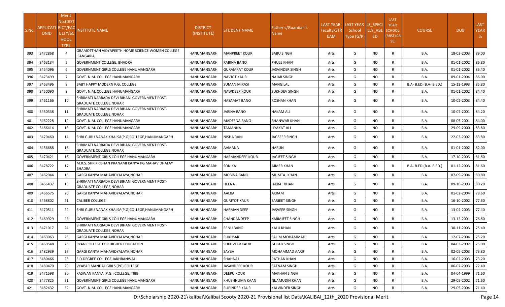|       |                           | Merit<br>No.(DIST          |                                                                                 |                 |                     |                        |                    |                              |           | <b>LAST</b>                  |                        |            |                            |
|-------|---------------------------|----------------------------|---------------------------------------------------------------------------------|-----------------|---------------------|------------------------|--------------------|------------------------------|-----------|------------------------------|------------------------|------------|----------------------------|
| S.No. | <b>APPLICATI RICT/FAC</b> |                            |                                                                                 | <b>DISTRICT</b> | STUDENT NAME        | Father's/Guardian's    | <b>LAST YEAR</b>   | LAST YEAR IS SPECI<br>School | LLY ABL   | <b>YEAR</b><br><b>SCHOOL</b> | <b>COURSE</b>          | <b>DOB</b> | <b>LAST</b><br><b>YEAR</b> |
|       | <b>ONID</b>               | ULTY/SC                    | <b>NSTITUTE NAME</b>                                                            | (INSTITUTE)     |                     | Name                   | Faculty/STR<br>EAM | Type (G/P)                   | ED.       | (RBSE/CB                     |                        |            | %                          |
|       |                           | <b>HOOL</b><br><b>TYPE</b> |                                                                                 |                 |                     |                        |                    |                              |           | SE)                          |                        |            |                            |
| 393   | 3472868                   |                            | GRAMOTTHAN VIDYAPEETH HOME SCIENCE WOMEN COLLEGE<br>,SANGARIA                   | HANUMANGARH     | MANPREET KOUR       | <b>BABU SINGH</b>      | Arts               | G                            | NO.       | R                            | B.A.                   | 18-03-2003 | 89.00                      |
| 394   | 3463134                   | 5                          | <b>GOVERNMENT COLLEGE, BHADRA</b>                                               | HANUMANGARH     | RABINA BANO         | PHULE KHAN             | Arts               | G                            | NO        | $\mathsf{R}$                 | B.A.                   | 01-01-2002 | 86.80                      |
| 395   | 3454096                   | 6                          | <b>GOVERNMENT GIRLS COLLEGE HANUMANGARH</b>                                     | HANUMANGARH     | GURAMRAT KOUR       | IASVINDER SINGH        | Arts               | G                            | NO.       | $\mathsf{R}$                 | B.A.                   | 01-01-2002 | 86.40                      |
| 396   | 3473499                   | $\overline{7}$             | GOVT. N.M. COLLEGE HANUMANGARH                                                  | HANUMANGARH     | NAVJOT KAUR         | NAJAR SINGH            | Arts               | G                            | <b>NO</b> | $\mathsf{R}$                 | B.A.                   | 09-01-2004 | 86.00                      |
| 397   | 3463496                   | 8                          | <b>BABY HAPPY MODERN P.G. COLLEGE</b>                                           | HANUMANGARH     | <b>SUMAN MIRASI</b> | MANGILAL               | Arts               | G                            | <b>NO</b> | $\mathsf{R}$                 | B.A- B.ED.(B.A- B.ED.) | 15-12-1993 | 85.80                      |
| 398   | 3450090                   | 9                          | GOVT. N.M. COLLEGE HANUMANGARH                                                  | HANUMANGARH     | <b>NAWDEEP KOUR</b> | SUKHDEV SINGH          | Arts               | G                            | <b>NO</b> | R                            | B.A.                   | 01-01-2002 | 84.40                      |
| 399   | 3461166                   | 10                         | SHRIMATI NARBADA DEVI BIHANI GOVERNMENT POST-<br><b>GRADUATE COLLEGE, NOHAR</b> | HANUMANGARH     | HASAMAT BANO        | ROSHAN KHAN            | Arts               | G                            | NO.       | R                            | B.A.                   | 10-02-2003 | 84.40                      |
| 400   | 3450338                   | 11                         | SHRIMATI NARBADA DEVI BIHANI GOVERNMENT POST-<br><b>GRADUATE COLLEGE, NOHAR</b> | HANUMANGARH     | JARINA BANO         | HAKAM ALI              | Arts               | G                            | NO.       | R                            | B.A.                   | 10-07-2001 | 84.20                      |
| 401   | 3462228                   | 12                         | GOVT. N.M. COLLEGE HANUMANGARH                                                  | HANUMANGARH     | MADEENA BANO        | BHANWAR KHAN           | Arts               | G                            | <b>NO</b> | R                            | B.A.                   | 08-05-2001 | 84.00                      |
| 402   | 3466414                   | 13                         | GOVT. N.M. COLLEGE HANUMANGARH                                                  | HANUMANGARH     | TAMANNA             | LIYAKAT ALI            | Arts               | G                            | <b>NO</b> | $\mathsf{R}$                 | B.A.                   | 29-09-2000 | 83.80                      |
| 403   | 3470460                   | 14                         | SHRI GURU NANAK KHALSA(P.G)COLLEGE,HANUMANGARH                                  | HANUMANGARH     | NISHA RANI          | <b>JAGSEER SINGH</b>   | Arts               | G                            | NO.       | R                            | B.A.                   | 22-03-2002 | 83.80                      |
| 404   | 3456688                   | 15                         | SHRIMATI NARBADA DEVI BIHANI GOVERNMENT POST-<br><b>GRADUATE COLLEGE, NOHAR</b> | HANUMANGARH     | AAMANA              | HARUN                  | Arts               | G                            | NO.       | R                            | B.A.                   | 01-01-2002 | 82.00                      |
| 405   | 3470421                   | 16                         | <b>GOVERNMENT GIRLS COLLEGE HANUMANGARH</b>                                     | HANUMANGARH     | HARMANDEEP KOUR     | <b>IAGJEET SINGH</b>   | Arts               | G                            | NO.       | R                            | B.A.                   | 17-10-2003 | 81.80                      |
| 406   | 3478722                   | 17                         | M.R.S. SHRIKRISHAN PRANAMI KANYA PG MAHAVIDHALAY<br><b>BHADRA</b>               | HANUMANGARH     | SONIKA              | AJMER KHAN             | Arts               | G                            | NO.       | R                            | B.A- B.ED.(B.A- B.ED.) | 01-12-2003 | 81.60                      |
| 407   | 3462044                   | 18                         | GARGI KANYA MAHAVIDYALAYA, NOHAR                                                | HANUMANGARH     | MOBINA BANO         | MUMTAJ KHAN            | Arts               | G                            | NO.       | R                            | B.A.                   | 07-09-2004 | 80.80                      |
| 408   | 3466437                   | 19                         | SHRIMATI NARBADA DEVI BIHANI GOVERNMENT POST-<br><b>GRADUATE COLLEGE, NOHAR</b> | HANUMANGARH     | HEENA               | AKBAL KHAN             | Arts               | G                            | NO.       | R                            | B.A.                   | 09-10-2003 | 80.20                      |
| 409   | 3466575                   | 20                         | GARGI KANYA MAHAVIDYALAYA, NOHAR                                                | HANUMANGARH     | AALIJA              | AKRAM                  | Arts               | G                            | NO.       | $\mathsf{R}$                 | B.A.                   | 01-02-2004 | 78.60                      |
| 410   | 3468802                   | 21                         | <b>CALIBER COLLEGE</b>                                                          | HANUMANGARH     | GURJYOT KAUR        | SARJEET SINGH          | Arts               | G                            | NO.       | $\mathsf{R}$                 | B.A.                   | 16-10-2002 | 77.60                      |
| 411   | 3470511                   | 22                         | SHRI GURU NANAK KHALSA(P.G)COLLEGE, HANUMANGARH                                 | HANUMANGARH     | HARMAN DEEP         | JASVEER SINGH          | Arts               | G                            | NO.       | R                            | B.A.                   | 13-04-2003 | 77.40                      |
| 412   | 3469929                   | 23                         | GOVERNMENT GIRLS COLLEGE HANUMANGARH                                            | HANUMANGARH     | CHANDANDEEP         | KARMJEET SINGH         | Arts               | G                            | NO.       | $\mathsf{R}$                 | B.A.                   | 13-12-2001 | 76.80                      |
| 413   | 3471017                   | 24                         | SHRIMATI NARBADA DEVI BIHANI GOVERNMENT POST-<br><b>GRADUATE COLLEGE, NOHAR</b> | HANUMANGARH     | RENU BANO           | KALU KHAN              | Arts               | G                            | NO.       | R                            | B.A.                   | 30-11-2003 | 75.40                      |
| 414   | 3463063                   | 25                         | GARGI KANYA MAHAVIDYALAYA, NOHAR                                                | HANUMANGARH     | <b>RUKHSAR</b>      | SALIM MOHAMMAD         | Arts               | G                            | <b>NO</b> | R                            | <b>B.A.</b>            | 12-07-2004 | 75.20                      |
| 415   | 3469548                   | 26                         | RYAN COLLEGE FOR HIGHER EDUCATION                                               | HANUMANGARH     | SUKHVEER KAUR       | <b>GULAB SINGH</b>     | Arts               | G                            | NO.       | R                            | <b>B.A.</b>            | 04-03-2002 | 75.00                      |
| 416   | 3482939                   | 27                         | GARGI KANYA MAHAVIDYALAYA, NOHAR                                                | HANUMANGARH     | SAYBA               | MOHAMMAD AARIF         | Arts               | G                            | <b>NO</b> | $\mathsf{R}$                 | B.A.                   | 02-05-2003 | 73.80                      |
| 417   | 3480466                   | 28                         | S.D.DEGREE COLLEGE, JAKHRANWALI                                                 | HANUMANGARH     | SHAHNAJ             | PATHAN KHAN            | Arts               | G                            | <b>NO</b> | $\mathsf{R}$                 | <b>B.A.</b>            | 16-02-2003 | 73.20                      |
| 418   | 3480470                   | 29                         | VYAPAR MANDAL GIRLS (PG) COLLEGE                                                | HANUMANGARH     | JASANDEEP KOUR      | SATNAM SINGH           | Arts               | G                            | <b>NO</b> | R                            | <b>B.A.</b>            | 06-07-2003 | 72.40                      |
| 419   | 3471598                   | 30                         | KASWAN KANYA (P.G.) COLLEGE, TIBBI                                              | HANUMANGARH     | <b>DEEPU KOUR</b>   | <b>MAKHAN SINGH</b>    | Arts               | G                            | <b>NO</b> | R                            | <b>B.A.</b>            | 04-04-1999 | 71.60                      |
| 420   | 3477825                   | 31                         | <b>GOVERNMENT GIRLS COLLEGE HANUMANGARH</b>                                     | HANUMANGARH     | KHUSHNUMA KAAN      | NIJAMUDIN KHAN         | Arts               | G                            | NO.       | R                            | <b>B.A.</b>            | 29-05-2002 | 71.60                      |
| 421   | 3482432                   | 32                         | GOVT. N.M. COLLEGE HANUMANGARH                                                  | HANUMANGARH     | RUPINDER KAUR       | <b>KALVINDER SINGH</b> | Arts               | G                            | <b>NO</b> | $\mathsf{R}$                 | B.A.                   | 29-05-2004 | 71.40                      |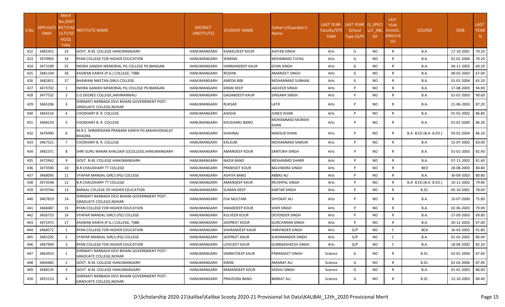| S.No. | APPLICATI RICT/FAC<br><b>ONID</b> | Merit<br>No.(DIST<br>ULTY/SC<br><b>HOOL</b><br><b>TYPE</b> | <b>NSTITUTE NAME</b>                                                            | <b>DISTRICT</b><br>(INSTITUTE) | STUDENT NAME         | Father's/Guardian's<br>Name | <b>LAST YEAR</b><br>Faculty/STR<br>EAM | LAST YEAR IS SPECI<br>School<br>Type (G/P) | LLY ABL<br>ED. | <b>LAST</b><br><b>YEAR</b><br><b>SCHOOL</b><br>(RBSE/CB<br>SE) | <b>COURSE</b>          | <b>DOB</b>       | <b>LAST</b><br><b>YEAR</b><br>% |
|-------|-----------------------------------|------------------------------------------------------------|---------------------------------------------------------------------------------|--------------------------------|----------------------|-----------------------------|----------------------------------------|--------------------------------------------|----------------|----------------------------------------------------------------|------------------------|------------------|---------------------------------|
| 422   | 3482455                           | 33                                                         | GOVT. N.M. COLLEGE HANUMANGARH                                                  | HANUMANGARH                    | KAMALDEEP KOUR       | AJAYAB SINGH                | Arts                                   | G                                          | <b>NO</b>      | $\mathsf{R}$                                                   | B.A.                   | 17-10-2001       | 70.20                           |
| 423   | 3470903                           | 34                                                         | RYAN COLLEGE FOR HIGHER EDUCATION                                               | HANUMANGARH                    | SHMINA               | MOHMMAD TUFAIL              | Arts                                   | G                                          | <b>NO</b>      | $\mathsf{R}$                                                   | B.A.                   | 01-01-2004       | 70.20                           |
| 424   | 3473189                           | 35                                                         | INDIRA GANDHI MEMORIAL PG COLLEGE PILIBANGAN                                    | HANUMANGARH                    | HARMANDEEP KAUR      | <b>GYAN SINGH</b>           | Arts                                   | G                                          | NO.            | $\mathsf{R}$                                                   | B.A.                   | 04-11-2003       | 69.20                           |
| 425   | 3481104                           | 36                                                         | KASWAN KANYA (P.G.) COLLEGE, TIBBI                                              | HANUMANGARH                    | ROSHNI               | AMARJEET SINGH              | Arts                                   | G                                          | <b>NO</b>      | R                                                              | <b>B.A.</b>            | 08-05-2003       | 67.00                           |
| 426   | 3482831                           | 37                                                         | <b>BHAWANI NIKETAN GIRLS COLLEGE</b>                                            | HANUMANGARH                    | AMEDA BIBI           | MOHAMMAD SUBHAN             | Arts                                   | G                                          | NO.            | R                                                              | B.A.                   | 01-01-2004       | 65.20                           |
| 427   | 3473702                           | 1                                                          | NDIRA GANDHI MEMORIAL PG COLLEGE PILIBANGAN                                     | HANUMANGARH                    | KIRAN DEEP           | IAGVEER SINGH               | Arts                                   | P                                          | NO.            | $\mathsf{R}$                                                   | B.A.                   | 17-08-2003       | 94.00                           |
| 428   | 3477532                           | 2                                                          | S.D.DEGREE COLLEGE, JAKHRANWALI                                                 | HANUMANGARH                    | GAGANDEEP KAUR       | SINGARA SINGH               | Arts                                   | P                                          | NO.            | $\mathsf{R}$                                                   | B.A.                   | 01-01-2003       | 90.60                           |
| 429   | 3465206                           | 3                                                          | SHRIMATI NARBADA DEVI BIHANI GOVERNMENT POST-<br><b>GRADUATE COLLEGE, NOHAR</b> | HANUMANGARH                    | RUKSAR               | LATIF                       | Arts                                   | P                                          | NO.            | R                                                              | B.A.                   | 21-06-2003       | 87.20                           |
| 430   | 3465516                           | $\overline{4}$                                             | <b>CHODHARY B. R. COLLEGE</b>                                                   | HANUMANGARH                    | AAISHA               | JUNED KHAN                  | Arts                                   | P                                          | <b>NO</b>      | $\mathsf{R}$                                                   | B.A.                   | 01-01-2002       | 86.80                           |
| 431   | 3468159                           | 5                                                          | <b>CHODHARY B. R. COLLEGE</b>                                                   | HANUMANGARH                    | KHUSHABU BANO        | MOHAMMAD MUNSHI<br>KHAN     | Arts                                   | P                                          | NO.            | R                                                              | <b>B.A.</b>            | 01-01-2000       | 86.20                           |
| 432   | 3476900                           | 6                                                          | M.R.S. SHRIKRISHAN PRANAMI KANYA PG MAHAVIDHALAY<br>BHADRA                      | HANUMANGARH                    | SHAHNAJ              | MAKSUD KHAN                 | Arts                                   | P                                          | NO.            | R                                                              | B.A- B.ED.(B.A- B.ED.) | 03-01-2004       | 86.20                           |
| 433   | 3467521                           | $\overline{7}$                                             | CHODHARY B. R. COLLEGE                                                          | HANUMANGARH                    | KALSUM               | MOHAMMAD SAMUN              | Arts                                   | P                                          | NO.            | R                                                              | B.A.                   | 15-07-2002       | 83.00                           |
| 434   | 3482371                           | 8                                                          | SHRI GURU NANAK KHALSA(P.G)COLLEGE,HANUMANGARH                                  | HANUMANGARH                    | AMANDEEP KOUR        | SANTOKH SINGH               | Arts                                   | P                                          | NO.            | R                                                              | <b>B.A.</b>            | 01-01-2003       | 82.40                           |
| 435   | 3472942                           | 9                                                          | GOVT. N.M. COLLEGE HANUMANGARH                                                  | HANUMANGARH                    | NAZIA BANO           | MOHAMMD SHARIF              | Arts                                   | P                                          | NO.            | R                                                              | <b>B.A.</b>            | 07-11-2002       | 81.60                           |
| 436   | 3473590                           | 10                                                         | <b>B.R.CHAUDHARY TT COLLEGE</b>                                                 | HANUMANGARH                    | PRABHJOT KOUR        | <b>BALVINDRA SINGH</b>      | Arts                                   | P                                          | <b>NO</b>      | R                                                              | <b>BED</b>             | 28-08-2003       | 80.80                           |
| 437   | 3468095                           | 11                                                         | VYAPAR MANDAL GIRLS (PG) COLLEGE                                                | HANUMANGARH                    | ASHIYA BANO          | ABBAS ALI                   | Arts                                   | P                                          | NO.            | $\mathsf{R}$                                                   | <b>B.A.</b>            | 30-09-2003       | 80.80                           |
| 438   | 3473548                           | 12                                                         | <b>B.R.CHAUDHARY TT COLLEGE</b>                                                 | HANUMANGARH                    | AMANDEEP KAUR        | RICHHPAL SINGH              | Arts                                   | P                                          | NO.            | $\mathsf{R}$                                                   | B.A- B.ED.(B.A- B.ED.) | 10-11-2002       | 79.80                           |
| 439   | 3470744                           | 13                                                         | BANSAL COLLEGE OF HIGHER EDUCATION                                              | HANUMANGARH                    | SUMAN DEEP           | KARTAR SINGH                | Arts                                   | P                                          | <b>NO</b>      | $\mathsf{R}$                                                   | B.SC.                  | 05-10-2001       | 78.00                           |
| 440   | 3467819                           | 14                                                         | SHRIMATI NARBADA DEVI BIHANI GOVERNMENT POST-<br><b>GRADUATE COLLEGE, NOHAR</b> | HANUMANGARH                    | FIJA MULTANI         | SHYOKAT ALI                 | Arts                                   | P                                          | NO.            | R                                                              | B.A.                   | 10-07-2000       | 75.80                           |
| 441   | 3468487                           | 15                                                         | RYAN COLLEGE FOR HIGHER EDUCATION                                               | HANUMANGARH                    | SIMARDEEP KOUR       | SHER SINGH                  | Arts                                   | P                                          | NO.            | R                                                              | B.A.                   | 02-06-2003       | 70.00                           |
| 442   | 3456753                           | 16                                                         | VYAPAR MANDAL GIRLS (PG) COLLEGE                                                | HANUMANGARH                    | KULVEER KOUR         | DEVENDER SINGH              | Arts                                   | P                                          | <b>NO</b>      | $\mathsf{R}$                                                   | B.A.                   | 27-09-2003       | 69.80                           |
| 443   | 3471972                           | 17                                                         | KASWAN KANYA (P.G.) COLLEGE, TIBBI                                              | HANUMANGARH                    | <b>JASPREET KOUR</b> | <b>GURCHARAN SINGH</b>      | Arts                                   | P                                          | <b>NO</b>      | R                                                              | <b>B.A.</b>            | 20-12-2003       | 67.00                           |
| 444   | 3468572                           | 1                                                          | RYAN COLLEGE FOR HIGHER EDUCATION                                               | HANUMANGARH                    | SHARANDEEP KAUR      | HARVINDER SINGH             | Arts                                   | G/P                                        | NO.            | C                                                              | <b>BCA</b>             | 16-03-2002       | 91.80                           |
| 445   | 3465292                           | 2                                                          | VYAPAR MANDAL GIRLS (PG) COLLEGE                                                | HANUMANGARH JASPREET KAUR      |                      | <b>SUKHMANDER SINGH</b>     | Arts                                   | G/P                                        | <b>NO</b>      |                                                                | <b>B.A.</b>            | 01-01-2002 86.00 |                                 |
| 446   | 3467969                           | $\overline{3}$                                             | RYAN COLLEGE FOR HIGHER EDUCATION                                               | HANUMANGARH                    | LOVEJEET KAUR        | GURBAKSHEESH SINGH          | Arts                                   | G/P                                        | NO.            | C                                                              | <b>B.A.</b>            | 18-04-2002       | 82.20                           |
| 447   | 3463923                           | 1                                                          | SHRIMATI NARBADA DEVI BIHANI GOVERNMENT POST-<br><b>GRADUATE COLLEGE, NOHAR</b> | HANUMANGARH                    | SIMRATDEEP KAUR      | PARAMJEET SINGH             | Science                                | G                                          | NO.            | R                                                              | B.SC.                  | 02-01-2004       | 87.60                           |
| 448   | 3464485                           | $\overline{2}$                                             | GOVT. N.M. COLLEGE HANUMANGARH                                                  | HANUMANGARH                    | KIRAN                | AMANAT ALI                  | Science                                | G                                          | NO.            | R                                                              | B.SC.                  | 01-02-2006       | 87.40                           |
| 449   | 3448135                           | $\overline{\mathbf{3}}$                                    | GOVT. N.M. COLLEGE HANUMANGARH                                                  | HANUMANGARH                    | RAMANDEEP KOUR       | SADHU SINGH                 | Science                                | G                                          | <b>NO</b>      | R                                                              | <b>B.A.</b>            | 01-01-2003       | 86.00                           |
| 450   | 3455153                           |                                                            | SHRIMATI NARBADA DEVI BIHANI GOVERNMENT POST-<br><b>GRADUATE COLLEGE, NOHAR</b> | HANUMANGARH                    | PRAVEENA BANO        | <b>BARKAT ALI</b>           | Science                                | G                                          | NO.            | R                                                              | B.SC.                  | 12-10-2003       | 84.40                           |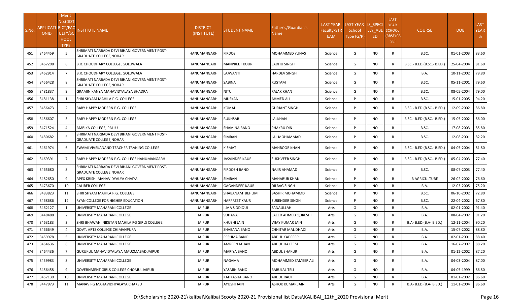|       | APPLICATI RICT/FAC | Merit<br>No.(DIST                     |                                                                                 | <b>DISTRICT</b> |                      | Father's/Guardian's  | <b>LAST YEAR</b>   | LAST YEAR IS_SPECI   |                | <b>LAST</b><br><b>YEAR</b>       |                            |            | <b>LAST</b>      |
|-------|--------------------|---------------------------------------|---------------------------------------------------------------------------------|-----------------|----------------------|----------------------|--------------------|----------------------|----------------|----------------------------------|----------------------------|------------|------------------|
| S.No. | <b>ONID</b>        | ULTY/SC<br><b>HOOL</b><br><b>TYPE</b> | INSTITUTE NAME                                                                  | (INSTITUTE)     | <b>STUDENT NAME</b>  | Name                 | Faculty/STR<br>EAM | School<br>Type (G/P) | LLY ABL<br>ED. | <b>SCHOOL</b><br>(RBSE/CB<br>SE) | <b>COURSE</b>              | <b>DOB</b> | <b>YEAR</b><br>% |
| 451   | 3464459            | -5                                    | SHRIMATI NARBADA DEVI BIHANI GOVERNMENT POST-<br><b>GRADUATE COLLEGE, NOHAR</b> | HANUMANGARH     | <b>FIRDOS</b>        | MOHAMMED YUNAS       | Science            | G                    | NO.            | R                                | B.SC.                      | 01-01-2003 | 83.60            |
| 452   | 3467208            | 6                                     | B.R. CHOUDHARY COLLEGE, GOLUWALA                                                | HANUMANGARH     | MANPREET KOUR        | SADHU SINGH          | Science            | G                    | NO.            | R                                | B.SC.- B.ED.(B.SC.- B.ED.) | 25-04-2004 | 81.60            |
| 453   | 3462914            | 7                                     | B.R. CHOUDHARY COLLEGE, GOLUWALA                                                | HANUMANGARH     | LAJWANTI             | HARDEV SINGH         | Science            | G                    | NO.            | R                                | <b>B.A.</b>                | 10-11-2002 | 79.80            |
| 454   | 3456428            |                                       | SHRIMATI NARBADA DEVI BIHANI GOVERNMENT POST-<br><b>GRADUATE COLLEGE, NOHAR</b> | HANUMANGARH     | SABINA               | RUSTAM               | Science            | G                    | NO.            | R                                | B.SC.                      | 05-11-2001 | 79.60            |
| 455   | 3481837            | $\mathbf{q}$                          | GRAMIN KANYA MAHAVIDYALAYA BHADRA                                               | HANUMANGARH     | NITU                 | RAJAK KHAN           | Science            | G                    | NO.            | R                                | B.SC.                      | 08-05-2004 | 79.00            |
| 456   | 3481138            | 1                                     | SHRI SHYAM MAHILA P.G. COLLEGE                                                  | HANUMANGARH     | MUSKAN               | AHMED ALI            | Science            | Þ                    | NO.            | R                                | B.SC.                      | 15-01-2005 | 94.20            |
| 457   | 3456473            | 2                                     | <b>BABY HAPPY MODERN P.G. COLLEGE</b>                                           | HANUMANGARH     | KOMAL                | <b>GURJANT SINGH</b> | Science            | Þ                    | NO.            | R                                | B.SC.- B.ED.(B.SC.- B.ED.) | 12-09-2002 | 86.80            |
| 458   | 3456607            | $\overline{3}$                        | <b>BABY HAPPY MODERN P.G. COLLEGE</b>                                           | HANUMANGARH     | RUKHSAR              | LALKHAN              | Science            | D                    | NO.            | R                                | B.SC.- B.ED.(B.SC.- B.ED.) | 15-05-2002 | 86.00            |
| 459   | 3471524            | 4                                     | AMBIKA COLLEGE, PALLU                                                           | HANUMANGARH     | SHAMINA BANO         | PHAKRU DIN           | Science            | P                    | NO.            | $\mathsf{R}$                     | B.SC.                      | 17-08-2003 | 85.80            |
| 460   | 3480682            |                                       | SHRIMATI NARBADA DEVI BIHANI GOVERNMENT POST-<br><b>GRADUATE COLLEGE, NOHAR</b> | HANUMANGARH     | SIMRAN               | LAL MOHAMMAD         | Science            | D                    | NO.            | R                                | B.SC.                      | 12-08-2001 | 82.20            |
| 461   | 3461974            | 6                                     | <b>SWAMI VIVEKANAND TEACHER TRANING COLLEGE</b>                                 | HANUMANGARH     | KISMAT               | MAHBOOB KHAN         | Science            | P                    | NO.            | R                                | B.SC.- B.ED.(B.SC.- B.ED.) | 04-05-2004 | 81.80            |
| 462   | 3469391            | 7                                     | BABY HAPPY MODERN P.G. COLLEGE HANUMANGARH                                      | HANUMANGARH     | JASVINDER KAUR       | SUKHVEER SINGH       | Science            | P                    | NO.            | R                                | B.SC.- B.ED.(B.SC.- B.ED.) | 05-04-2003 | 77.40            |
| 463   | 3465680            | 8                                     | SHRIMATI NARBADA DEVI BIHANI GOVERNMENT POST-<br><b>GRADUATE COLLEGE, NOHAR</b> | HANUMANGARH     | FIRDOSH BANO         | NAJIR AHAMAD         | Science            | D                    | NO.            | R                                | B.SC.                      | 08-07-2003 | 77.40            |
| 464   | 3482650            | 9                                     | APEX KRISHI MAHAVIDYALYA CHAIYA                                                 | HANUMANGARH     | SIMRAN               | MAHABUB KHAN         | Science            | D                    | NO.            | R                                | <b>B AGRICULTURE</b>       | 26-02-2002 | 76.60            |
| 465   | 3473670            | 10                                    | <b>CALIBER COLLEGE</b>                                                          | HANUMANGARH     | GAGANDEEP KAUR       | DILBAG SINGH         | Science            | D                    | NO.            | R                                | B.A.                       | 12-03-2005 | 75.20            |
| 466   | 3483823            | 11                                    | SHRI SHYAM MAHILA P.G. COLLEGE                                                  | HANUMANGARH     | SHABANAM BEHLIM      | BASHIR MOHAMMD       | Science            | P                    | NO.            | $\mathsf{R}$                     | B.SC.                      | 06-10-2002 | 72.80            |
| 467   | 3468686            | 12                                    | RYAN COLLEGE FOR HIGHER EDUCATION                                               | HANUMANGARH     | <b>HARPREET KAUR</b> | SURENDER SINGH       | Science            | D                    | <b>NO</b>      | $\mathsf{R}$                     | B.SC.                      | 22-04-2002 | 67.80            |
| 468   | 3462127            | $\mathbf{1}$                          | UNIVERSITY MAHARANI COLLEGE                                                     | <b>JAIPUR</b>   | ILMA SIDDIQUI        | SANAULLAH            | Arts               | G                    | NO.            | $\mathsf{R}$                     | B.A.                       | 02-01-2002 | 91.40            |
| 469   | 3448488            | 2                                     | UNIVERSITY MAHARANI COLLEGE                                                     | <b>JAIPUR</b>   | SUHANA               | SAEED AHMED QURESHI  | Arts               | G                    | NO.            | $\mathsf{R}$                     | <b>B.A.</b>                | 08-04-2002 | 91.20            |
| 470   | 3463183            | $\overline{3}$                        | SHRI BHAWANI NIKETAN MAHILA PG GIRLS COLLEGE                                    | <b>JAIPUR</b>   | KHUSHI JAIN          | VIJAY KUMAR JAIN     | Arts               | G                    | <b>NO</b>      | $\mathsf{R}$                     | B.A- B.ED.(B.A- B.ED.)     | 12-11-2004 | 90.20            |
| 471   | 3466649            |                                       | GOVT. ARTS COLLEGE CHIMANPURA                                                   | <b>JAIPUR</b>   | SHABANA BANO         | CHHITAR MAL DHADI    | Arts               | G                    | NO.            | $\mathsf{R}$                     | B.A.                       | 15-07-2002 | 88.80            |
| 472   | 3459978            | 5                                     | UNIVERSITY MAHARANI COLLEGE                                                     | <b>JAIPUR</b>   | RESHMA BANO          | ABDUL KADEEER        | Arts               | G                    | <b>NO</b>      | <b>R</b>                         | <b>B.A.</b>                | 02-01-2001 | 88.40            |
| 473   | 3464636            | 6                                     | UNIVERSITY MAHARANI COLLEGE                                                     | <b>JAIPUR</b>   | AMREEN JAHAN         | ABDUL HAKEEM         | Arts               | G                    | NO.            | $\mathsf{R}$                     | <b>B.A.</b>                | 16-07-2007 | 88.20            |
| 474   | 3464436            | $\overline{7}$                        | GURUKUL MAHAVIDYALAYA MAUZMABAD JAIPUR                                          | <b>JAIPUR</b>   | MARIYA BANO          | ABDUL SHAKUR         | Arts               | G                    | <b>NO</b>      | $\mathsf{R}$                     | <b>B.A.</b>                | 01-12-2002 | 87.20            |
| 475   | 3459983            | 8                                     | UNIVERSITY MAHARANI COLLEGE                                                     | JAIPUR          | NAGAMA               | MOHAMMED ZAMEER ALI  | Arts               | G                    | NO.            | R                                | B.A.                       | 04-03-2004 | 87.00            |
| 476   | 3456458            | 9                                     | GOVERNMENT GIRLS COLLEGE CHOMU, JAIPUR                                          | <b>JAIPUR</b>   | YASMIN BANO          | <b>BABULAL TELI</b>  | Arts               | G                    | NO.            | $\mathsf{R}$                     | <b>B.A.</b>                | 04-05-1999 | 86.80            |
| 477   | 3457130            | 10                                    | UNIVERSITY MAHARANI COLLEGE                                                     | <b>JAIPUR</b>   | KAHKASHA BANO        | ABDUL RAUF           | Arts               | G                    | NO.            | $\mathsf{R}$                     | <b>B.A.</b>                | 01-01-2002 | 86.60            |
| 478   | 3447973            | 11                                    | MANAV PG MAHAVIDHYALAYA CHAKSU                                                  | <b>JAIPUR</b>   | AYUSHI JAIN          | ASHOK KUMAR JAIN     | Arts               | G                    | NO.            | $\mathsf{R}$                     | B.A- B.ED.(B.A- B.ED.)     | 11-01-2004 | 86.60            |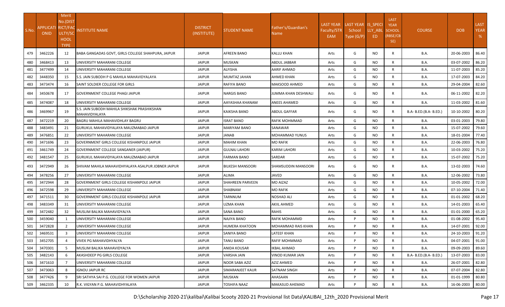| S.No. | APPLICATI RICT/FAC<br><b>ONID</b> | Merit<br>No.(DIST<br>ULTY/SC<br><b>HOOL</b><br><b>TYPE</b> | <b>NSTITUTE NAME</b>                                          | <b>DISTRICT</b><br>(INSTITUTE) | STUDENT NAME         | Father's/Guardian's<br>Name. | <b>LAST YEAR</b><br>Faculty/STR<br>EAM | LAST YEAR IS SPECI<br>School<br>Type (G/P) | LLY ABL<br>ED | <b>LAST</b><br><b>YEAR</b><br><b>SCHOOL</b><br>(RBSE/CB<br>SE) | <b>COURSE</b>          | <b>DOB</b> | <b>LAST</b><br><b>YEAR</b><br>% |
|-------|-----------------------------------|------------------------------------------------------------|---------------------------------------------------------------|--------------------------------|----------------------|------------------------------|----------------------------------------|--------------------------------------------|---------------|----------------------------------------------------------------|------------------------|------------|---------------------------------|
| 479   | 3462226                           | 12                                                         | BABA GANGADAS GOVT, GIRLS COLLEGE SHAHPURA, JAIPUR            | <b>JAIPUR</b>                  | AFREEN BANO          | <b>KALLU KHAN</b>            | Arts                                   | G                                          | NO.           | $\mathsf{R}$                                                   | B.A.                   | 20-06-2003 | 86.40                           |
| 480   | 3468413                           | 13                                                         | UNIVERSITY MAHARANI COLLEGE                                   | <b>JAIPUR</b>                  | MUSKAN               | ABDUL JABBAR                 | Arts                                   | G                                          | NO.           | $\mathsf{R}$                                                   | <b>B.A.</b>            | 03-07-2002 | 86.20                           |
| 481   | 3477499                           | 14                                                         | UNIVERSITY MAHARANI COLLEGE                                   | <b>JAIPUR</b>                  | ALFISHA              | AARIF AHMAD                  | Arts                                   | G                                          | NO.           | $\mathsf{R}$                                                   | B.A.                   | 11-07-2003 | 85.20                           |
| 482   | 3448350                           | 15                                                         | S.S. JAIN SUBODH P G MAHILA MAHAVIDYALAYA                     | <b>JAIPUR</b>                  | MUMTAZ JAHAN         | AHMED KHAN                   | Arts                                   | G                                          | NO.           | $\mathsf{R}$                                                   | <b>B.A.</b>            | 17-07-2003 | 84.20                           |
| 483   | 3473474                           | 16                                                         | SAINT SOLDIER COLLEGE FOR GIRLS                               | <b>JAIPUR</b>                  | RAFIYA BANO          | MAKSOOD AHMED                | Arts                                   | G                                          | NO.           | R                                                              | B.A.                   | 29-04-2004 | 82.60                           |
| 484   | 3450678                           | 17                                                         | <b>GOVERNMENT COLLEGE PHAGI JAIPUR</b>                        | <b>JAIPUR</b>                  | NARGIS BANO          | JUMMA KHAN DESHWALI          | Arts                                   | G                                          | NO.           | R                                                              | B.A.                   | 06-11-2002 | 82.20                           |
| 485   | 3474087                           | 18                                                         | UNIVERSITY MAHARANI COLLEGE                                   | <b>JAIPUR</b>                  | AAYASHAA KHANAM      | ANEES AHAMED                 | Arts                                   | G                                          | NO.           | R                                                              | B.A.                   | 11-03-2002 | 81.60                           |
| 486   | 3469967                           | 19                                                         | S.S. JAIN SUBODH MAHILA SHIKSHAK PRASHIKSHAN<br>MAHAVIDYALAYA | <b>JAIPUR</b>                  | KAIKSHA BANO         | ABDUL GAFFAR                 | Arts                                   | G                                          | NO.           | R                                                              | B.A- B.ED.(B.A- B.ED.) | 10-10-2002 | 80.20                           |
| 487   | 3472219                           | 20                                                         | BAGRU MAHILA MAHAVIDHLAY BAGRU                                | <b>JAIPUR</b>                  | ISRAT BANO           | RAFIK MOHMMAD                | Arts                                   | G                                          | NO.           | R                                                              | B.A.                   | 03-01-2003 | 79.80                           |
| 488   | 3483491                           | 21                                                         | GURUKUL MAHAVIDYALAYA MAUZMABAD JAIPUR                        | <b>JAIPUR</b>                  | MARIYAM BANO         | SANAWAR                      | Arts                                   | G                                          | <b>NO</b>     | $\mathsf{R}$                                                   | B.A.                   | 15-07-2002 | 79.60                           |
| 489   | 3476851                           | 22                                                         | UNIVERSITY MAHARANI COLLEGE                                   | <b>JAIPUR</b>                  | <b>JANAB</b>         | <b>MOHAMMAD YUNUS</b>        | Arts                                   | G                                          | NO.           | R                                                              | B.A.                   | 18-01-2004 | 77.40                           |
| 490   | 3471696                           | 23                                                         | <b>GOVERNMENT GIRLS COLLEGE KISHANPOLE JAIPUR</b>             | <b>JAIPUR</b>                  | MAHIM KHAN           | <b>MO RAFIK</b>              | Arts                                   | G                                          | NO.           | R                                                              | <b>B.A.</b>            | 22-06-2003 | 76.80                           |
| 491   | 3461749                           | 24                                                         | GOVERNMENT COLLEGE SANGANER (JAIPUR)                          | <b>JAIPUR</b>                  | <b>GULNAJ LAHORI</b> | <b>KARIM LAHORI</b>          | Arts                                   | G                                          | NO.           | R                                                              | <b>B.A.</b>            | 10-03-2002 | 75.20                           |
| 492   | 3481547                           | 25                                                         | GURUKUL MAHAVIDYALAYA MAUZMABAD JAIPUR                        | <b>JAIPUR</b>                  | FARMAN BANO          | SARDAR                       | Arts                                   | G                                          | NO.           | $\mathsf{R}$                                                   | B.A.                   | 15-07-2002 | 75.20                           |
| 493   | 3472949                           | 26                                                         | SHIVAM MAHILA MAHAVIDHYALAYA ASALPUR JOBNER JAIPUR            | <b>JAIPUR</b>                  | BILKESH MANSOORI     | SHAMSUDDIN MANSOORI          | Arts                                   | G                                          | NO.           | R                                                              | B.A.                   | 13-02-2003 | 74.60                           |
| 494   | 3478256                           | 27                                                         | UNIVERSITY MAHARANI COLLEGE                                   | <b>JAIPUR</b>                  | ALIMA                | JAVED                        | Arts                                   | G                                          | NO            | $\mathsf{R}$                                                   | B.A.                   | 12-06-2002 | 73.80                           |
| 495   | 3472944                           | 28                                                         | <b>GOVERNMENT GIRLS COLLEGE KISHANPOLE JAIPUR</b>             | <b>JAIPUR</b>                  | SHAHREEN PARVEEN     | MO AIZAZ                     | Arts                                   | G                                          | <b>NO</b>     | $\mathsf{R}$                                                   | B.A.                   | 10-05-2002 | 72.00                           |
| 496   | 3472598                           | 29                                                         | UNIVERSITY MAHARANI COLLEGE                                   | <b>JAIPUR</b>                  | SHABNAM              | <b>MO RAFIK</b>              | Arts                                   | G                                          | NO            | R                                                              | B.A.                   | 07-10-2004 | 71.40                           |
| 497   | 3471511                           | 30                                                         | <b>GOVERNMENT GIRLS COLLEGE KISHANPOLE JAIPUR</b>             | <b>JAIPUR</b>                  | TARNNUM              | <b>NOSHAD ALI</b>            | Arts                                   | G                                          | <b>NO</b>     | R                                                              | B.A.                   | 01-01-2002 | 68.20                           |
| 498   | 3483349                           | 31                                                         | UNIVERSITY MAHARANI COLLEGE                                   | <b>JAIPUR</b>                  | UZMA KHAN            | <b>AKIIL AHMED</b>           | Arts                                   | G                                          | NO            | $\mathsf{R}$                                                   | B.A.                   | 14-01-2003 | 65.40                           |
| 499   | 3472482                           | 32                                                         | MUSLIM BALIKA MAHAVIDYALYA                                    | <b>JAIPUR</b>                  | SANA BANO            | <b>RAHIS</b>                 | Arts                                   | G                                          | NO.           | R                                                              | <b>B.A.</b>            | 01-01-2000 | 65.20                           |
| 500   | 3459040                           | 1                                                          | <b>JUNIVERSITY MAHARANI COLLEGE</b>                           | <b>JAIPUR</b>                  | NAJIYA BANO          | RAFIK MOHAMMD                | Arts                                   | P                                          | NO            | $\mathsf{R}$                                                   | B.A.                   | 01-08-2002 | 95.40                           |
| 501   | 3472828                           | 2                                                          | UNIVERSITY MAHARANI COLLEGE                                   | <b>JAIPUR</b>                  | HUMERA KHATOON       | MOHAMMAD RAIS KHAN           | Arts                                   | P                                          | NO            | $\mathsf{R}$                                                   | B.A.                   | 14-07-2001 | 92.00                           |
| 502   | 3469531                           | 3                                                          | UNIVERSITY MAHARANI COLLEGE                                   | <b>JAIPUR</b>                  | SANIYA BANO          | LATEEF KHAN                  | Arts                                   | P                                          | NO            | R                                                              | B.A.                   | 24-10-2003 | 91.20                           |
| 503   | 3452705                           |                                                            | <b>VIVEK PG MAHAVIDHYALYA</b>                                 | <b>JAIPUR</b>                  | <b>TANU BANO</b>     | RAFIF MOHMMAD                | Arts                                   | P                                          | NO.           | $\mathsf{R}$                                                   | <b>B.A.</b>            | 04-07-2001 | 91.00                           |
| 504   | 3470301                           | 5                                                          | MUSLIM BALIKA MAHAVIDYALYA                                    | <b>JAIPUR</b>                  | ANIDA KOUSAR         | IKBAL AHMAD                  | Arts                                   | P                                          | NO            | R                                                              | B.A.                   | 09-09-2003 | 89.60                           |
| 505   | 3482143                           | 6                                                          | AKASHDEEP PG GIRLS COLLEGE                                    | <b>JAIPUR</b>                  | VARSHA JAIN          | VINOD KUMAR JAIN             | Arts                                   | P                                          | NO            | R                                                              | B.A- B.ED.(B.A- B.ED.) | 13-07-2003 | 83.00                           |
| 506   | 3471610                           | 7                                                          | UNIVERSITY MAHARANI COLLEGE                                   | <b>JAIPUR</b>                  | NOOR SABA AZIZ       | AZIZ AHMED                   | Arts                                   | P                                          | NO.           | R                                                              | <b>B.A.</b>            | 26-07-2001 | 82.80                           |
| 507   | 3473063                           | 8                                                          | <b>IGNOU JAIPUR RC</b>                                        | <b>JAIPUR</b>                  | SIMARANJEET KAUR     | SATNAM SINGH                 | Arts                                   | P                                          | NO.           | $\mathsf{R}$                                                   | <b>B.A.</b>            | 07-07-2004 | 82.80                           |
| 508   | 3477426                           | 9                                                          | SRI SATHYA SAI P.G. COLLEGE FOR WOMEN JAIPUR                  | <b>JAIPUR</b>                  | MUSKAN               | AHASAAN                      | Arts                                   | P                                          | NO.           | $\mathsf{R}$                                                   | <b>B.A.</b>            | 01-01-1999 | 80.80                           |
| 509   | 3462335                           | 10                                                         | R.K. VIGYAN P.G. MAHAVIDHYALAYA                               | <b>JAIPUR</b>                  | TOSHIFA NAAZ         | MAKASUD AHEMAD               | Arts                                   | P                                          | <b>NO</b>     | $\mathsf{R}$                                                   | <b>B.A.</b>            | 16-06-2003 | 80.00                           |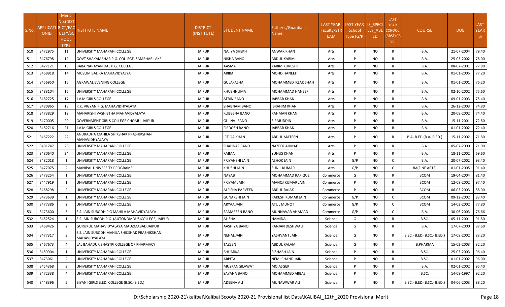|       |                                          | Merit          |                                                               |                                |                      |                             |                    |                    |           | <b>LAST</b>   |                                             |            |             |
|-------|------------------------------------------|----------------|---------------------------------------------------------------|--------------------------------|----------------------|-----------------------------|--------------------|--------------------|-----------|---------------|---------------------------------------------|------------|-------------|
|       |                                          | No.(DIST       |                                                               |                                |                      |                             | <b>LAST YEAR</b>   | LAST YEAR IS SPECI |           | <b>YEAR</b>   |                                             |            | <b>LAST</b> |
| S.No. | <b>APPLICATI RICT/FAC</b><br><b>ONID</b> | ULTY/SC        | <b>NSTITUTE NAME</b>                                          | <b>DISTRICT</b><br>(INSTITUTE) | <b>STUDENT NAME</b>  | Father's/Guardian's<br>Name | <b>Faculty/STR</b> | School             | LLY_ABL   | <b>SCHOOL</b> | <b>COURSE</b>                               | <b>DOB</b> | <b>YEAR</b> |
|       |                                          | HOOL           |                                                               |                                |                      |                             | EAM                | Type (G/P)         | ED.       | (RBSE/CB      |                                             |            | %           |
|       |                                          | <b>TYPE</b>    |                                                               |                                |                      |                             |                    |                    |           | SE)           |                                             |            |             |
| 510   | 3472975                                  | 11             | UNIVERSITY MAHARANI COLLEGE                                   | <b>JAIPUR</b>                  | <b>NAJIYA SHEKH</b>  | ANWAR KHAN                  | Arts               | P                  | NO        | R             | B.A.                                        | 21-07-2004 | 79.40       |
| 511   | 3476798                                  | 12             | GOVT SHAKAMBHAR P.G. COLLEGE, SAMBHAR LAKE                    | <b>JAIPUR</b>                  | NISHA BANO           | ABDUL KARIM                 | Arts               | P                  | NO        | R             | B.A.                                        | 25-03-2002 | 78.00       |
| 512   | 3477121                                  | 13             | BABA NARAYAN DAS P.G. COLLEGE                                 | <b>JAIPUR</b>                  | AASMA                | <b>KARIM KURESHI</b>        | Arts               | P                  | NO        | R             | B.A.                                        | 08-07-2001 | 77.80       |
| 513   | 3468918                                  | 14             | MUSLIM BALIKA MAHAVIDYALYA                                    | <b>JAIPUR</b>                  | ARIBA                | MOHD HANEEF                 | Arts               | P                  | NO.       | R             | B.A.                                        | 01-01-2005 | 77.20       |
| 514   | 3456950                                  | 15             | AGRAWAL EVENING COLLEGE                                       | <b>JAIPUR</b>                  | <b>GULAFASHA</b>     | MOHAMMED IKLAK SHAH         | Arts               | P                  | NO.       | R             | B.A.                                        | 01-01-2001 | 76.20       |
| 515   | 3483104                                  | 16             | UNIVERSITY MAHARANI COLLEGE                                   | <b>JAIPUR</b>                  | KHUSHNUMA            | MOHAMMAD HANEEF             | Arts               | P                  | <b>NO</b> | R             | B.A.                                        | 02-10-2002 | 75.60       |
| 516   | 3482725                                  | 17             | J.V.M GIRLS COLLEGE                                           | <b>JAIPUR</b>                  | AFRIN BANO           | JABBAR KHAN                 | Arts               | P                  | NO.       | R             | <b>B.A.</b>                                 | 09-01-2003 | 75.40       |
| 517   | 3480965                                  | 18             | R.K. VIGYAN P.G. MAHAVIDHYALAYA                               | <b>JAIPUR</b>                  | SHABNAM BANO         | IBRAHIM KHAN                | Arts               | P                  | NO        | R             | B.A.                                        | 26-12-2003 | 74.80       |
| 518   | 3473829                                  | 19             | MAHARISHI VASHISTHA MAHAVIDYALAYA                             | <b>JAIPUR</b>                  | RUBEENA BANO         | <b>RAHMAN KHAN</b>          | Arts               | P                  | <b>NO</b> | $\mathsf{R}$  | B.A.                                        | 20-08-2002 | 74.40       |
| 519   | 3470005                                  | 20             | GOVERNMENT GIRLS COLLEGE CHOMU, JAIPUR                        | <b>JAIPUR</b>                  | GULNAJ BANO          | SIRAJUDDIN                  | Arts               | P                  | NO        | R             | B.A.                                        | 15-11-2001 | 72.80       |
| 520   | 3482716                                  | 21             | J.V.M GIRLS COLLEGE                                           | <b>JAIPUR</b>                  | <b>FIRDOSH BANO</b>  | JABBAR KHAN                 | Arts               | P                  | <b>NO</b> | R             | B.A.                                        | 01-01-2002 | 72.40       |
| 521   | 3467222                                  | 22             | ANURADHA MAHILA SHIKSHAK PRASHIKSHAN<br>MAHAVIDHYALAYA        | <b>JAIPUR</b>                  | IRTIQA KHAN          | <b>ABDUL MATEEN</b>         | Arts               | P                  | NO.       | R             | B.A- B.ED.(B.A- B.ED.)                      | 15-11-2002 | 71.80       |
| 522   | 3481747                                  | 23             | UNIVERSITY MAHARANI COLLEGE                                   | <b>JAIPUR</b>                  | SHAHNAZ BANO         | <b>NAZEER AHMAD</b>         | Arts               | P                  | <b>NO</b> | R             | <b>B.A.</b>                                 | 05-07-2000 | 71.00       |
| 523   | 3480640                                  | 24             | UNIVERSITY MAHARANI COLLEGE                                   | <b>JAIPUR</b>                  | RAIMA                | YUNUS KHAN                  | Arts               | P                  | <b>NO</b> | R             | B.A.                                        | 18-11-2002 | 69.60       |
| 524   | 3482018                                  | $\mathbf{1}$   | UNIVERSITY MAHARANI COLLEGE                                   | <b>JAIPUR</b>                  | PRIYANSHI JAIN       | <b>ASHOK JAIN</b>           | Arts               | G/P                | <b>NO</b> | C             | B.A.                                        | 20-07-2002 | 93.40       |
| 525   | 3477075                                  | 2              | <b>MANIPAL UNIVERSITY PROGRAME</b>                            | <b>JAIPUR</b>                  | KHUSHI JAIN          | SUNIL KUMAR                 | Arts               | G/P                | NO        | C             | BA(FINE ARTS)                               | 01-01-2005 | 91.40       |
| 526   | 3473254                                  |                | UNIVERSITY MAHARANI COLLEGE                                   | <b>JAIPUR</b>                  | NAYAB                | MOHAMMAD RAFIQUE            | Commerce           | G                  | NO        | $\mathsf{R}$  | <b>BCOM</b>                                 | 19-04-2004 | 81.40       |
| 527   | 3447919                                  | -1             | UNIVERSITY MAHARANI COLLEGE                                   | <b>JAIPUR</b>                  | PRIYAM JAIN          | MANOJ KUMAR JAIN            | Commerce           | P                  | NO        | $\mathsf{R}$  | <b>BCOM</b>                                 | 12-08-2002 | 97.40       |
| 528   | 3468298                                  | 2              | UNIVERSITY MAHARANI COLLEGE                                   | <b>JAIPUR</b>                  | ALFISHA PARVEEN      | <b>ABDUL RAJAK</b>          | Commerce           | P                  | NO        | R             | <b>BCOM</b>                                 | 06-03-2003 | 88.00       |
| 529   | 3473639                                  |                | UNIVERSITY MAHARANI COLLEGE                                   | <b>JAIPUR</b>                  | <b>GUNAKSHI JAIN</b> | RAKESH KUMAR JAIN           | Commerce           | G/P                | NO        | C             | <b>BCOM</b>                                 | 09-12-2002 | 93.40       |
| 530   | 3477386                                  | 2              | UNIVERSITY MAHARANI COLLEGE                                   | <b>JAIPUR</b>                  | ARYAA JAIN           | <b>ATUL MUNOT</b>           | Commerce           | G/P                | NO        | C             | <b>BCOM</b>                                 | 14-03-2002 | 77.80       |
| 531   | 3473600                                  | 3              | S.S. JAIN SUBODH P G MAHILA MAHAVIDYALAYA                     | <b>JAIPUR</b>                  | SAMAREEN BANO        | MUNNAVAR AHAMAD             | Commerce           | G/P                | NO.       | C             | B.A.                                        | 30-06-2003 | 76.66       |
| 532   | 3452524                                  | -1             | S.S.JAIN SUBODH P.G. (AUTONOMOUS)COLLEGE, JAIPUR              | <b>JAIPUR</b>                  | ALISHA               | HAMIDA                      | Science            | G                  | NO.       | R             | B.SC.                                       | 05-11-2001 | 91.80       |
| 533   | 3469426                                  | $\overline{2}$ | GURUKUL MAHAVIDYALAYA MAUZMABAD JAIPUR                        | <b>JAIPUR</b>                  | AASHIYA BANO         | RANJAN DESHWALI             | Science            | G                  | NO        | R             | B.A.                                        | 17-07-2000 | 87.60       |
| 534   | 3477317                                  | -3             | S.S. JAIN SUBODH MAHILA SHIKSHAK PRASHIKSHAN<br>MAHAVIDYALAYA | <b>JAIPUR</b>                  | NEHAL JAIN           | YASHVANT JAIN               | Science            | G                  | NO.       | R             | B.SC.- B.ED.(B.SC.- B.ED.) 17-08-2002 83.20 |            |             |
| 535   | 3467673                                  | $\Delta$       | LAL BAHADUR SHASTRI COLLEGE OF PHARMACY                       | <b>JAIPUR</b>                  | <b>AZEEN</b>         | ABDUL KALAM                 | Science            | G                  | NO        | $\mathsf{R}$  | <b>B.PHARMA</b>                             | 15-02-2003 | 82.20       |
| 536   | 3459904                                  | 1              | UNIVERSITY MAHARANI COLLEGE                                   | <b>JAIPUR</b>                  | <b>BHUMIKA</b>       | RISHABH JAIN                | Science            | P                  | <b>NO</b> | $\mathsf{R}$  | B.SC.                                       | 25-03-2003 | 96.40       |
| 537   | 3473061                                  | 2              | UNIVERSITY MAHARANI COLLEGE                                   | <b>JAIPUR</b>                  | ARPITA               | NEMI CHAND JAIN             | Science            | P                  | NO.       | $\mathsf{R}$  | B.SC.                                       | 01-01-2002 | 96.00       |
| 538   | 3454368                                  | $\mathbf{R}$   | UNIVERSITY MAHARANI COLLEGE                                   | <b>JAIPUR</b>                  | MUSKAN SILAWAT       | MO ASGER                    | Science            | P                  | NO        | R             | <b>B.A.</b>                                 | 02-01-2002 | 95.40       |
| 539   | 3472338                                  | $\overline{4}$ | UNIVERSITY MAHARANI COLLEGE                                   | <b>JAIPUR</b>                  | <b>SAYANA BANO</b>   | MOHAMMED ABBAS              | Science            | P                  | NO        | $\mathsf{R}$  | B.SC.                                       | 14-08-1997 | 92.20       |
| 540   | 3448396                                  | 5              | BIYANI GIRLS B.ED. COLLEGE (B.SC.-B.ED.)                      | JAIPUR                         | <b>ADEENA ALI</b>    | MUNAWWAR ALI                | Science            | P                  | NO.       | R             | B.SC.- B.ED.(B.SC.- B.ED.)                  | 04-06-2003 | 88.20       |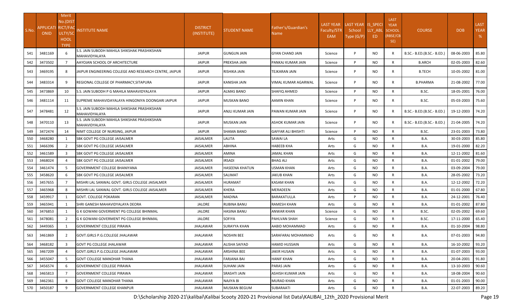|       |                  | <b>Merit</b>                |                                                               |                  |                       |                           |                  |                    |           | <b>LAST</b>     |                            |            |             |
|-------|------------------|-----------------------------|---------------------------------------------------------------|------------------|-----------------------|---------------------------|------------------|--------------------|-----------|-----------------|----------------------------|------------|-------------|
|       | <b>APPLICATI</b> | No.(DIST<br><b>RICT/FAC</b> |                                                               | <b>DISTRICT</b>  |                       | Father's/Guardian's       | <b>LAST YEAR</b> | LAST YEAR IS_SPECI |           | <b>YEAR</b>     |                            |            | LAST        |
| S.No. | <b>ONID</b>      | ULTY/SC                     | <u>NSTITUTE NAME</u>                                          | (INSTITUTE)      | STUDENT NAME          | Name                      | Faculty/STR      | School             | LLY_ABL   | <b>SCHOOL</b>   | <b>COURSE</b>              | DOB        | <b>YEAR</b> |
|       |                  | <b>HOOL</b>                 |                                                               |                  |                       |                           | EAM              | Type (G/P)         | ED.       | (RBSE/CB<br>SE) |                            |            | %           |
|       |                  | <b>TYPE</b>                 |                                                               |                  |                       |                           |                  |                    |           |                 |                            |            |             |
| 541   | 3481169          |                             | S.S. JAIN SUBODH MAHILA SHIKSHAK PRASHIKSHAN<br>MAHAVIDYALAYA | <b>JAIPUR</b>    | <b>GUNGUN JAIN</b>    | <b>GYAN CHAND JAIN</b>    | Science          | P                  | NO.       | R               | B.SC.- B.ED.(B.SC.- B.ED.) | 08-06-2003 | 85.80       |
| 542   | 3473502          | $\overline{7}$              | AAYOJAN SCHOOL OF ARCHITECTURE                                | <b>JAIPUR</b>    | PREKSHA JAIN          | PANKAJ KUMAR JAIN         | Science          | P                  | NO.       | R               | <b>B.ARCH</b>              | 02-05-2003 | 82.60       |
| 543   | 3469195          | 8                           | JAIPUR ENGINEERING COLLEGE AND RESEARCH CENTRE, JAIPUR        | JAIPUR           | RISHIKA JAIN          | <b>TEJKARAN JAIN</b>      | Science          | P                  | NO.       | $\mathsf{R}$    | <b>B.TECH</b>              | 10-05-2002 | 81.00       |
| 544   | 3483314          | 9                           | REGIONAL COLLEGE OF PHARMACY, SITAPURA                        | <b>JAIPUR</b>    | <b>KANISHA JAIN</b>   | VIMAL KUMAR AGARWAL       | Science          | P                  | NO.       | $\mathsf{R}$    | <b>B.PHARMA</b>            | 21-08-2002 | 77.00       |
| 545   | 3473869          | 10                          | <b>S.S. JAIN SUBODH P G MAHILA MAHAVIDYALAYA</b>              | <b>JAIPUR</b>    | ALMAS BANO            | SHAFIQ AHMED              | Science          | P                  | NO.       | $\mathsf{R}$    | B.SC.                      | 18-05-2001 | 76.00       |
| 546   | 3481114          | 11                          | ISUPREME MAHAVIDAYALAYA HINGONIYA DOONGARI JAIPUR.            | <b>JAIPUR</b>    | MUSKAN BANO           | AAMIN KHAN                | Science          | P                  | NO.       | R               | B.SC.                      | 05-03-2003 | 75.60       |
| 547   | 3478481          | 12                          | S.S. JAIN SUBODH MAHILA SHIKSHAK PRASHIKSHAN<br>MAHAVIDYALAYA | <b>JAIPUR</b>    | ANJLI KUMAR JAIN      | PAWAN KUMAR JAIN          | Science          | P                  | NO.       | R               | B.SC.- B.ED.(B.SC.- B.ED.) | 19-12-2003 | 74.20       |
| 548   | 3470110          | 13                          | S.S. JAIN SUBODH MAHILA SHIKSHAK PRASHIKSHAN<br>MAHAVIDYALAYA | <b>JAIPUR</b>    | <b>MUSKAN JAIN</b>    | ASHOK KUMAR JAIN          | Science          | P                  | NO.       | R               | B.SC.- B.ED.(B.SC.- B.ED.) | 21-04-2005 | 74.20       |
| 549   | 3472474          | 14                          | NIMT COLLEGE OF NURSING, JAIPUR                               | <b>JAIPUR</b>    | SHAMA BANO            | <b>GAFFAR ALI BHISHTI</b> | Science          | P                  | NO.       | R               | B.SC.                      | 23-01-2003 | 73.80       |
| 550   | 3468280          |                             | <b>SBK GOVT PG COLLEGE JAISALMER</b>                          | <b>JAISALMER</b> | LALITA                | SAWAI LA                  | Arts             | G                  | NO.       | $\mathsf{R}$    | B.A.                       | 30-03-2003 | 85.80       |
| 551   | 3466396          | $\overline{2}$              | SBK GOVT PG COLLEGE JAISALMER                                 | <b>JAISALMER</b> | ABHINA                | НАВЕЕВ КНА                | Arts             | G                  | NO.       | $\mathsf{R}$    | B.A.                       | 19-01-2000 | 82.20       |
| 552   | 3461589          | $\mathbf{3}$                | <b>SBK GOVT PG COLLEGE JAISALMER</b>                          | <b>JAISALMER</b> | <b>AMINA</b>          | <b>JAMAL KHAN</b>         | Arts             | G                  | NO        | $\mathsf{R}$    | B.A.                       | 12-11-2002 | 81.60       |
| 553   | 3468024          |                             | SBK GOVT PG COLLEGE JAISALMER                                 | <b>JAISALMER</b> | IRSADI                | BHAG ALI                  | Arts             | G                  | NO.       | $\mathsf{R}$    | B.A.                       | 01-01-2002 | 79.00       |
| 554   | 3461474          |                             | <b>GOVERNMENT COLLEGE BHANIYANA</b>                           | JAISALMER        | <b>HASEENA KHATUN</b> | USMAN KHAN                | Arts             | G                  | NO.       | $\mathsf{R}$    | <b>B.A.</b>                | 03-09-2004 | 79.00       |
| 555   | 3458620          |                             | SBK GOVT PG COLLEGE JAISALMER                                 | <b>JAISALMER</b> | SALIMAT               | JAKUB KHAN                | Arts             | G                  | NO.       | $\mathsf{R}$    | B.A.                       | 28-05-2002 | 73.20       |
| 556   | 3457655          |                             | MISHRI LAL SANWAL GOVT. GIRLS COLLEGE JAISALMER               | <b>JAISALMER</b> | HURAMAT               | KASAM KHAN                | Arts             | G                  | NO.       | $\mathsf{R}$    | B.A.                       | 12-12-2002 | 72.20       |
| 557   | 3465968          | 8                           | MISHRI LAL SANWAL GOVT. GIRLS COLLEGE JAISALMER               | <b>JAISALMER</b> | KHERA                 | MERADEEN                  | Arts             | G                  | NO.       | $\mathsf{R}$    | B.A.                       | 01-01-2000 | 67.80       |
| 558   | 3459917          |                             | <b>GOVT. COLLEGE POKARAN</b>                                  | <b>JAISALMER</b> | MADINA                | BARAKATULLA               | Arts             | P                  | NO.       | $\mathsf{R}$    | B.A.                       | 24-12-2001 | 76.40       |
| 559   | 3465941          | $\mathbf{1}$                | SHRI GANESH MAHAVIDYALAYA DEORA                               | <b>JALORE</b>    | <b>RUBINA BANU</b>    | <b>RAMESH KHAN</b>        | Arts             | G                  | NO.       | $\mathsf{R}$    | B.A.                       | 01-01-2002 | 87.80       |
| 560   | 3476853          |                             | G K GOWANI GOVERMENT PG COLLEGE BHINMAL                       | JALORE           | HASINA BANU           | ANWAR KHAN                | Science          | G                  | NO.       | $\mathsf{R}$    | B.SC.                      | 02-05-2002 | 69.60       |
| 561   | 3478081          | $\overline{2}$              | G K GOWANI GOVERMENT PG COLLEGE BHINMAL                       | <b>JALORE</b>    | SOFIYA                | PAHLVAN SHAH              | Science          | G                  | NO.       | $\mathsf{R}$    | B.SC.                      | 17-11-2000 | 65.40       |
| 562   | 3449365          | -1                          | <b>GOVERNMENT COLLEGE PIRAWA</b>                              | <b>JHALAWAR</b>  | SURAYYA KHAN          | AABID MOHAMMAD            | Arts             | G                  | NO.       | R               | B.A.                       | 01-10-2004 | 98.80       |
| 563   | 3461869          | 2                           | GOVT.GIRLS P.G.COLLEGE JHALAWAR                               | <b>JHALAWAR</b>  | NOSHIN BEE            | SARAFARAJ MOHAMMAD        | Arts             | G                  | NO.       | R               | <b>B.A.</b>                | 07-01-2003 | 94.80       |
| 564   | 3468182          | 3                           | <b>GOVT PG COLLEGE JHALAWAR</b>                               | <b>JHALAWAR</b>  | ALISHA SAIYAD         | HAMID HUSSAIN             | Arts             | G                  | <b>NO</b> | $\mathsf{R}$    | B.A.                       | 16-10-2002 | 93.20       |
| 565   | 3467209          |                             | GOVT.GIRLS P.G.COLLEGE JHALAWAR                               | <b>JHALAWAR</b>  | ARSHINA BEE           | JAKIR HUSAIN              | Arts             | G                  | NO.       | R               | <b>B.A.</b>                | 01-07-2003 | 93.00       |
| 566   | 3455047          | .5                          | <b>GOVT COLLEGE MANOHAR THANA</b>                             | <b>JHALAWAR</b>  | <b>FARJANA BAI</b>    | HANIF KHAN                | Arts             | G                  | <b>NO</b> | $\mathsf{R}$    | <b>B.A.</b>                | 20-04-2001 | 91.80       |
| 567   | 3456574          |                             | <b>GOVERNMENT COLLEGE PIRAWA</b>                              | <b>JHALAWAR</b>  | SUHANI JAIN           | PARAS JAIN                | Arts             | G                  | NO.       | R               | <b>B.A.</b>                | 13-10-2003 | 90.60       |
| 568   | 3465813          | $\overline{7}$              | <b>IGOVERNMENT COLLEGE PIRAWA</b>                             | JHALAWAR         | <b>SRASHTI JAIN</b>   | ASHISH KUMAR JAIN         | Arts             | G                  | NO.       | $\mathsf{R}$    | B.A.                       | 18-08-2004 | 90.60       |
| 569   | 3462361          |                             | <b>GOVT COLLEGE MANOHAR THANA</b>                             | JHALAWAR         | NAJIYA BI             | MURAD KHAN                | Arts             | G                  | NO        | R               | <b>B.A.</b>                | 01-01-2003 | 90.00       |
| 570   | 3450187          | 9                           | <b>GOVERNMENT COLLEGE KHANPUR</b>                             | <b>JHALAWAR</b>  | MUSKAN BEGUM          | SUBARAATI                 | Arts             | G                  | <b>NO</b> | $\mathsf{R}$    | <b>B.A.</b>                | 22-07-2003 | 89.20       |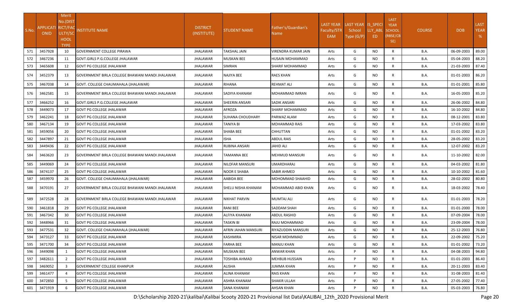|       |                                 | Merit                      |                                                 |                                |                      |                               |                  |                    |           |                            |               |            |             |
|-------|---------------------------------|----------------------------|-------------------------------------------------|--------------------------------|----------------------|-------------------------------|------------------|--------------------|-----------|----------------------------|---------------|------------|-------------|
|       |                                 | No.(DIST                   |                                                 |                                |                      |                               | <b>LAST YEAR</b> | LAST YEAR IS_SPECI |           | <b>LAST</b><br><b>YEAR</b> |               |            | <b>LAST</b> |
| S.No. | <b>APPLICATI</b><br><b>ONID</b> | <b>RICT/FAC</b><br>ULTY/SC | <b>NSTITUTE NAME</b>                            | <b>DISTRICT</b><br>(INSTITUTE) | <b>STUDENT NAME</b>  | Father's/Guardian's<br>Name I | Faculty/STR      | School             | LLY_ABL   | <b>SCHOOL</b>              | <b>COURSE</b> | <b>DOB</b> | <b>YEAR</b> |
|       |                                 | HOOL                       |                                                 |                                |                      |                               | EAM              | Type (G/P)         | ED        | (RBSE/CB                   |               |            | %           |
|       |                                 | <b>TYPE</b>                |                                                 |                                |                      |                               |                  |                    |           | SE)                        |               |            |             |
| 571   | 3457928                         | 10                         | <b>GOVERNMENT COLLEGE PIRAWA</b>                | <b>JHALAWAR</b>                | TAKSHAL JAIN         | VIRENDRA KUMAR JAIN           | Arts             | G                  | <b>NO</b> | $\mathsf{R}$               | B.A.          | 06-09-2003 | 89.00       |
| 572   | 3467236                         | 11                         | GOVT.GIRLS P.G.COLLEGE JHALAWAR                 | <b>JHALAWAR</b>                | <b>MUSKAN BEE</b>    | HUSAIN MOHAMMAD               | Arts             | G                  | NO.       | R                          | B.A.          | 05-04-2003 | 88.20       |
| 573   | 3465608                         | 12                         | GOVT PG COLLEGE JHALAWAR                        | JHALAWAR                       | SIMRAN               | SHARIF MOHAMMAD               | Arts             | G                  | NO.       | R                          | B.A.          | 21-03-2003 | 87.40       |
| 574   | 3452379                         | 13                         | GOVERNMENT BIRLA COLLEGE BHAWANI MANDI JHALAWAR | JHALAWAR                       | NAJIYA BEE           | <b>RAES KHAN</b>              | Arts             | G                  | NO.       | R                          | B.A.          | 01-01-2003 | 86.20       |
| 575   | 3467038                         | 14                         | GOVT. COLLEGE CHAUMAHALA (JHALAWAR)             | <b>JHALAWAR</b>                | RIHANA               | <b>REHMAT ALI</b>             | Arts             | G                  | <b>NO</b> | $\mathsf{R}$               | B.A.          | 01-01-2001 | 85.80       |
| 576   | 3462581                         | 15                         | GOVERNMENT BIRLA COLLEGE BHAWANI MANDI JHALAWAR | JHALAWAR                       | SADIYA KHANAM        | MOHAMMAD IMRAN                | Arts             | G                  | NO.       | R                          | B.A.          | 16-05-2003 | 85.20       |
| 577   | 3466252                         | 16                         | GOVT.GIRLS P.G.COLLEGE JHALAWAR                 | <b>JHALAWAR</b>                | SHEERIN ANSARI       | SADIK ANSARI                  | Arts             | G                  | NO.       | R                          | B.A.          | 26-06-2002 | 84.80       |
| 578   | 3449073                         | 17                         | <b>GOVT PG COLLEGE JHALAWAR</b>                 | <b>JHALAWAR</b>                | AFROZA               | <b>SHARIF MOHAMMAD</b>        | Arts             | G                  | <b>NO</b> | R                          | B.A.          | 16-10-2002 | 84.80       |
| 579   | 3462241                         | 18                         | <b>GOVT PG COLLEGE JHALAWAR</b>                 | <b>JHALAWAR</b>                | SUHANA CHOUDHARY     | <b>PARWAZ ALAM</b>            | Arts             | G                  | NO.       | R                          | B.A.          | 08-12-2001 | 83.80       |
| 580   | 3467134                         | 19                         | <b>GOVT PG COLLEGE JHALAWAR</b>                 | <b>JHALAWAR</b>                | TANIYA BI            | MOHAMMAD RAIS                 | Arts             | G                  | NO.       | R                          | B.A.          | 17-03-2002 | 83.80       |
| 581   | 3459056                         | 20                         | <b>GOVT PG COLLEGE JHALAWAR</b>                 | <b>JHALAWAR</b>                | SHABA BEE            | CHHUTTAN                      | Arts             | G                  | NO.       | R                          | B.A.          | 01-01-2002 | 83.20       |
| 582   | 3447897                         | 21                         | GOVT PG COLLEGE JHALAWAR                        | JHALAWAR                       | ISHA                 | ABDUL RAIS                    | Arts             | G                  | NO.       | $\mathsf{R}$               | B.A.          | 28-05-2002 | 83.20       |
| 583   | 3449436                         | 22                         | <b>GOVT PG COLLEGE JHALAWAR</b>                 | <b>JHALAWAR</b>                | <b>RUBINA ANSARI</b> | JAHID ALI                     | Arts             | G                  | NO.       | R                          | B.A.          | 12-07-2002 | 83.20       |
| 584   | 3463620                         | 23                         | GOVERNMENT BIRLA COLLEGE BHAWANI MANDI JHALAWAR | JHALAWAR                       | TAMANNA BEE          | <b>MEHMUD MANSURI</b>         | Arts             | G                  | NO.       | R                          | <b>B.A.</b>   | 11-10-2002 | 82.00       |
| 585   | 3449069                         | 24                         | <b>GOVT PG COLLEGE JHALAWAR</b>                 | <b>JHALAWAR</b>                | NILOFAR MANSURI      | UMARDHARAJ                    | Arts             | G                  | <b>NO</b> | $\mathsf{R}$               | B.A.          | 04-03-2002 | 81.80       |
| 586   | 3474137                         | 25                         | <b>GOVT PG COLLEGE JHALAWAR</b>                 | <b>JHALAWAR</b>                | NOOR E SHABA         | SABIR AHMED                   | Arts             | G                  | NO.       | R                          | B.A.          | 10-10-2002 | 81.60       |
| 587   | 3459970                         | 26                         | GOVT. COLLEGE CHAUMAHALA (JHALAWAR)             | JHALAWAR                       | AABIDA BEE           | MOHOMMAD SHAAHID              | Arts             | G                  | <b>NO</b> | R                          | B.A.          | 28-02-2002 | 80.80       |
| 588   | 3470191                         | 27                         | GOVERNMENT BIRLA COLLEGE BHAWANI MANDI JHALAWAR | JHALAWAR                       | SHELU NISHA KHANAM   | MOHAMMAD ABID KHAN            | Arts             | G                  | NO.       | R                          | B.A.          | 18-03-2002 | 78.40       |
| 589   | 3472528                         | 28                         | GOVERNMENT BIRLA COLLEGE BHAWANI MANDI JHALAWAR | JHALAWAR                       | <b>NIKHAT PARVIN</b> | <b>MUMTAJ ALI</b>             | Arts             | G                  | NO.       | R                          | B.A.          | 01-01-2003 | 78.20       |
| 590   | 3461818                         | 29                         | <b>GOVT PG COLLEGE JHALAWAR</b>                 | <b>JHALAWAR</b>                | RANI BEE             | SADDAM SHAH                   | Arts             | G                  | NO.       | R                          | B.A.          | 01-01-2000 | 78.00       |
| 591   | 3467342                         | 30                         | <b>GOVT PG COLLEGE JHALAWAR</b>                 | <b>JHALAWAR</b>                | ALFIYA KHANAM        | <b>ABDUL RASHID</b>           | Arts             | G                  | <b>NO</b> | R                          | B.A.          | 07-09-2004 | 78.00       |
| 592   | 3448966                         | 31                         | <b>GOVT PG COLLEGE JHALAWAR</b>                 | <b>JHALAWAR</b>                | TASKIN BI            | RAJU MOHAMMAD                 | Arts             | G                  | <b>NO</b> | $\mathsf{R}$               | B.A.          | 23-09-2004 | 78.00       |
| 593   | 3477531                         | 32                         | GOVT. COLLEGE CHAUMAHALA (JHALAWAR)             | <b>JHALAWAR</b>                | AFRIN JAHAN MANSURI  | RIYAZUDDIN MANSURI            | Arts             | G                  | NO.       | R                          | <b>B.A.</b>   | 25-12-2003 | 76.80       |
| 594   | 3473127                         | 33                         | <b>GOVT PG COLLEGE JHALAWAR</b>                 | <b>JHALAWAR</b>                | KASHMIRA             | NISAR MOHMMAD                 | Arts             | G                  | <b>NO</b> | R                          | <b>B.A.</b>   | 22-09-2002 | 75.20       |
| 595   | 3471700                         | 34                         | <b>GOVT PG COLLEGE JHALAWAR</b>                 | JHALAWAR                       | FARHA BEE            | <b>MANJU KHAN</b>             | Arts             | G                  | NO        | R                          | <b>B.A.</b>   | 01-01-2002 | 73.20       |
| 596   | 3449098                         | 1                          | <b>GOVT PG COLLEGE JHALAWAR</b>                 | <b>JHALAWAR</b>                | <b>MUSKAN BEE</b>    | <b>ANWAR KHAN</b>             | Arts             | P                  | NO.       | R                          | <b>B.A.</b>   | 04-08-2003 | 94.80       |
| 597   | 3482611                         | 2                          | <b>GOVT PG COLLEGE JHALAWAR</b>                 | JHALAWAR                       | TOSHIBA AHMAD        | <b>MEHBUB HUSSAIN</b>         | Arts             | P                  | NO.       | R                          | <b>B.A.</b>   | 01-01-2003 | 86.40       |
| 598   | 3469052                         | 3                          | <b>GOVERNMENT COLLEGE KHANPUR</b>               | JHALAWAR                       | ALISHA               | <b>JUMMA KHAN</b>             | Arts             | P                  | NO        | R                          | <b>B.A.</b>   | 20-11-2003 | 83.40       |
| 599   | 3461477                         | $\overline{4}$             | <b>GOVT PG COLLEGE JHALAWAR</b>                 | JHALAWAR                       | ALINA KHANAM         | <b>RAIS KHAN</b>              | Arts             | P                  | NO.       | $\mathsf{R}$               | <b>B.A.</b>   | 31-08-2003 | 81.40       |
| 600   | 3472850                         |                            | <b>GOVT PG COLLEGE JHALAWAR</b>                 | <b>JHALAWAR</b>                | ASHRA KHANAM         | SHAKIR ULLAH                  | Arts             | P                  | <b>NO</b> | R                          | <b>B.A.</b>   | 27-05-2002 | 77.40       |
| 601   | 3471919                         | 6                          | <b>GOVT PG COLLEGE JHALAWAR</b>                 | <b>JHALAWAR</b>                | <b>SANA KHANAM</b>   | <b>AHSAN KHAN</b>             | Arts             | P                  | NO.       | R                          | <b>B.A.</b>   | 05-03-2003 | 76.80       |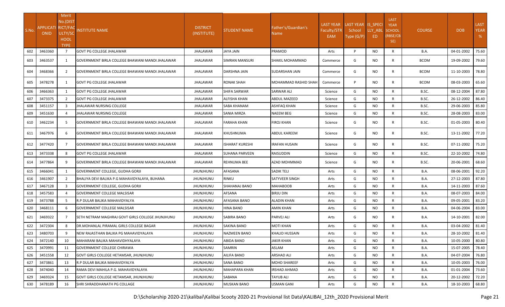| S.No. | APPLICATI RICT/FAC<br><b>ONID</b> | Merit<br>No.(DIST<br>ULTY/SC<br><b>HOOL</b><br><b>TYPE</b> | <b>NSTITUTE NAME</b>                                    | <b>DISTRICT</b><br>(INSTITUTE) | STUDENT NAME       | Father's/Guardian's<br>Name | <b>LAST YEAR</b><br><b>Faculty/STR</b><br>EAM | LAST YEAR IS SPECI<br>School<br>Type (G/P) | LLY_ABL<br>ED | <b>LAST</b><br><b>YEAR</b><br><b>SCHOOL</b><br>(RBSE/CB<br>SE) | <b>COURSE</b> | <b>DOB</b> | <b>LAST</b><br><b>YEAR</b><br>% |
|-------|-----------------------------------|------------------------------------------------------------|---------------------------------------------------------|--------------------------------|--------------------|-----------------------------|-----------------------------------------------|--------------------------------------------|---------------|----------------------------------------------------------------|---------------|------------|---------------------------------|
| 602   | 3463360                           | $7\overline{ }$                                            | <b>GOVT PG COLLEGE JHALAWAR</b>                         | <b>JHALAWAR</b>                | JAYA JAIN          | PRAMOD                      | Arts                                          | P                                          | <b>NO</b>     | $\mathsf{R}$                                                   | B.A.          | 04-01-2002 | 75.60                           |
| 603   | 3463537                           | 1                                                          | GOVERNMENT BIRLA COLLEGE BHAWANI MANDI JHALAWAR         | JHALAWAR                       | SIMRAN MANSURI     | SHAKIL MOHAMMAD             | Commerce                                      | G                                          | NO.           | R                                                              | <b>BCOM</b>   | 19-09-2002 | 79.60                           |
| 604   | 3468366                           | 2                                                          | <b>IGOVERNMENT BIRLA COLLEGE BHAWANI MANDI JHALAWAR</b> | JHALAWAR                       | DARSHNA JAIN       | SUDARSHAN JAIN              | Commerce                                      | G                                          | NO.           | R                                                              | <b>BCOM</b>   | 11-10-2003 | 78.80                           |
| 605   | 3478278                           | $\mathbf{1}$                                               | <b>GOVT PG COLLEGE JHALAWAR</b>                         | JHALAWAR                       | RONAK SHAH         | MOHAMMAD RASHID SHAH        | Commerce                                      | P                                          | NO            | R                                                              | <b>BCOM</b>   | 08-03-2003 | 65.60                           |
| 606   | 3466363                           | 1                                                          | <b>GOVT PG COLLEGE JHALAWAR</b>                         | <b>JHALAWAR</b>                | SHIFA SARWAR       | SARWAR ALI                  | Science                                       | G                                          | <b>NO</b>     | R                                                              | B.SC.         | 08-12-2004 | 87.80                           |
| 607   | 3473375                           | 2                                                          | <b>GOVT PG COLLEGE JHALAWAR</b>                         | JHALAWAR                       | ALFISHA KHAN       | <b>ABDUL MAZEED</b>         | Science                                       | G                                          | <b>NO</b>     | $\mathsf{R}$                                                   | B.SC.         | 26-12-2002 | 86.40                           |
| 608   | 3451157                           | $\overline{3}$                                             | JHALAWAR NURSING COLLEGE                                | <b>JHALAWAR</b>                | SABA KHANAM        | ASHFAQ KHAN                 | Science                                       | G                                          | NO            | $\mathsf{R}$                                                   | B.SC.         | 29-06-2003 | 85.80                           |
| 609   | 3451630                           | 4                                                          | JHALAWAR NURSING COLLEGE                                | <b>JHALAWAR</b>                | SANIA MIRZA        | NAEEM BEG                   | Science                                       | G                                          | <b>NO</b>     | $\mathsf{R}$                                                   | B.SC.         | 28-08-2003 | 83.00                           |
| 610   | 3462234                           | 5                                                          | IGOVERNMENT BIRLA COLLEGE BHAWANI MANDI JHALAWAR        | <b>JHALAWAR</b>                | FARAHA KHAN        | FIROJ KHAN                  | Science                                       | G                                          | NO.           | R                                                              | B.SC.         | 01-05-2003 | 80.40                           |
| 611   | 3467976                           | 6                                                          | GOVERNMENT BIRLA COLLEGE BHAWANI MANDI JHALAWAR         | JHALAWAR                       | KHUSHNUMA          | ABDUL KAREEM                | Science                                       | G                                          | NO.           | R                                                              | B.SC.         | 13-11-2002 | 77.20                           |
| 612   | 3477420                           | $\overline{7}$                                             | GOVERNMENT BIRLA COLLEGE BHAWANI MANDI JHALAWAR         | JHALAWAR                       | ISHARAT KURESHI    | IRAFAN HUSAIN               | Science                                       | G                                          | <b>NO</b>     | R                                                              | B.SC.         | 07-11-2002 | 75.20                           |
| 613   | 3473338                           | 8                                                          | <b>IGOVT PG COLLEGE JHALAWAR</b>                        | <b>JHALAWAR</b>                | SUHANA PARVEEN     | RAISUDDIN                   | Science                                       | G                                          | NO            | $\mathsf{R}$                                                   | B.SC.         | 22-10-2002 | 74.80                           |
| 614   | 3477864                           | 9                                                          | GOVERNMENT BIRLA COLLEGE BHAWANI MANDI JHALAWAR         | <b>JHALAWAR</b>                | REHNUMA BEE        | AZAD MOHMMAD                | Science                                       | G                                          | NO.           | R                                                              | B.SC.         | 20-06-2001 | 68.60                           |
| 615   | 3466041                           | 1                                                          | <b>GOVERNMENT COLLEGE, GUDHA GORJI</b>                  | <b>JHUNJHUNU</b>               | AFASANA            | <b>SADIK TELI</b>           | Arts                                          | G                                          | <b>NO</b>     | $\mathsf{R}$                                                   | B.A.          | 08-06-2001 | 92.20                           |
| 616   | 3461907                           | $\overline{2}$                                             | BHALIYA DEVI BALIKA P.G MAHAVIDYALAYA, BUHANA           | <b>JHUNJHUNU</b>               | RINKU              | SATYVEER SINGH              | Arts                                          | G                                          | <b>NO</b>     | $\mathsf{R}$                                                   | <b>B.A.</b>   | 27-12-2003 | 87.80                           |
| 617   | 3467128                           | $\overline{\mathbf{3}}$                                    | GOVERNMENT COLLEGE, GUDHA GORJI                         | <b>JHUNJHUNU</b>               | SHAHANAJ BANO      | <b>MAHABOOB</b>             | Arts                                          | G                                          | NO            | R                                                              | <b>B.A.</b>   | 14-11-2003 | 87.60                           |
| 618   | 3457583                           |                                                            | <b>GOVERNMENT COLLEGE MALSISAR</b>                      | <b>JHUNJHUNU</b>               | AFSANA             | birju din                   | Arts                                          | G                                          | NO            | $\mathsf{R}$                                                   | B.A.          | 08-07-2003 | 84.00                           |
| 619   | 3473788                           | 5                                                          | R.P DULAR BALIKA MAHAVIDYALYA                           | <b>JHUNJHUNU</b>               | AFASANA BANO       | ALADIN KHAN                 | Arts                                          | G                                          | <b>NO</b>     | $\mathsf{R}$                                                   | B.A.          | 09-05-2001 | 83.20                           |
| 620   | 3468111                           | 6                                                          | <b>GOVERNMENT COLLEGE MALSISAR</b>                      | <b>JHUNJHUNU</b>               | <b>HINA BANO</b>   | AMIN KHAN                   | Arts                                          | G                                          | NO            | $\mathsf{R}$                                                   | B.A.          | 04-06-2004 | 83.00                           |
| 621   | 3469322                           | 7                                                          | ISETH NETRAM MAGHRAJ GOVT GIRLS COLLEGE JHUNJHUNU       | <b>JHUNJHUNU</b>               | SABIRA BANO        | PARVEJ ALI                  | Arts                                          | G                                          | NO.           | R                                                              | B.A.          | 14-10-2001 | 82.00                           |
| 622   | 3472304                           | 8                                                          | DR.MOHANLAL PIRAMAL GIRLS COLLEGE BAGAR                 | <b>JHUNJHUNU</b>               | SAKINA BANO        | MOTI KHAN                   | Arts                                          | G                                          | NO            | $\mathsf{R}$                                                   | B.A.          | 03-04-2002 | 81.40                           |
| 623   | 3480703                           | 9                                                          | NEW RAJASTHAN BALIKA PG MAHAVIDYALAYA                   | <b>JHUNJHUNU</b>               | NAZMEEN BANO       | KHALID HUSSAIN              | Arts                                          | G                                          | NO            | R                                                              | B.A.          | 28-10-2002 | 81.40                           |
| 624   | 3472140                           | 10                                                         | MAHARANI BALIKA MAHAVIDHYALAYA                          | <b>JHUNJHUNU</b>               | <b>ABIDA BANO</b>  | <b>JAKIR KHAN</b>           | Arts                                          | G                                          | <b>NO</b>     | $\mathsf{R}$                                                   | B.A.          | 10-05-2000 | 80.80                           |
| 625   | 3470991                           | 11                                                         | <b>GOVERNMENT COLLEGE CHIRAWA</b>                       | JHUNJHUNU                      | SAMRIN             | ASLAM                       | Arts                                          | G                                          | NO            | R                                                              | <b>B.A.</b>   | 15-07-2005 | 78.40                           |
| 626   | 3451558                           | 12                                                         | GOVT GIRLS COLLEGE HETAMSAR, JHUNJHUNU                  | JHUNJHUNU                      | AILIFA BANO        | ARSHAD ALI                  | Arts                                          | G                                          | NO.           | R                                                              | <b>B.A.</b>   | 04-07-2004 | 76.80                           |
| 627   | 3473861                           | 13                                                         | R.P DULAR BALIKA MAHAVIDYALYA                           | <b>JHUNJHUNU</b>               | SANA BANO          | MOHD SHAREEF                | Arts                                          | G                                          | NO            | $\mathsf{R}$                                                   | <b>B.A.</b>   | 10-05-2003 | 76.00                           |
| 628   | 3474040                           | 14                                                         | RAMA DEVI MAHILA P.G. MAHAVIDYALAYA                     | <b>JHUNJHUNU</b>               | MAHAPARA KHAN      | IRSHAD AHMAD                | Arts                                          | G                                          | NO            | $\mathsf{R}$                                                   | <b>B.A.</b>   | 01-01-2004 | 73.60                           |
| 629   | 3469324                           | 15                                                         | <b>GOVT GIRLS COLLEGE HETAMSAR, JHUNJHUNU</b>           | <b>JHUNJHUNU</b>               | SABANA             | TAYUB ALI                   | Arts                                          | G                                          | NO.           | $\mathsf{R}$                                                   | <b>B.A.</b>   | 20-12-2002 | 72.20                           |
| 630   | 3478189                           | 16                                                         | SHRI SHRADDHANATH PG COLLAGE                            | <b>JHUNJHUNU</b>               | <b>MUSKAN BANO</b> | <b>USMAN GANI</b>           | Arts                                          | G                                          | NO.           | $\mathsf{R}$                                                   | <b>B.A.</b>   | 18-10-2003 | 68.80                           |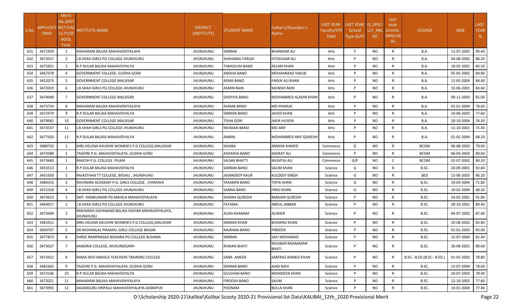| S.No. | APPLICATI RICT/FAC<br><b>ONID</b> | Merit<br>No.(DIST<br>ULTY/SC<br><b>HOOL</b><br><b>TYPE</b> | <b>NSTITUTE NAME</b>                                        | <b>DISTRICT</b><br>(INSTITUTE) | <b>STUDENT NAME</b> | Father's/Guardian's<br>Name | <b>LAST YEAR</b><br>Faculty/STR<br>EAM | LAST YEAR IS SPECI<br>School<br>Type (G/P) | LLY ABL<br>ED. | LAST<br><b>YEAR</b><br><b>SCHOOL</b><br>(RBSE/CB<br>SE) | <b>COURSE</b>              | <b>DOB</b> | <b>LAST</b><br><b>YEAR</b><br>% |
|-------|-----------------------------------|------------------------------------------------------------|-------------------------------------------------------------|--------------------------------|---------------------|-----------------------------|----------------------------------------|--------------------------------------------|----------------|---------------------------------------------------------|----------------------------|------------|---------------------------------|
| 631   | 3471959                           | $\mathbf{1}$                                               | MAHARANI BALIKA MAHAVIDHYALAYA                              | <b>JHUNJHUNU</b>               | <b>SIMRAN</b>       | <b>BHANWAR ALI</b>          | Arts                                   | P                                          | <b>NO</b>      | R                                                       | B.A.                       | 11-07-2002 | 90.40                           |
| 632   | 3473557                           | $\overline{2}$                                             | J.B.SHAH GIRLS PG COLLEGE JHUNJHUNU                         | <b>JHUNJHUNU</b>               | SHAHANAJ FARUKI     | ISTEKHAAR ALI               | Arts                                   | P                                          | NO             | R                                                       | B.A.                       | 04-08-2002 | 86.20                           |
| 633   | 3472821                           | 3                                                          | R.P DULAR BALIKA MAHAVIDYALYA                               | JHUNJHUNU                      | TABASSUM BANO       | <b>ASLAM KHAN</b>           | Arts                                   | P                                          | <b>NO</b>      | R                                                       | <b>B.A.</b>                | 18-05-2001 | 85.20                           |
| 634   | 3467378                           |                                                            | GOVERNMENT COLLEGE, GUDHA GORJI                             | JHUNJHUNU                      | ANISHA BANO         | MOHAMMAD YAKUB              | Arts                                   | P                                          | NO             | R                                                       | <b>B.A.</b>                | 05-05-2002 | 84.80                           |
| 635   | 3452073                           | 5                                                          | GOVERNMENT COLLEGE MALSISAR                                 | <b>JHUNJHUNU</b>               | ASMA BANO           | <b>FARUK ALI KHAN</b>       | Arts                                   | P                                          | NO             | R                                                       | B.A.                       | 11-05-2004 | 84.40                           |
| 636   | 3472019                           | 6                                                          | J.B.SHAH GIRLS PG COLLEGE JHUNJHUNU                         | <b>JHUNJHUNU</b>               | <b>ASMIN RAIN</b>   | MUNSHI RAIN                 | Arts                                   | P                                          | NO.            | $\mathsf{R}$                                            | B.A.                       | 15-06-2001 | 83.60                           |
| 637   | 3474048                           | $\overline{7}$                                             | GOVERNMENT COLLEGE MALSISAR                                 | <b>JHUNJHUNU</b>               | <b>SHOFIYA BANO</b> | MOHAMMED ALADIN KHAN        | Arts                                   | P                                          | NO.            | R                                                       | B.A.                       | 09-11-2003 | 81.00                           |
| 638   | 3473734                           | 8                                                          | MAHARANI BALIKA MAHAVIDHYALAYA                              | <b>JHUNJHUNU</b>               | ASAMA BANO          | <b>MO PHARUK</b>            | Arts                                   | P                                          | <b>NO</b>      | R                                                       | B.A.                       | 01-01-2004 | 78.60                           |
| 639   | 3472479                           | q                                                          | R.P DULAR BALIKA MAHAVIDYALYA                               | <b>JHUNJHUNU</b>               | <b>SIMRAN BANO</b>  | <b>JAVED KHAN</b>           | Arts                                   | P                                          | NO             | R                                                       | <b>B.A.</b>                | 10-06-2003 | 77.60                           |
| 640   | 3478982                           | 10                                                         | <b>GOVERNMENT COLLEGE MALSISAR</b>                          | JHUNJHUNU                      | TISHA GORI          | <b>JAKIR HUSEIN</b>         | Arts                                   | P                                          | <b>NO</b>      | $\mathsf{R}$                                            | B.A.                       | 20-10-2004 | 76.20                           |
| 641   | 3473537                           | 11                                                         | J.B.SHAH GIRLS PG COLLEGE JHUNJHUNU                         | <b>JHUNJHUNU</b>               | MUSKAN BANO         | <b>MO ARIF</b>              | Arts                                   | P                                          | <b>NO</b>      | R                                                       | B.A.                       | 11-10-2001 | 71.40                           |
| 642   | 3477503                           | 12                                                         | R.P DULAR BALIKA MAHAVIDYALYA                               | JHUNJHUNU                      | AMRIN               | MOHAMMED ARIF QURESHI       | Arts                                   | P                                          | NO.            | R                                                       | B.A.                       | 01-01-2004 | 68.20                           |
| 643   | 3480732                           |                                                            | MRS.HELENA KAUSHIK WOMEN'S P.G COLLEGE.MALSISAR             | <b>JHUNJHUNU</b>               | SAHIBA              | <b>ANWAR AHMED</b>          | Commerce                               | G                                          | NO             | R                                                       | <b>BCOM</b>                | 06-08-2003 | 79.00                           |
| 644   | 3473588                           | 1                                                          | TAGORE P.G. MAHAVIDYALAYA, GUDHA GORJI                      | <b>JHUNJHUNU</b>               | AAYASHA BANO        | <b>SHOKAT ALI</b>           | Commerce                               | P                                          | NO.            | R                                                       | <b>BCOM</b>                | 06-04-2003 | 80.60                           |
| 645   | 3473660                           |                                                            | RAKESH P.G. COLLEGE PILANI                                  | JHUNJHUNU                      | SALMA BHATTI        | MUMTAJ ALI                  | Commerce                               | G/P                                        | NO.            | C                                                       | <b>BCOM</b>                | 02-07-2002 | 80.20                           |
| 646   | 3453513                           |                                                            | R.P DULAR BALIKA MAHAVIDYALYA                               | JHUNJHUNU                      | <b>SIMRAN BANO</b>  | <b>SALIM KHAN</b>           | Science                                | G                                          | NO             | R                                                       | B.SC.                      | 20-09-2001 | 92.60                           |
| 647   | 3451650                           | 2                                                          | RAJASTHAN TT COLLEGE, BISSAU, JHUNJHUNU                     | JHUNJHUNU                      | JASANDEEP KAUR      | KULDEEP SINGH               | Science                                | G                                          | NO             | $\mathsf{R}$                                            | <b>BED</b>                 | 15-06-2003 | 86.20                           |
| 648   | 3480316                           | 3                                                          | RAVINDRA ACADEMY P.G. GIRLS COLLEGE, CHIRAWA                | <b>JHUNJHUNU</b>               | YASAMIN BANO        | <b>TOFIK KHAN</b>           | Science                                | G                                          | NO             | R                                                       | B.SC.                      | 10-03-2004 | 71.80                           |
| 649   | 3472318                           | $\Delta$                                                   | J.B.SHAH GIRLS PG COLLEGE JHUNJHUNU                         | JHUNJHUNU                      | SANNA BANO          | <b>FIROJ KHAN</b>           | Science                                | G                                          | <b>NO</b>      | R                                                       | B.SC.                      | 10-02-2004 | 68.20                           |
| 650   | 3473613                           |                                                            | SMT. RAMKUMARI PG MAHILA MAHAVIDYALAYA                      | <b>JHUNJHUNU</b>               | SHAINA QURESHI      | RAMJAN QURESHI              | Science                                | P                                          | NO             | R                                                       | B.SC.                      | 24-02-2001 | 91.80                           |
| 651   | 3464017                           | $\overline{2}$                                             | J.B.SHAH GIRLS PG COLLEGE JHUNJHUNU                         | JHUNJHUNU                      | <b>FATAMA</b>       | <b>ABDUL JABBAR</b>         | Science                                | P                                          | NO             | R                                                       | B.SC.                      | 28-10-2001 | 89.40                           |
| 652   | 3473449                           | 3                                                          | MAHARSHI DAYANAND BALIKA VIGYAN MAHAVIDYALAYA,<br>JHUNJHUNU | <b>JHUNJHUNU</b>               | <b>ALISH KHANAM</b> | ALISHER                     | Science                                | P                                          | NO.            | R                                                       | B.SC.                      | 04-07-2003 | 87.40                           |
| 653   | 3481912                           | $\Delta$                                                   | MRS.HELENA KAUSHIK WOMEN'S P.G COLLEGE, MALSISAR            | <b>JHUNJHUNU</b>               | <b>SIMRAN KHAN</b>  | <b>BHAWRU KHAN</b>          | Science                                | P                                          | NO.            | R                                                       | B.SC.                      | 20-08-2002 | 85.80                           |
| 654   | 3469707                           |                                                            | DR.MOHANLAL PIRAMAL GIRLS COLLEGE BAGAR                     | <b>JHUNJHUNU</b>               | NAJRANA BANO        | PIRDEEN                     | Science                                | P                                          | NO.            | R                                                       | B.SC.                      | 01-01-2003 | 83.00                           |
|       | 655 3477873                       | 6                                                          | SHREE RAMPRASAD BOHARA PG COLLEGE BUHANA                    | JHUNJHUNU                      | SIMRAN              | SAFI MOHAMAD                | Science                                | P                                          | <b>NO</b>      | $\mathsf{R}$                                            | B.SC.                      | 15-07-2004 | 81.40                           |
| 656   | 3473027                           | $\overline{7}$                                             | KANORIA COLLEGE, MUKUNDGARH                                 | JHUNJHUNU                      | RIJWAN BHATI        | MUJIBAR RAHAAMAN<br>BHATI   | Science                                | P                                          | <b>NO</b>      | R                                                       | B.SC.                      | 26-08-2001 | 80.60                           |
| 657   | 3473412                           | 8                                                          | RAMA DEVI MAHILA TEACHERS TRAINING COLLEGE                  | <b>JHUNJHUNU</b>               | SANA AMEER          | SARFRAZ AHMED KHAN          | Science                                | P                                          | NO             | R                                                       | B.SC.- B.ED.(B.SC.- B.ED.) | 01-01-2002 | 78.80                           |
| 658   | 3481665                           | 9                                                          | TAGORE P.G. MAHAVIDYALAYA, GUDHA GORJI                      | <b>JHUNJHUNU</b>               | SIMRAN BANO         | <b>AJAD NAVI</b>            | Science                                | P                                          | NO             | R                                                       | B.SC.                      | 15-07-2004 | 78.60                           |
| 659   | 3473146                           | 10                                                         | R.P DULAR BALIKA MAHAVIDYALYA                               | JHUNJHUNU                      | <b>GULSHAN BANO</b> | <b>MOHIDEEN KHAN</b>        | Science                                | P                                          | NO             | R                                                       | B.SC.                      | 20-07-2003 | 78.40                           |
| 660   | 3472021                           | 11                                                         | MAHARANI BALIKA MAHAVIDHYALAYA                              | JHUNJHUNU                      | <b>FIRDOSH BANO</b> | SALIM                       | Science                                | P                                          | NO             | $\mathsf{R}$                                            | B.SC.                      | 12-10-2002 | 77.60                           |
| 661   | 3473992                           | 12                                                         | JAGADGURU KRIPALU MAHAVIDHYALAYA JASRAPUR                   | <b>JHUNJHUNU</b>               | POONAM              | <b>BULLA KHAN</b>           | Science                                | P                                          | <b>NO</b>      | R                                                       | B.SC.                      | 10-01-2004 | 77.40                           |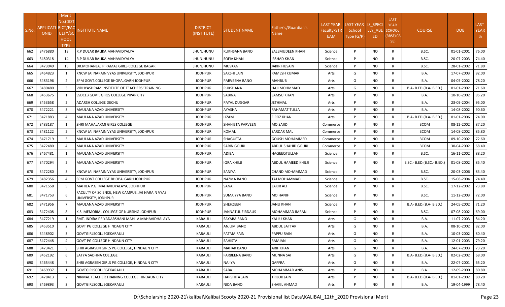| S.No.      | APPLICATI RICT/FAC<br><b>ONID</b> | Merit<br>No.(DIST<br>ULTY/SC<br><b>HOOL</b><br><b>TYPE</b> | <b>NSTITUTE NAME</b>                                                                | <b>DISTRICT</b><br>(INSTITUTE)     | STUDENT NAME                 | Father's/Guardian's<br>Name         | <b>LAST YEAR</b><br>Faculty/STR<br>EAM | LAST YEAR IS SPECI<br>School<br>Type (G/P) | LLY ABL<br>ED | <b>LAST</b><br><b>YEAR</b><br><b>SCHOOL</b><br>(RBSE/CB<br>SE) | <b>COURSE</b>              | <b>DOB</b>               | <b>LAST</b><br><b>YEAR</b><br>% |
|------------|-----------------------------------|------------------------------------------------------------|-------------------------------------------------------------------------------------|------------------------------------|------------------------------|-------------------------------------|----------------------------------------|--------------------------------------------|---------------|----------------------------------------------------------------|----------------------------|--------------------------|---------------------------------|
| 662        | 3476880                           | 13                                                         | R.P DULAR BALIKA MAHAVIDYALYA                                                       | <b>JHUNJHUNU</b>                   | RUKHSANA BANO                | SALEMUDEEN KHAN                     | Science                                | P                                          | <b>NO</b>     | R                                                              | B.SC.                      | 01-01-2001               | 76.00                           |
| 663        | 3480318                           | 14                                                         | R.P DULAR BALIKA MAHAVIDYALYA                                                       | <b>JHUNJHUNU</b>                   | SOFIA KHAN                   | IRSHAD KHAN                         | Science                                | P<br>P                                     | NO            | R<br>R                                                         | B.SC.                      | 20-07-2003               | 74.40                           |
| 664<br>665 | 3473049<br>3464823                | 15<br>$\mathbf{1}$                                         | DR.MOHANLAL PIRAMAL GIRLS COLLEGE BAGAR<br>KNCW JAI NARAIN VYAS UNIVERSITY, JODHPUR | <b>JHUNJHUNU</b><br><b>JODHPUR</b> | <b>MUSKAN</b><br>SAKSHI JAIN | <b>JAKIR HUSAIN</b><br>RAMESH KUMAR | Science<br>Arts                        | G                                          | NO.<br>NO     | R                                                              | B.SC.<br><b>B.A.</b>       | 28-01-2002<br>17-07-2003 | 71.80<br>92.00                  |
| 666        | 3483196                           | 2                                                          | SPM GOVT.COLLEGE BHOPALGARH JODHPUR                                                 | <b>JODHPUR</b>                     | PARVEENA BANO                | <b>MAHBUB</b>                       | Arts                                   | G                                          | NO            | R                                                              | <b>B.A.</b>                | 04-05-2002               | 78.20                           |
| 667        | 3480480                           | $\overline{3}$                                             | IVIDHYASHRAM INSTITUTE OF TEACHERS' TRAINING                                        | <b>JODHPUR</b>                     | RUKSHANA                     | HAJI MOHMMAD                        | Arts                                   | G                                          | NO.           | $\mathsf{R}$                                                   | B.A- B.ED.(B.A- B.ED.)     | 01-01-2002               | 71.60                           |
| 668        | 3453675                           | 1                                                          | <b>SSDCLB GOVT. GIRLS COLLEGE PIPAR CITY</b>                                        | <b>JODHPUR</b>                     | SABINA                       | SAMSU KHAN                          | Arts                                   | P                                          | <b>NO</b>     | R                                                              | <b>B.A.</b>                | 10-10-2002               | 95.20                           |
| 669        | 3453658                           | $\overline{2}$                                             | ADARSH COLLEGE DECHU                                                                | <b>JODHPUR</b>                     | PAYAL DUGGAR                 | <b>JETHMAL</b>                      | Arts                                   | P                                          | NO            | $\mathsf{R}$                                                   | <b>B.A.</b>                | 23-09-2004               | 95.00                           |
| 670        | 3472221                           | 3                                                          | MAULANA AZAD UNIVERSITY                                                             | <b>JODHPUR</b>                     | AYASHA                       | <b>RAHAMAT TULLA</b>                | Arts                                   | P                                          | <b>NO</b>     | $\mathsf{R}$                                                   | B.A.                       | 14-08-2002               | 90.60                           |
| 671        | 3471883                           | 4                                                          | <b>IMAULANA AZAD UNIVERSITY</b>                                                     | <b>JODHPUR</b>                     | <b>LIZAM</b>                 | <b>FIROZ KHAN</b>                   | Arts                                   | P                                          | NO.           | R                                                              | B.A- B.ED.(B.A- B.ED.)     | 01-01-2006               | 74.00                           |
| 672        | 3483187                           | 1                                                          | SHRI MAHALAXMI GIRLS COLLEGE                                                        | <b>JODHPUR</b>                     | SHAHISTA PARVEEN             | <b>MO SAJID</b>                     | Commerce                               | P                                          | NO.           | R                                                              | <b>BCOM</b>                | 08-12-2002               | 87.20                           |
| 673        | 3481122                           | $\overline{2}$                                             | KNCW JAI NARAIN VYAS UNIVERSITY, JODHPUR                                            | <b>JODHPUR</b>                     | KOMAL                        | <b>SARDAR MAL</b>                   | Commerce                               | P                                          | NO            | $\mathsf{R}$                                                   | <b>BCOM</b>                | 14-08-2002               | 85.80                           |
| 674        | 3471719                           | 3                                                          | MAULANA AZAD UNIVERSITY                                                             | <b>JODHPUR</b>                     | SHAGUFTA                     | GOUSH MOHAMMED                      | Commerce                               | P                                          | NO            | $\mathsf{R}$                                                   | <b>BCOM</b>                | 09-10-2002               | 72.60                           |
| 675        | 3472480                           |                                                            | MAULANA AZAD UNIVERSITY                                                             | <b>JODHPUR</b>                     | SARIN GOURI                  | ABDUL SHAHID GOURI                  | Commerce                               | P                                          | <b>NO</b>     | R                                                              | <b>BCOM</b>                | 30-04-2002               | 68.40                           |
| 676        | 3467481                           | 1                                                          | MAULANA AZAD UNIVERSITY                                                             | <b>JODHPUR</b>                     | ADIBA                        | HAQEEQTULLAH                        | Science                                | P                                          | NO            | R                                                              | B.SC.                      | 16-11-2002               | 88.20                           |
| 677        | 3470294                           | 2                                                          | MAULANA AZAD UNIVERSITY                                                             | <b>JODHPUR</b>                     | IQRA KHILJI                  | ABDUL HAMEED KHILJI                 | Science                                | P                                          | NO.           | R                                                              | B.SC.- B.ED.(B.SC.- B.ED.) | 01-08-2002               | 85.40                           |
| 678        | 3472280                           | $\overline{3}$                                             | KNCW JAI NARAIN VYAS UNIVERSITY, JODHPUR                                            | <b>JODHPUR</b>                     | SANIYA                       | CHAND MOHAMMAD                      | Science                                | P                                          | NO            | R                                                              | B.SC.                      | 20-03-2006               | 83.40                           |
| 679        | 3482356                           | $\overline{a}$                                             | SPM GOVT.COLLEGE BHOPALGARH JODHPUR                                                 | <b>JODHPUR</b>                     | NAZMA BANO                   | TAJ MOHAMMAD                        | Science                                | P                                          | <b>NO</b>     | R                                                              | B.SC.                      | 15-08-2004               | 74.40                           |
| 680        | 3471558                           | 5                                                          | MAHILA P.G. MAHAVIDYALAYA, JODHPUR                                                  | <b>JODHPUR</b>                     | SANA                         | <b>ZAKIR ALI</b>                    | Science                                | P                                          | NO            | R                                                              | B.SC.                      | 17-12-2002               | 73.80                           |
| 681        | 3471753                           | 6                                                          | FACULTY OF SCIENCE, NEW CAMPUS, JAI NARAIN VYAS<br>UNIVERSITY, JODHPUR              | <b>JODHPUR</b>                     | SUMAIYYA BANO                | <b>MO HANIF</b>                     | Science                                | P                                          | NO.           | R                                                              | B.SC.                      | 11-12-2003               | 72.00                           |
| 682        | 3471956                           | $\overline{7}$                                             | MAULANA AZAD UNIVERSITY                                                             | <b>JODHPUR</b>                     | SHEHZEEN                     | <b>JANU KHAN</b>                    | Science                                | P                                          | NO            | R                                                              | B.A- B.ED.(B.A- B.ED.)     | 24-05-2002               | 71.20                           |
| 683        | 3472408                           | 8                                                          | K.S. MEMORIAL COLLEGE OF NURSING JODHPUR                                            | <b>JODHPUR</b>                     | JANNATUL FIRDAUS             | MOHAMMAD IMRAN                      | Science                                | P                                          | NO.           | R                                                              | B.SC.                      | 07-08-2002               | 69.00                           |
| 684        | 3477219                           | 1                                                          | ISMT. INDIRA PRIYADARSHANI MAHILA MAHAVIDHALAYA                                     | KARAULI                            | SAYABA BANO                  | KALLU KHAN                          | Arts                                   | G                                          | NO.           | R                                                              | <b>B.A.</b>                | 11-07-2003               | 84.20                           |
| 685        | 3453510                           | $\overline{2}$                                             | <b>GOVT PG COLLEGE HINDAUN CITY</b>                                                 | KARAULI                            | ANJUM BANO                   | ABDUL SATTAR                        | Arts                                   | G                                          | NO            | $\mathsf{R}$                                                   | <b>B.A.</b>                | 08-10-2002               | 82.00                           |
| 686        | 3448902                           | 3                                                          | GOVTGIRLSCOLLEGEKARAULI                                                             | KARAULI                            | FATMA RAIN                   | PAPPU RAIN                          | Arts                                   | G                                          | NO            | R                                                              | B.A.                       | 10-03-2002               | 80.40                           |
| 687        | 3472448                           |                                                            | <b>GOVT PG COLLEGE HINDAUN CITY</b>                                                 | KARAULI                            | SAHISTA                      | RAMJAN                              | Arts                                   | G                                          | NO.           | R                                                              | <b>B.A.</b>                | 12-01-2003               | 79.20                           |
| 688        | 3473421                           | 5                                                          | SHRI AGRASEN GIRLS PG COLLEGE, HINDAUN CITY                                         | KARAULI                            | <b>MAHAK BANO</b>            | <b>ARIF KHAN</b>                    | Arts                                   | G                                          | NO            | $\mathsf{R}$                                                   | <b>B.A.</b>                | 24-07-2003               | 73.20                           |
| 689        | 3452192                           | 6                                                          | <b>SATYA SADHNA COLLEGE</b>                                                         | KARAULI                            | FARBEENA BANO                | <b>MUNNA SAI</b>                    | Arts                                   | G                                          | NO            | R                                                              | B.A- B.ED.(B.A- B.ED.)     | 02-02-2002               | 68.00                           |
| 690        | 3465448                           | $\overline{7}$                                             | SHRI AGRASEN GIRLS PG COLLEGE, HINDAUN CITY                                         | KARAULI                            | NAJIYA                       | GAFFRA                              | Arts                                   | G                                          | <b>NO</b>     | R                                                              | <b>B.A.</b>                | 22-07-2001               | 65.20                           |
| 691        | 3469937                           | 1                                                          | GOVTGIRLSCOLLEGEKARAULI                                                             | KARAULI                            | SABA                         | MOHAMMAD ANIS                       | Arts                                   | P                                          | NO            | $\mathsf{R}$                                                   | <b>B.A.</b>                | 12-09-2000               | 80.80                           |
| 692        | 3478413                           | $\overline{2}$                                             | NIRMAL TEACHER TRAINING COLLEGE HINDAUN CITY                                        | KARAULI                            | HARSHITA JAIN                | TRILOK JAIN                         | Arts                                   | P                                          | NO.           | $\mathsf{R}$                                                   | B.A- B.ED.(B.A- B.ED.)     | 01-01-2002               | 80.20                           |
| 693        | 3469893                           | $\overline{3}$                                             | <b>GOVTGIRLSCOLLEGEKARAULI</b>                                                      | KARAULI                            | NIDA BANO                    | SHAKIL AHMAD                        | Arts                                   | P                                          | <b>NO</b>     | R                                                              | <b>B.A.</b>                | 19-04-1999               | 78.40                           |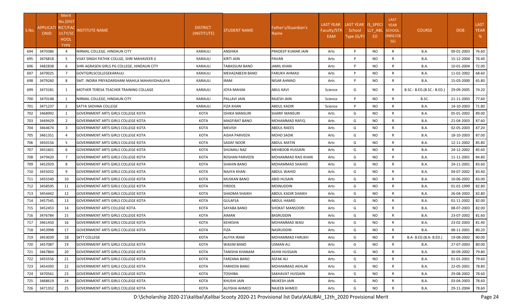|       |                                   | Merit                    |                                                |                                |                        |                               |                  |                    |           |                            |                            |            |             |
|-------|-----------------------------------|--------------------------|------------------------------------------------|--------------------------------|------------------------|-------------------------------|------------------|--------------------|-----------|----------------------------|----------------------------|------------|-------------|
|       |                                   | No.(DIST                 |                                                |                                |                        |                               | <b>LAST YEAR</b> | LAST YEAR IS_SPECI |           | <b>LAST</b><br><b>YEAR</b> |                            |            | <b>LAST</b> |
| S.No. | APPLICATI RICT/FAC<br><b>ONID</b> | ULTY/SC                  | NSTITUTE NAME                                  | <b>DISTRICT</b><br>(INSTITUTE) | <b>STUDENT NAME</b>    | Father's/Guardian's<br>Name I | Faculty/STR      | School             | LLY_ABL   | <b>SCHOOL</b>              | <b>COURSE</b>              | <b>DOB</b> | <b>YEAR</b> |
|       |                                   | HOOL                     |                                                |                                |                        |                               | EAM              | Type (G/P)         | ED        | (RBSE/CB                   |                            |            | %           |
|       |                                   | <b>TYPE</b>              |                                                |                                |                        |                               |                  |                    |           | SE)                        |                            |            |             |
| 694   | 3470386                           | $\overline{a}$           | NIRMAL COLLEGE, HINDAUN CITY                   | <b>KARAULI</b>                 | ANSHIKA                | PRADEEP KUMAR JAIN            | Arts             | P                  | <b>NO</b> | $\mathsf{R}$               | B.A.                       | 09-01-2003 | 76.60       |
| 695   | 3476818                           | -5                       | VIJAY SINGH PATHIK COLLGE, SHRI MAHAVEER JI    | <b>KARAULI</b>                 | KIRTI JAIN             | <b>PAVAN</b>                  | Arts             | P                  | NO        | R                          | <b>B.A.</b>                | 15-12-2004 | 76.40       |
| 696   | 3482838                           | 6                        | SHRI AGRASEN GIRLS PG COLLEGE, HINDAUN CITY    | KARAULI                        | TABASSUM BANO          | <b>JAMIL KHAN</b>             | Arts             | P                  | <b>NO</b> | R                          | <b>B.A.</b>                | 10-01-2004 | 72.00       |
| 697   | 3470025                           | 7                        | GOVTGIRLSCOLLEGEKARAULI                        | <b>KARAULI</b>                 | <b>MEHAZABEEN BANO</b> | <b>FARUKH AHMAD</b>           | Arts             | P                  | <b>NO</b> | R                          | <b>B.A.</b>                | 11-02-2002 | 68.60       |
| 698   | 3479260                           | 8                        | SMT. INDIRA PRIYADARSHANI MAHILA MAHAVIDHALAYA | KARAULI                        | IRAM                   | <b>NISAR AHMAD</b>            | Arts             | P                  | NO        | R                          | B.A.                       | 15-03-2000 | 65.80       |
| 699   | 3473181                           | 1                        | MOTHER TERESA TEACHER TRAINING COLLAGE         | <b>KARAULI</b>                 | <b>JOYA MAHAK</b>      | <b>ABUL KAVI</b>              | Science          | G                  | NO.       | R.                         | B.SC.- B.ED.(B.SC.- B.ED.) | 29-09-2005 | 74.20       |
| 700   | 3470148                           | 1                        | NIRMAL COLLEGE, HINDAUN CITY                   | <b>KARAULI</b>                 | PALLAVI JAIN           | RAJESH JAIN                   | Science          | P                  | <b>NO</b> | R                          | B.SC.                      | 21-11-2003 | 77.60       |
| 701   | 3471237                           | 2                        | SATYA SADHNA COLLEGE                           | <b>KARAULI</b>                 | FIZA KHAN              | ABDUL KADIR                   | Science          | P                  | <b>NO</b> | R                          | B.A.                       | 14-10-2003 | 71.80       |
| 702   | 3468992                           |                          | <b>GOVERNMENT ARTS GIRLS COLLEGE KOTA</b>      | KOTA                           | <b>ISHIKA MANSURI</b>  | <b>SHARIF MANSURI</b>         | Arts             | G                  | NO        | R                          | <b>B.A.</b>                | 05-01-2002 | 89.00       |
| 703   | 3449429                           | $\overline{\phantom{a}}$ | <b>GOVERNMENT ARTS GIRLS COLLEGE KOTA</b>      | <b>KOTA</b>                    | MAGFIRAT BANO          | MOHAMMAD RAFIQ                | Arts             | G                  | NO        | $\mathsf{R}$               | <b>B.A.</b>                | 21-04-2003 | 87.60       |
| 704   | 3464674                           | $\mathbf{3}$             | <b>GOVERNMENT ARTS GIRLS COLLEGE KOTA</b>      | <b>KOTA</b>                    | <b>MEVISH</b>          | <b>ABDUL RAEES</b>            | Arts             | G                  | NO        | R                          | B.A.                       | 02-05-2003 | 87.20       |
| 705   | 3461351                           | $\Delta$                 | <b>GOVERNMENT ARTS GIRLS COLLEGE KOTA</b>      | <b>KOTA</b>                    | AISHA PARVEEN          | MOHD SADIK                    | Arts             | G                  | <b>NO</b> | R                          | B.A.                       | 18-10-2003 | 87.00       |
| 706   | 3450156                           | -5                       | <b>GOVERNMENT ARTS GIRLS COLLEGE KOTA</b>      | <b>KOTA</b>                    | SADAF NOOR             | <b>ABDUL MATIN</b>            | Arts             | G                  | NO        | R                          | <b>B.A.</b>                | 12-11-2002 | 85.80       |
| 707   | 3451601                           | 6                        | <b>GOVERNMENT ARTS GIRLS COLLEGE KOTA</b>      | KOTA                           | SHUMALI NAZ            | <b>MEHBOOB HUSSAIN</b>        | Arts             | G                  | NO        | R                          | <b>B.A.</b>                | 24-12-2002 | 85.60       |
| 708   | 3479420                           |                          | GOVERNMENT ARTS GIRLS COLLEGE KOTA             | <b>KOTA</b>                    | ROSHAN PARVEEN         | MOHAMMAD RAIS KHAN            | Arts             | G                  | NO        | R                          | B.A.                       | 11-11-2001 | 84.80       |
| 709   | 3452929                           | 8                        | <b>GOVERNMENT ARTS GIRLS COLLEGE KOTA</b>      | KOTA                           | SHAHIN BANO            | MOHAMMAD SHAHID               | Arts             | G                  | <b>NO</b> | R                          | <b>B.A.</b>                | 24-11-2001 | 83.60       |
| 710   | 3455032                           | 9                        | <b>GOVERNMENT ARTS GIRLS COLLEGE KOTA</b>      | <b>KOTA</b>                    | NAJIYA KHAN            | ABDUL WAHID                   | Arts             | G                  | NO        | R                          | B.A.                       | 04-07-2002 | 83.40       |
| 711   | 3455540                           | 10                       | <b>GOVERNMENT ARTS GIRLS COLLEGE KOTA</b>      | <b>KOTA</b>                    | <b>MUSKAN BANO</b>     | ABID HUSAIN                   | Arts             | G                  | <b>NO</b> | R                          | <b>B.A.</b>                | 10-06-2002 | 83.00       |
| 712   | 3458595                           | 11                       | <b>GOVERNMENT ARTS GIRLS COLLEGE KOTA</b>      | <b>KOTA</b>                    | <b>FIRDOS</b>          | <b>MOINUDDIN</b>              | Arts             | G                  | NO        | R                          | <b>B.A.</b>                | 01-01-1999 | 82.80       |
| 713   | 3454442                           | 12                       | <b>GOVERNMENT ARTS GIRLS COLLEGE KOTA</b>      | KOTA                           | SHADMA SHAIKH          | ABDUL KADIR SHAIKH            | Arts             | G                  | <b>NO</b> | R                          | <b>B.A.</b>                | 26-04-2002 | 82.80       |
| 714   | 3457545                           | 13                       | <b>GOVERNMENT ARTS GIRLS COLLEGE KOTA</b>      | KOTA                           | <b>GULAFSA</b>         | ABDUL HAMID                   | Arts             | G                  | NO        | R                          | <b>B.A.</b>                | 01-11-2002 | 82.00       |
| 715   | 3452453                           | 14                       | <b>GOVERNMENT ARTS COLLEGE KOTA</b>            | KOTA                           | SAYABA BANO            | SHOKAT MANSOORI               | Arts             | G                  | <b>NO</b> | R                          | <b>B.A.</b>                | 08-07-2003 | 82.00       |
| 716   | 3476784                           | 15                       | <b>GOVERNMENT ARTS GIRLS COLLEGE KOTA</b>      | KOTA                           | AIMAN                  | <b>BASRUDDIN</b>              | Arts             | G                  | NO        | R                          | <b>B.A.</b>                | 23-07-2002 | 81.60       |
| 717   | 3461450                           | 16                       | <b>GOVERNMENT ARTS GIRLS COLLEGE KOTA</b>      | KOTA                           | KEHKSHA                | <b>MOHAMMAD WASI</b>          | Arts             | G                  | NO        | R                          | B.A.                       | 23-02-2003 | 81.40       |
| 718   | 3453998                           | 17                       | GOVERNMENT ARTS GIRLS COLLEGE KOTA             | KOTA                           | <b>FIZA</b>            | NASRUDDIN                     | Arts             | G                  | NO        | R                          | <b>B.A.</b>                | 08-11-2001 | 80.20       |
| 719   | 3453039                           | 18                       | <b>SKTT COLLEGE</b>                            | KOTA                           | <b>ALFIYA IRAM</b>     | MOHAMMAD FARUKH               | Arts             | G                  | <b>NO</b> | R                          | B.A- B.ED.(B.A- B.ED.)     | 19-08-2002 | 80.00       |
| 720   | 3457087                           | 19                       | <b>GOVERNMENT ARTS GIRLS COLLEGE KOTA</b>      | KOTA                           | WASIM BANO             | USMAN ALI                     | Arts             | G                  | NO.       | R                          | <b>B.A.</b>                | 27-07-2003 | 80.00       |
| 721   | 3467864                           | 20                       | GOVERNMENT ARTS GIRLS COLLEGE KOTA             | KOTA                           | TANISHA KHANAM         | ASHIK HUSSAIN                 | Arts             | G                  | NO        | R                          | B.A.                       | 30-09-2002 | 79.80       |
| 722   | 3455556                           | 21                       | GOVERNMENT ARTS GIRLS COLLEGE KOTA             | KOTA                           | FARZANA BANO           | <b>ASFAK ALI</b>              | Arts             | G                  | NO.       | $\mathsf{R}$               | <b>B.A.</b>                | 01-01-2001 | 79.60       |
| 723   | 3454393                           | 22                       | GOVERNMENT ARTS GIRLS COLLEGE KOTA             | KOTA                           | <b>FARHEEN BANO</b>    | <b>MOHAMMAD AKHLAK</b>        | Arts             | G                  | <b>NO</b> | $\mathsf{R}$               | <b>B.A.</b>                | 22-05-2001 | 78.80       |
| 724   | 3470561                           | 23                       | <b>GOVERNMENT ARTS GIRLS COLLEGE KOTA</b>      | KOTA                           | TOSHIBA                | SAKHAVAT HUSSAIN              | Arts             | G                  | NO        | R                          | <b>B.A.</b>                | 29-08-2002 | 78.60       |
| 725   | 3468619                           | 24                       | <b>GOVERNMENT ARTS GIRLS COLLEGE KOTA</b>      | KOTA                           | KHUSHI JAIN            | <b>MUKESH JAIN</b>            | Arts             | G                  | <b>NO</b> | R                          | <b>B.A.</b>                | 03-04-2003 | 78.60       |
| 726   | 3471352                           | 25                       | <b>GOVERNMENT ARTS GIRLS COLLEGE KOTA</b>      | KOTA                           | ALFISHA AHMED          | <b>NAJEEB AHMED</b>           | Arts             | G                  | NO.       | R                          | <b>B.A.</b>                | 29-11-2004 | 78.60       |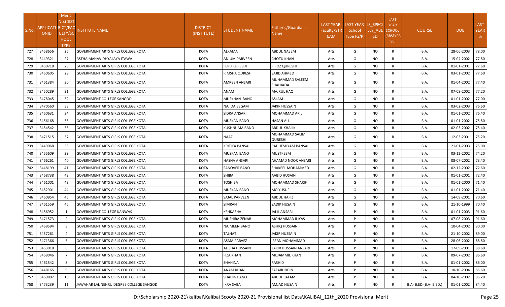|       |                                   | Merit          |                                           |                                |                       |                                  |                    |                    |           |                            |                        |            |             |
|-------|-----------------------------------|----------------|-------------------------------------------|--------------------------------|-----------------------|----------------------------------|--------------------|--------------------|-----------|----------------------------|------------------------|------------|-------------|
|       |                                   | No.(DIST       |                                           |                                |                       |                                  | <b>LAST YEAR</b>   | LAST YEAR IS SPECI |           | <b>LAST</b><br><b>YEAR</b> |                        |            | <b>LAST</b> |
| S.No. | APPLICATI RICT/FAC<br><b>ONID</b> | ULTY/SC        | <b>NSTITUTE NAME</b>                      | <b>DISTRICT</b><br>(INSTITUTE) | STUDENT NAME          | Father's/Guardian's<br>Name I    | <b>Faculty/STR</b> | School             | LLY_ABL   | <b>SCHOOL</b>              | <b>COURSE</b>          | <b>DOB</b> | <b>YEAR</b> |
|       |                                   | <b>HOOL</b>    |                                           |                                |                       |                                  | EAM                | Type (G/P)         | ED.       | (RBSE/CB                   |                        |            | %           |
|       |                                   | <b>TYPE</b>    |                                           |                                |                       |                                  |                    |                    |           | SE)                        |                        |            |             |
| 727   | 3458656                           | 26             | <b>GOVERNMENT ARTS GIRLS COLLEGE KOTA</b> | KOTA                           | ALKAMA                | <b>ABDUL NAEEM</b>               | Arts               | G                  | NO        | R                          | B.A.                   | 28-06-2003 | 78.00       |
| 728   | 3449321                           | 27             | ASTHA MAHAVIDHYALAYA ITAWA                | <b>KOTA</b>                    | ANJUM PARVEEN         | <b>CHOTU KHAN</b>                | Arts               | G                  | NO        | R                          | <b>B.A.</b>            | 15-04-2002 | 77.80       |
| 729   | 3460718                           | 28             | <b>GOVERNMENT ARTS GIRLS COLLEGE KOTA</b> | <b>KOTA</b>                    | <b>FERIJ KURESHI</b>  | <b>FIROZ QURESHI</b>             | Arts               | G                  | NO        | R                          | <b>B.A.</b>            | 01-01-2001 | 77.60       |
| 730   | 3460605                           | 29             | <b>GOVERNMENT ARTS GIRLS COLLEGE KOTA</b> | KOTA                           | RIMSHA QURESHI        | <b>SAJID AHMED</b>               | Arts               | G                  | NO.       | R                          | <b>B.A.</b>            | 03-01-2002 | 77.60       |
| 731   | 3461384                           | 30             | <b>GOVERNMENT ARTS GIRLS COLLEGE KOTA</b> | KOTA                           | AMREEN ANSARI         | MUHAMMAD SALEEM<br>SHAHJADA      | Arts               | G                  | NO.       | R                          | <b>B.A.</b>            | 01-04-2002 | 77.40       |
| 732   | 3450289                           | 31             | <b>GOVERNMENT ARTS GIRLS COLLEGE KOTA</b> | KOTA                           | ANAM                  | <b>MAJRUL HAQ</b>                | Arts               | G                  | <b>NO</b> | R                          | <b>B.A.</b>            | 07-08-2002 | 77.20       |
| 733   | 3478045                           | 32             | <b>GOVERNMENT COLLEGE SANGOD</b>          | KOTA                           | MUSKHAN BANO          | ASLAM                            | Arts               | G                  | NO.       | R                          | <b>B.A.</b>            | 01-01-2002 | 77.00       |
| 734   | 3470560                           | 33             | GOVERNMENT ARTS GIRLS COLLEGE KOTA        | <b>KOTA</b>                    | NAJIDA BEGAM          | JAKIR HUSSAIN                    | Arts               | G                  | NO.       | R                          | <b>B.A.</b>            | 03-02-2003 | 76.60       |
| 735   | 3460631                           | 34             | <b>GOVERNMENT ARTS GIRLS COLLEGE KOTA</b> | KOTA                           | SIDRA ANSARI          | MOHAMMAD AKIL                    | Arts               | G                  | <b>NO</b> | $\mathsf{R}$               | <b>B.A.</b>            | 01-01-2002 | 76.40       |
| 736   | 3456168                           | 35             | <b>GOVERNMENT ARTS GIRLS COLLEGE KOTA</b> | KOTA                           | MUSKAN BANO           | HASAN ALI                        | Arts               | G                  | NO.       | R                          | <b>B.A.</b>            | 01-01-2002 | 75.80       |
| 737   | 3454542                           | 36             | <b>GOVERNMENT ARTS GIRLS COLLEGE KOTA</b> | KOTA                           | KUSHNUMA BANO         | <b>ABDUL KHALIK</b>              | Arts               | G                  | <b>NO</b> | R                          | <b>B.A.</b>            | 02-03-2002 | 75.40       |
| 738   | 3471515                           | 37             | <b>GOVERNMENT ARTS GIRLS COLLEGE KOTA</b> | KOTA                           | NAAZ                  | MOHAMMAD SALIM<br><b>QURESHI</b> | Arts               | G                  | NO.       | R                          | B.A.                   | 12-03-2001 | 75.20       |
| 739   | 3449068                           | 38             | GOVERNMENT ARTS GIRLS COLLEGE KOTA        | <b>KOTA</b>                    | <b>KRITIKA BANSAL</b> | RADHESHYAM BANSAL                | Arts               | G                  | NO.       | R                          | B.A.                   | 21-01-2003 | 75.00       |
| 740   | 3455609                           | 39             | <b>GOVERNMENT ARTS GIRLS COLLEGE KOTA</b> | <b>KOTA</b>                    | <b>MUSKAN BANO</b>    | <b>MUSTKEEM</b>                  | Arts               | G                  | NO.       | R                          | B.A.                   | 03-12-2002 | 74.20       |
| 741   | 3466261                           | 40             | <b>GOVERNMENT ARTS GIRLS COLLEGE KOTA</b> | KOTA                           | <b>HASNA ANSARI</b>   | AHAMAD NOOR ANSARI               | Arts               | G                  | <b>NO</b> | R                          | <b>B.A.</b>            | 08-07-2002 | 73.40       |
| 742   | 3448199                           | 41             | <b>GOVERNMENT ARTS GIRLS COLLEGE KOTA</b> | KOTA                           | SANOVER BANO          | <b>SHAKEEL MOHAMMED</b>          | Arts               | G                  | NO.       | R                          | <b>B.A.</b>            | 02-12-2002 | 72.60       |
| 743   | 3468738                           | 42             | <b>GOVERNMENT ARTS GIRLS COLLEGE KOTA</b> | <b>KOTA</b>                    | SHIBA                 | AABID HUSAIN                     | Arts               | G                  | NO.       | $\mathsf{R}$               | <b>B.A.</b>            | 01-01-2001 | 72.40       |
| 744   | 3461001                           | 43             | <b>GOVERNMENT ARTS GIRLS COLLEGE KOTA</b> | <b>KOTA</b>                    | TOSHIBA               | <b>MOHAMMAD SHARIF</b>           | Arts               | G                  | NO.       | $\mathsf{R}$               | B.A.                   | 01-01-2000 | 71.40       |
| 745   | 3452901                           | 44             | <b>GOVERNMENT ARTS GIRLS COLLEGE KOTA</b> | <b>KOTA</b>                    | MUSKAN BANO           | <b>MO YUSUF</b>                  | Arts               | G                  | NO.       | R                          | B.A.                   | 01-01-2002 | 71.40       |
| 746   | 3460954                           | 45             | <b>GOVERNMENT ARTS GIRLS COLLEGE KOTA</b> | KOTA                           | <b>SAJAL PARVEEN</b>  | <b>ABDUL HAFIZ</b>               | Arts               | G                  | NO.       | R                          | <b>B.A.</b>            | 14-09-2001 | 70.60       |
| 747   | 3461559                           | 46             | <b>GOVERNMENT ARTS GIRLS COLLEGE KOTA</b> | <b>KOTA</b>                    | <b>SIMRAN</b>         | SADIK HUSAIN                     | Arts               | G                  | NO.       | R                          | <b>B.A.</b>            | 21-10-1999 | 70.40       |
| 748   | 3456952                           |                | GOVERNMENT COLLEGE KANWAS                 | KOTA                           | KEHKASHA              | <b>JALIL ANSARI</b>              | Arts               | P                  | NO.       | R                          | <b>B.A.</b>            | 01-01-2003 | 91.60       |
| 749   | 3471573                           | 2              | <b>GOVERNMENT ARTS GIRLS COLLEGE KOTA</b> | KOTA                           | MUSHIRA ZENAB         | MOHAMMAD ILIYAS                  | Arts               | P                  | NO.       | R                          | <b>B.A.</b>            | 07-08-2003 | 91.60       |
| 750   | 3469594                           | 3              | GOVERNMENT ARTS GIRLS COLLEGE KOTA        | <b>KOTA</b>                    | NAJMEEN BANO          | ASHIQ HUSSAIN                    | Arts               | P                  | NO.       | $\mathsf{R}$               | <b>B.A.</b>            | 10-04-2002 | 90.00       |
| 751   | 3457261                           | $\overline{a}$ | GOVERNMENT ARTS GIRLS COLLEGE KOTA        | <b>KOTA</b>                    | TALHAT                | <b>JAKIR HUSSAIN</b>             | Arts               | P                  | NO.       | R                          | <b>B.A.</b>            | 21-10-2002 | 89.00       |
| 752   | 3471366                           |                | <b>GOVERNMENT ARTS GIRLS COLLEGE KOTA</b> | KOTA                           | <b>ASMA PARVEZ</b>    | IRFAN MOHAMMAD                   | Arts               | P                  | NO.       | R                          | <b>B.A.</b>            | 28-06-2002 | 88.80       |
| 753   | 3453018                           | 6              | GOVERNMENT ARTS GIRLS COLLEGE KOTA        | KOTA                           | <b>ALISHA HUSSAIN</b> | <b>ZAKIR HUSSAIN ANSARI</b>      | Arts               | P                  | NO.       | R                          | <b>B.A.</b>            | 17-09-2001 | 88.60       |
| 754   | 3469046                           | $\overline{7}$ | <b>GOVERNMENT ARTS GIRLS COLLEGE KOTA</b> | KOTA                           | <b>FIZA KHAN</b>      | MUJAMMIL KHAN                    | Arts               | P                  | <b>NO</b> | $\mathsf{R}$               | B.A.                   | 09-07-2002 | 86.60       |
| 755   | 3461542                           | 8              | GOVERNMENT ARTS GIRLS COLLEGE KOTA        | KOTA                           | SHAHINA               | RASHID                           | Arts               | P                  | <b>NO</b> | R                          | <b>B.A.</b>            | 01-01-2002 | 86.00       |
| 756   | 3448165                           | 9              | GOVERNMENT ARTS GIRLS COLLEGE KOTA        | KOTA                           | ANAM KHAN             | ZAFARUDDIN                       | Arts               | P                  | NO.       | $\mathsf{R}$               | <b>B.A.</b>            | 10-10-2004 | 85.60       |
| 757   | 3469807                           | 10             | GOVERNMENT ARTS GIRLS COLLEGE KOTA        | KOTA                           | SHAHIN BANO           | ABDUL SALAM                      | Arts               | P                  | NO.       | $\mathsf{R}$               | <b>B.A.</b>            | 04-10-2002 | 85.20       |
| 758   | 3473239                           | 11             | JAWAHAR LAL NEHRU DEGREE COLLEGE SANGOD   | KOTA                           | <b>IKRA SABA</b>      | AMJAD HUSAIN                     | Arts               | P                  | <b>NO</b> | $\mathsf{R}$               | B.A- B.ED.(B.A- B.ED.) | 01-01-2002 | 84.40       |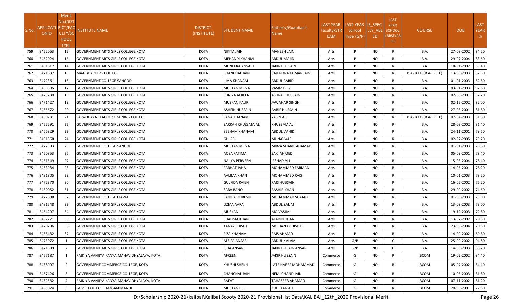|       |                                   | Merit          |                                            |                 |                      |                        |                    |                    |           |                            |                        |            |             |
|-------|-----------------------------------|----------------|--------------------------------------------|-----------------|----------------------|------------------------|--------------------|--------------------|-----------|----------------------------|------------------------|------------|-------------|
|       |                                   | No.(DIST       |                                            |                 |                      |                        | <b>LAST YEAR</b>   | LAST YEAR IS SPECI |           | <b>LAST</b><br><b>YEAR</b> |                        |            | <b>LAST</b> |
| S.No. | APPLICATI RICT/FAC<br><b>ONID</b> | ULTY/SC        | NSTITUTE NAME                              | <b>DISTRICT</b> | <b>STUDENT NAME</b>  | Father's/Guardian's    | <b>Faculty/STR</b> | School             | LLY_ABL   | <b>SCHOOL</b>              | <b>COURSE</b>          | <b>DOB</b> | <b>YEAR</b> |
|       |                                   | <b>HOOL</b>    |                                            | (INSTITUTE)     |                      | Name i                 | EAM                | Type (G/P)         | ED        | (RBSE/CB                   |                        |            | %           |
|       |                                   | <b>TYPE</b>    |                                            |                 |                      |                        |                    |                    |           | SE)                        |                        |            |             |
| 759   | 3452063                           | 12             | <b>GOVERNMENT ARTS GIRLS COLLEGE KOTA</b>  | KOTA            | NIKITA JAIN          | <b>MAHESH JAIN</b>     | Arts               | P                  | NO.       | R                          | B.A.                   | 27-08-2002 | 84.20       |
| 760   | 3452024                           | 13             | <b>GOVERNMENT ARTS GIRLS COLLEGE KOTA</b>  | <b>KOTA</b>     | MEHANDI KHANM        | ABDUL MAJID            | Arts               | P                  | NO        | R                          | <b>B.A.</b>            | 29-07-2004 | 83.60       |
| 761   | 3451617                           | 14             | <b>GOVERNMENT ARTS GIRLS COLLEGE KOTA</b>  | <b>KOTA</b>     | MUNEERA ANSARI       | JAKIR HUSSAIN          | Arts               | P                  | NO        | R                          | <b>B.A.</b>            | 18-01-2002 | 83.40       |
| 762   | 3471637                           | 15             | MAA BHARTI PG COLLEGE                      | KOTA            | CHANCHAL JAIN        | RAJENDRA KUMAR JAIN    | Arts               | P                  | NO.       | R                          | B.A- B.ED.(B.A- B.ED.) | 13-09-2003 | 82.80       |
| 763   | 3472361                           | 16             | <b>GOVERNMENT COLLEGE SANGOD</b>           | KOTA            | ILMA KHANAM          | ABDUL FARID            | Arts               | P                  | NO        | R                          | <b>B.A.</b>            | 01-01-2003 | 82.60       |
| 764   | 3458805                           | 17             | <b>GOVERNMENT ARTS GIRLS COLLEGE KOTA</b>  | KOTA            | MUSKAN MIRZA         | VASIM BEG              | Arts               | P                  | NO.       | R                          | <b>B.A.</b>            | 03-01-2003 | 82.60       |
| 765   | 3473230                           | 18             | <b>GOVERNMENT ARTS GIRLS COLLEGE KOTA</b>  | KOTA            | SONIYA AFREEN        | <b>ASHRAF HUSSAIN</b>  | Arts               | P                  | NO        | R                          | B.A.                   | 02-08-2001 | 82.20       |
| 766   | 3471427                           | 19             | GOVERNMENT ARTS GIRLS COLLEGE KOTA         | KOTA            | MUSKAN KAUR          | JAWAHAR SINGH          | Arts               | P                  | <b>NO</b> | $\mathsf{R}$               | B.A.                   | 02-12-2002 | 82.00       |
| 767   | 3455672                           | 20             | <b>GOVERNMENT ARTS GIRLS COLLEGE KOTA</b>  | KOTA            | ASHFIN HUSSAIN       | <b>AARIF HUSSAIN</b>   | Arts               | P                  | <b>NO</b> | $\mathsf{R}$               | B.A.                   | 27-08-2001 | 81.80       |
| 768   | 3450731                           | 21             | SARVODAYA TEACHER TRAINING COLLEGE         | <b>KOTA</b>     | <b>SANA KHANAM</b>   | YASIN ALI              | Arts               | P                  | NO        | R                          | B.A- B.ED.(B.A- B.ED.) | 07-04-2003 | 81.80       |
| 769   | 3455291                           | 22             | <b>GOVERNMENT ARTS GIRLS COLLEGE KOTA</b>  | KOTA            | SARRAH KHUZEMA ALI   | KHUZEMA ALI            | Arts               | P                  | NO.       | R                          | B.A.                   | 28-03-2002 | 81.40       |
| 770   | 3466829                           | 23             | <b>GOVERNMENT ARTS GIRLS COLLEGE KOTA</b>  | KOTA            | SEENAM KHANAM        | ABDUL VAHID            | Arts               | P                  | NO        | $\mathsf{R}$               | B.A.                   | 24-11-2001 | 79.60       |
| 771   | 3481868                           | 24             | <b>GOVERNMENT ARTS GIRLS COLLEGE KOTA</b>  | <b>KOTA</b>     | <b>GULREJ</b>        | MUNAVVAR               | Arts               | P                  | NO        | $\mathsf{R}$               | B.A.                   | 02-02-2005 | 79.20       |
| 772   | 3472393                           | 25             | <b>GOVERNMENT COLLEGE SANGOD</b>           | <b>KOTA</b>     | MUSKAN MIRZA         | MIRZA SHARIF AHAMAD    | Arts               | P                  | NO        | R                          | B.A.                   | 01-01-2003 | 78.60       |
| 773   | 3450853                           | 26             | <b>GOVERNMENT ARTS GIRLS COLLEGE KOTA</b>  | <b>KOTA</b>     | AQSA FATIMA          | <b>ZAKI AHMED</b>      | Arts               | P                  | NO        | R                          | B.A.                   | 05-09-2001 | 78.40       |
| 774   | 3461549                           | 27             | <b>GOVERNMENT ARTS GIRLS COLLEGE KOTA</b>  | KOTA            | NAJIYA PERVEEN       | <b>IRSHAD ALI</b>      | Arts               | P                  | <b>NO</b> | R                          | B.A.                   | 15-08-2004 | 78.40       |
| 775   | 3453984                           | 28             | <b>GOVERNMENT ARTS GIRLS COLLEGE KOTA</b>  | KOTA            | <b>FARHAT JAHA</b>   | MOHAMMED FARMAN        | Arts               | P                  | <b>NO</b> | R                          | <b>B.A.</b>            | 14-05-2001 | 78.20       |
| 776   | 3481805                           | 29             | <b>GOVERNMENT ARTS GIRLS COLLEGE KOTA</b>  | KOTA            | AALIMA KHAN          | MOHAMMED RAIS          | Arts               | P                  | NO        | R                          | B.A.                   | 10-01-2003 | 78.20       |
| 777   | 3472370                           | 30             | <b>GOVERNMENT ARTS GIRLS COLLEGE KOTA</b>  | <b>KOTA</b>     | <b>GULFIDA RAIEN</b> | RAIS HUSSAIN           | Arts               | P                  | NO        | $\mathsf{R}$               | B.A.                   | 16-05-2002 | 76.20       |
| 778   | 3480052                           | 31             | <b>GOVERNMENT ARTS GIRLS COLLEGE KOTA</b>  | <b>KOTA</b>     | SABA BANO            | <b>BASHIR KHAN</b>     | Arts               | P                  | NO        | R                          | B.A.                   | 29-09-2002 | 74.60       |
| 779   | 3472688                           | 32             | <b>GOVERNMENT COLLEGE ITAWA</b>            | <b>KOTA</b>     | SAHIBA QURESHI       | MOHAMMAD SHAJAD        | Arts               | P                  | <b>NO</b> | R                          | B.A.                   | 01-06-2003 | 73.00       |
| 780   | 3481548                           | 33             | <b>GOVERNMENT ARTS GIRLS COLLEGE KOTA</b>  | <b>KOTA</b>     | UZMA AARA            | ABDUL SALIM            | Arts               | P                  | NO        | R                          | B.A.                   | 13-09-2003 | 73.00       |
| 781   | 3464297                           | 34             | <b>GOVERNMENT ARTS GIRLS COLLEGE KOTA</b>  | KOTA            | MUSKAN               | <b>MO VASIM</b>        | Arts               | P                  | NO.       | R                          | B.A.                   | 19-12-2003 | 72.80       |
| 782   | 3457271                           | 35             | <b>GOVERNMENT ARTS GIRLS COLLEGE KOTA</b>  | KOTA            | <b>SHADMA KHAN</b>   | ALADIN KHAN            | Arts               | P                  | NO.       | R                          | <b>B.A.</b>            | 13-07-2002 | 70.80       |
| 783   | 3470296                           | 36             | <b>GOVERNMENT ARTS GIRLS COLLEGE KOTA</b>  | <b>KOTA</b>     | TANAZ CHISHTI        | MO HAZIK CHISHTI       | Arts               | P                  | NO.       | R                          | B.A.                   | 23-09-2004 | 70.60       |
| 784   | 3458482                           | 37             | GOVERNMENT ARTS GIRLS COLLEGE KOTA         | <b>KOTA</b>     | <b>FIZA KHANAM</b>   | <b>RAIS AHMAD</b>      | Arts               | P                  | NO.       | R                          | B.A.                   | 14-09-2002 | 69.80       |
| 785   | 3473072                           |                | <b>GOVERNMENT ARTS GIRLS COLLEGE KOTA</b>  | KOTA            | <b>ALSIFA ANSARI</b> | <b>ABDUL KALAM</b>     | Arts               | G/P                | NO.       | $\mathsf{C}$               | <b>B.A.</b>            | 25-02-2002 | 94.80       |
| 786   | 3471899                           | 2              | GOVERNMENT ARTS GIRLS COLLEGE KOTA         | KOTA            | <b>ISHA ANSARI</b>   | JAKIR HUSAIN ANSARI    | Arts               | G/P                | NO        | $\mathsf{C}$               | <b>B.A.</b>            | 14-08-2003 | 88.20       |
| 787   | 3457187                           | 1              | RAJKIYA VANIJYA KANYA MAHAVIDHYALAYA, KOTA | KOTA            | AFREEN               | <b>JAKIR HUSSAIN</b>   | Commerce           | G                  | NO        | R                          | <b>BCOM</b>            | 19-02-2002 | 84.40       |
| 788   | 3468997                           | $\overline{2}$ | GOVERNMENT COMMERCE COLLEGE, KOTA          | KOTA            | KHUSHI SHEKH         | LATE HAEEF MOHAMMAD    | Commerce           | G                  | NO        | R                          | <b>BCOM</b>            | 05-07-2002 | 84.40       |
| 789   | 3467426                           | 3              | GOVERNMENT COMMERCE COLLEGE, KOTA          | KOTA            | CHANCHAL JAIN        | <b>NEMI CHAND JAIN</b> | Commerce           | G                  | NO        | $\mathsf{R}$               | <b>BCOM</b>            | 10-05-2003 | 81.80       |
| 790   | 3462582                           |                | RAJKIYA VANIJYA KANYA MAHAVIDHYALAYA, KOTA | KOTA            | RAFAT                | TAHAZEEB AHAMAD        | Commerce           | G                  | NO.       | $\mathsf{R}$               | <b>BCOM</b>            | 07-11-2002 | 81.20       |
| 791   | 3465074                           | -5             | GOVT. COLLEGE RAMGANJMANDI                 | KOTA            | <b>MUSKAN BEE</b>    | <b>ZULFIKAR ALI</b>    | Commerce           | G                  | NO.       | R                          | <b>BCOM</b>            | 20-03-2001 | 77.60       |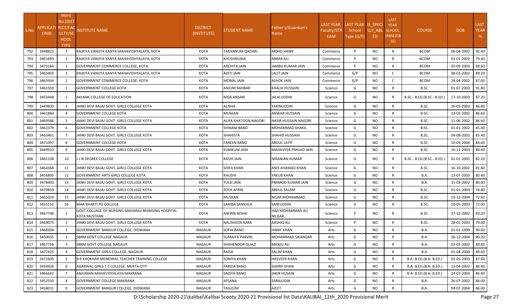|       |                                 | <b>Merit</b>               |                                                                    |                                |                       |                                    |                  |                    |           |                            |                            |            |             |
|-------|---------------------------------|----------------------------|--------------------------------------------------------------------|--------------------------------|-----------------------|------------------------------------|------------------|--------------------|-----------|----------------------------|----------------------------|------------|-------------|
|       |                                 | No.(DIST                   |                                                                    |                                |                       |                                    | <b>LAST YEAR</b> | LAST YEAR IS SPECI |           | <b>LAST</b><br><b>YEAR</b> |                            |            | <b>LAST</b> |
| S.No. | <b>APPLICATI</b><br><b>ONID</b> | <b>RICT/FAC</b><br>ULTY/SC | <b>NSTITUTE NAME</b>                                               | <b>DISTRICT</b><br>(INSTITUTE) | STUDENT NAME          | Father's/Guardian's<br>Name        | Faculty/STR      | School             | LLY ABL   | <b>SCHOOL</b>              | <b>COURSE</b>              | <b>DOB</b> | <b>YEAR</b> |
|       |                                 | HOOL                       |                                                                    |                                |                       |                                    | EAM              | Type (G/P)         | ED.       | (RBSE/CB                   |                            |            | %           |
|       |                                 | <b>TYPE</b>                |                                                                    |                                |                       |                                    |                  |                    |           | SE)                        |                            |            |             |
| 792   | 3448825                         |                            | RAJKIYA VANIJYA KANYA MAHAVIDHYALAYA, KOTA                         | <b>KOTA</b>                    | TARANNUM QADARI       | <b>MOHD HANIF</b>                  | Commerce         | P                  | NO.       | R                          | <b>BCOM</b>                | 06-04-2002 | 92.40       |
| 793   | 3461693                         | $\overline{2}$             | RAJKIYA VANIJYA KANYA MAHAVIDHYALAYA, KOTA                         | <b>KOTA</b>                    | KHUSHNUMA             | ABRAR ALI                          | Commerce         | P                  | NO.       | R                          | <b>BCOM</b>                | 01-01-2002 | 79.40       |
| 794   | 3473164                         | $\overline{3}$             | GOVERNMENT COMMERCE COLLEGE, KOTA                                  | <b>KOTA</b>                    | <b>ARCHITA JAIN</b>   | JAMBU KUMAR JAIN                   | Commerce         | P                  | NO.       | R                          | <b>BCOM</b>                | 05-09-2003 | 68.60       |
| 795   | 3463403                         |                            | RAJKIYA VANIJYA KANYA MAHAVIDHYALAYA, KOTA                         | KOTA                           | ADITI JAIN            | LALIT JAIN                         | Commerce         | G/P                | NO.       | C                          | <b>BCOM</b>                | 08-03-2002 | 89.20       |
| 796   | 3465934                         | 2                          | <b>GOVERNMENT COMMERCE COLLEGE, KOTA</b>                           | KOTA                           | MONAL JAIN            | <b>ASHOK JAIN</b>                  | Commerce         | G/P                | NO.       | C                          | <b>BCOM</b>                | 24-04-2002 | 87.00       |
| 797   | 3461503                         | -1                         | GOVERNMENT COLLEGE KOTA                                            | <b>KOTA</b>                    | ANJUM RAHBAR          | KHALIK HUSSAIN                     | Science          | G                  | NO.       | $\mathsf{R}$               | B.SC.                      | 01-07-2003 | 91.80       |
| 798   | 3453448                         | 2                          | AKLANK COLLEGE OF EDUCATION                                        | KOTA                           | NIDA ANSARI           | JALALUDDIN                         | Science          | G                  | NO.       | R                          | B.SC.- B.ED.(B.SC.- B.ED.) | 17-10-2003 | 87.20       |
| 799   | 3449830                         | 3                          | JANKI DEVI BAJAJ GOVT. GIRLS COLLEGE KOTA                          | KOTA                           | ALISHA                | YAKINUDDIN                         | Science          | G                  | NO.       | R                          | B.SC.                      | 26-05-2003 | 86.80       |
| 800   | 3461860                         | $\overline{a}$             | <b>GOVERNMENT COLLEGE KOTA</b>                                     | KOTA                           | <b>MUSKAN</b>         | ANWAR HUSSAIN                      | Science          | G                  | NO.       | $\mathsf{R}$               | B.SC.                      | 23-03-2002 | 86.60       |
| 801   | 3469586                         | $5\overline{2}$            | JANKI DEVI BAJAJ GOVT. GIRLS COLLEGE KOTA                          | <b>KOTA</b>                    | ALIFA KHATOON NAGORI  | <b>NASIR HUSSAIN NAGORI</b>        | Science          | G                  | NO.       | R                          | B.SC.                      | 11-06-2002 | 86.60       |
| 802   | 3462379                         | -6                         | <b>GOVERNMENT COLLEGE KOTA</b>                                     | KOTA                           | SHINAM BANO           | MOHAMMAD SHAKIL                    | Science          | G                  | <b>NO</b> | R                          | B.SC.                      | 01-01-2002 | 85.40       |
| 803   | 3463461                         |                            | JANKI DEVI BAJAJ GOVT. GIRLS COLLEGE KOTA                          | <b>KOTA</b>                    | <b>SHAHISTA</b>       | SHAHID HUSSAIN                     | Science          | G                  | NO.       | R                          | B.SC.                      | 04-08-2002 | 85.40       |
| 804   | 3471097                         | 8                          | <b>GOVERNMENT COLLEGE KOTA</b>                                     | KOTA                           | FAREEN BANO           | ABDUL LATIF                        | Science          | G                  | NO.       | R                          | B.SC.                      | 10-03-2004 | 84.60       |
| 805   | 3449910                         | 9                          | JANKI DEVI BAJAJ GOVT. GIRLS COLLEGE KOTA                          | KOTA                           | <b>KUMKUM JAIN</b>    | <b>MAHAVEER PRASAD JAIN</b>        | Science          | G                  | NO.       | R                          | B.SC.                      | 10-11-2003 | 84.40       |
| 806   | 3481108                         | 10                         | J L N DEGREE COLLEGE                                               | KOTA                           | RASHI JAIN            | <b>NIRANJAN KUMAR</b>              | Science          | G                  | NO.       | R                          | B.SC.- B.ED.(B.SC.- B.ED.) | 01-01-2005 | 82.20       |
| 807   | 3464368                         | 11                         | JANKI DEVI BAJAJ GOVT. GIRLS COLLEGE KOTA                          | KOTA                           | <b>SHIFA KHAN</b>     | ANIS AHAMAD KHAN                   | Science          | G                  | NO.       | R                          | B.SC.                      | 16-10-2002 | 81.60       |
| 808   | 3456895                         | 12                         | <b>GOVERNMENT ARTS GIRLS COLLEGE KOTA</b>                          | <b>KOTA</b>                    | KHUSHI                | YAKUB KHAN                         | Science          | G                  | NO.       | R                          | B.A.                       | 12-07-2003 | 80.40       |
| 809   | 3478403                         | 13                         | JANKI DEVI BAJAJ GOVT. GIRLS COLLEGE KOTA                          | <b>KOTA</b>                    | TULSI JAIN            | PRAMOD KUMAR JAIN                  | Science          | G                  | NO.       | R                          | B.A.                       | 31-03-2002 | 80.00       |
| 810   | 3470859                         | 14                         | JANKI DEVI BAJAJ GOVT. GIRLS COLLEGE KOTA                          | <b>KOTA</b>                    | ZOYA AFRIN            | ABDUL SALAM                        | Science          | G                  | NO.       | R                          | B.SC.                      | 01-01-2003 | 74.80       |
| 811   | 3465024                         | 15                         | JANKI DEVI BAJAJ GOVT. GIRLS COLLEGE KOTA                          | KOTA                           | MUSKAN                | NISAR MOHAMMAD                     | Science          | G                  | NO.       | R                          | B.SC.                      | 19-12-2004 | 72.60       |
| 812   | 3455152                         | 16                         | MAA BHARTI PG COLLEGE                                              | KOTA                           | <b>SAHIBA SANKHLA</b> | <b>SARFUDDIN</b>                   | Science          | G                  | NO.       | R                          | B.SC.                      | 10-05-2003 | 72.00       |
| 813   | 3467748                         |                            | GOVT.COLLAGE OF NURSING MAHARAV BHIMSING HOSPITAL<br>KOTA RAJSTHAN | KOTA                           | AAFRIN NISHA          | HAJI MOHAMMAD ALI<br><b>NILGAR</b> | Science          | P                  | NO.       | R                          | B.SC.                      | 27-12-2002 | 83.20       |
| 814   | 3469075                         | 2                          | JANKI DEVI BAJAJ GOVT. GIRLS COLLEGE KOTA                          | <b>KOTA</b>                    | <b>NAUSHEEN AARA</b>  | AASHIQ ALI                         | Science          | P                  | NO.       | R                          | B.SC.                      | 28-01-2003 | 79.00       |
| 815   | 3468204                         |                            | GOVERNMENT BANGUR COLLEGE, DIDWANA                                 | <b>NAGAUR</b>                  | SOFIA BANO            | HANIF KHAN                         | Arts             | G                  | NO.       | R                          | B.A.                       | 01-01-1999 | 90.60       |
| 816   | 3450035                         | 2                          | SBRM GOVT COLLEGE NAGAUR                                           | NAGAUR                         | <b>SUMAIYA PARVIN</b> | MOHAMMAD SIKANDAR                  | Arts             | G                  | <b>NO</b> | $\mathsf{R}$               | <b>B.A.</b>                | 26-12-2004 | 90.20       |
| 817   | 3467756                         | 3                          | <b>SBRM GOVT COLLEGE NAGAUR</b>                                    | NAGAUR                         | SHAHENOOR QUAZI       | MANJU ALI                          | Arts             | G                  | NO.       | R                          | <b>B.A.</b>                | 02-03-2002 | 89.80       |
| 818   | 3477425                         | $\overline{4}$             | GOVERNMENT GIRLS COLLEGE, NAGAUR                                   | NAGAUR                         | RAISA                 | <b>SALIM KHAN</b>                  | Arts             | G                  | NO.       | $\mathsf{R}$               | <b>B.A.</b>                | 01-04-2000 | 89.60       |
| 819   | 3471609                         | -5                         | IB R KHOKHAR MEMORIAL TEACHER TRAINING COLLEGE                     | NAGAUR                         | SONIYA KHAN           | <b>HASVEER KHAN</b>                | Arts             | G                  | NO.       | R                          | B.A- B.ED.(B.A- B.ED.)     | 02-05-2003 | 87.60       |
| 820   | 3459926                         | 6                          | AGARWAL GIRLS T T COLLEGE, MERTA CITY                              | NAGAUR                         | <b>FARIDA BANO</b>    | <b>SHARIF KHAN</b>                 | Arts             | G                  | NO.       | $\mathsf{R}$               | B.A- B.ED.(B.A- B.ED.)     | 13-04-2002 | 86.40       |
| 821   | 3466642                         | 7                          | ANJUMAN MAHAVIDYALAYA MAKRANA                                      | NAGAUR                         | SADIYA BANO           | <b>JAKIR HUSAIN</b>                | Arts             | G                  | NO.       | R                          | B.A- B.ED.(B.A- B.ED.)     | 24-07-2003 | 86.40       |
| 822   | 3452550                         |                            | <b>GOVERNMENT COLLEGE MAKRANA</b>                                  | NAGAUR                         | AFSANA                | SARAJUDIN                          | Arts             | G                  | <b>NO</b> | R                          | B.A.                       | 26-07-2002 | 86.00       |
| 823   | 3458031                         | 9                          | GOVERNMENT BANGUR COLLEGE, DIDWANA                                 | NAGAUR                         | TASLEEM               | AJEET                              | Arts             | G                  | NO.       | R                          | <b>B.A.</b>                | 04-07-2004 | 86.00       |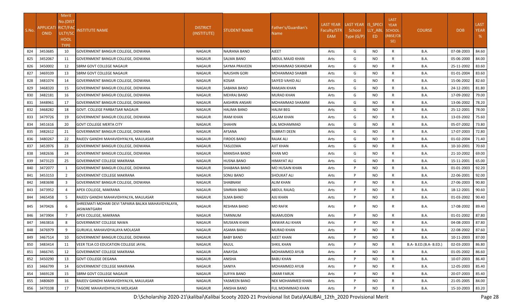|       |                                 | Merit                      |                                                                    |                                |                  |                             |                  |                    |           |                            |                        |            |             |
|-------|---------------------------------|----------------------------|--------------------------------------------------------------------|--------------------------------|------------------|-----------------------------|------------------|--------------------|-----------|----------------------------|------------------------|------------|-------------|
|       |                                 | No.(DIST                   |                                                                    |                                |                  |                             | <b>LAST YEAR</b> | LAST YEAR IS SPECI |           | <b>LAST</b><br><b>YEAR</b> |                        |            | <b>LAST</b> |
| S.No. | <b>APPLICATI</b><br><b>ONID</b> | <b>RICT/FAC</b><br>ULTY/SC | <b>NSTITUTE NAME</b>                                               | <b>DISTRICT</b><br>(INSTITUTE) | STUDENT NAME     | Father's/Guardian's<br>Name | Faculty/STR      | School             | LLY_ABL   | <b>SCHOOL</b>              | <b>COURSE</b>          | <b>DOB</b> | <b>YEAR</b> |
|       |                                 | HOOL                       |                                                                    |                                |                  |                             | EAM              | Type (G/P)         | ED.       | (RBSE/CB                   |                        |            | %           |
|       |                                 | <b>TYPE</b>                |                                                                    |                                |                  |                             |                  |                    |           | SE)                        |                        |            |             |
| 824   | 3453685                         | 10                         | GOVERNMENT BANGUR COLLEGE, DIDWANA                                 | NAGAUR                         | NAJRANA BANO     | <b>AJEET</b>                | Arts             | G                  | NO.       | R                          | B.A.                   | 07-08-2003 | 84.60       |
| 825   | 3452067                         | 11                         | GOVERNMENT BANGUR COLLEGE, DIDWANA                                 | NAGAUR                         | SALMA BANO       | ABDUL MAJID KHAN            | Arts             | G                  | NO.       | R                          | B.A.                   | 05-06-2000 | 84.00       |
| 826   | 3450002                         | 12                         | <b>SBRM GOVT COLLEGE NAGAUR</b>                                    | <b>NAGAUR</b>                  | SAYMA PRAVEEN    | MOHAMMAD SIKANDAR           | Arts             | G                  | NO.       | R                          | <b>B.A.</b>            | 25-11-2002 | 83.60       |
| 827   | 3469109                         | 13                         | SBRM GOVT COLLEGE NAGAUR                                           | NAGAUR                         | NAUSHIN GORI     | MOHAMMAD SHABIR             | Arts             | G                  | NO.       | R                          | B.A.                   | 01-01-2004 | 83.60       |
| 828   | 3481074                         | 14                         | GOVERNMENT BANGUR COLLEGE, DIDWANA                                 | NAGAUR                         | KOSAR            | SAIYED VAHID ALI            | Arts             | G                  | NO.       | R                          | B.A.                   | 15-06-2002 | 82.60       |
| 829   | 3468320                         | 15                         | GOVERNMENT BANGUR COLLEGE, DIDWANA                                 | NAGAUR                         | SABANA BANO      | RAMJAN KHAN                 | Arts             | G                  | NO.       | R                          | B.A.                   | 24-12-2001 | 81.80       |
| 830   | 3482181                         | 16                         | GOVERNMENT BANGUR COLLEGE, DIDWANA                                 | NAGAUR                         | MEHRAJ BANO      | <b>MURAD KHAN</b>           | Arts             | G                  | NO.       | R                          | <b>B.A.</b>            | 17-09-2002 | 79.00       |
| 831   | 3448961                         | 17                         | GOVERNMENT BANGUR COLLEGE, DIDWANA                                 | NAGAUR                         | AASHRIN ANSARI   | MOHAMMAD SHAMIM             | Arts             | G                  | NO.       | R                          | B.A.                   | 13-06-2002 | 78.20       |
| 832   | 3468282                         | 18                         | GOVT. COLLEGE PARBATSAR NAGAUR                                     | NAGAUR                         | HALIMA BANO      | <b>HALIM BEG</b>            | Arts             | G                  | <b>NO</b> | R                          | B.A.                   | 25-12-2001 | 78.00       |
| 833   | 3479726                         | 19                         | GOVERNMENT BANGUR COLLEGE, DIDWANA                                 | NAGAUR                         | IRAM KHAN        | <b>ASLAM KHAN</b>           | Arts             | G                  | NO.       | R                          | B.A.                   | 13-03-2002 | 75.60       |
| 834   | 3451616                         | 20                         | <b>GOVT COLLEGE MERTA CITY</b>                                     | NAGAUR                         | SHAHIN           | LAL MOHAMMAD                | Arts             | G                  | NO.       | R                          | B.A.                   | 05-07-2002 | 73.80       |
| 835   | 3482612                         | 21                         | GOVERNMENT BANGUR COLLEGE, DIDWANA                                 | <b>NAGAUR</b>                  | AFSANA           | <b>SUBRATI DEEN</b>         | Arts             | G                  | NO.       | R                          | B.A.                   | 17-07-2003 | 72.80       |
| 836   | 3480267                         | 22                         | RAJEEV GANDHI MAHAVIDHYALYA, MAULASAR                              | NAGAUR                         | FIRDOS BANO      | <b>RAJAK ALI</b>            | Arts             | G                  | NO.       | $\mathsf{R}$               | B.A.                   | 01-02-2004 | 71.40       |
| 837   | 3453976                         | 23                         | GOVERNMENT BANGUR COLLEGE, DIDWANA                                 | NAGAUR                         | TASLEEMA         | <b>AJIT KHAN</b>            | Arts             | G                  | NO.       | R                          | B.A.                   | 10-10-2001 | 70.60       |
| 838   | 3482636                         | 24                         | GOVERNMENT BANGUR COLLEGE, DIDWANA                                 | NAGAUR                         | MANISHA BANO     | <b>KHAN MO</b>              | Arts             | G                  | NO.       | R                          | B.A.                   | 21-10-2002 | 69.00       |
| 839   | 3473123                         | 25                         | GOVERNMENT COLLEGE MAKRANA                                         | NAGAUR                         | HUSNA BANO       | <b>HIMAYAT ALI</b>          | Arts             | G                  | <b>NO</b> | R                          | <b>B.A.</b>            | 15-11-2001 | 65.00       |
| 840   | 3472077                         | $\mathbf{1}$               | GOVERNMENT BANGUR COLLEGE, DIDWANA                                 | NAGAUR                         | SHABANA BANO     | MO HUSAIN KHAN              | Arts             | P                  | NO.       | R                          | <b>B.A.</b>            | 01-01-2003 | 92.20       |
| 841   | 3453153                         | $\overline{2}$             | GOVERNMENT COLLEGE MAKRANA                                         | NAGAUR                         | SONU BANO        | SHOUKAT ALI                 | Arts             | P                  | NO.       | R                          | B.A.                   | 22-06-2001 | 92.00       |
| 842   | 3483698                         | 3                          | GOVERNMENT BANGUR COLLEGE, DIDWANA                                 | NAGAUR                         | SHABNAM          | ALIM KHAN                   | Arts             | P                  | <b>NO</b> | R                          | B.A.                   | 27-06-2003 | 90.80       |
| 843   | 3473952                         |                            | APEX COLLEGE, MAKRANA                                              | NAGAUR                         | SIMRAN BANO      | ABDUL RAJAQ                 | Arts             | P                  | NO.       | R                          | B.A.                   | 18-12-2001 | 90.60       |
| 844   | 3465458                         | $\overline{5}$             | RAJEEV GANDHI MAHAVIDHYALYA, MAULASAR                              | NAGAUR                         | SLMA BANO        | AJIJ KHAN                   | Arts             | P                  | <b>NO</b> | R                          | B.A.                   | 01-03-2002 | 90.40       |
| 845   | 3470426                         |                            | SHREEMATI MOHARI DEVI TAPARIA BALIKA MAHAVIDYALAYA,<br>JASWANTGARH | NAGAUR                         | RESHMA BANO      | <b>MO RAFIK</b>             | Arts             | P                  | NO.       | R                          | B.A.                   | 17-08-2002 | 89.40       |
| 846   | 3473904                         |                            | APEX COLLEGE, MAKRANA                                              | NAGAUR                         | TARNNUM          | NIJAMUDDIN                  | Arts             | P                  | NO.       | R                          | <b>B.A.</b>            | 01-01-2002 | 87.80       |
| 847   | 3463816                         | 8                          | <b>GOVERNMENT COLLEGE NAWA</b>                                     | NAGAUR                         | MUSKAN KHAN      | ANWAR ALI KHAN              | Arts             | P                  | NO.       | R                          | <b>B.A.</b>            | 04-08-2003 | 87.80       |
| 848   | 3476979                         | 9                          | GURUKUL MAHAVIDYALAYA MOLASAR                                      | NAGAUR                         | ASAMA BANU       | MURAD KHAN                  | Arts             | P                  | NO.       | R                          | <b>B.A.</b>            | 22-08-2002 | 87.60       |
| 849   | 3467514                         | 10                         | GOVERNMENT BANGUR COLLEGE, DIDWANA                                 | NAGAUR                         | <b>BABY BANO</b> | AJEET KHAN                  | Arts             | P                  | <b>NO</b> | $\mathsf{R}$               | <b>B.A.</b>            | 10-11-2003 | 87.00       |
| 850   | 3483414                         | 11                         | VEER TEJA CO EDUCATION COLLEGE JAYAL                               | NAGAUR                         | RAJUL            | <b>SHKIL KHAN</b>           | Arts             | P                  | NO.       | R                          | B.A- B.ED.(B.A- B.ED.) | 02-03-2003 | 86.80       |
| 851   | 3466745                         | 12                         | <b>GOVERNMENT COLLEGE MAKRANA</b>                                  | NAGAUR                         | ANAYDA           | MOHAMMED AYUB               | Arts             | P                  | NO.       | R                          | B.A.                   | 01-05-2002 | 86.60       |
| 852   | 3450290                         | 13                         | <b>GOVT COLLEGE DEGANA</b>                                         | NAGAUR                         | ANISHA           | <b>BABU KHAN</b>            | Arts             | P                  | NO.       | R                          | <b>B.A.</b>            | 10-07-2003 | 86.40       |
| 853   | 3466799                         | 14                         | GOVERNMENT COLLEGE MAKRANA                                         | NAGAUR                         | SANIYA           | MOHAMMED AYUB               | Arts             | P                  | NO        | R                          | <b>B.A.</b>            | 12-05-2003 | 85.40       |
| 854   | 3469128                         | 15                         | <b>SBRM GOVT COLLEGE NAGAUR</b>                                    | NAGAUR                         | SUFIYA BANO      | <b>UMAR FARUK</b>           | Arts             | P                  | <b>NO</b> | $\mathsf{R}$               | B.A.                   | 20-07-2003 | 85.40       |
| 855   | 3480609                         | 16                         | RAJEEV GANDHI MAHAVIDHYALYA, MAULASAR                              | NAGAUR                         | YASMEEN BANO     | <b>NEK MOHAMMED KHAN</b>    | Arts             | P                  | <b>NO</b> | R                          | <b>B.A.</b>            | 21-05-2005 | 84.00       |
| 856   | 3470108                         | 17                         | TAGORE MAHAVIDHYALYA MOLASAR                                       | NAGAUR                         | ANISHA BANO      | FUL MOHMMAD KHAN            | Arts             | P                  | NO.       | R                          | <b>B.A.</b>            | 15-10-2003 | 83.20       |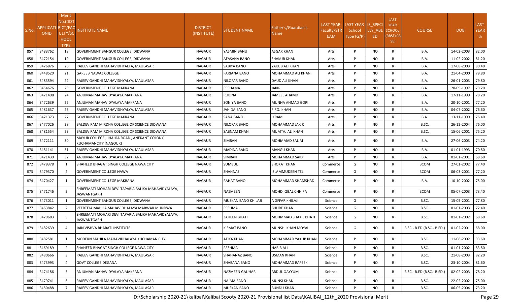|       |                    | Merit           |                                                                      |                 |                     |                         |                  |                    |           |                            |                            |            |             |
|-------|--------------------|-----------------|----------------------------------------------------------------------|-----------------|---------------------|-------------------------|------------------|--------------------|-----------|----------------------------|----------------------------|------------|-------------|
|       |                    | No.(DIST        |                                                                      |                 |                     |                         | <b>LAST YEAR</b> | LAST YEAR IS SPECI |           | <b>LAST</b><br><b>YEAR</b> |                            |            | <b>LAST</b> |
| S.No. | APPLICATI RICT/FAC |                 | <b>NSTITUTE NAME</b>                                                 | <b>DISTRICT</b> | STUDENT NAME        | Father's/Guardian's     | Faculty/STR      | School             | LLY ABL   | <b>SCHOOL</b>              | <b>COURSE</b>              | <b>DOB</b> | <b>YEAR</b> |
|       | <b>ONID</b>        | ULTY/SC<br>HOOL |                                                                      | (INSTITUTE)     |                     | Name                    | EAM              | Type (G/P)         | ED.       | (RBSE/CB                   |                            |            | %           |
|       |                    | <b>TYPE</b>     |                                                                      |                 |                     |                         |                  |                    |           | SE)                        |                            |            |             |
| 857   | 3483762            | 18              | GOVERNMENT BANGUR COLLEGE, DIDWANA                                   | NAGAUR          | YASMIN BANU         | <b>ASGAR KHAN</b>       | Arts             | P                  | NO.       | R                          | B.A.                       | 14-02-2003 | 82.00       |
| 858   | 3472154            | 19              | GOVERNMENT BANGUR COLLEGE, DIDWANA                                   | NAGAUR          | AFASANA BANO        | <b>SHAKUR KHAN</b>      | Arts             | P                  | NO.       | R                          | B.A.                       | 11-02-2002 | 81.20       |
| 859   | 3476876            | 20              | RAJEEV GANDHI MAHAVIDHYALYA, MAULASAR                                | <b>NAGAUR</b>   | SABIYA BANO         | YAKUB ALI KHAN          | Arts             | P                  | NO.       | R                          | B.A.                       | 17-08-2003 | 80.40       |
| 860   | 3448520            | 21              | <b>GAREEB NAWAZ COLLEGE</b>                                          | NAGAUR          | FARJANA BANO        | MOHAMMAD ALI KHAN       | Arts             | P                  | NO.       | R                          | <b>B.A.</b>                | 21-04-2000 | 79.80       |
| 861   | 3483594            | 22              | RAJEEV GANDHI MAHAVIDHYALYA, MAULASAR                                | NAGAUR          | NILOFAR BANO        | DAUD ALI KHAN           | Arts             | P                  | NO.       | R                          | B.A.                       | 26-01-2003 | 79.80       |
| 862   | 3454676            | 23              | <b>GOVERNMENT COLLEGE MAKRANA</b>                                    | NAGAUR          | RESHAMA             | <b>JAKIR</b>            | Arts             | P                  | NO.       | R                          | <b>B.A.</b>                | 20-09-1997 | 79.20       |
| 863   | 3471498            | 24              | ANJUMAN MAHAVIDYALAYA MAKRANA                                        | NAGAUR          | <b>RUBINA</b>       | <b>JAMEEL AHAMD</b>     | Arts             | P                  | NO.       | R                          | B.A.                       | 17-11-1999 | 78.20       |
| 864   | 3472639            | 25              | ANJUMAN MAHAVIDYALAYA MAKRANA                                        | NAGAUR          | SONIYA BANO         | MUNNA AHMAD GORI        | Arts             | P                  | <b>NO</b> | R                          | B.A.                       | 20-10-2001 | 77.20       |
| 865   | 3481637            | 26              | RAJEEV GANDHI MAHAVIDHYALYA, MAULASAR                                | NAGAUR          | JAHIDA BANO         | <b>FIROJ KHAN</b>       | Arts             | P                  | <b>NO</b> | R                          | <b>B.A.</b>                | 04-07-2002 | 76.60       |
| 866   | 3471373            | 27              | <b>GOVERNMENT COLLEGE MAKRANA</b>                                    | NAGAUR          | <b>SANA BANO</b>    | <b>IKRAM</b>            | Arts             | P                  | NO.       | R                          | B.A.                       | 13-11-1999 | 76.40       |
| 867   | 3477026            | 28              | BALDEV RAM MIRDHA COLLEGE OF SCIENCE DIDWANA                         | NAGAUR          | NILOFAR BANO        | MOHAMMAD JAKIR          | Arts             | P                  | NO.       | R                          | B.SC.                      | 26-12-2004 | 76.00       |
| 868   | 3481554            | 29              | BALDEV RAM MIRDHA COLLEGE OF SCIENCE DIDWANA                         | NAGAUR          | SABNAM KHAN         | MUMTAJ ALI KHAN         | Arts             | P                  | NO.       | $\mathsf{R}$               | B.SC.                      | 15-06-2001 | 75.20       |
| 869   | 3472111            | 30              | MAYUR COLLEGE, JHALRA ROAD, ANEKANT COLONY,<br>KUCHAMANCITY (NAGOUR) | NAGAUR          | <b>SIMRAN</b>       | <b>MOHMMAD SALIM</b>    | Arts             | P                  | NO.       | R                          | <b>B.A.</b>                | 27-06-2003 | 74.20       |
| 870   | 3481141            | 31              | RAJEEV GANDHI MAHAVIDHYALYA, MAULASAR                                | NAGAUR          | MADINA BANO         | <b>MANGU KHAN</b>       | Arts             | P                  | NO.       | R                          | B.A.                       | 01-01-1993 | 70.80       |
| 871   | 3471439            | 32              | ANJUMAN MAHAVIDYALAYA MAKRANA                                        | NAGAUR          | SIMRAN              | MOHAMMAD SAID           | Arts             | P                  | NO.       | $\mathsf{R}$               | B.A.                       | 01-01-2001 | 68.60       |
| 872   | 3479378            | $\mathbf{1}$    | SHAHEED BHAGAT SINGH COLLEGE NAWA CITY                               | NAGAUR          | SUMBUL              | <b>SHOKAT KHAN</b>      | Commerce         | G                  | <b>NO</b> | R                          | <b>BCOM</b>                | 27-01-2002 | 77.40       |
| 873   | 3479370            | $\overline{2}$  | <b>GOVERNMENT COLLEGE NAWA</b>                                       | NAGAUR          | SHAHNAJ             | <b>ISLAMMUDEEN TELI</b> | Commerce         | G                  | <b>NO</b> | $\mathsf{R}$               | <b>BCOM</b>                | 06-03-2001 | 77.20       |
| 874   | 3470427            | 1               | <b>GOVERNMENT COLLEGE MAKRANA</b>                                    | NAGAUR          | RAHAT BANO          | MOHAMMAD SHAMSHAD       | Commerce         | P                  | NO.       | R                          | B.A.                       | 10-10-2002 | 75.00       |
| 875   | 3471746            | 2               | SHREEMATI MOHARI DEVI TAPARIA BALIKA MAHAVIDYALAYA,<br>JASWANTGARH   | NAGAUR          | <b>NAZMEEN</b>      | MOHD IQBAL CHHIPA       | Commerce         | P                  | <b>NO</b> | R                          | <b>BCOM</b>                | 05-07-2003 | 73.40       |
| 876   | 3473011            | -1              | GOVERNMENT BANGUR COLLEGE, DIDWANA                                   | <b>NAGAUR</b>   | MUSKAN BANO KHILAJI | A GFFAR KHILAJI         | Science          | G                  | NO.       | $\mathsf{R}$               | B.SC.                      | 15-05-2001 | 77.80       |
| 877   | 3463842            | $\overline{2}$  | VEERTEJA MAHILA MAHAVIDHALAYA MARWAR MUNDWA                          | NAGAUR          | RESHMA              | <b>BHURE KHAN</b>       | Science          | G                  | NO.       | R                          | B.SC.                      | 01-01-2003 | 72.40       |
| 878   | 3479683            | 3               | SHREEMATI MOHARI DEVI TAPARIA BALIKA MAHAVIDYALAYA.<br>JASWANTGARH   | NAGAUR          | ZAHEEN BHATI        | MOHMMAD SHAKIL BHATI    | Science          | G                  | NO.       | R                          | B.SC.                      | 01-01-2002 | 68.60       |
| 879   | 3482639            | 4               | JAIN VISHVA BHARATI INSTITUTE                                        | NAGAUR          | KISMAT BANO         | MUNSHI KHAN MOYAL       | Science          | G                  | NO.       | R                          | B.SC.- B.ED.(B.SC.- B.ED.) | 01-02-2001 | 68.00       |
| 880   | 3482581            | 1               | MODERN MAHILA MAHAVIDHALAYA KUCHAMAN CITY                            | NAGAUR          | <b>AFIYA KHAN</b>   | MOHAMMAD YAKUB KHAN     | Science          | P                  | NO        | R                          | B.SC.                      | 11-08-2002 | 93.60       |
| 881   | 3469189            | $\overline{2}$  | SHAHEED BHAGAT SINGH COLLEGE NAWA CITY                               | NAGAUR          | RESHMA              | <b>HABIB ALI</b>        | Science          | P                  | NO.       | $\mathsf{R}$               | B.SC.                      | 01-01-2002 | 83.80       |
| 882   | 3480666            | 3               | RAJEEV GANDHI MAHAVIDHYALYA, MAULASAR                                | NAGAUR          | SHAHANAZ BANO       | <b>USMAN KHAN</b>       | Science          | P                  | NO.       | $\mathsf{R}$               | B.SC.                      | 21-08-2003 | 82.20       |
| 883   | 3473993            | $\overline{4}$  | <b>GOVT COLLEGE DEGANA</b>                                           | NAGAUR          | SHABANA BANO        | MOHAMMAD RAFEEK         | Science          | P                  | NO.       | $\mathsf{R}$               | B.SC.                      | 23-10-2004 | 81.60       |
| 884   | 3474186            | -5              | ANJUMAN MAHAVIDYALAYA MAKRANA                                        | NAGAUR          | NAZMEEN GAUHAR      | ABDUL QAYYUM            | Science          | P                  | NO.       | R                          | B.SC.- B.ED.(B.SC.- B.ED.) | 02-02-2003 | 78.20       |
| 885   | 3479741            | 6               | RAJEEV GANDHI MAHAVIDHYALYA, MAULASAR                                | NAGAUR          | NAJMA BANO          | <b>MUNSI KHAN</b>       | Science          | P                  | NO.       | R                          | B.SC.                      | 22-02-2002 | 75.00       |
| 886   | 3480488            |                 | RAJEEV GANDHI MAHAVIDHYALYA, MAULASAR                                | NAGAUR          | <b>MUSKAN BANO</b>  | <b>BUNDU KHAN</b>       | Science          | P                  | NO.       | $\mathsf{R}$               | B.SC.                      | 06-05-2004 | 73.20       |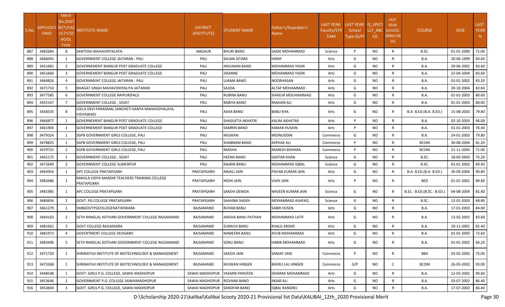| S.No. | APPLICATI RICT/FA(<br><b>ONID</b> | Merit<br>No.(DIST<br>ULTY/SC<br><b>HOOL</b><br><b>TYPE</b> | NSTITUTE NAME                                                  | <b>DISTRICT</b><br>(INSTITUTE) | STUDENT NAME        | Father's/Guardian's<br>Name | <b>LAST YEAR</b><br>Faculty/STR<br>EAM | LAST YEAR IS_SPECI<br>School<br>Type (G/P) | LLY ABL<br>ED. | <b>LAST</b><br><b>YEAR</b><br><b>SCHOOL</b><br>(RBSE/CB<br>SE) | <b>COURSE</b>              | <b>DOB</b> | <b>LAST</b><br><b>YEAR</b><br>% |
|-------|-----------------------------------|------------------------------------------------------------|----------------------------------------------------------------|--------------------------------|---------------------|-----------------------------|----------------------------------------|--------------------------------------------|----------------|----------------------------------------------------------------|----------------------------|------------|---------------------------------|
| 887   | 3482684                           | 8                                                          | SANTOSH MAHAVIDYALAYA                                          | <b>NAGAUR</b>                  | <b>BHURI BANO</b>   | SADIK MOHAMMAD              | Science                                | P                                          | <b>NO</b>      | $\mathsf{R}$                                                   | B.SC.                      | 01-01-2000 | 71.00                           |
| 888   | 3466045                           | 1                                                          | <b>GOVERNMENT COLLEGE JAITARAN - PALI</b>                      | PALI                           | SALMA SITARA        | HANIF                       | Arts                                   | G                                          | <b>NO</b>      | $\mathsf{R}$                                                   | B.A.                       | 20-06-1999 | 83.60                           |
| 889   | 3451681                           | 2                                                          | GOVERNEMENT BANGUR POST GRADUATE COLLEGE                       | PALI                           | ANJUMAN BANO        | MOHAMMAD YASIN              | Arts                                   | G                                          | <b>NO</b>      | $\mathsf{R}$                                                   | B.A.                       | 29-06-2002 | 83.60                           |
| 890   | 3451666                           | 3                                                          | <b>GOVERNEMENT BANGUR POST GRADUATE COLLEGE</b>                | PALI                           | JASMINE             | MOHAMMAD YASIN              | Arts                                   | G                                          | <b>NO</b>      | R                                                              | <b>B.A.</b>                | 22-04-2004 | 83.60                           |
| 891   | 3464826                           | 4                                                          | <b>GOVERNMENT COLLEGE JAITARAN - PALI</b>                      | PALI                           | UJAMA BANO          | NOORHASAN                   | Arts                                   | G                                          | <b>NO</b>      | R                                                              | B.A.                       | 01-01-2002 | 83.20                           |
| 892   | 3471710                           | 5                                                          | BHAGAT SINGH MAHAVIDHYALIYA JAITARAN                           | PALI                           | SAJIDA              | ALTAF MOHAMMAD              | Arts                                   | G                                          | NO.            | $\mathsf{R}$                                                   | B.A.                       | 20-10-2004 | 82.60                           |
| 893   | 3477585                           | 6                                                          | <b>GOVERNMENT COLLEGE RAIPUR(PALI)</b>                         | PALI                           | RUBINA BANU         | SHAKUR MOUHAMMAD            | Arts                                   | G                                          | <b>NO</b>      | $\mathsf{R}$                                                   | B.A.                       | 01-01-2003 | 80.60                           |
| 894   | 3455147                           | $\overline{7}$                                             | GOVERNMENT COLLEGE, SOJAT                                      | PALI                           | RABIYA BANO         | RAMJAN ALI                  | Arts                                   | G                                          | <b>NO</b>      | $\mathsf{R}$                                                   | B.A.                       | 01-01-2003 | 80.00                           |
| 895   | 3458335                           | 8                                                          | LEELA DEVI PARASMAL SANCHETI KANYA MAHAVIDYALAYA,<br>VIDYAWADI | PALI                           | ASHA BANO           | BABU KHA                    | Arts                                   | G                                          | NO.            | R                                                              | B.A- B.ED.(B.A- B.ED.)     | 15-08-2003 | 79.80                           |
| 896   | 3466877                           |                                                            | <b>GOVERNEMENT BANGUR POST GRADUATE COLLEGE</b>                | PALI                           | SHAGUFTA AKHATRI    | KALIM AKHATAR               | Arts                                   | P                                          | <b>NO</b>      | $\mathsf{R}$                                                   | <b>B.A.</b>                | 02-10-2003 | 96.00                           |
| 897   | 3461904                           | 2                                                          | GOVERNEMENT BANGUR POST GRADUATE COLLEGE                       | PALI                           | SAMRIN BANO         | KAMAR HUSAIN                | Arts                                   | P                                          | <b>NO</b>      | $\mathsf{R}$                                                   | B.A.                       | 01-01-2003 | 76.40                           |
| 898   | 3479324                           | 1                                                          | <b>SGPB GOVERNMENT GIRLS COLLEGE, PALI</b>                     | PALI                           | MUSKAN              | <b>MOINUDDIN</b>            | Commerce                               | G                                          | <b>NO</b>      | $\mathsf{R}$                                                   | B.A.                       | 24-01-2003 | 79.80                           |
| 899   | 3478825                           | 1                                                          | SGPB GOVERNMENT GIRLS COLLEGE, PALI                            | PALI                           | SHABNAM BANO        | ASPHAK ALI                  | Commerce                               | P                                          | <b>NO</b>      | R                                                              | <b>BCOM</b>                | 30-08-2004 | 81.20                           |
| 900   | 3479725                           | $\overline{2}$                                             | SGPB GOVERNMENT GIRLS COLLEGE, PALI                            | PALI                           | <b>RAKSHA</b>       | RAMESH BOHARA               | Commerce                               | P                                          | <b>NO</b>      | R                                                              | <b>BCOM</b>                | 21-11-2003 | 71.00                           |
| 901   | 3465175                           | 1                                                          | GOVERNMENT COLLEGE , SOJAT                                     | PALI                           | <b>HEENA BANO</b>   | GAFFAR KHAN                 | Science                                | G                                          | <b>NO</b>      | $\mathsf{R}$                                                   | B.SC.                      | 18-03-2003 | 75.20                           |
| 902   | 3472649                           | $\overline{2}$                                             | <b>GOVERNMENT COLLEGE SUMERPUR</b>                             | PALI                           | NAJRIN BANU         | MOHAMMAD IQBAL              | Science                                | G                                          | <b>NO</b>      | R                                                              | B.SC.                      | 01-01-2002 | 69.40                           |
| 903   | 3464954                           | 1                                                          | APC COLLEGE PRATAPGARH                                         | PRATAPGARH                     | ANJALI JAIN         | PAVAN KUMAR JAIN            | Arts                                   | G                                          | <b>NO</b>      | $\mathsf{R}$                                                   | B.A- B.ED.(B.A- B.ED.)     | 30-09-2004 | 90.80                           |
| 904   | 3482686                           | 1                                                          | MAHILA VIDYA MANDIR TEACHERS TRAINING COLLEGE<br>PRATAPGARH    | PRATAPGARH                     | NIDHI JAIN          | VIJAY JAIN                  | Arts                                   | P                                          | NO.            | R                                                              | BED                        | 01-01-2001 | 89.80                           |
| 905   | 3481985                           | 1                                                          | APC COLLEGE PRATAPGARH                                         | PRATAPGARH                     | SAKSHI DEWDA        | NAVEEN KUMAR JAIN           | Science                                | G                                          | <b>NO</b>      | R                                                              | B.SC.- B.ED.(B.SC.- B.ED.) | 04-08-2004 | 81.40                           |
| 906   | 3480656                           | $\overline{2}$                                             | GOVT. PG COLLEGE PRATAPGARH                                    | PRATAPGARH                     | SAAHIBA SHEKH       | MOHAMMAD ASHFAQ             | Science                                | G                                          | NO.            | R                                                              | B.SC.                      | 12-01-2003 | 68.80                           |
| 907   | 3461279                           | 1                                                          | SMBGOVTPGCOLLEGENATHDWARA                                      | RAJSAMAND                      | <b>RUHAB BANU</b>   | SABIR HUSEN                 | Arts                                   | G                                          | NO.            | R                                                              | <b>B.A.</b>                | 17-01-2003 | 84.00                           |
| 908   | 3464163                           | 2                                                          | SETH RANGLAL KOTHARI GOVERNMENT COLLEGE RAJSAMAND              | RAJSAMAND                      | AAISHA BANU PATHAN  | MOHAMMAD LATIF              | Arts                                   | G                                          | NO.            | R                                                              | B.A.                       | 13-02-2002 | 83.60                           |
| 909   | 3481661                           | $\overline{3}$                                             | <b>GOVT COLLEGE RAILMAGRA</b>                                  | RAJSAMAND                      | SURAIYA BANU        | KHALIL MOHD                 | Arts                                   | G                                          | <b>NO</b>      | R                                                              | B.A.                       | 29-11-2001 | 82.40                           |
| 910   | 3481973                           |                                                            | <b>GOVERTMENT COLLEGE DEOGARH</b>                              | RAJSAMAND                      | <b>NAMEERA BANU</b> | AYUB MOHAMMAD               | Arts                                   | G                                          | <b>NO</b>      | R                                                              | <b>B.A.</b>                | 01-01-2003 | 72.60                           |
| 911   | 3483496                           | 5                                                          | SETH RANGLAL KOTHARI GOVERNMENT COLLEGE RAJSAMAND              | RAJSAMAND                      | SONU BANU           | HABIB MOHAMMAD              | Arts                                   | G                                          | <b>NO</b>      | R                                                              | <b>B.A.</b>                | 01-01-2002 | 66.20                           |
| 912   | 3471720                           | 1                                                          | SHRINATHJI INSTITUTE OF BIOTECHNOLOGY & MANAGEMENT             | RAJSAMAND                      | SAKSHI JAIN         | SANJAY JAIN                 | Commerce                               | P                                          | <b>NO</b>      | R                                                              | BBA                        | 03-02-2003 | 75.00                           |
| 913   | 3473368                           | 1                                                          | SHRINATHJI INSTITUTE OF BIOTECHNOLOGY & MANAGEMENT             | RAJSAMAND                      | MUSKAN HINGER       | BHERU LAL HINGER            | Commerce                               | G/P                                        | NO.            | C                                                              | <b>BCOM</b>                | 26-03-2002 | 93.00                           |
| 914   | 3448548                           | 1                                                          | GOVT. GIRLS P.G. COLLEGE, SAWAI MADHOPUR                       | SAWAI MADHOPUR                 | YASMIN PARVEEN      | ISHARAK MOHAMMAD            | Arts                                   | G                                          | <b>NO</b>      | R                                                              | <b>B.A.</b>                | 12-03-2002 | 90.60                           |
| 915   | 3453646                           | $\overline{2}$                                             | GOVERNMENT P.G. COLLEGE SAWAIMADHOPUR                          | SAWAI MADHOPUR                 | RIZVANA BANO        | INSAR ALI                   | Arts                                   | G                                          | <b>NO</b>      | R                                                              | <b>B.A.</b>                | 03-07-2002 | 86.40                           |
| 916   | 3453604                           | $\overline{3}$                                             | GOVT. GIRLS P.G. COLLEGE, SAWAI MADHOPUR                       | SAWAI MADHOPUR                 | <b>SANOFAR BANO</b> | <b>IQBAL RANGREJ</b>        | Arts                                   | G                                          | <b>NO</b>      | $\mathsf{R}$                                                   | <b>B.A.</b>                | 17-07-2002 | 86.40                           |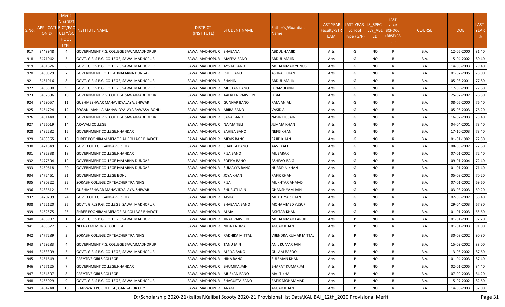|       |                    | Merit           |                                          |                               |                        |                         |                    |                    |         |                            |               |            |             |
|-------|--------------------|-----------------|------------------------------------------|-------------------------------|------------------------|-------------------------|--------------------|--------------------|---------|----------------------------|---------------|------------|-------------|
|       |                    | No.(DIST        |                                          |                               |                        |                         | <b>LAST YEAR</b>   | LAST YEAR IS SPECI |         | <b>LAST</b><br><b>YEAR</b> |               |            | <b>LAST</b> |
| S.No. | APPLICATI RICT/FAC |                 | NSTITUTE NAME                            | <b>DISTRICT</b>               | STUDENT NAME           | Father's/Guardian's     | <b>Faculty/STR</b> | School             | LLY_ABL | <b>SCHOOL</b>              | <b>COURSE</b> | <b>DOB</b> | <b>YEAR</b> |
|       | <b>ONID</b>        | ULTY/SC<br>HOOL |                                          | (INSTITUTE)                   |                        | Name                    | EAM                | Type (G/P)         | ED      | (RBSE/CB                   |               |            | %           |
|       |                    | <b>TYPE</b>     |                                          |                               |                        |                         |                    |                    |         | SE)                        |               |            |             |
| 917   | 3448948            |                 | GOVERNMENT P.G. COLLEGE SAWAIMADHOPUR    | SAWAI MADHOPUR SHABANA        |                        | ABDUL HAMID             | Arts               | G                  | NO.     | R                          | B.A.          | 12-06-2000 | 81.40       |
| 918   | 3471042            | -5              | GOVT. GIRLS P.G. COLLEGE, SAWAI MADHOPUR | SAWAI MADHOPUR                | <b>MAFIYA BANO</b>     | ABDUL MAJID             | Arts               | G                  | NO.     | R                          | B.A.          | 15-04-2002 | 80.40       |
| 919   | 3461676            | 6               | GOVT. GIRLS P.G. COLLEGE, SAWAI MADHOPUR | SAWAI MADHOPUR                | <b>AYSHA BANO</b>      | MOHAMMAD YUNUS          | Arts               | G                  | NO.     | R                          | <b>B.A.</b>   | 14-08-2003 | 79.40       |
| 920   | 3480379            | 7               | GOVERNMENT COLLEGE MALARNA DUNGAR        | SAWAI MADHOPUR RUBI BANO      |                        | ASHRAF KHAN             | Arts               | G                  | NO.     | R                          | B.A.          | 01-07-2005 | 78.00       |
| 921   | 3461916            | 8               | GOVT. GIRLS P.G. COLLEGE, SAWAI MADHOPUR | SAWAI MADHOPUR SHAHIN         |                        | <b>ABDUL MALIK</b>      | Arts               | G                  | NO.     | R                          | <b>B.A.</b>   | 05-08-2001 | 77.80       |
| 922   | 3458590            | 9               | GOVT. GIRLS P.G. COLLEGE, SAWAI MADHOPUR | SAWAI MADHOPUR   MUSKAN BANO  |                        | IKRAMUDDIN              | Arts               | G                  | NO.     | R                          | <b>B.A.</b>   | 17-09-2001 | 77.60       |
| 923   | 3457886            | 10              | GOVERNMENT P.G. COLLEGE SAWAIMADHOPUR    | SAWAI MADHOPUR                | <b>AAFREEN PARVEEN</b> | IKBAL                   | Arts               | G                  | NO.     | R                          | <b>B.A.</b>   | 25-07-2002 | 76.80       |
| 924   | 3469057            | 11              | GUSHMESHWAR MAHAVIDYALAYA, SHIWAR        | SAWAI MADHOPUR                | <b>GUNNAR BANO</b>     | RAMJAN ALI              | Arts               | G                  | NO.     | R                          | <b>B.A.</b>   | 08-06-2000 | 76.40       |
| 925   | 3464724            | 12              | SOGANI MAHILA MAHAVIDYALAYA RAWASA-BONLI | SAWAI MADHOPUR                | <b>ARIBA BANO</b>      | VASID ALI               | Arts               | G                  | NO.     | R                          | <b>B.A.</b>   | 05-05-2003 | 76.20       |
| 926   | 3481440            | 13              | GOVERNMENT P.G. COLLEGE SAWAIMADHOPUR    | SAWAI MADHOPUR                | <b>SANA BANO</b>       | <b>NASIR HUSAIN</b>     | Arts               | G                  | NO.     | R                          | <b>B.A.</b>   | 16-02-2003 | 75.40       |
| 927   | 3456019            | 14              | <b>ARAVALI COLLEGE</b>                   | SAWAI MADHOPUR INAJMA TELI    |                        | <b>JUMMA KHAN</b>       | Arts               | G                  | NO.     | R                          | <b>B.A.</b>   | 04-04-2001 | 73.40       |
| 928   | 3482282            | 15              | GOVERNMENT COLLEGE.KHANDAR               | SAWAI MADHOPUR SAHIBA BANO    |                        | <b>NEFIS KHAN</b>       | Arts               | G                  | NO.     | R                          | <b>B.A.</b>   | 17-10-2003 | 73.40       |
| 929   | 3463365            | 16              | SHREE POONIRAM MEMORIAL COLLAGE BHADOTI  | SAWAI MADHOPUR   MEVIS BANO   |                        | SAJID KHAN              | Arts               | G                  | NO.     | $\mathsf{R}$               | <b>B.A.</b>   | 01-01-1982 | 72.80       |
| 930   | 3471849            | 17              | <b>GOVT COLLEGE GANGAPUR CITY</b>        | SAWAI MADHOPUR SHAKILA BANO   |                        | <b>AAVID ALI</b>        | Arts               | G                  | NO.     | R                          | <b>B.A.</b>   | 08-05-2002 | 72.60       |
| 931   | 3482338            | 18              | GOVERNMENT COLLEGE, KHANDAR              | SAWAI MADHOPUR FIZA BANO      |                        | MUBARAK                 | Arts               | G                  | NO.     | R                          | <b>B.A.</b>   | 07-01-2002 | 72.40       |
| 932   | 3477504            | 19              | GOVERNMENT COLLEGE MALARNA DUNGAR        | SAWAI MADHOPUR                | <b>SOFIYA BANO</b>     | ASHFAQ BAIG             | Arts               | G                  | NO.     | R                          | <b>B.A.</b>   | 09-01-2004 | 72.40       |
| 933   | 3459618            | 20              | GOVERNMENT COLLEGE MALARNA DUNGAR        | SAWAI MADHOPUR SUMAYYA BANO   |                        | <b>NURDDIN KHAN</b>     | Arts               | G                  | NO.     | R                          | <b>B.A.</b>   | 01-01-2001 | 71.40       |
| 934   | 3472461            | 21              | <b>GOVERNMENT COLLEGE BONLI</b>          | SAWAI MADHOPUR                | JOYA KHAN              | RAFIK KHAN              | Arts               | G                  | NO.     | R                          | <b>B.A.</b>   | 05-08-2002 | 70.20       |
| 935   | 3480322            | 22              | SORABH COLLEGE OF TEACHER TRAINING       | SAWAI MADHOPUR FIZA           |                        | MUKHTAR AHMAD           | Arts               | G                  | NO.     | R                          | B.A.          | 07-01-2002 | 69.60       |
| 936   | 3483612            | 23              | GUSHMESHWAR MAHAVIDYALAYA, SHIWAR        | SAWAI MADHOPUR SHURUTI JAIN   |                        | GHANSHYAM JAIN          | Arts               | G                  | NO.     | R                          | B.A.          | 03-03-2003 | 69.20       |
| 937   | 3470289            | 24              | <b>GOVT COLLEGE GANGAPUR CITY</b>        | SAWAI MADHOPUR                | <b>AISHA</b>           | <b>MUKHTYAR KHAN</b>    | Arts               | G                  | NO.     | R                          | <b>B.A.</b>   | 02-09-2002 | 68.40       |
| 938   | 3462120            | 25              | GOVT. GIRLS P.G. COLLEGE, SAWAI MADHOPUR | SAWAI MADHOPUR                | <b>SHABANA BANO</b>    | MOHAMMED YUSUF          | Arts               | G                  | NO.     | R                          | B.A.          | 29-04-2003 | 67.80       |
| 939   | 3462575            | 26              | SHREE POONIRAM MEMORIAL COLLAGE BHADOTI  | SAWAI MADHOPUR ALMA           |                        | AKHTAR KHAN             | Arts               | G                  | NO.     | R                          | B.A.          | 01-01-2003 | 65.60       |
| 940   | 3455907            | -1              | GOVT. GIRLS P.G. COLLEGE, SAWAI MADHOPUR | SAWAI MADHOPUR JINAT PARVEEN  |                        | MOHAMMAD FARUK          | Arts               | P                  | NO.     | R                          | B.A.          | 01-01-2001 | 92.20       |
| 941   | 3463672            | $\overline{2}$  | NEERAJ MEMORIAL COLLEGE                  | SAWAI MADHOPUR NIDA FATIMA    |                        | AMJAD KHAN              | Arts               | P                  | NO.     | R                          | B.A.          | 01-01-2003 | 91.00       |
| 942   | 3477289            | -3              | SORABH COLLEGE OF TEACHER TRAINING       | SAWAI MADHOPUR RADHIKA MITTAL |                        | VIJENDRA KUMAR MITTAL   | Arts               | P                  | NO.     | R                          | B.A.          | 30-08-2002 | 90.80       |
| 943   | 3469283            | $\overline{4}$  | GOVERNMENT P.G. COLLEGE SAWAIMADHOPUR    | SAWAI MADHOPUR                | <b>TANU JAIN</b>       | ANIL KUMAR JAIN         | Arts               | P                  | NO.     | R                          | B.A.          | 15-09-2002 | 88.00       |
| 944   | 3463309            | 5               | GOVT. GIRLS P.G. COLLEGE. SAWAI MADHOPUR | SAWAI MADHOPUR                | <b>ALFIYA BANO</b>     | <b>GULAM RASOOL</b>     | Arts               | P                  | NO.     | $\mathsf{R}$               | <b>B.A.</b>   | 13-05-2002 | 87.60       |
| 945   | 3461649            | 6               | <b>CREATIVE GIRLS COLLEGE</b>            | SAWAI MADHOPUR HINA BANO      |                        | <b>SULEMAN KHAN</b>     | Arts               | P                  | NO.     | $\mathsf{R}$               | <b>B.A.</b>   | 01-04-2003 | 87.40       |
| 946   | 3467125            |                 | GOVERNMENT COLLEGE, KHANDAR              | SAWAI MADHOPUR                | <b>BHUMIKA JAIN</b>    | <b>BHARAT KUMAR JAI</b> | Arts               | P                  | NO.     | R                          | <b>B.A.</b>   | 02-01-2005 | 84.40       |
| 947   | 3464507            | 8               | <b>CREATIVE GIRLS COLLEGE</b>            | SAWAI MADHOPUR MUSKAN BANO    |                        | <b>MAJIT KHA</b>        | Arts               | P                  | NO.     | $\mathsf{R}$               | B.A.          | 07-09-2003 | 84.20       |
| 948   | 3455029            | -9              | GOVT. GIRLS P.G. COLLEGE, SAWAI MADHOPUR | SAWAI MADHOPUR SHAGUFTA BANO  |                        | RAFIK MOHAMMAD          | Arts               | P                  | NO.     | $\mathsf{R}$               | <b>B.A.</b>   | 15-07-2002 | 82.60       |
| 949   | 3464748            | 10              | BHAGWATI PG COLLEGE, GANGAPUR CITY       | SAWAI MADHOPUR ANAM           |                        | <b>AMJAD KHAN</b>       | Arts               | P                  | NO.     | R                          | <b>B.A.</b>   | 14-06-2003 | 82.00       |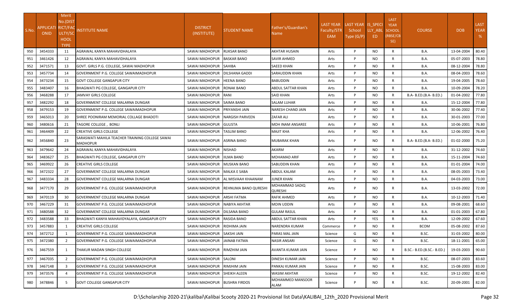|       |                                   | Merit          |                                                                    |                                 |                                   |                                  |                  |                    |           |                            |                            |            |             |
|-------|-----------------------------------|----------------|--------------------------------------------------------------------|---------------------------------|-----------------------------------|----------------------------------|------------------|--------------------|-----------|----------------------------|----------------------------|------------|-------------|
|       |                                   | No.(DIST       |                                                                    |                                 |                                   |                                  | <b>LAST YEAR</b> | LAST YEAR IS SPECI |           | <b>LAST</b><br><b>YEAR</b> |                            |            | <b>LAST</b> |
| S.No. | APPLICATI RICT/FAC<br><b>ONID</b> | ULTY/SC        | NSTITUTE NAME                                                      | <b>DISTRICT</b>                 | <b>STUDENT NAME</b>               | Father's/Guardian's              | Faculty/STR      | School             | LLY ABL   | <b>SCHOOL</b>              | <b>COURSE</b>              | <b>DOB</b> | <b>YEAR</b> |
|       |                                   | HOOL           |                                                                    | (INSTITUTE)                     |                                   | Name                             | EAM              | Type (G/P)         | ED        | (RBSE/CB                   |                            |            | %           |
|       |                                   | <b>TYPE</b>    |                                                                    |                                 |                                   |                                  |                  |                    |           | SE)                        |                            |            |             |
| 950   | 3454333                           | 11             | AGRAWAL KANYA MAHAVIDHALAYA                                        | SAWAI MADHOPUR RUKSAR BANO      |                                   | <b>AKHTAR HUSAIN</b>             | Arts             | P                  | NO.       | R                          | B.A.                       | 13-04-2004 | 80.40       |
| 951   | 3461426                           | 12             | AGRAWAL KANYA MAHAVIDHALAYA                                        | SAWAI MADHOPUR                  | <b>BASKAR BANO</b>                | <b>SAVIR AHMED</b>               | Arts             | P                  | NO.       | R                          | B.A.                       | 05-07-2003 | 78.80       |
| 952   | 3471571                           | 13             | GOVT. GIRLS P.G. COLLEGE, SAWAI MADHOPUR                           | SAWAI MADHOPUR                  | <b>SAHIBA</b>                     | <b>SAEED KHAN</b>                | Arts             | P                  | NO.       | R                          | <b>B.A.</b>                | 08-12-2004 | 78.80       |
| 953   | 3457734                           | 14             | GOVERNMENT P.G. COLLEGE SAWAIMADHOPUR                              | SAWAI MADHOPUR   DILSHANA GADDI |                                   | SARAUDDIN KHAN                   | Arts             | P                  | NO.       | R                          | B.A.                       | 08-04-2003 | 78.60       |
| 954   | 3473234                           | 15             | <b>GOVT COLLEGE GANGAPUR CITY</b>                                  | SAWAI MADHOPUR   HEENA BANO     |                                   | <b>BABUDDIN</b>                  | Arts             | P                  | NO.       | R                          | <b>B.A.</b>                | 19-04-2005 | 78.60       |
| 955   | 3483407                           | 16             | BHAGWATI PG COLLEGE, GANGAPUR CITY                                 | SAWAI MADHOPUR                  | <b>RONAK BANO</b>                 | ABDUL SATTAR KHAN                | Arts             | P                  | NO.       | R                          | B.A.                       | 10-09-2004 | 78.20       |
| 956   | 3468288                           | 17             | JAMVAY GIRLS COLLEGE                                               | SAWAI MADHOPUR                  | RANI                              | <b>SAID KHAN</b>                 | Arts             | P                  | NO.       | R                          | B.A- B.ED.(B.A- B.ED.)     | 01-04-2002 | 77.80       |
| 957   | 3482292                           | 18             | GOVERNMENT COLLEGE MALARNA DUNGAR                                  | SAWAI MADHOPUR                  | <b>SAIMA BANO</b>                 | <b>SALAM LUHAR</b>               | Arts             | P                  | NO.       | R                          | B.A.                       | 15-12-2004 | 77.80       |
| 958   | 3479153                           | 19             | GOVERNMENT P.G. COLLEGE SAWAIMADHOPUR                              | SAWAI MADHOPUR                  | PRIYANSHI JAIN                    | NARESH CHAND JAIN                | Arts             | P                  | <b>NO</b> | R                          | B.A.                       | 30-06-2002 | 77.40       |
| 959   | 3465013                           | 20             | SHREE POONIRAM MEMORIAL COLLAGE BHADOTI                            | SAWAI MADHOPUR                  | NARGISH PARVEEN                   | <b>ZAFAR ALI</b>                 | Arts             | P                  | NO.       | R                          | <b>B.A.</b>                | 30-01-2003 | 77.00       |
| 960   | 3480616                           | 21             | TAGORE COLLEGE, BONLI                                              | SAWAI MADHOPUR                  | <b>GULISTA</b>                    | MOH INAM ANSAREE                 | Arts             | P                  | NO.       | R                          | B.A.                       | 10-06-2001 | 76.80       |
| 961   | 3464409                           | 22             | <b>CREATIVE GIRLS COLLEGE</b>                                      | SAWAI MADHOPUR                  | <b>TASLIM BANO</b>                | <b>MAJIT KHA</b>                 | Arts             | P                  | NO.       | $\mathsf{R}$               | B.A.                       | 12-06-2002 | 76.40       |
| 962   | 3456840                           | 23             | SARASWATI MAHILA TEACHER TRAINING COLLEGE SAWAI<br><b>MADHOPUR</b> | SAWAI MADHOPUR ASRINA BANO      |                                   | <b>MUBARAK KHAN</b>              | Arts             | P                  | NO.       | R                          | B.A- B.ED.(B.A- B.ED.)     | 01-02-2000 | 75.20       |
| 963   | 3479642                           | 24             | AGRAWAL KANYA MAHAVIDHALAYA                                        | SAWAI MADHOPUR                  | <b>NISHAD</b>                     | AKARM                            | Arts             | P                  | NO.       | R                          | B.A.                       | 31-12-2002 | 74.60       |
| 964   | 3483627                           | 25             | BHAGWATI PG COLLEGE, GANGAPUR CITY                                 | SAWAI MADHOPUR                  | <b>IILMA BANO</b>                 | <b>MOHAMAD ARIF</b>              | Arts             | P                  | NO.       | R                          | B.A.                       | 15-11-2004 | 74.60       |
| 965   | 3469922                           | 26             | <b>CREATIVE GIRLS COLLEGE</b>                                      | SAWAI MADHOPUR                  | <b>MUSKAN BANO</b>                | <b>SABUDDIN KHAN</b>             | Arts             | P                  | NO.       | R                          | B.A.                       | 01-01-2004 | 74.00       |
| 966   | 3472322                           | 27             | GOVERNMENT COLLEGE MALARNA DUNGAR                                  | SAWAI MADHOPUR                  | MALKA E SABA                      | ABDUL KALAM                      | Arts             | P                  | <b>NO</b> | $\mathsf{R}$               | <b>B.A.</b>                | 08-05-2003 | 73.40       |
| 967   | 3483334                           | 28             | GOVERNMENT COLLEGE MALARNA DUNGAR                                  |                                 | SAWAI MADHOPUR AL MISVAAH KHAANAM | <b>JUNER KHAN</b>                | Arts             | P                  | NO.       | R                          | B.A.                       | 04-03-2003 | 73.00       |
| 968   | 3477170                           | 29             | GOVERNMENT P.G. COLLEGE SAWAIMADHOPUR                              | SAWAI MADHOPUR                  | REHNUMA BANO QURESHI              | MOHAMMAD SADIQ<br><b>QURESHI</b> | Arts             | P                  | NO.       | R                          | B.A.                       | 13-03-2002 | 72.00       |
| 969   | 3470119                           | 30             | GOVERNMENT COLLEGE MALARNA DUNGAR                                  | SAWAI MADHOPUR                  | <b>ARSHI FATMA</b>                | <b>RAFIK AHMED</b>               | Arts             | P                  | NO.       | R                          | B.A.                       | 10-12-2003 | 71.40       |
| 970   | 3467229                           | 31             | GOVERNMENT P.G. COLLEGE SAWAIMADHOPUR                              | SAWAI MADHOPUR                  | NABIYA AKHTAR                     | MOIN UDDIN                       | Arts             | P                  | NO.       | R                          | <b>B.A.</b>                | 09-08-2001 | 68.60       |
| 971   | 3480588                           | 32             | GOVERNMENT COLLEGE MALARNA DUNGAR                                  | SAWAI MADHOPUR   DILSANA BANO   |                                   | <b>GULAM RASUL</b>               | Arts             | P                  | NO.       | R                          | B.A.                       | 01-01-2003 | 67.80       |
| 972   | 3483588                           | 33             | BHAGWATI KANYA MAHAVIDYALAYA, GANGAPUR CITY                        | SAWAI MADHOPUR RASIDA BANO      |                                   | ABDUL SATTAR KHAN                | Arts             | P                  | YES       | R                          | B.A.                       | 12-09-2002 | 67.60       |
| 973   | 3457883                           | $\mathbf{1}$   | <b>CREATIVE GIRLS COLLEGE</b>                                      | SAWAI MADHOPUR                  | RIDHIMA JAIN                      | NARENDRA KUMAR                   | Commerce         | P                  | NO.       | R                          | <b>BCOM</b>                | 05-08-2002 | 87.60       |
| 974   | 3472712                           |                | GOVERNMENT P.G. COLLEGE SAWAIMADHOPUR                              | SAWAI MADHOPUR SAKSHI JAIN      |                                   | PARAS MAL JAIN                   | Science          | G                  | NO.       | R                          | B.SC.                      | 31-03-2002 | 80.00       |
| 975   | 3472380                           | 2              | GOVERNMENT P.G. COLLEGE SAWAIMADHOPUR                              | SAWAI MADHOPUR JAINAB FATMA     |                                   | <b>NASIR ANSARI</b>              | Science          | G                  | NO.       | $\mathsf{R}$               | B.SC.                      | 18-11-2001 | 65.00       |
| 976   | 3467559                           | 1              | THAKUR MADAN SINGH COLLEGE                                         | SAWAI MADHOPUR RIMZHIM JAIN     |                                   | AVANTA KUMAR JAIN                | Science          | P                  | NO.       | R                          | B.SC.- B.ED.(B.SC.- B.ED.) | 19-03-2003 | 90.60       |
| 977   | 3467035                           | $\overline{2}$ | GOVERNMENT P.G. COLLEGE SAWAIMADHOPUR                              | SAWAI MADHOPUR SALONI           |                                   | DINESH KUMAR JAIN                | Science          | P                  | NO.       | R                          | B.SC.                      | 08-07-2003 | 83.60       |
| 978   | 3467148                           | $\overline{3}$ | GOVERNMENT P.G. COLLEGE SAWAIMADHOPUR                              | SAWAI MADHOPUR                  | <b>RIMJHIM JAIN</b>               | PANKAJ KUMAR JAIN                | Science          | P                  | NO.       | R                          | B.SC.                      | 15-08-2003 | 83.00       |
| 979   | 3473576                           | $\overline{4}$ | GOVERNMENT P.G. COLLEGE SAWAIMADHOPUR                              | SAWAI MADHOPUR SHEIKH ALEEN     |                                   | <b>WASIM AKHTAR</b>              | Science          | P                  | NO.       | $\mathsf{R}$               | B.SC.                      | 19-12-2002 | 82.40       |
| 980   | 3478846                           | 5              | <b>GOVT COLLEGE GANGAPUR CITY</b>                                  | SAWAI MADHOPUR BUSHRA FIRDOS    |                                   | MOHAMMED MANSOOR<br>ALAM         | Science          | P                  | NO.       | R                          | B.SC.                      | 20-09-2001 | 82.00       |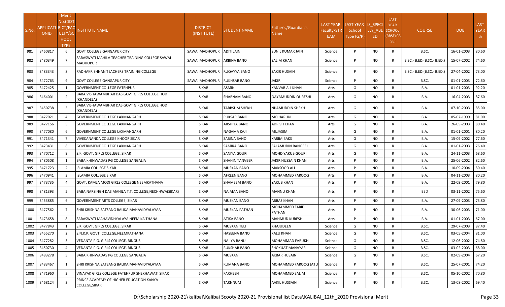| S.No. | APPLICATI RICT/FA(<br><b>ONID</b> | Merit<br>No.(DIST<br>ULTY/SC<br><b>HOOL</b><br><b>TYPE</b> | NSTITUTE NAME                                                      | <b>DISTRICT</b><br>(INSTITUTE) | <b>STUDENT NAME</b>  | Father's/Guardian's<br>Name | <b>LAST YEAR</b><br>Faculty/STR<br>EAM | LAST YEAR IS_SPECI<br>School<br>Type (G/P) | LLY ABL<br>ED. | <b>LAST</b><br><b>YEAR</b><br><b>SCHOOL</b><br>(RBSE/CB<br>SE) | <b>COURSE</b>              | <b>DOB</b> | <b>LAST</b><br><b>YEAR</b><br>% |
|-------|-----------------------------------|------------------------------------------------------------|--------------------------------------------------------------------|--------------------------------|----------------------|-----------------------------|----------------------------------------|--------------------------------------------|----------------|----------------------------------------------------------------|----------------------------|------------|---------------------------------|
| 981   | 3460817                           | 6                                                          | <b>GOVT COLLEGE GANGAPUR CITY</b>                                  | SAWAI MADHOPUR                 | ADITI JAIN           | SUNIL KUMAR JAIN            | Science                                | P                                          | <b>NO</b>      | R                                                              | B.SC.                      | 16-01-2003 | 80.60                           |
| 982   | 3480349                           | $\overline{7}$                                             | SARASWATI MAHILA TEACHER TRAINING COLLEGE SAWAI<br><b>MADHOPUR</b> | SAWAI MADHOPUR                 | ARBINA BANO          | SALIM KHAN                  | Science                                | P                                          | NO.            | R                                                              | B.SC.- B.ED.(B.SC.- B.ED.) | 15-07-2002 | 74.60                           |
| 983   | 3483343                           | 8                                                          | RADHAKRISHNAN TEACHERS TRAINING COLLEGE                            | SAWAI MADHOPUR RUQAYYA BANO    |                      | ZAKIR HUSAIN                | Science                                | P                                          | <b>NO</b>      | R                                                              | B.SC.- B.ED.(B.SC.- B.ED.) | 27-04-2002 | 73.00                           |
| 984   | 3472763                           | 9                                                          | <b>GOVT COLLEGE GANGAPUR CITY</b>                                  | SAWAI MADHOPUR                 | <b>RUKHSAR BANO</b>  | <b>JAKIR</b>                | Science                                | P                                          | <b>NO</b>      | $\mathsf{R}$                                                   | B.SC.                      | 01-01-2003 | 72.60                           |
| 985   | 3472425                           | 1                                                          | <b>GOVERNMENT COLLEGE FATEHPUR</b>                                 | <b>SIKAR</b>                   | <b>ASMIN</b>         | KANVAR ALI KHAN             | Arts                                   | G                                          | NO.            | $\mathsf{R}$                                                   | <b>B.A.</b>                | 01-01-2003 | 92.20                           |
| 986   | 3464001                           | 2                                                          | BABA VISHAWAMBHAR DAS GOVT GIRLS COLLEGE HOD<br>(KHANDELA)         | <b>SIKAR</b>                   | SHABNAM BANO         | QAYAMUDDIN QURESHI          | Arts                                   | G                                          | NO.            | R                                                              | <b>B.A.</b>                | 16-04-2003 | 87.60                           |
| 987   | 3450738                           | 3                                                          | BABA VISHAWAMBHAR DAS GOVT GIRLS COLLEGE HOD<br>(KHANDELA)         | <b>SIKAR</b>                   | <b>TABBSUM SHEKH</b> | NIJAMUDDIN SHEKH            | Arts                                   | G                                          | <b>NO</b>      | R                                                              | <b>B.A.</b>                | 07-10-2003 | 85.00                           |
| 988   | 3477021                           | $\Delta$                                                   | GOVERNMENT COLLEGE LAXMANGARH                                      | <b>SIKAR</b>                   | <b>RUKSAR BANO</b>   | <b>MO HARUN</b>             | Arts                                   | G                                          | <b>NO</b>      | R                                                              | <b>B.A.</b>                | 05-02-1999 | 81.00                           |
| 989   | 3477156                           | 5                                                          | GOVERNMENT COLLEGE LAXMANGARH                                      | <b>SIKAR</b>                   | ARSHIYA BANO         | ADRISH KHAN                 | Arts                                   | G                                          | <b>NO</b>      | R                                                              | <b>B.A.</b>                | 26-05-2003 | 80.40                           |
| 990   | 3477080                           | 6                                                          | GOVERNMENT COLLEGE LAXMANGARH                                      | <b>SIKAR</b>                   | NAGAMA KAJI          | MUJASIM                     | Arts                                   | G                                          | <b>NO</b>      | $\mathsf{R}$                                                   | <b>B.A.</b>                | 01-01-2001 | 80.20                           |
| 991   | 3471341                           | $\overline{7}$                                             | VIVEKANANDA COLLEGE KHOOR SIKAR                                    | <b>SIKAR</b>                   | SABINA BANO          | KARIM BAKS                  | Arts                                   | G                                          | <b>NO</b>      | $\mathsf{R}$                                                   | <b>B.A.</b>                | 15-09-2002 | 77.60                           |
| 992   | 3473431                           | 8                                                          | GOVERNMENT COLLEGE LAXMANGARH                                      | <b>SIKAR</b>                   | <b>SAMIRA BANO</b>   | SALAMUDIN RANGREJ           | Arts                                   | G                                          | <b>NO</b>      | $\mathsf{R}$                                                   | <b>B.A.</b>                | 01-01-2003 | 76.40                           |
| 993   | 3470712                           | 9                                                          | S.K. GOVT. GIRLS COLLEGE, SIKAR                                    | <b>SIKAR</b>                   | SANIYA GOURI         | MOHD YAKUB GOURI            | Arts                                   | G                                          | <b>NO</b>      | $\mathsf{R}$                                                   | <b>B.A.</b>                | 24-11-2003 | 68.60                           |
| 994   | 3480508                           | 1                                                          | BABA KHINWADAS PG COLLEGE SANGALIA                                 | <b>SIKAR</b>                   | SHAHIN TANVEER       | JAKIR HUSSAIN KHAN          | Arts                                   | P                                          | <b>NO</b>      | R                                                              | <b>B.A.</b>                | 25-06-2002 | 82.60                           |
| 995   | 3471723                           | $\overline{2}$                                             | <b>ISLAMIA COLLEGE SIKAR</b>                                       | <b>SIKAR</b>                   | <b>MUSKAN BANO</b>   | MAKSOOD ALI                 | Arts                                   | P                                          | <b>NO</b>      | R                                                              | <b>B.A.</b>                | 10-09-2004 | 80.40                           |
| 996   | 3470941                           | $\overline{3}$                                             | ISLAMIA COLLEGE SIKAR                                              | <b>SIKAR</b>                   | AFREEN BANO          | MOHAMMED FAROOQ             | Arts                                   | P                                          | <b>NO</b>      | R                                                              | <b>B.A.</b>                | 04-11-2003 | 80.20                           |
| 997   | 3473735                           | 4                                                          | GOVT. KAMLA MODI GIRLS COLLEGE NEEMKATHANA                         | <b>SIKAR</b>                   | <b>SHAMEEM BANO</b>  | YAKUB KHAN                  | Arts                                   | P                                          | <b>NO</b>      | R                                                              | <b>B.A.</b>                | 22-09-2001 | 79.80                           |
| 998   | 3481393                           | 5                                                          | BABA NARSINGH DAS MAHILA T.T. COLLEGE, NECHHWA(SIKAR)              | <b>SIKAR</b>                   | NAJAMA BANO          | <b>MANNU KHAN</b>           | Arts                                   | P                                          | <b>NO</b>      | R                                                              | <b>BED</b>                 | 03-11-2002 | 75.60                           |
| 999   | 3453885                           | 6                                                          | GOVERNMENT ARTS COLLEGE, SIKAR                                     | <b>SIKAR</b>                   | <b>MUSKAN BANO</b>   | ABBAS KHAN                  | Arts                                   | P                                          | <b>NO</b>      | $\mathsf{R}$                                                   | <b>B.A.</b>                | 27-09-2003 | 73.80                           |
| 1000  | 3477562                           | 7                                                          | SHRI KRISHNA SATSANG BALIKA MAHAVIDYALAYAA                         | <b>SIKAR</b>                   | <b>MUSKAN PATHAN</b> | MOHAMMED FARID<br>PATHAN    | Arts                                   | P                                          | <b>NO</b>      | R                                                              | <b>B.A.</b>                | 30-06-2003 | 71.00                           |
| 1001  | 3473658                           | 8                                                          | SARASWATI MAHAVIDHYALAYA NEEM KA THANA                             | <b>SIKAR</b>                   | ATIKA BANO           | <b>MAHMUD KURESHI</b>       | Arts                                   | P                                          | <b>NO</b>      | $\mathsf{R}$                                                   | <b>B.A.</b>                | 01-01-2003 | 67.00                           |
| 1002  | 3477843                           | 1                                                          | S.K. GOVT. GIRLS COLLEGE, SIKAR                                    | <b>SIKAR</b>                   | <b>MUSKAN TELI</b>   | KHAJUDEEN                   | Science                                | G                                          | <b>NO</b>      | $\mathsf{R}$                                                   | B.SC.                      | 29-07-2003 | 87.40                           |
| 1003  | 3455270                           | $\overline{2}$                                             | S.N.K.P. GOVT. COLLEGE.NEEMKATHANA                                 | <b>SIKAR</b>                   | HASEENA BANO         | KALU KHAN                   | Science                                | G                                          | <b>NO</b>      | R                                                              | B.SC.                      | 03-05-2004 | 81.00                           |
| 1004  | 3477282                           | $\mathbf{a}$                                               | VEDANTA P.G. GIRLS COLLEGE, RINGUS                                 | <b>SIKAR</b>                   | NAJIYA BANU          | MOHAMMAD FARUKH             | Science                                | G                                          | <b>NO</b>      | $\mathsf{R}$                                                   | B.SC.                      | 12-06-2002 | 74.80                           |
| 1005  | 3450730                           |                                                            | VEDANTA P.G. GIRLS COLLEGE, RINGUS                                 | <b>SIKAR</b>                   | RUKSHAR BANO         | SHOKUAT MANAYAR             | Science                                | G                                          | NO.            | R                                                              | B.SC.                      | 03-02-2003 | 68.00                           |
| 1006  | 3483278                           | 5 <sup>5</sup>                                             | BABA KHINWADAS PG COLLEGE SANGALIA                                 | <b>SIKAR</b>                   | MUSKAN               | AKBAR HUSAIN                | Science                                | G                                          | <b>NO</b>      | R                                                              | B.SC.                      | 02-09-2004 | 67.20                           |
| 1007  | 3483467                           | 1                                                          | SHRI KRISHNA SATSANG BALIKA MAHAVIDYALAYAA                         | <b>SIKAR</b>                   | RUMANA BANO          | MOHAMMED FAROOQ JATU        | Science                                | P                                          | NO.            | R                                                              | B.SC.                      | 25-07-2001 | 74.20                           |
| 1008  | 3471960                           | $\overline{2}$                                             | VINAYAK GIRLS COLLEGE FATEHPUR SHEKHAWATI SIKAR                    | <b>SIKAR</b>                   | FARHEEN              | MOHAMMED SALIM              | Science                                | P                                          | <b>NO</b>      | R                                                              | B.SC.                      | 05-10-2002 | 70.80                           |
| 1009  | 3468124                           | 3                                                          | PRINCE ACADEMY OF HIGHER EDUCATION KANYA<br>COLLEGE, SIKAR         | <b>SIKAR</b>                   | TARNNUM              | AAKIL HUSSAIN               | Science                                | P                                          | NO.            | R                                                              | B.SC.                      | 13-08-2002 | 69.40                           |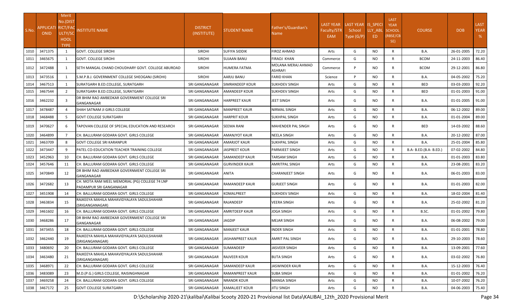| S.No. | APPLICATI RICT/FAC<br><b>ONID</b> | Merit<br>No.(DIST<br>ULTY/SC<br><b>HOOL</b><br><b>TYPE</b> | INSTITUTE NAME                                                            | <b>DISTRICT</b><br>(INSTITUTE) | <b>STUDENT NAME</b>   | Father's/Guardian's<br>Name       | <b>LAST YEAR</b><br>Faculty/STR<br>EAM | LAST YEAR IS_SPECI<br>School<br>Type (G/P) | LLY ABL<br>ED | <b>LAST</b><br><b>YEAR</b><br><b>SCHOOL</b><br>(RBSE/CB<br>SE) | <b>COURSE</b>          | <b>DOB</b>       | <b>LAST</b><br><b>YEAR</b><br>% |
|-------|-----------------------------------|------------------------------------------------------------|---------------------------------------------------------------------------|--------------------------------|-----------------------|-----------------------------------|----------------------------------------|--------------------------------------------|---------------|----------------------------------------------------------------|------------------------|------------------|---------------------------------|
| 1010  | 3471375                           | 1                                                          | <b>GOVT. COLLEGE SIROHI</b>                                               | <b>SIROHI</b>                  | SUFIYA SIDDIK         | FIROZ AHMAD                       | Arts                                   | G                                          | NO.           | $\mathsf{R}$                                                   | B.A.                   | 26-01-2005       | 72.20                           |
| 1011  | 3465675                           | 1                                                          | <b>GOVT. COLLEGE SIROHI</b>                                               | <b>SIROHI</b>                  | SUJAAN BANU           | FIRAOJ KHAN<br>MOLANA MERAJ AHMAD | Commerce                               | G                                          | <b>NO</b>     | $\mathsf{R}$                                                   | <b>BCOM</b>            | 24-11-2003       | 86.40                           |
| 1012  | 3472488                           | 1                                                          | SETH MANGAL CHAND CHOUDHARY GOVT. COLLEGE ABUROAD                         | <b>SIROHI</b>                  | HUMERA FATMA          | ASHRAFI                           | Commerce                               | P                                          | NO.           | R                                                              | <b>BCOM</b>            | 29-12-2001       | 86.80                           |
| 1013  | 3473516                           | 1                                                          | S.M.P.B.J. GOVERNMENT COLLEGE SHEOGANJ (SIROHI)                           | <b>SIROHI</b>                  | AARJU BANU            | FARID KHAN                        | Science                                | D                                          | NO.           | $\mathsf{R}$                                                   | B.A.                   | 04-05-2002       | 75.20                           |
| 1014  | 3467513                           | $\mathbf{1}$                                               | SURATGARH B.ED.COLLEGE, SURATGARH                                         | SRI GANGANAGAR                 | SIMRANDEEP KOUR       | SUKHDEV SINGH                     | Arts                                   | G                                          | <b>NO</b>     | $\mathsf{R}$                                                   | <b>BED</b>             | 03-03-2003       | 92.20                           |
| 1015  | 3467544                           | 2                                                          | SURATGARH B.ED.COLLEGE, SURATGARH                                         | SRI GANGANAGAR                 | <b>AMANDEEP KOUR</b>  | SUKHDEV SINGH                     | Arts                                   | G                                          | NO.           | R                                                              | <b>BED</b>             | 01-01-2003       | 91.00                           |
| 1016  | 3462232                           |                                                            | DR BHIM RAO AMBEDKAR GOVERNMENT COLLEGE SRI<br>GANGANAGAR                 | SRI GANGANAGAR                 | <b>HARPREET KAUR</b>  | JEET SINGH                        | Arts                                   | G                                          | NO.           | R                                                              | <b>B.A.</b>            | 01-01-2005       | 91.00                           |
| 1017  | 3478487                           |                                                            | SHAH SATNAM JI GIRLS COLLEGE                                              | SRI GANGANAGAR                 | <b>MANPREET KAUR</b>  | NIRMAL SINGH                      | Arts                                   | G                                          | NO.           | R                                                              | <b>B.A.</b>            | 06-12-2002       | 89.00                           |
| 1018  | 3468488                           | 5                                                          | <b>IGOVT COLLEGE SURATGARH</b>                                            | SRI GANGANAGAR                 | <b>HARPRIT KOUR</b>   | SUKHPAL SINGH                     | Arts                                   | G                                          | NO.           | R                                                              | <b>B.A.</b>            | 01-01-2004       | 89.00                           |
| 1019  | 3470627                           | 6                                                          | TAPOVAN COLLEGE OF SPECIAL EDUCATION AND RESEARCH                         | SRI GANGANAGAR                 | <b>SEEMA RANI</b>     | MAHENDER PAL SINGH                | Arts                                   | G                                          | NO.           | R                                                              | <b>BED</b>             | 14-03-2002       | 88.60                           |
| 1020  | 3464899                           | $\overline{7}$                                             | CH. BALLURAM GODARA GOVT. GIRLS COLLEGE                                   | SRI GANGANAGAR                 | AMANJYOT KAUR         | NEELA SINGH                       | Arts                                   | G                                          | NO.           | $\mathsf{R}$                                                   | B.A.                   | 20-12-2002       | 87.00                           |
| 1021  | 3463709                           | 8                                                          | <b>GOVT COLLEGE SRI KARANPUR</b>                                          | SRI GANGANAGAR                 | <b>AMARJOT KAUR</b>   | SUKHPAL SINGH                     | Arts                                   | G                                          | NO.           | $\mathsf{R}$                                                   | B.A.                   | 25-01-2004       | 85.80                           |
| 1022  | 3473447                           | 9                                                          | PATEL CO-EDUCATION TEACHER TRAINING COLLEGE                               | SRI GANGANAGAR                 | JASPREET KOUR         | PARMJEET SINGH                    | Arts                                   | G                                          | NO.           | R                                                              | B.A- B.ED.(B.A- B.ED.) | 07-02-2002       | 84.80                           |
| 1023  | 3452963                           | 10                                                         | CH. BALLURAM GODARA GOVT. GIRLS COLLEGE                                   | SRI GANGANAGAR                 | SAMANDEEP KAUR        | TARSAM SINGH                      | Arts                                   | G                                          | NO.           | $\mathsf{R}$                                                   | B.A.                   | 01-01-2003       | 83.80                           |
| 1024  | 3457646                           | 11                                                         | CH. BALLURAM GODARA GOVT. GIRLS COLLEGE                                   | SRI GANGANAGAR                 | <b>GURVINDER KAUR</b> | AMRITPAL SINGH                    | Arts                                   | G                                          | NO.           | $\mathsf{R}$                                                   | B.A.                   | 23-08-2001       | 83.20                           |
| 1025  | 3470849                           | 12                                                         | DR BHIM RAO AMBEDKAR GOVERNMENT COLLEGE SRI<br>GANGANAGAR                 | SRI GANGANAGAR                 | ANITA                 | CHARANJEET SINGH                  | Arts                                   | G                                          | NO.           | R                                                              | <b>B.A.</b>            | 06-01-2003       | 83.00                           |
| 1026  | 3472682                           | 13                                                         | CH. MOTA RAM MEEL MEMORIAL (PG) COLLEGE 74 LNP<br>PADAMPUR SRI GANGANAGAR | SRI GANGANAGAR                 | RAMANDEEP KAUR        | GURJEET SINGH                     | Arts                                   | G                                          | NO.           | R                                                              | <b>B.A.</b>            | 01-01-2003       | 82.00                           |
| 1027  | 3451908                           | 14                                                         | CH. BALLURAM GODARA GOVT. GIRLS COLLEGE                                   | SRI GANGANAGAR                 | KOMALPREET            | SUKHDEV SINGH                     | Arts                                   | G                                          | NO.           | R                                                              | <b>B.A.</b>            | 18-02-2004       | 81.40                           |
| 1028  | 3463834                           | 15                                                         | RAJKEEYA MAHILA MAHAVIDYALAYA SADULSHAHAR<br>(SRIGANGANAGAR)              | SRI GANGANAGAR                 | RAJANDEEP             | VEERA SINGH                       | Arts                                   | G                                          | NO.           | R                                                              | <b>B.A.</b>            | 25-02-2002       | 81.20                           |
| 1029  | 3461602                           | 16                                                         | CH. BALLURAM GODARA GOVT. GIRLS COLLEGE                                   | SRI GANGANAGAR                 | <b>AMRITDEEP KAUR</b> | JOGA SINGH                        | Arts                                   | G                                          | NO.           | R                                                              | B.SC.                  | 01-01-2002       | 79.80                           |
| 1030  | 3468286                           | 17                                                         | DR BHIM RAO AMBEDKAR GOVERNMENT COLLEGE SRI<br>GANGANAGAR                 | SRI GANGANAGAR                 | JAGDIP                | <b>MEJAR SINGH</b>                | Arts                                   | G                                          | NO.           | R                                                              | <b>B.A.</b>            | 06-08-2002       | 79.00                           |
| 1031  | 3473455                           | 18                                                         | CH. BALLURAM GODARA GOVT. GIRLS COLLEGE                                   | SRI GANGANAGAR                 | <b>MANJEET KAUR</b>   | <b>INDER SINGH</b>                | Arts                                   | G                                          | NO.           | R                                                              | B.A.                   | 01-01-2001       | 78.80                           |
|       | 1032 3462440                      | 19                                                         | RAJKEEYA MAHILA MAHAVIDYALAYA SADULSHAHAR<br>(SRIGANGANAGAR)              | SRI GANGANAGAR                 | JASHANPREET KAUR      | AMRIT PAL SINGH                   | Arts                                   | G                                          | NO            | R                                                              | <b>B.A.</b>            | 29-10-2003 78.60 |                                 |
| 1033  | 3480692                           | 20                                                         | CH. BALLURAM GODARA GOVT. GIRLS COLLEGE                                   | SRI GANGANAGAR                 | SUMANDEEP             | JASVEER SINGH                     | Arts                                   | G                                          | NO.           | $\mathsf{R}$                                                   | B.A.                   | 13-09-2001       | 77.60                           |
| 1034  | 3463480                           | 21                                                         | RAJKEEYA MAHILA MAHAVIDYALAYA SADULSHAHAR<br>(SRIGANGANAGAR)              | SRI GANGANAGAR                 | RAJVEER KOUR          | <b>BUTA SINGH</b>                 | Arts                                   | G                                          | NO.           | R                                                              | B.A.                   | 03-02-2002       | 76.80                           |
| 1035  | 3468971                           | 22                                                         | CH. BALLURAM GODARA GOVT. GIRLS COLLEGE                                   | SRI GANGANAGAR                 | SAMANDEEP KAUR        | JASWINDER KAUR                    | Arts                                   | G                                          | NO.           | R                                                              | B.A.                   | 15-12-2003       | 76.40                           |
| 1036  | 3483089                           | 23                                                         | M.D. (P.G.) GIRLS COLLEGE, RAISINGHNAGAR                                  | SRI GANGANAGAR                 | RAMANPREET KAUR       | <b>SUBA SINGH</b>                 | Arts                                   | G                                          | NO.           | R                                                              | <b>B.A.</b>            | 01-01-2002       | 76.20                           |
| 1037  | 3469258                           | 24                                                         | CH. BALLURAM GODARA GOVT. GIRLS COLLEGE                                   | SRI GANGANAGAR                 | NRANDR KOUR           | MANGA SINGH                       | Arts                                   | G                                          | NO            | R                                                              | B.A.                   | 10-07-2002       | 76.20                           |
| 1038  | 3467172                           | 25                                                         | <b>GOVT COLLEGE SURATGARH</b>                                             | SRI GANGANAGAR                 | KAMALJEET KOUR        | <b>JITU SINGH</b>                 | Arts                                   | G                                          | <b>NO</b>     | $\mathsf{R}$                                                   | B.A.                   | 04-06-2003       | 75.40                           |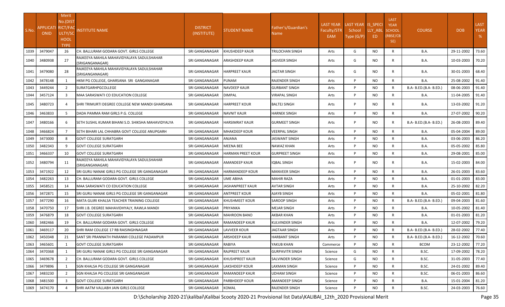| S.No. | APPLICATI RICT/FAC<br><b>ONID</b> | Merit<br>No.(DIST<br>ULTY/SC<br><b>HOOL</b><br><b>TYPE</b> | <b>INSTITUTE NAME</b>                                        | <b>DISTRICT</b><br>(INSTITUTE) | <b>STUDENT NAME</b>   | Father's/Guardian's<br>Name | <b>LAST YEAR</b><br>Faculty/STR<br><b>EAM</b> | LAST YEAR IS SPECI<br>School<br>Type (G/P) | LLY ABL<br>ED. | <b>LAST</b><br><b>YEAR</b><br>SCHOOL<br>(RBSE/CB<br>SE) | <b>COURSE</b>          | <b>DOB</b> | <b>LAST</b><br><b>YEAR</b><br>% |
|-------|-----------------------------------|------------------------------------------------------------|--------------------------------------------------------------|--------------------------------|-----------------------|-----------------------------|-----------------------------------------------|--------------------------------------------|----------------|---------------------------------------------------------|------------------------|------------|---------------------------------|
| 1039  | 3479047                           | 26                                                         | CH. BALLURAM GODARA GOVT. GIRLS COLLEGE                      | SRI GANGANAGAR                 | KHUSHDEEP KAUR        | TRILOCHAN SINGH             | Arts                                          | G                                          | <b>NO</b>      | $\mathsf{R}$                                            | B.A.                   | 29-11-2002 | 73.60                           |
| 1040  | 3480938                           | 27                                                         | RAJKEEYA MAHILA MAHAVIDYALAYA SADULSHAHAR<br>SRIGANGANAGAR)  | SRI GANGANAGAR                 | ARASHDEEP KAUR        | JASVEER SINGH               | Arts                                          | G                                          | NO.            | R                                                       | B.A.                   | 10-03-2003 | 70.20                           |
| 1041  | 3479080                           | 28                                                         | RAJKEEYA MAHILA MAHAVIDYALAYA SADULSHAHAR<br>(SRIGANGANAGAR) | SRI GANGANAGAR                 | <b>HARPREET KAUR</b>  | <b>JAGTAR SINGH</b>         | Arts                                          | G                                          | NO.            | R                                                       | B.A.                   | 30-01-2003 | 68.40                           |
| 1042  | 3478148                           | 1                                                          | HKM PG COLLEGE, GHARSANA SRI GANGANAGAR                      | SRI GANGANAGAR                 | PUNAM                 | RAJENDER SINGH              | Arts                                          | P                                          | <b>NO</b>      | $\mathsf{R}$                                            | B.A.                   | 25-08-2002 | 91.40                           |
| 1043  | 3449244                           | $\overline{2}$                                             | <b>SURATGARHPGCOLLEGE</b>                                    | SRI GANGANAGAR                 | NAVDEEP KAUR          | GURBANT SINGH               | Arts                                          | P                                          | NO.            | R                                                       | B.A- B.ED.(B.A- B.ED.) | 08-06-2003 | 91.40                           |
| 1044  | 3457124                           | $\overline{3}$                                             | MAA SARASWATI CO EDUCATION COLLEGE                           | SRI GANGANAGAR                 | <b>DIMPAL</b>         | VIRAPAL SINGH               | Arts                                          | P                                          | NO.            | $\mathsf{R}$                                            | B.A.                   | 11-04-2005 | 91.40                           |
| 1045  | 3480723                           | 4                                                          | SHRI TRIMURTI DEGREE COLLEGE NEW MANDI GHARSANA              | SRI GANGANAGAR                 | HARPREET KOUR         | <b>BALTEJ SINGH</b>         | Arts                                          | P                                          | NO.            | R                                                       | B.A.                   | 13-03-2002 | 91.20                           |
| 1046  | 3463833                           | 5                                                          | DADA PAMMA RAM GIRLS P.G. COLLEGE                            | SRI GANGANAGAR                 | NAVNIT KAUR           | HARNEK SINGH                | Arts                                          | P                                          | NO.            | $\mathsf{R}$                                            | B.A.                   | 27-07-2002 | 90.20                           |
| 1047  | 3480166                           | 6                                                          | ISETH SUSHIL KUMAR BIHANI S.D. SHIKSHA MAHAVIDYALYA          | SRI GANGANAGAR                 | HARSIMRAT KAUR        | <b>GURMEET SINGH</b>        | Arts                                          | P                                          | NO.            | R                                                       | B.A- B.ED.(B.A- B.ED.) | 26-08-2003 | 89.40                           |
| 1048  | 3466824                           | $\overline{7}$                                             | SETH BIHARI LAL CHHABRA GOVT COLLEGE ANUPGARH                | SRI GANGANAGAR                 | MHAKDEEP KOUR         | VEERPAL SINGH               | Arts                                          | P                                          | NO.            | $\mathsf{R}$                                            | B.A.                   | 05-04-2004 | 89.00                           |
| 1049  | 3473000                           | 8                                                          | <b>GOVT COLLEGE SURATGARH</b>                                | SRI GANGANAGAR                 | ANJANA                | IASWANT SINGH               | Arts                                          | P                                          | NO.            | $\mathsf{R}$                                            | B.A.                   | 03-06-2003 | 86.20                           |
| 1050  | 3482343                           | 9                                                          | <b>GOVT COLLEGE SURATGARH</b>                                | SRI GANGANAGAR                 | MEENA BEE             | NAWAZ KHAN                  | Arts                                          | P                                          | <b>NO</b>      | $\mathsf{R}$                                            | B.A.                   | 05-05-2002 | 85.80                           |
| 1051  | 3466337                           | 10                                                         | <b>GOVT COLLEGE SURATGARH</b>                                | SRI GANGANAGAR                 | HARMAN PREET KOUR     | <b>GURPREET SINGH</b>       | Arts                                          | P                                          | <b>NO</b>      | $\mathsf{R}$                                            | B.A.                   | 29-08-2001 | 85.00                           |
| 1052  | 3480794                           | 11                                                         | RAJKEEYA MAHILA MAHAVIDYALAYA SADULSHAHAR<br>SRIGANGANAGAR)  | SRI GANGANAGAR                 | AMANDEEP KAUR         | IQBAL SINGH                 | Arts                                          | P                                          | NO.            | R                                                       | B.A.                   | 15-02-2003 | 84.00                           |
| 1053  | 3471922                           | 12                                                         | ISRI GURU NANAK GIRLS PG COLLEGE SRI GANGANAGAR              | SRI GANGANAGAR                 | HARMANDEEP KOUR       | <b>MANVEER SINGH</b>        | Arts                                          | P                                          | NO.            | R                                                       | B.A.                   | 26-01-2003 | 83.60                           |
| 1054  | 3482263                           | 13                                                         | CH. BALLURAM GODARA GOVT. GIRLS COLLEGE                      | SRI GANGANAGAR                 | UME ABIHA             | <b>MAHIR RAZA</b>           | Arts                                          | P                                          | <b>NO</b>      | $\mathsf{R}$                                            | B.A.                   | 01-01-2003 | 83.00                           |
| 1055  | 3458521                           | 14                                                         | <b>MAA SARASWATI CO EDUCATION COLLEGE</b>                    | SRI GANGANAGAR                 | JASHANPREET KAUR      | <b>AVTAR SINGH</b>          | Arts                                          | P                                          | <b>NO</b>      | $\mathsf{R}$                                            | <b>B.A.</b>            | 25-10-2002 | 82.20                           |
| 1056  | 3472871                           | 15                                                         | SRI GURU NANAK GIRLS PG COLLEGE SRI GANGANAGAR               | SRI GANGANAGAR                 | <b>ANTPREET KOUR</b>  | AJAYB SINGH                 | Arts                                          | P                                          | <b>NO</b>      | $\mathsf{R}$                                            | B.A.                   | 05-02-2001 | 81.80                           |
| 1057  | 3477290                           | 16                                                         | MATA GUJRI KHALSA TEACHER TRAINING COLLEGE                   | SRI GANGANAGAR                 | KHUSHMEET KOUR        | SAROOP SINGH                | Arts                                          | P                                          | NO.            | $\mathsf{R}$                                            | B.A- B.ED.(B.A- B.ED.) | 09-04-2003 | 81.60                           |
| 1058  | 3470750                           | 17                                                         | SHRI J.B. DEGREE MAHAVIDHYALY, RAWLA MANDI                   | SRI GANGANAGAR                 | PRIYANKA              | MEJAR SINGH                 | Arts                                          | P                                          | NO.            | $\mathsf{R}$                                            | B.A.                   | 10-05-2002 | 81.40                           |
| 1059  | 3476879                           | 18                                                         | <b>GOVT COLLEGE SURATGARH</b>                                | SRI GANGANAGAR                 | MAHROON BANO          | AKBAR KHAN                  | Arts                                          | P                                          | <b>NO</b>      | $\mathsf{R}$                                            | <b>B.A.</b>            | 01-01-2003 | 81.20                           |
| 1060  | 3482466                           | 19                                                         | CH. BALLURAM GODARA GOVT. GIRLS COLLEGE                      | SRI GANGANAGAR                 | RAMANDEEP KAUR        | <b>KULVINDER SINGH</b>      | Arts                                          | P                                          | <b>NO</b>      | $\mathsf{R}$                                            | B.A.                   | 12-07-2002 | 79.20                           |
| 1061  | 3469117                           | 20                                                         | SHRI RAM COLLEGE 17 RB RAISINGHNAGAR                         | SRI GANGANAGAR                 | LAVVEER KOUR          | JAGTAAR SINGH               | Arts                                          | P                                          | NO.            | R                                                       | B.A- B.ED.(B.A- B.ED.) | 28-02-2002 | 77.40                           |
| 1062  | 3450348                           | 21                                                         | SANT SRI PRANNATH PARANMI COLLEGE PADAMPUR                   | SRI GANGANAGAR ARSHDEEP KAUR   |                       | <b>HARBANT SINGH</b>        | Arts                                          | P                                          | <b>NO</b>      | $\mathsf{R}$                                            | B.A- B.ED.(B.A- B.ED.) | 16-12-2002 | 70.60                           |
| 1063  | 3465601                           | 1                                                          | <b>GOVT COLLEGE SURATGARH</b>                                | SRI GANGANAGAR                 | RABIYA                | YAKUB KHAN                  | Commerce                                      | P                                          | NO.            | R                                                       | <b>BCOM</b>            | 23-12-2002 | 77.20                           |
| 1064  | 3470368                           | 1                                                          | ISRI GURU NANAK GIRLS PG COLLEGE SRI GANGANAGAR              | SRI GANGANAGAR                 | RAJPREET KAUR         | <b>GURPAVITR SINGH</b>      | Science                                       | G                                          | NO.            | $\mathsf{R}$                                            | B.SC.                  | 17-09-2002 | 78.20                           |
| 1065  | 3469678                           | $\overline{2}$                                             | CH. BALLURAM GODARA GOVT. GIRLS COLLEGE                      | SRI GANGANAGAR                 | KHUSHPREET KAUR       | SALVINDER SINGH             | Science                                       | G                                          | NO.            | R                                                       | B.SC.                  | 31-05-2003 | 77.40                           |
| 1066  | 3479896                           | 1                                                          | SGN KHALSA PG COLLEGE SRI GANGANAGAR                         | SRI GANGANAGAR                 | LAKSHDEEP KOUR        | LAXMAN SINGH                | Science                                       | P                                          | <b>NO</b>      | R                                                       | B.SC.                  | 24-01-2002 | 89.40                           |
| 1067  | 3483230                           | $\overline{2}$                                             | SGN KHALSA PG COLLEGE SRI GANGANAGAR                         | SRI GANGANAGAR                 | <b>RAMANDEEP KAUR</b> | <b>UDHAM SINGH</b>          | Science                                       | P                                          | <b>NO</b>      | $\mathsf{R}$                                            | B.SC.                  | 06-01-2003 | 86.60                           |
| 1068  | 3481500                           | $\overline{3}$                                             | <b>GOVT COLLEGE SURATGARH</b>                                | SRI GANGANAGAR                 | PARBHDEEP KOUR        | AMANDEEP SINGH              | Science                                       | P                                          | <b>NO</b>      | R                                                       | <b>B.A.</b>            | 15-01-2004 | 81.20                           |
| 1069  | 3474170                           |                                                            | SHRI AATM VALLABH JAIN GIRLS COLLEGE                         | SRI GANGANAGAR                 | KOMAL                 | <b>RAJENDER SINGH</b>       | Science                                       | P                                          | NO.            | R                                                       | B.SC.                  | 24-03-2003 | 76.60                           |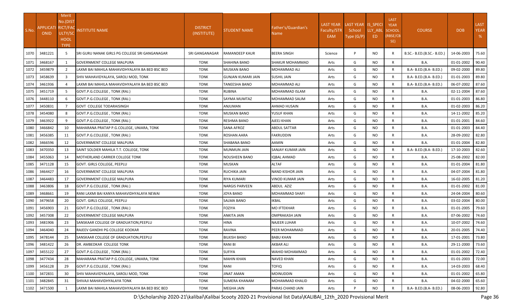|       | APPLICATI RICT/FAC | <b>Merit</b><br>No.(DIST              |                                                 | <b>DISTRICT</b> |                           | Father's/Guardian's     | <b>LAST YEAR</b>   | LAST YEAR IS_SPECI   |                | <b>LAST</b><br><b>YEAR</b>       |                            |                  | LAST        |
|-------|--------------------|---------------------------------------|-------------------------------------------------|-----------------|---------------------------|-------------------------|--------------------|----------------------|----------------|----------------------------------|----------------------------|------------------|-------------|
| S.No. | <b>ONID</b>        | ULTY/SC<br><b>HOOL</b><br><b>TYPE</b> | NSTITUTE NAME                                   | (INSTITUTE)     | <b>STUDENT NAME</b>       | Name                    | Faculty/STR<br>EAM | School<br>Type (G/P) | LLY_ABL<br>ED. | <b>SCHOOL</b><br>(RBSE/CB<br>SE) | <b>COURSE</b>              | DOB              | <b>YEAR</b> |
| 1070  | 3481221            |                                       | ISRI GURU NANAK GIRLS PG COLLEGE SRI GANGANAGAR | SRI GANGANAGAR  | <b>RAMANDEEP KAUR</b>     | <b>BEERA SINGH</b>      | Science            | P                    | NO.            | R                                | B.SC.- B.ED.(B.SC.- B.ED.) | 14-06-2003       | 75.60       |
| 1071  | 3468167            | 1                                     | <b>GOVERNMENT COLLEGE MALPURA</b>               | <b>TONK</b>     | <b>SHAHINA BANO</b>       | SHAKUR MOHAMMAD         | Arts               | G                    | NO.            | $\mathsf{R}$                     | <b>B.A.</b>                | 01-01-2002       | 90.40       |
| 1072  | 3459879            | 2                                     | LAXMI BAI MAHILA MAHAVIDHYALAYA BA BED BSC BED  | <b>TONK</b>     | <b>MUSKAN BANO</b>        | MOHAMMAD ALI            | Arts               | G                    | NO.            | $\mathsf{R}$                     | B.A- B.ED.(B.A- B.ED.)     | 09-02-2000       | 89.80       |
| 1073  | 3458639            | 3                                     | SHIV MAHAVIDYALAYA, SAROLI MOD, TONK            | <b>TONK</b>     | <b>GUNJAN KUMARI JAIN</b> | <b>SUSHIL JAIN</b>      | Arts               | G                    | NO.            | $\mathsf{R}$                     | B.A- B.ED.(B.A- B.ED.)     | 01-01-2003       | 89.80       |
| 1074  | 3461936            |                                       | LAXMI BAI MAHILA MAHAVIDHYALAYA BA BED BSC BED  | <b>TONK</b>     | <b>TANEESHA BANO</b>      | MOHAMMAD ALI            | Arts               | G                    | <b>NO</b>      | $\mathsf{R}$                     | B.A- B.ED.(B.A- B.ED.)     | 06-07-2002       | 87.60       |
| 1075  | 3451719            | .5                                    | GOVT.P.G.COLLEGE, TONK (RAJ.)                   | TONK            | <b>RUBINA</b>             | MOHAMMAD ISLAM          | Arts               | G                    | NO.            | $\mathsf{R}$                     | B.A.                       | 02-11-2004       | 87.60       |
| 1076  | 3448110            | -6                                    | GOVT.P.G.COLLEGE, TONK (RAJ.)                   | TONK            | SAYMA MUMTAZ              | MOHAMMAD SALIM          | Arts               | G                    | NO.            | $\mathsf{R}$                     | B.A.                       | 01-01-2003       | 86.80       |
| 1077  | 3450831            | $\mathcal{L}$                         | <b>GOVT COLLEGE TODARAISINGH</b>                | <b>TONK</b>     | ANJUMAN                   | AHMAD HUSAIN            | Arts               | G                    | NO.            | $\mathsf{R}$                     | B.A.                       | 01-02-2003       | 86.20       |
| 1078  | 3454080            | 8                                     | GOVT.P.G.COLLEGE, TONK (RAJ.)                   | TONK            | <b>MUSKAN BANO</b>        | YUSUF KHAN              | Arts               | G                    | NO.            | $\mathsf{R}$                     | B.A.                       | 14-11-2002       | 85.20       |
| 1079  | 3463922            | $\mathbf{q}$                          | GOVT.P.G.COLLEGE, TONK (RAJ.)                   | <b>TONK</b>     | <b>RESHMA BANO</b>        | AJEEJ KHAN              | Arts               | G                    | NO             | $\mathsf{R}$                     | B.A.                       | 01-01-2001       | 84.60       |
| 1080  | 3466842            | 10                                    | MAHARANA PRATAP P.G.COLLEGE, UNIARA, TONK       | <b>TONK</b>     | <b>SANA AFROZ</b>         | ABDUL SATTAR            | Arts               | G                    | <b>NO</b>      | $\mathsf{R}$                     | B.A.                       | 01-01-2003       | 84.40       |
| 1081  | 3456385            | 11                                    | GOVT.P.G.COLLEGE, TONK (RAJ.)                   | <b>TONK</b>     | <b>ROSHAN AARA</b>        | <b>FAKRUDDIN</b>        | Arts               | G                    | NO             | $\mathsf{R}$                     | B.A.                       | 28-09-2002       | 82.80       |
| 1082  | 3466596            | 12                                    | <b>GOVERNMENT COLLEGE MALPURA</b>               | <b>TONK</b>     | SHABANA BANO              | AAMIN                   | Arts               | G                    | NO.            | $\mathsf{R}$                     | B.A.                       | 01-01-2004       | 82.80       |
| 1083  | 3470350            | 13                                    | SAINT SOLDIER MAHILA T.T. COLLEGE, TONK         | TONK            | <b>MUNMUN JAIN</b>        | SANJAY KUMAR JAIN       | Arts               | G                    | NO.            | $\mathsf{R}$                     | B.A- B.ED.(B.A- B.ED.)     | 17-10-2003       | 82.60       |
| 1084  | 3455063            | 14                                    | <b>MOTHERLAND CARRIER COLLEGE TONK</b>          | TONK            | <b>NOUSHEEN BANO</b>      | IQBAL AHMAD             | Arts               | G                    | NO.            | R                                | B.A.                       | 25-08-2002       | 82.00       |
| 1085  | 3471128            | 15                                    | <b>GOVT. GIRLS COLLEGE, PEEPLU</b>              | <b>TONK</b>     | <b>MUSKAN</b>             | <b>ALTAF</b>            | Arts               | G                    | NO.            | $\mathsf{R}$                     | B.A.                       | 01-01-2004       | 81.80       |
| 1086  | 3464427            | 16                                    | <b>GOVERNMENT COLLEGE MALPURA</b>               | TONK            | <b>RUCHIKA JAIN</b>       | <b>NAND KISHOR JAIN</b> | Arts               | G                    | NO             | $\mathsf{R}$                     | B.A.                       | 04-07-2004       | 81.80       |
| 1087  | 3464483            | 17                                    | <b>GOVERNMENT COLLEGE MALPURA</b>               | <b>TONK</b>     | <b>RIYA KUMARI</b>        | VINOD KUMAR JAIN        | Arts               | G                    | NO.            | $\mathsf{R}$                     | B.A.                       | 16-02-2005       | 81.20       |
| 1088  | 3463806            | 18                                    | GOVT.P.G.COLLEGE, TONK (RAJ.)                   | <b>TONK</b>     | <b>NARGIS PARVEEN</b>     | ABDUL AZIZ              | Arts               | G                    | NO.            | $\mathsf{R}$                     | B.A.                       | 01-01-2002       | 81.00       |
| 1089  | 3468661            | 19                                    | RANI LAXMI BAI KANYA MAHAVIDHYALAYA NEWAI       | TONK            | <b>JOYA BANO</b>          | MOHAMMAD SHAFI          | Arts               | G                    | NO.            | $\mathsf{R}$                     | B.A.                       | 24-04-2004       | 80.60       |
| 1090  | 3479658            | 20                                    | GOVT. GIRLS COLLEGE, PEEPLU                     | <b>TONK</b>     | <b>SALMA BANO</b>         | IKBAL                   | Arts               | G                    | NO.            | $\mathsf{R}$                     | B.A.                       | 03-02-2004       | 80.00       |
| 1091  | 3456903            | 21                                    | GOVT.P.G.COLLEGE, TONK (RAJ.)                   | TONK            | <b>FOZIYA</b>             | MO IFTEKHAR             | Arts               | G                    | NO.            | $\mathsf{R}$                     | B.A.                       | 01-01-2005       | 79.60       |
| 1092  | 3457308            | 22                                    | <b>GOVERNMENT COLLEGE MALPURA</b>               | <b>TONK</b>     | <b>ANKITA JAIN</b>        | <b>OMPRAKASH JAIN</b>   | Arts               | G                    | NO.            | $\mathsf{R}$                     | B.A.                       | 07-06-2002       | 74.60       |
| 1093  | 3481906            | 23                                    | SANSKAAR COLLEGE OF GRADUATION, PEEPLU          | <b>TONK</b>     | <b>HINA</b>               | <b>NAJEER LUHAR</b>     | Arts               | G                    | <b>NO</b>      | $\mathsf{R}$                     | B.A.                       | 10-07-2002       | 74.60       |
| 1094  | 3464040            | 24                                    | RAJEEV GANDHI PG COLLEGE KOOKAR                 | <b>TONK</b>     | <b>RAVINA</b>             | PEER MOHAMMAD           | Arts               | G                    | NO.            | $\mathsf{R}$                     | B.A.                       | 20-01-2005       | 74.40       |
|       | 1095 3478144       | 25                                    | SANSKAAR COLLEGE OF GRADUATION, PEEPLU          | <b>TONK</b>     | <b>BILKISH BANO</b>       | <b>BABU KHAN</b>        | Arts               | G                    | $NO$           | $\mathsf{R}$                     | <b>B.A.</b>                | 17-01-2001 73.80 |             |
| 1096  | 3481422            | 26                                    | DR. AMBEDKAR COLLEGE TONK                       | TONK            | <b>RANI BI</b>            | AKBAR ALI               | Arts               | G                    | NO.            | R                                | <b>B.A.</b>                | 29-11-2000       | 73.60       |
| 1097  | 3455122            | 27                                    | GOVT.P.G.COLLEGE, TONK (RAJ.)                   | <b>TONK</b>     | <b>SUFIYA</b>             | WAHID MOHAMMAD          | Arts               | G                    | NO.            | R                                | <b>B.A.</b>                | 01-01-2002       | 72.40       |
| 1098  | 3477434            | 28                                    | MAHARANA PRATAP P.G.COLLEGE, UNIARA, TONK       | <b>TONK</b>     | <b>MAHIN KHAN</b>         | <b>NAVED KHAN</b>       | Arts               | G                    | NO.            | R                                | <b>B.A.</b>                | 01-01-2003       | 72.00       |
| 1099  | 3456128            | 29                                    | GOVT.P.G.COLLEGE, TONK (RAJ.)                   | <b>TONK</b>     | RANI                      | <b>TOFIQ</b>            | Arts               | G                    | <b>NO</b>      | $\mathsf{R}$                     | B.A.                       | 14-03-2003       | 68.40       |
| 1100  | 3472831            | 30                                    | SHIV MAHAVIDYALAYA, SAROLI MOD, TONK            | <b>TONK</b>     | JINAT AMAN                | <b>MOINUDDIN</b>        | Arts               | G                    | <b>NO</b>      | R                                | B.A.                       | 01-01-2002       | 65.80       |
| 1101  | 3482845            | 31                                    | SHIVAJI MAHAVIDHYALAYA TONK                     | TONK            | <b>SUMERA KHANAM</b>      | MOHAMMAD KHALID         | Arts               | G                    | NO.            | R                                | <b>B.A.</b>                | 04-02-2000       | 65.60       |
| 1102  | 3471500            | 1                                     | LAXMI BAI MAHILA MAHAVIDHYALAYA BA BED BSC BED  | TONK            | <b>MEGHA JAIN</b>         | PARAS CHAND JAIN        | Arts               | P                    | NO.            | $\mathsf{R}$                     | B.A- B.ED.(B.A- B.ED.)     | 08-06-2003       | 92.80       |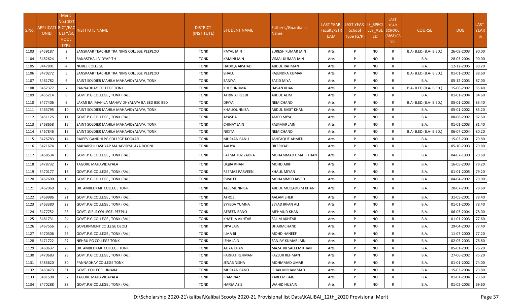| S.No. | <b>APPLICATI RICT/FAO</b><br><b>ONID</b> | Merit<br>No.(DIST<br>ULTY/SC<br><b>HOOL</b><br><b>TYPE</b> | NSTITUTE NAME                                  | <b>DISTRICT</b><br>(INSTITUTE) | <b>STUDENT NAME</b>  | Father's/Guardian's<br>Name | <b>LAST YEAR</b><br>Faculty/STR<br>EAM | LAST YEAR IS_SPECI<br>School<br>Type (G/P) | LLY ABL<br>ED. | <b>LAST</b><br><b>YEAR</b><br><b>SCHOOL</b><br>(RBSE/CB<br>SE) | <b>COURSE</b>          | <b>DOB</b> | <b>LAST</b><br><b>YEAR</b><br>% |
|-------|------------------------------------------|------------------------------------------------------------|------------------------------------------------|--------------------------------|----------------------|-----------------------------|----------------------------------------|--------------------------------------------|----------------|----------------------------------------------------------------|------------------------|------------|---------------------------------|
| 1103  | 3459187                                  | $\overline{2}$                                             | SANSKAAR TEACHER TRAINING COLLEGE PEEPLOO      | <b>TONK</b>                    | PAYAL JAIN           | SURESH KUMAR JAIN           | Arts                                   | P                                          | <b>NO</b>      | $\mathsf{R}$                                                   | B.A- B.ED.(B.A- B.ED.) | 26-08-2003 | 90.00                           |
| 1104  | 3482624                                  | $\overline{3}$                                             | <b>BANASTHALI VIDYAPITH</b>                    | <b>TONK</b>                    | KAMINI JAIN          | VIMAL KUMAR JAIN            | Arts                                   | P                                          | <b>NO</b>      | $\mathsf{R}$                                                   | <b>B.A.</b>            | 28-03-2004 | 90.00                           |
| 1105  | 3447801                                  | Δ                                                          | NOBLE COLLEGE                                  | <b>TONK</b>                    | HADIQA ARSHAD        | ABDUL RAHMAN                | Arts                                   | P                                          | <b>NO</b>      | $\mathsf{R}$                                                   | <b>B.A.</b>            | 12-12-2005 | 89.20                           |
| 1106  | 3470272                                  | 5                                                          | SANSKAAR TEACHER TRAINING COLLEGE PEEPLOO      | <b>TONK</b>                    | SHALU                | RAJENDRA KUMAR              | Arts                                   | P                                          | <b>NO</b>      | R                                                              | B.A- B.ED.(B.A- B.ED.) | 01-01-2002 | 88.60                           |
| 1107  | 3461782                                  | 6                                                          | SAINT SOLDIER MAHILA MAHAVIDYALAYA, TONK       | <b>TONK</b>                    | SANIYA               | SAZID MIYA                  | Arts                                   | P                                          | <b>NO</b>      | $\mathsf{R}$                                                   | B.A.                   | 05-12-2003 | 87.00                           |
| 1108  | 3467377                                  | $\overline{7}$                                             | PANNADHAY COLLEGE TONK                         | <b>TONK</b>                    | KHUSHNUMA            | HASAN KHAN                  | Arts                                   | P                                          | NO.            | $\mathsf{R}$                                                   | B.A- B.ED.(B.A- B.ED.) | 15-06-2002 | 85.40                           |
| 1109  | 3455214                                  | 8                                                          | GOVT.P.G.COLLEGE, TONK (RAJ.)                  | <b>TONK</b>                    | AFRIN AFREEDI        | ABDUL ALIM                  | Arts                                   | P                                          | <b>NO</b>      | $\mathsf{R}$                                                   | B.A.                   | 01-01-2004 | 84.60                           |
| 1110  | 3477406                                  | 9                                                          | LAXMI BAI MAHILA MAHAVIDHYALAYA BA BED BSC BED | <b>TONK</b>                    | <b>DIVYA</b>         | NEMICHAND                   | Arts                                   | P                                          | <b>NO</b>      | $\mathsf{R}$                                                   | B.A- B.ED.(B.A- B.ED.) | 05-01-2003 | 83.40                           |
| 1111  | 3463795                                  | 10                                                         | SAINT SOLDIER MAHILA MAHAVIDYALAYA, TONK       | <b>TONK</b>                    | KHALIQUNNISA         | ABDUL BASIT KHAN            | Arts                                   | P                                          | <b>NO</b>      | $\mathsf{R}$                                                   | <b>B.A.</b>            | 05-01-2002 | 83.20                           |
| 1112  | 3451125                                  | 11                                                         | GOVT.P.G.COLLEGE, TONK (RAJ.)                  | <b>TONK</b>                    | AYASHA               | AMED MIYA                   | Arts                                   | P                                          | <b>NO</b>      | $\mathsf{R}$                                                   | <b>B.A.</b>            | 08-08-2002 | 82.60                           |
| 1113  | 3468658                                  | 12                                                         | SAINT SOLDIER MAHILA MAHAVIDYALAYA, TONK       | <b>TONK</b>                    | CHINAY JAIN          | RAJKMAR JAIN                | Arts                                   | P                                          | <b>NO</b>      | $\mathsf{R}$                                                   | B.A.                   | 01-01-2003 | 81.40                           |
| 1114  | 3467846                                  | 13                                                         | SAINT SOLDIER MAHILA MAHAVIDYALAYA, TONK       | <b>TONK</b>                    | <b>NIKITA</b>        | NEMICHAND                   | Arts                                   | P                                          | <b>NO</b>      | $\mathsf{R}$                                                   | B.A- B.ED.(B.A- B.ED.) | 06-07-2004 | 80.20                           |
| 1115  | 3476783                                  | 14                                                         | RAJEEV GANDHI PG COLLEGE KOOKAR                | <b>TONK</b>                    | MUSKAN BANU          | ASHFAQUE AHMED              | Arts                                   | P                                          | NO.            | $\mathsf{R}$                                                   | B.A.                   | 15-03-2001 | 79.80                           |
| 1116  | 3471674                                  | 15                                                         | MAHARSHI KASHYAP MAHAVIDYALAYA DOONI           | <b>TONK</b>                    | AALIYA               | DILFRIYAD                   | Arts                                   | P                                          | <b>NO</b>      | $\mathsf{R}$                                                   | <b>B.A.</b>            | 05-10-2003 | 79.80                           |
| 1117  | 3468534                                  | 16                                                         | GOVT.P.G.COLLEGE, TONK (RAJ.)                  | <b>TONK</b>                    | FATMA TUZ ZAHRA      | MOHAMMAD UMAIR KHAN         | Arts                                   | P                                          | <b>NO</b>      | R                                                              | <b>B.A.</b>            | 04-07-1999 | 79.60                           |
| 1118  | 3478732                                  | 17                                                         | TAGORE MAHAVIDAYALA                            | <b>TONK</b>                    | UQBA KHAN            | MOHD ARIF                   | Arts                                   | P                                          | <b>NO</b>      | R                                                              | <b>B.A.</b>            | 16-05-2003 | 79.20                           |
| 1119  | 3470177                                  | 18                                                         | GOVT.P.G.COLLEGE, TONK (RAJ.)                  | <b>TONK</b>                    | REEMAS PARVEEN       | KHALIL MIYAN                | Arts                                   | P                                          | <b>NO</b>      | $\mathsf{R}$                                                   | <b>B.A.</b>            | 01-01-2005 | 79.20                           |
| 1120  | 3467600                                  | 19                                                         | GOVT.P.G.COLLEGE , TONK (RAJ.)                 | <b>TONK</b>                    | SWALEH               | MOHAMMED JAVED              | Arts                                   | P                                          | <b>NO</b>      | $\mathsf{R}$                                                   | <b>B.A.</b>            | 04-04-2002 | 79.00                           |
| 1121  | 3462960                                  | 20                                                         | DR. AMBEDKAR COLLEGE TONK                      | <b>TONK</b>                    | ALEEMUNNISA          | ABDUL MUQADDIM KHAN         | Arts                                   | P                                          | NO.            | R                                                              | B.A.                   | 20-07-2001 | 78.60                           |
| 1122  | 3469986                                  | 21                                                         | GOVT.P.G.COLLEGE, TONK (RAJ.)                  | <b>TONK</b>                    | AFROZ                | AALAM SHER                  | Arts                                   | P                                          | <b>NO</b>      | $\mathsf{R}$                                                   | <b>B.A.</b>            | 31-05-2001 | 78.40                           |
| 1123  | 3463380                                  | 22                                                         | GOVT.P.G.COLLEGE, TONK (RAJ.)                  | <b>TONK</b>                    | SYYEDA YUMNA         | SEYAD IRFAN ALI             | Arts                                   | P                                          | <b>NO</b>      | R                                                              | <b>B.A.</b>            | 01-01-2005 | 78.40                           |
| 1124  | 3477752                                  | 23                                                         | GOVT. GIRLS COLLEGE, PEEPLU                    | <b>TONK</b>                    | AFREEN BANO          | MEHMUD KHAN                 | Arts                                   | P                                          | <b>NO</b>      | R                                                              | <b>B.A.</b>            | 06-03-2004 | 78.00                           |
| 1125  | 3461731                                  | 24                                                         | GOVT.P.G.COLLEGE, TONK (RAJ.)                  | <b>TONK</b>                    | KHATIJA AKHTAR       | SALIM AKHTAR                | Arts                                   | P                                          | <b>NO</b>      | R                                                              | <b>B.A.</b>            | 01-01-2003 | 77.60                           |
| 1126  | 3467556                                  | 25                                                         | <b>GOVERNMENT COLLEGE DEOLI</b>                | <b>TONK</b>                    | DIYA JAIN            | DHARMCHAND                  | Arts                                   | P                                          | <b>NO</b>      | R                                                              | <b>B.A.</b>            | 29-04-2003 | 77.40                           |
| 1127  | 3470306                                  | 26                                                         | GOVT.P.G.COLLEGE, TONK (RAJ.)                  | <b>TONK</b>                    | ILMA BI              | <b>MOHD HANEEF</b>          | Arts                                   | P                                          | <b>NO</b>      | R                                                              | <b>B.A.</b>            | 11-07-2000 | 77.20                           |
| 1128  | 3471722                                  | 27                                                         | NEHRU PG COLLEGE TONK                          | <b>TONK</b>                    | <b>ISHA JAIN</b>     | SANJAY KUMAR JAIN           | Arts                                   | P                                          | <b>NO</b>      | R                                                              | <b>B.A.</b>            | 02-05-2003 | 76.80                           |
| 1129  | 3469637                                  | 28                                                         | DR. AMBEDKAR COLLEGE TONK                      | <b>TONK</b>                    | <b>ALIYA KHAN</b>    | MAZAHIR SALEEM KHAN         | Arts                                   | P                                          | <b>NO</b>      | R                                                              | <b>B.A.</b>            | 05-01-2001 | 76.20                           |
| 1130  | 3470683                                  | 29                                                         | GOVT.P.G.COLLEGE, TONK (RAJ.)                  | <b>TONK</b>                    | <b>FARHAT REHMAN</b> | FAZLUR REHMAN               | Arts                                   | P                                          | <b>NO</b>      | R                                                              | <b>B.A.</b>            | 27-06-2002 | 75.20                           |
| 1131  | 3483620                                  | 30                                                         | PANNADHAY COLLEGE TONK                         | <b>TONK</b>                    | JENAB NISHA          | MOHMMAD UMAR                | Arts                                   | P                                          | <b>NO</b>      | R                                                              | <b>B.A.</b>            | 01-01-2002 | 74.00                           |
| 1132  | 3463473                                  | 31                                                         | GOVT. COLLEGE, UNIARA                          | <b>TONK</b>                    | MUSKAN BANO          | ISHAK MOHAMMAD              | Arts                                   | P                                          | <b>NO</b>      | R                                                              | <b>B.A.</b>            | 15-03-2004 | 73.80                           |
| 1133  | 3481598                                  | 32                                                         | TAGORE MAHAVIDAYALA                            | <b>TONK</b>                    | IRAM NAZ             | KAREEM BAIG                 | Arts                                   | P                                          | <b>NO</b>      | $\mathsf{R}$                                                   | <b>B.A.</b>            | 01-01-2004 | 73.60                           |
| 1134  | 3470288                                  | 33                                                         | GOVT.P.G.COLLEGE, TONK (RAJ.)                  | <b>TONK</b>                    | HAFSA AZIZ           | WAHID HUSAIN                | Arts                                   | P                                          | <b>NO</b>      | $\mathsf{R}$                                                   | <b>B.A.</b>            | 01-02-2003 | 69.60                           |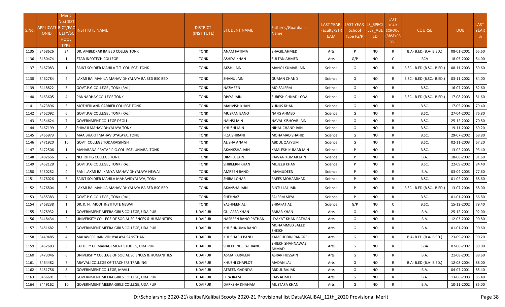| S.No. | APPLICATI RICT/FAC<br><b>ONID</b> | Merit<br>No.(DIST<br>ULTY/SC<br><b>HOOL</b><br><b>TYPE</b> | INSTITUTE NAME                                     | <b>DISTRICT</b><br>(INSTITUTE) | STUDENT NAME        | Father's/Guardian's<br>Name     | <b>LAST YEAR</b><br>Faculty/STR<br>EAM | LAST YEAR IS_SPECI<br>School<br>Type (G/P) | LLY_ABL<br>ED | <b>LAST</b><br><b>YEAR</b><br><b>SCHOOL</b><br>(RBSE/CB<br>SE) | <b>COURSE</b>              | <b>DOB</b> | <b>LAST</b><br><b>YEAR</b><br>% |
|-------|-----------------------------------|------------------------------------------------------------|----------------------------------------------------|--------------------------------|---------------------|---------------------------------|----------------------------------------|--------------------------------------------|---------------|----------------------------------------------------------------|----------------------------|------------|---------------------------------|
| 1135  | 3468626                           | 34                                                         | <b>DR. AMBEDKAR BA BED COLLEG TONK</b>             | <b>TONK</b>                    | ANAM FATIMA         | SHAQIL AHMED                    | Arts                                   | P                                          | <b>NO</b>     | $\mathsf{R}$                                                   | B.A- B.ED.(B.A- B.ED.)     | 08-01-2001 | 65.60                           |
| 1136  | 3480474                           | 1                                                          | <b>STAR INFOTECH COLLEGE</b>                       | <b>TONK</b>                    | ASHIYA KHAN         | SULTAN AHMED                    | Arts                                   | G/P                                        | <b>NO</b>     | $\mathsf{C}$                                                   | <b>BCA</b>                 | 18-05-2002 | 84.00                           |
| 1137  | 3467083                           | 1                                                          | SAINT SOLDIER MAHILA T.T. COLLEGE, TONK            | TONK                           | AKSHI JAIN          | MANOJ KUMAR JAIN                | Science                                | G                                          | NO.           | R                                                              | B.SC.- B.ED.(B.SC.- B.ED.) | 08-11-2003 | 89.60                           |
| 1138  | 3462784                           | 2                                                          | LAXMI BAI MAHILA MAHAVIDHYALAYA BA BED BSC BED     | <b>TONK</b>                    | SHANU JAIN          | GUMAN CHAND                     | Science                                | G                                          | NO.           | R                                                              | B.SC.- B.ED.(B.SC.- B.ED.) | 03-11-2002 | 84.00                           |
| 1139  | 3448822                           | $\overline{\mathbf{3}}$                                    | GOVT.P.G.COLLEGE, TONK (RAJ.)                      | <b>TONK</b>                    | NAZMEEN             | MO SALEEM                       | Science                                | G                                          | NO.           | R                                                              | B.SC.                      | 16-07-2003 | 82.60                           |
| 1140  | 3463605                           | 4                                                          | <b>PANNADHAY COLLEGE TONK</b>                      | <b>TONK</b>                    | DIVYA JAIN          | SURESH CHNAD LODA               | Science                                | G                                          | NO.           | R                                                              | B.SC.- B.ED.(B.SC.- B.ED.) | 17-08-2003 | 81.60                           |
| 1141  | 3473896                           | 5                                                          | MOTHERLAND CARRIER COLLEGE TONK                    | <b>TONK</b>                    | MAHVISH KHAN        | YUNUS KHAN                      | Science                                | G                                          | NO.           | $\mathsf{R}$                                                   | B.SC.                      | 17-05-2004 | 79.40                           |
| 1142  | 3462092                           | 6                                                          | GOVT.P.G.COLLEGE, TONK (RAJ.)                      | <b>TONK</b>                    | MUSKAN BANO         | NAFIS AHMED                     | Science                                | G                                          | <b>NO</b>     | $\mathsf{R}$                                                   | B.SC.                      | 27-04-2002 | 76.80                           |
| 1143  | 3454624                           | 7                                                          | <b>GOVERNMENT COLLEGE DEOLI</b>                    | <b>TONK</b>                    | NAINSI JAIN         | NAVAL KISHOAR JAIN              | Science                                | G                                          | <b>NO</b>     | $\mathsf{R}$                                                   | B.SC.                      | 25-12-2002 | 70.80                           |
| 1144  | 3467199                           | 8                                                          | SHIVAJI MAHAVIDHYALAYA TONK                        | <b>TONK</b>                    | KHUSHI JAIN         | NIHAL CHAND JAIN                | Science                                | G                                          | <b>NO</b>     | $\mathsf{R}$                                                   | B.SC.                      | 19-11-2002 | 69.20                           |
| 1145  | 3465973                           | 9                                                          | MAA BHARTI MAHAVIDYALAYA, TONK                     | <b>TONK</b>                    | FIZA SHIRANI        | MOHAMAD SHAHID                  | Science                                | G                                          | NO.           | $\mathsf{R}$                                                   | B.SC.                      | 29-07-2002 | 68.80                           |
| 1146  | 3471920                           | 10                                                         | <b>GOVT COLLEGE TODARAISINGH</b>                   | <b>TONK</b>                    | ALISHA ANAM         | ABDUL QAYYUM                    | Science                                | G                                          | NO.           | R                                                              | B.SC.                      | 02-11-2003 | 67.20                           |
| 1147  | 3472506                           | 1                                                          | MAHARANA PRATAP P.G.COLLEGE, UNIARA, TONK          | <b>TONK</b>                    | AKANKSHA JAIN       | KAMLESH KUMAR JAIN              | Science                                | P                                          | NO.           | R                                                              | B.SC.                      | 13-02-2003 | 93.40                           |
| 1148  | 3482656                           | $\overline{2}$                                             | NEHRU PG COLLEGE TONK                              | <b>TONK</b>                    | DIMPLE JAIN         | PAWAN KUMAR JAIN                | Science                                | P                                          | NO.           | $\mathsf{R}$                                                   | <b>B.A.</b>                | 18-08-2002 | 91.60                           |
| 1149  | 3452128                           | 3                                                          | GOVT.P.G.COLLEGE, TONK (RAJ.)                      | <b>TONK</b>                    | SHIREERN KHAN       | MUJEEB KHAN                     | Science                                | D                                          | <b>NO</b>     | $\mathsf{R}$                                                   | B.SC.                      | 22-09-2002 | 84.40                           |
| 1150  | 3450252                           |                                                            | RANI LAXMI BAI KANYA MAHAVIDHYALAYA NEWAI          | <b>TONK</b>                    | AMREEN BANO         | IMAMUDEEN                       | Science                                | P                                          | NO.           | $\mathsf{R}$                                                   | B.A.                       | 03-04-2003 | 77.60                           |
| 1151  | 3478026                           | 5.                                                         | SAINT SOLDIER MAHILA MAHAVIDYALAYA, TONK           | <b>TONK</b>                    | SHIBA LOHAR         | RAEES MOHAMMAD                  | Science                                | Þ                                          | <b>NO</b>     | $\mathsf{R}$                                                   | B.SC.                      | 01-02-2001 | 68.60                           |
| 1152  | 3476804                           | 6                                                          | LAXMI BAI MAHILA MAHAVIDHYALAYA BA BED BSC BED     | <b>TONK</b>                    | AKANSHA JAIN        | BINTU LAL JAIN                  | Science                                | p                                          | NO.           |                                                                | B.SC.- B.ED.(B.SC.- B.ED.) | 13-07-2004 | 68.00                           |
| 1153  | 3455383                           | $\overline{7}$                                             | GOVT.P.G.COLLEGE, TONK (RAJ.)                      | <b>TONK</b>                    | SHEHNAZ             | SALEEM MIYA                     | Science                                | Þ                                          | NO.           | R                                                              | B.SC.                      | 01-01-2000 | 66.80                           |
| 1154  | 3468238                           |                                                            | IDR. K. N. MODI INSTITUTE NEWAI                    | <b>TONK</b>                    | YASHFEEN ALI        | SHRAFAT ALI                     | Science                                | G/P                                        | NO.           | C                                                              | B.SC.                      | 15-12-2002 | 79.40                           |
| 1155  | 3478932                           |                                                            | GOVERNMENT MEERA GIRLS COLLEGE, UDAIPUR            | <b>UDAIPUR</b>                 | GULAFSA KHAN        | <b>BABAR KHAN</b>               | Arts                                   | G                                          | NO.           | R                                                              | <b>B.A.</b>                | 25-12-2001 | 92.00                           |
| 1156  | 3448434                           | 2                                                          | UNIVERSITY COLLEGE OF SOCIAL SCIENCES & HUMANITIES | <b>UDAIPUR</b>                 | NASREEN BANO PATHAN | LIYAKAT KHAN PATHAN             | Arts                                   | G                                          | NO.           | R                                                              | B.A.                       | 12-03-2002 | 90.80                           |
| 1157  | 3451682                           | 3                                                          | GOVERNMENT MEERA GIRLS COLLEGE, UDAIPUR            | <b>UDAIPUR</b>                 | KHUSHNUMA BANO      | MOHAMMED SAEED<br><b>SHEIKH</b> | Arts                                   | G                                          | NO.           | R                                                              | <b>B.A.</b>                | 01-01-2001 | 90.60                           |
|       | 1158 3449485                      |                                                            | MAHAVEER JAIN VIDHYALAYA SANSTHAN                  | <b>UDAIPUR</b>                 | KHUSHABU BANU       | KAMRUDDIN RANGREJ               | Arts                                   | G                                          | <b>NO</b>     | R                                                              | B.A- B.ED.(B.A- B.ED.)     | 23-09-2002 | 90.20                           |
| 1159  | 3452683                           | 5                                                          | <b>FACULTY OF MANAGEMENT STUDIES, UDAIPUR</b>      | <b>UDAIPUR</b>                 | SHIEKH NUSRAT BANO  | SHIEKH SHAHNAWAZ<br>AHMAD       | Arts                                   | G                                          | NO.           | R                                                              | BBA                        | 07-08-2002 | 89.00                           |
| 1160  | 3473046                           | 6                                                          | UNIVERSITY COLLEGE OF SOCIAL SCIENCES & HUMANITIES | <b>UDAIPUR</b>                 | <b>ASMA PARVEEN</b> | <b>ASRAR HUSSAIN</b>            | Arts                                   | G                                          | NO.           | R                                                              | <b>B.A.</b>                | 21-08-2001 | 88.60                           |
| 1161  | 3464482                           |                                                            | ARAVALI COLLEGE OF TEACHERS TRAINING               | <b>UDAIPUR</b>                 | KHUSHI CHAPLOT      | MADAN LAL                       | Arts                                   | G                                          | NO.           | R                                                              | B.A- B.ED.(B.A- B.ED.)     | 12-08-2004 | 88.00                           |
| 1162  | 3451756                           | 8                                                          | <b>GOVERNMENT COLLEGE, MAVLI</b>                   | <b>UDAIPUR</b>                 | AFREEN GADNIYA      | ABDUL RAJJAK                    | Arts                                   | G                                          | <b>NO</b>     | R                                                              | <b>B.A.</b>                | 04-07-2001 | 85.40                           |
| 1163  | 3466601                           | 9                                                          | GOVERNMENT MEERA GIRLS COLLEGE, UDAIPUR            | <b>UDAIPUR</b>                 | IKRA IRAM           | RAIS AHMED                      | Arts                                   | G                                          | <b>NO</b>     | $\mathsf{R}$                                                   | <b>B.A.</b>                | 13-06-2003 | 85.40                           |
| 1164  | 3449162                           | 10                                                         | GOVERNMENT MEERA GIRLS COLLEGE, UDAIPUR            | <b>UDAIPUR</b>                 | DARKSHA KHANAM      | MUSTAFA KHAN                    | Arts                                   | G                                          | <b>NO</b>     | $\mathsf{R}$                                                   | <b>B.A.</b>                | 10-11-2002 | 85.00                           |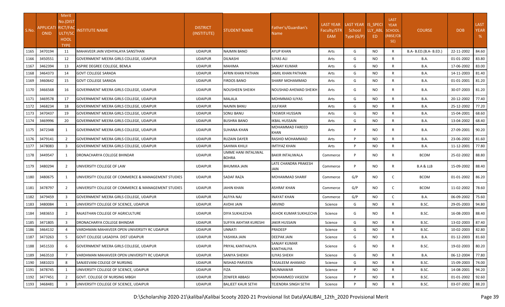| S.No.        | APPLICATI RICT/FAC<br><b>ONID</b> | <b>Merit</b><br>No.(DIST<br>ULTY/SC<br><b>HOOL</b><br><b>TYPE</b> | <b>NSTITUTE NAME</b>                                                  | <b>DISTRICT</b><br>(INSTITUTE)   | STUDENT NAME                          | Father's/Guardian's<br>Name                     | <b>LAST YEAR</b><br>Faculty/STR<br>EAM | LAST YEAR IS SPECI<br>School<br>Type (G/P) | LLY ABL<br>ED.  | <b>LAST</b><br><b>YEAR</b><br><b>SCHOOL</b><br>(RBSE/CB<br>SE) | <b>COURSE</b>          | <b>DOB</b>               | <b>LAST</b><br><b>YEAR</b><br>% |
|--------------|-----------------------------------|-------------------------------------------------------------------|-----------------------------------------------------------------------|----------------------------------|---------------------------------------|-------------------------------------------------|----------------------------------------|--------------------------------------------|-----------------|----------------------------------------------------------------|------------------------|--------------------------|---------------------------------|
| 1165         | 3470194                           | 11                                                                | MAHAVEER JAIN VIDHYALAYA SANSTHAN                                     | <b>UDAIPUR</b>                   | NAJMIN BANO                           | AYUP KHAN                                       | Arts                                   | G                                          | <b>NO</b>       | $\mathsf{R}$                                                   | B.A- B.ED.(B.A- B.ED.) | 22-11-2002               | 84.60                           |
| 1166         | 3450551                           | 12                                                                | GOVERNMENT MEERA GIRLS COLLEGE, UDAIPUR                               | <b>UDAIPUR</b>                   | DILNASHI                              | ILIYAS ALI                                      | Arts                                   | G                                          | <b>NO</b>       | $\mathsf{R}$                                                   | B.A.                   | 01-01-2002               | 83.80                           |
| 1167         | 3462394                           | 13                                                                | ASPIRE DEGREE COLLEGE, BEMLA                                          | <b>UDAIPUR</b>                   | MAHIMA                                | SANJAY KUMAR                                    | Arts                                   | G                                          | <b>NO</b>       | $\mathsf{R}$                                                   | B.A.                   | 17-06-2002               | 83.00                           |
| 1168         | 3464373                           | 14                                                                | <b>GOVT COLLEGE SARADA</b>                                            | <b>UDAIPUR</b>                   | AFRIN KHAN PATHAN                     | JAMIL KHAN PATHAN                               | Arts                                   | G                                          | <b>NO</b>       | R                                                              | <b>B.A.</b>            | 14-11-2003               | 81.40                           |
| 1169<br>1170 | 3460642<br>3466568                | 15<br>16                                                          | <b>GOVT COLLEGE SARADA</b><br>GOVERNMENT MEERA GIRLS COLLEGE, UDAIPUR | <b>UDAIPUR</b><br><b>UDAIPUR</b> | FIRDOS BANO<br><b>NOUSHEEN SHEIKH</b> | SHARIF MOHAMMAD<br><b>NOUSHAD AHEMAD SHEIKH</b> | Arts<br>Arts                           | G<br>G                                     | NO<br><b>NO</b> | R<br>R                                                         | B.A.<br><b>B.A.</b>    | 01-01-2001<br>30-07-2003 | 81.20<br>81.20                  |
|              | 3469578                           | 17                                                                | <b>GOVERNMENT MEERA GIRLS COLLEGE, UDAIPUR</b>                        | <b>UDAIPUR</b>                   | MALALA                                | <b>MOHMMAD ILIYAS</b>                           | Arts                                   | G                                          | <b>NO</b>       | R                                                              | B.A.                   | 20-12-2002               | 77.40                           |
| 1171<br>1172 | 3468234                           | 18                                                                | GOVERNMENT MEERA GIRLS COLLEGE, UDAIPUR                               | <b>UDAIPUR</b>                   | NAJNIN BANU                           | <b>IULFIKAR</b>                                 | Arts                                   | G                                          | NO              | R                                                              | B.A.                   | 25-12-2002               | 77.20                           |
| 1173         | 3470437                           | 19                                                                | GOVERNMENT MEERA GIRLS COLLEGE, UDAIPUR                               | <b>UDAIPUR</b>                   | SONU BANU                             | <b>TASWER HUSSAIN</b>                           | Arts                                   | G                                          | <b>NO</b>       | $\mathsf{R}$                                                   | B.A.                   | 15-04-2001               | 68.60                           |
| 1174         | 3469996                           | 20                                                                | GOVERNMENT MEERA GIRLS COLLEGE, UDAIPUR                               | <b>UDAIPUR</b>                   | BUSHRA BANO                           | <b>KBAL HUSSAIN</b>                             | Arts                                   | G                                          | <b>NO</b>       | $\mathsf{R}$                                                   | B.A.                   | 13-04-2002               | 68.40                           |
| 1175         | 3472348                           | 1                                                                 | GOVERNMENT MEERA GIRLS COLLEGE, UDAIPUR                               | <b>UDAIPUR</b>                   | SUHANA KHAN                           | MOHAMMAD FAREED<br>KHAN                         | Arts                                   | P                                          | NO.             | R                                                              | B.A.                   | 27-09-2001               | 90.20                           |
| 1176         | 3479141                           | 2                                                                 | GOVERNMENT MEERA GIRLS COLLEGE, UDAIPUR                               | <b>UDAIPUR</b>                   | RUZAIN DAYER                          | RASHID MOHAMMAD                                 | Arts                                   | P                                          | <b>NO</b>       | $\mathsf{R}$                                                   | B.A.                   | 23-06-2002               | 81.60                           |
| 1177         | 3478083                           | $\overline{\mathbf{3}}$                                           | GOVERNMENT MEERA GIRLS COLLEGE, UDAIPUR                               | <b>UDAIPUR</b>                   | SAHIMA KHILJI                         | IMTIYAZ KHAN                                    | Arts                                   | P                                          | <b>NO</b>       | $\mathsf{R}$                                                   | B.A.                   | 11-12-2001               | 77.80                           |
| 1178         | 3449547                           | 1                                                                 | DRONACHARYA COLLEGE BHINDAR                                           | <b>UDAIPUR</b>                   | UMME HANI INTALIWAL<br><b>BOHRA</b>   | <b>BAKIR INTALIWALA</b>                         | Commerce                               | P                                          | <b>NO</b>       | R                                                              | <b>BCOM</b>            | 25-02-2002               | 88.80                           |
| 1179         | 3480294                           | 2                                                                 | UNIVERSITY COLLEGE OF LAW                                             | <b>UDAIPUR</b>                   | BHUMIKA JAIN                          | LATE CHANDRA PRAKESH<br>JAIN                    | Commerce                               | P                                          | NO.             | R                                                              | B.A & LLB              | 15-09-2002               | 88.40                           |
| 1180         | 3480675                           | 1                                                                 | UNIVERSITY COLLEGE OF COMMERCE & MANAGEMENT STUDIES                   | <b>UDAIPUR</b>                   | SADAF RAZA                            | <b>MOHAMMAD SHARIF</b>                          | Commerce                               | G/P                                        | <b>NO</b>       | $\mathsf{C}$                                                   | <b>BCOM</b>            | 01-01-2002               | 86.20                           |
| 1181         | 3478797                           | $\overline{2}$                                                    | UNIVERSITY COLLEGE OF COMMERCE & MANAGEMENT STUDIES                   | <b>UDAIPUR</b>                   | JAHIN KHAN                            | ASHRAF KHAN                                     | Commerce                               | G/P                                        | NO.             | $\mathsf{C}$                                                   | <b>BCOM</b>            | 11-02-2002               | 78.60                           |
| 1182         | 3479459                           | $\overline{3}$                                                    | GOVERNMENT MEERA GIRLS COLLEGE, UDAIPUR                               | <b>UDAIPUR</b>                   | ALFIYA NAJ                            | <b>INAYAT KHAN</b>                              | Commerce                               | G/P                                        | <b>NO</b>       | C                                                              | <b>B.A.</b>            | 06-09-2002               | 75.60                           |
| 1183         | 3480084                           | 1                                                                 | UNIVERSITY COLLEGE OF SCIENCE, UDAIPUR                                | <b>UDAIPUR</b>                   | AVDHI JAIN                            | ARVIND                                          | Science                                | G                                          | <b>NO</b>       | R                                                              | B.SC.                  | 29-05-2003               | 94.80                           |
| 1184         | 3483653                           | $\overline{2}$                                                    | RAJASTHAN COLLEGE OF AGRICULTURE                                      | <b>UDAIPUR</b>                   | <b>DIYA SUKHLECHA</b>                 | ASHOK KUMAR SUKHLECHA                           | Science                                | G                                          | NO.             | R                                                              | B.SC.                  | 16-08-2003               | 88.40                           |
| 1185         | 3471805                           | $\overline{3}$                                                    | <b>DRONACHARYA COLLEGE BHINDAR</b>                                    | <b>UDAIPUR</b>                   | SUFIYA AKHTAR KURESHI                 | <b>JAKIR HUSSAIN</b>                            | Science                                | G                                          | <b>NO</b>       | $\mathsf{R}$                                                   | B.SC.                  | 13-02-2003               | 87.40                           |
| 1186         | 3464132                           |                                                                   | VARDHMAN MAHAVEER OPEN UNIVERSITY RC UDAIPUR                          | <b>UDAIPUR</b>                   | UNNATI                                | PRADEEP                                         | Science                                | G                                          | <b>NO</b>       | R                                                              | B.SC.                  | 10-02-2003               | 82.80                           |
| 1187         | 3473263                           | 5                                                                 | GOVT COLLEGE LASADIYA DIST UDAIPUR                                    | <b>UDAIPUR</b>                   | YASHIKA JAIN                          | <b>DEEPAK JAIN</b>                              | Science                                | G                                          | <b>NO</b>       | R                                                              | <b>B.A.</b>            | 01-12-2003               | 81.60                           |
| 1188         | 3451533                           | 6                                                                 | GOVERNMENT MEERA GIRLS COLLEGE, UDAIPUR                               | <b>UDAIPUR</b>                   | PRIYAL KANTHALIYA                     | SANJAY KUMAR<br>KANTHALIYA                      | Science                                | G                                          | NO.             | R                                                              | B.SC.                  | 19-02-2003               | 80.20                           |
| 1189         | 3463510                           | $\overline{7}$                                                    | VARDHMAN MAHAVEER OPEN UNIVERSITY RC UDAIPUR                          | <b>UDAIPUR</b>                   | SANIYA SHEIKH                         | ILIYAS SHEKH                                    | Science                                | G                                          | <b>NO</b>       | R                                                              | <b>B.A.</b>            | 06-12-2004               | 77.80                           |
| 1190         | 3481023                           | 8                                                                 | SANJEEVANI COLEGE OF NURSING                                          | <b>UDAIPUR</b>                   | NISHAD PARVEEN                        | TASALEEM AHAMAD                                 | Science                                | G                                          | NO              | R                                                              | B.SC.                  | 15-09-2003               | 74.00                           |
| 1191         | 3478745                           | 1                                                                 | UNIVERSITY COLLEGE OF SCIENCE, UDAIPUR                                | <b>UDAIPUR</b>                   | <b>FIZA</b>                           | <b>MUNNAWAR</b>                                 | Science                                | P                                          | <b>NO</b>       | $\mathsf{R}$                                                   | B.SC.                  | 14-08-2001               | 94.20                           |
| 1192         | 3477451                           | $\overline{2}$                                                    | <b>GOVT. COLLEGE OF NURSING MBGH</b>                                  | <b>UDAIPUR</b>                   | ZENIFER ABBASI                        | MOHAMMED VASEEM                                 | Science                                | P                                          | <b>NO</b>       | $\mathsf{R}$                                                   | B.SC.                  | 01-01-2002               | 92.60                           |
| 1193         | 3468481                           | $\overline{3}$                                                    | UNIVERSITY COLLEGE OF SCIENCE, UDAIPUR                                | <b>UDAIPUR</b>                   | <b>BALJEET KAUR SETHI</b>             | TEJENDRA SINGH SETHI                            | Science                                | P                                          | NO.             | $\mathsf{R}$                                                   | B.SC.                  | 03-07-2002               | 88.20                           |